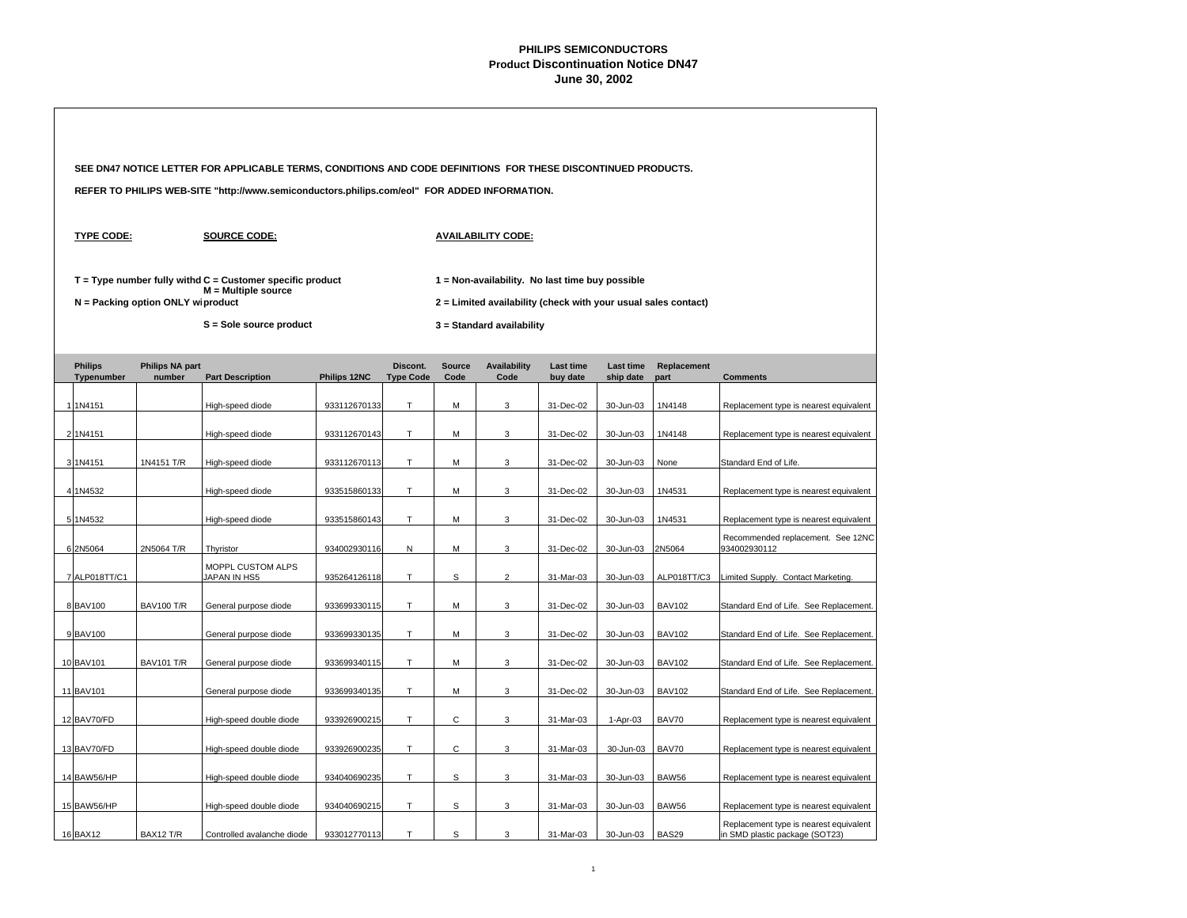|                              |                                   | SEE DN47 NOTICE LETTER FOR APPLICABLE TERMS, CONDITIONS AND CODE DEFINITIONS FOR THESE DISCONTINUED PRODUCTS. |              |                              |                       |                                                                                             |                              |                               |                     |                                                                          |  |  |
|------------------------------|-----------------------------------|---------------------------------------------------------------------------------------------------------------|--------------|------------------------------|-----------------------|---------------------------------------------------------------------------------------------|------------------------------|-------------------------------|---------------------|--------------------------------------------------------------------------|--|--|
|                              |                                   | REFER TO PHILIPS WEB-SITE "http://www.semiconductors.philips.com/eol" FOR ADDED INFORMATION.                  |              |                              |                       |                                                                                             |                              |                               |                     |                                                                          |  |  |
| <b>TYPE CODE:</b>            |                                   | <b>SOURCE CODE:</b>                                                                                           |              |                              |                       | <b>AVAILABILITY CODE:</b>                                                                   |                              |                               |                     |                                                                          |  |  |
|                              |                                   | $T = Type$ number fully withd $C =$ Customer specific product<br>$M =$ Multiple source                        |              |                              |                       | 1 = Non-availability. No last time buy possible                                             |                              |                               |                     |                                                                          |  |  |
|                              | N = Packing option ONLY wiproduct | S = Sole source product                                                                                       |              |                              |                       | 2 = Limited availability (check with your usual sales contact)<br>3 = Standard availability |                              |                               |                     |                                                                          |  |  |
| <b>Philips</b><br>Typenumber | <b>Philips NA part</b><br>number  | <b>Part Description</b>                                                                                       | Philips 12NC | Discont.<br><b>Type Code</b> | <b>Source</b><br>Code | <b>Availability</b><br>Code                                                                 | <b>Last time</b><br>buy date | <b>Last time</b><br>ship date | Replacement<br>part | <b>Comments</b>                                                          |  |  |
| 1 1N4151                     |                                   | High-speed diode                                                                                              | 933112670133 | T.                           | м                     | 3                                                                                           | 31-Dec-02                    | 30-Jun-03                     | 1N4148              | Replacement type is nearest equivalent                                   |  |  |
| 2 1N4151                     |                                   | High-speed diode                                                                                              | 933112670143 | т                            | М                     | 3                                                                                           | 31-Dec-02                    | 30-Jun-03                     | 1N4148              | Replacement type is nearest equivalent                                   |  |  |
| 3 1N4151                     | 1N4151 T/R                        | High-speed diode                                                                                              | 933112670113 | T.                           | M                     | 3                                                                                           | 31-Dec-02                    | 30-Jun-03                     | None                | Standard End of Life.                                                    |  |  |
| 4 1N4532                     |                                   | High-speed diode                                                                                              | 933515860133 | T                            | М                     | 3                                                                                           | 31-Dec-02                    | 30-Jun-03                     | 1N4531              | Replacement type is nearest equivalent                                   |  |  |
| 5 1N4532                     |                                   | High-speed diode                                                                                              | 933515860143 | T.                           | м                     | 3                                                                                           | 31-Dec-02                    | 30-Jun-03                     | 1N4531              | Replacement type is nearest equivalent                                   |  |  |
| 6 2N5064                     | 2N5064 T/R                        | Thyristor                                                                                                     | 934002930116 | Ν                            | м                     | 3                                                                                           | 31-Dec-02                    | 30-Jun-03                     | 2N5064              | Recommended replacement. See 12NC<br>934002930112                        |  |  |
| 7 ALP018TT/C1                |                                   | MOPPL CUSTOM ALPS<br>JAPAN IN HS5                                                                             | 935264126118 | T                            | s                     | 2                                                                                           | 31-Mar-03                    | 30-Jun-03                     | ALP018TT/C3         | Limited Supply. Contact Marketing.                                       |  |  |
| 8 BAV100                     | <b>BAV100 T/R</b>                 | General purpose diode                                                                                         | 933699330115 | T.                           | м                     | 3                                                                                           | 31-Dec-02                    | 30-Jun-03                     | <b>BAV102</b>       | Standard End of Life. See Replacement.                                   |  |  |
| 9 BAV100                     |                                   | General purpose diode                                                                                         | 933699330135 | T                            | М                     | 3                                                                                           | 31-Dec-02                    | 30-Jun-03                     | <b>BAV102</b>       | Standard End of Life. See Replacement.                                   |  |  |
| 10 BAV101                    | <b>BAV101 T/R</b>                 | General purpose diode                                                                                         | 933699340115 | T.                           | М                     | 3                                                                                           | 31-Dec-02                    | 30-Jun-03                     | <b>BAV102</b>       | Standard End of Life. See Replacement.                                   |  |  |
| 11 BAV101                    |                                   | General purpose diode                                                                                         | 933699340135 | T.                           | M                     | 3                                                                                           | 31-Dec-02                    | 30-Jun-03                     | <b>BAV102</b>       | Standard End of Life. See Replacement.                                   |  |  |
| 12 BAV70/FD                  |                                   | High-speed double diode                                                                                       | 933926900215 | T.                           | С                     | 3                                                                                           | 31-Mar-03                    | 1-Apr-03                      | BAV70               | Replacement type is nearest equivalent                                   |  |  |
| 13 BAV70/FD                  |                                   | High-speed double diode                                                                                       | 933926900235 | Τ                            | С                     | 3                                                                                           | 31-Mar-03                    | 30-Jun-03                     | BAV70               | Replacement type is nearest equivalent                                   |  |  |
| 14 BAW56/HP                  |                                   | High-speed double diode                                                                                       | 934040690235 | T                            | s                     | 3                                                                                           | 31-Mar-03                    | 30-Jun-03                     | <b>BAW56</b>        | Replacement type is nearest equivalent                                   |  |  |
| 15 BAW56/HP                  |                                   | High-speed double diode                                                                                       | 934040690215 | T.                           | s                     | 3                                                                                           | 31-Mar-03                    | 30-Jun-03                     | <b>BAW56</b>        | Replacement type is nearest equivalent                                   |  |  |
| 16 BAX12                     | BAX12 T/R                         | Controlled avalanche diode                                                                                    | 933012770113 | T                            | S                     | 3                                                                                           | 31-Mar-03                    | 30-Jun-03                     | BAS29               | Replacement type is nearest equivalent<br>in SMD plastic package (SOT23) |  |  |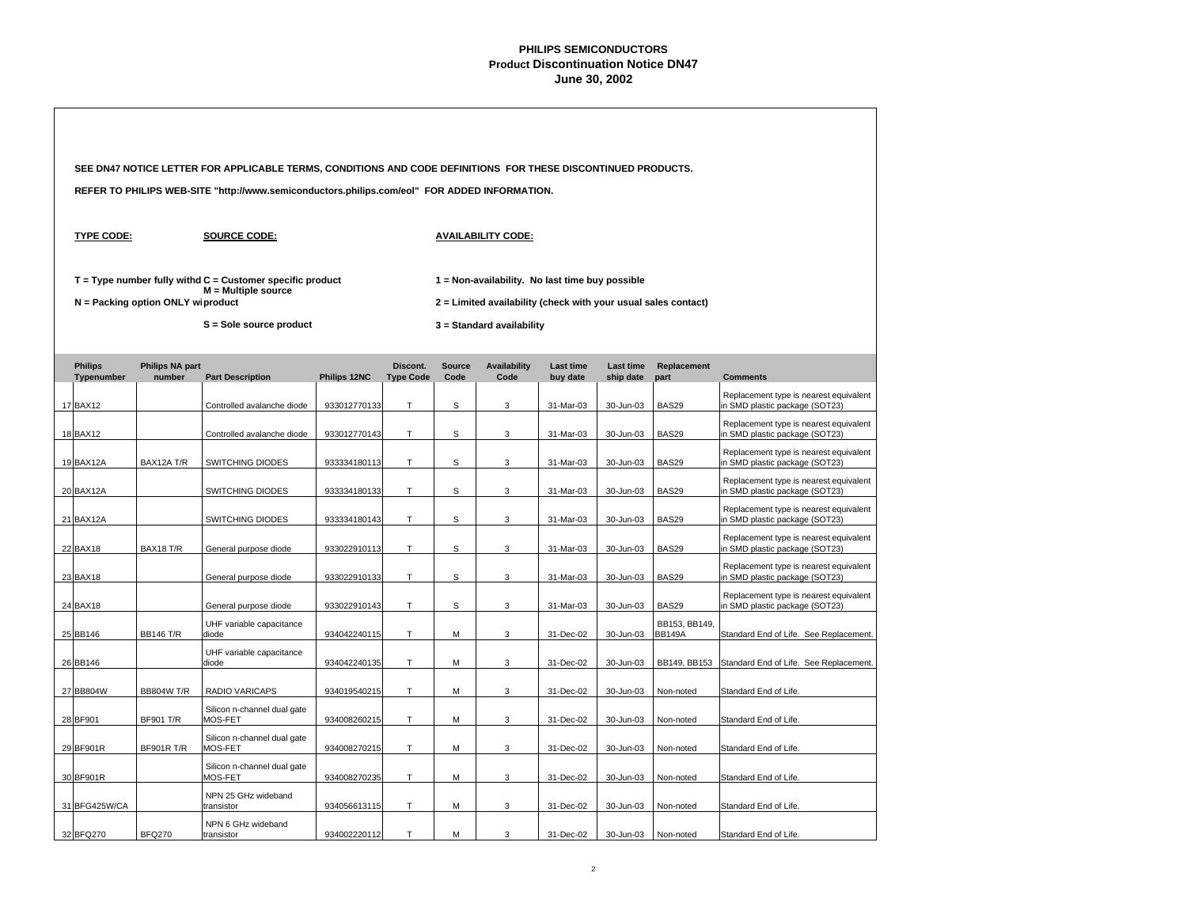|  |                   |                                   | SEE DN47 NOTICE LETTER FOR APPLICABLE TERMS, CONDITIONS AND CODE DEFINITIONS FOR THESE DISCONTINUED PRODUCTS. |              |        |   |                                                                                                                   |           |           |                                |                                                                          |  |
|--|-------------------|-----------------------------------|---------------------------------------------------------------------------------------------------------------|--------------|--------|---|-------------------------------------------------------------------------------------------------------------------|-----------|-----------|--------------------------------|--------------------------------------------------------------------------|--|
|  |                   |                                   | REFER TO PHILIPS WEB-SITE "http://www.semiconductors.philips.com/eol" FOR ADDED INFORMATION.                  |              |        |   |                                                                                                                   |           |           |                                |                                                                          |  |
|  | <b>TYPE CODE:</b> |                                   | <b>SOURCE CODE:</b>                                                                                           |              |        |   | <b>AVAILABILITY CODE:</b>                                                                                         |           |           |                                |                                                                          |  |
|  |                   | N = Packing option ONLY wiproduct | $T = Type$ number fully withd $C =$ Customer specific product<br>$M =$ Multiple source                        |              |        |   | 1 = Non-availability. No last time buy possible<br>2 = Limited availability (check with your usual sales contact) |           |           |                                |                                                                          |  |
|  |                   |                                   | S = Sole source product                                                                                       |              |        |   | 3 = Standard availability                                                                                         |           |           |                                |                                                                          |  |
|  | <b>Comments</b>   |                                   |                                                                                                               |              |        |   |                                                                                                                   |           |           |                                |                                                                          |  |
|  | 17 BAX12          |                                   | Controlled avalanche diode                                                                                    | 933012770133 | T.     | S | 3                                                                                                                 | 31-Mar-03 | 30-Jun-03 | <b>BAS29</b>                   | Replacement type is nearest equivalent<br>in SMD plastic package (SOT23) |  |
|  | 18 BAX12          |                                   | Controlled avalanche diode                                                                                    | 933012770143 | T.     | S | 3                                                                                                                 | 31-Mar-03 | 30-Jun-03 | BAS29                          | Replacement type is nearest equivalent<br>in SMD plastic package (SOT23) |  |
|  | 19 BAX12A         | BAX12A T/R                        | SWITCHING DIODES                                                                                              | 933334180113 | T.     | S | 3                                                                                                                 | 31-Mar-03 | 30-Jun-03 | BAS29                          | Replacement type is nearest equivalent<br>in SMD plastic package (SOT23) |  |
|  | 20 BAX12A         |                                   | SWITCHING DIODES                                                                                              | 933334180133 | T.     | S | 3                                                                                                                 | 31-Mar-03 | 30-Jun-03 | BAS29                          | Replacement type is nearest equivalent<br>in SMD plastic package (SOT23) |  |
|  | 21 BAX12A         |                                   | SWITCHING DIODES                                                                                              | 933334180143 | T      | S | 3                                                                                                                 | 31-Mar-03 | 30-Jun-03 | <b>BAS29</b>                   | Replacement type is nearest equivalent<br>in SMD plastic package (SOT23) |  |
|  | 22 BAX18          | BAX18 T/R                         | General purpose diode                                                                                         | 933022910113 | $\top$ | s | 3                                                                                                                 | 31-Mar-03 | 30-Jun-03 | BAS29                          | Replacement type is nearest equivalent<br>in SMD plastic package (SOT23) |  |
|  | 23 BAX18          |                                   | General purpose diode                                                                                         | 933022910133 | T      | s | 3                                                                                                                 | 31-Mar-03 | 30-Jun-03 | BAS29                          | Replacement type is nearest equivalent<br>in SMD plastic package (SOT23) |  |
|  | 24 BAX18          |                                   | General purpose diode                                                                                         | 933022910143 | T.     | S | 3                                                                                                                 | 31-Mar-03 | 30-Jun-03 | <b>BAS29</b>                   | Replacement type is nearest equivalent<br>in SMD plastic package (SOT23) |  |
|  | 25 BB146          | <b>BB146 T/R</b>                  | UHF variable capacitance<br>diode                                                                             | 934042240115 | T      | М | 3                                                                                                                 | 31-Dec-02 | 30-Jun-03 | BB153, BB149,<br><b>BB149A</b> | Standard End of Life. See Replacement.                                   |  |
|  | 26 BB146          |                                   | UHF variable capacitance<br>diode                                                                             | 934042240135 | T      | М | 3                                                                                                                 | 31-Dec-02 | 30-Jun-03 | BB149, BB153                   | Standard End of Life. See Replacement.                                   |  |
|  | 27 BB804W         | <b>BB804W T/R</b>                 | RADIO VARICAPS                                                                                                | 934019540215 | T      | М | 3                                                                                                                 | 31-Dec-02 | 30-Jun-03 | Non-noted                      | Standard End of Life.                                                    |  |
|  | 28 BF901          | <b>BF901 T/R</b>                  | Silicon n-channel dual gate<br>MOS-FET                                                                        | 934008260215 | T.     | M | 3                                                                                                                 | 31-Dec-02 | 30-Jun-03 | Non-noted                      | Standard End of Life.                                                    |  |
|  | 29 BF901R         | <b>BF901R T/R</b>                 | Silicon n-channel dual gate<br>MOS-FET                                                                        | 934008270215 | T.     | M | 3                                                                                                                 | 31-Dec-02 | 30-Jun-03 | Non-noted                      | Standard End of Life.                                                    |  |
|  | 30 BF901R         |                                   | Silicon n-channel dual gate<br>MOS-FET                                                                        | 934008270235 | T      | М | 3                                                                                                                 | 31-Dec-02 | 30-Jun-03 | Non-noted                      | Standard End of Life.                                                    |  |
|  | 31 BFG425W/CA     |                                   | NPN 25 GHz wideband<br>transistor                                                                             | 934056613115 | T.     | M | 3                                                                                                                 | 31-Dec-02 | 30-Jun-03 | Non-noted                      | Standard End of Life.                                                    |  |
|  | 32 BFQ270         | <b>BFQ270</b>                     | NPN 6 GHz wideband<br>transistor                                                                              | 934002220112 | T.     | М | 3                                                                                                                 | 31-Dec-02 | 30-Jun-03 | Non-noted                      | Standard End of Life.                                                    |  |
|  |                   |                                   |                                                                                                               |              |        |   |                                                                                                                   |           |           |                                |                                                                          |  |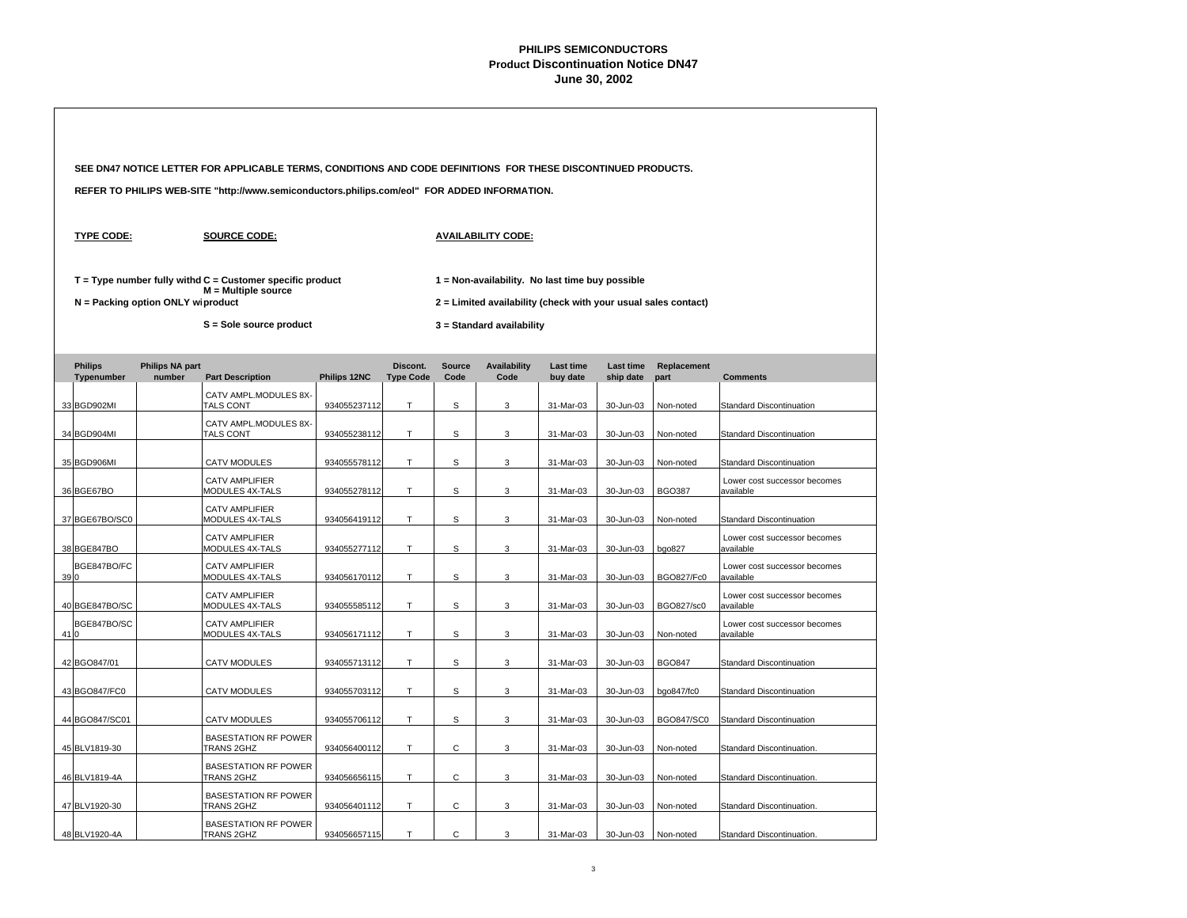|                                                                                                                                                                                                                                                                                                  |                   |                                   | SEE DN47 NOTICE LETTER FOR APPLICABLE TERMS, CONDITIONS AND CODE DEFINITIONS FOR THESE DISCONTINUED PRODUCTS. |              |        |              |                                                                                                                   |           |           |                   |                                                          |  |  |
|--------------------------------------------------------------------------------------------------------------------------------------------------------------------------------------------------------------------------------------------------------------------------------------------------|-------------------|-----------------------------------|---------------------------------------------------------------------------------------------------------------|--------------|--------|--------------|-------------------------------------------------------------------------------------------------------------------|-----------|-----------|-------------------|----------------------------------------------------------|--|--|
|                                                                                                                                                                                                                                                                                                  |                   |                                   | REFER TO PHILIPS WEB-SITE "http://www.semiconductors.philips.com/eol" FOR ADDED INFORMATION.                  |              |        |              |                                                                                                                   |           |           |                   |                                                          |  |  |
|                                                                                                                                                                                                                                                                                                  | <b>TYPE CODE:</b> |                                   | <b>SOURCE CODE:</b>                                                                                           |              |        |              | <b>AVAILABILITY CODE:</b>                                                                                         |           |           |                   |                                                          |  |  |
|                                                                                                                                                                                                                                                                                                  |                   | N = Packing option ONLY wiproduct | $T = Type$ number fully withd $C =$ Customer specific product<br>$M = Multiple source$                        |              |        |              | 1 = Non-availability. No last time buy possible<br>2 = Limited availability (check with your usual sales contact) |           |           |                   |                                                          |  |  |
|                                                                                                                                                                                                                                                                                                  |                   |                                   | S = Sole source product                                                                                       |              |        |              | 3 = Standard availability                                                                                         |           |           |                   |                                                          |  |  |
|                                                                                                                                                                                                                                                                                                  |                   |                                   |                                                                                                               |              |        |              |                                                                                                                   |           |           |                   |                                                          |  |  |
| <b>Philips</b><br><b>Philips NA part</b><br>Discont.<br><b>Availability</b><br><b>Source</b><br>Last time<br>Last time<br>Replacement<br>Code<br>Typenumber<br>number<br><b>Part Description</b><br>Philips 12NC<br><b>Type Code</b><br>Code<br>buy date<br>ship date<br>part<br><b>Comments</b> |                   |                                   |                                                                                                               |              |        |              |                                                                                                                   |           |           |                   |                                                          |  |  |
|                                                                                                                                                                                                                                                                                                  | 33 BGD902MI       |                                   | CATV AMPL.MODULES 8X-<br>TALS CONT                                                                            | 934055237112 | т      | S            | 3                                                                                                                 | 31-Mar-03 | 30-Jun-03 | Non-noted         | Standard Discontinuation                                 |  |  |
|                                                                                                                                                                                                                                                                                                  | 34 BGD904MI       |                                   | CATV AMPL.MODULES 8X-<br>TALS CONT                                                                            | 934055238112 | T.     | S            | 3                                                                                                                 | 31-Mar-03 | 30-Jun-03 | Non-noted         | <b>Standard Discontinuation</b>                          |  |  |
|                                                                                                                                                                                                                                                                                                  |                   |                                   |                                                                                                               |              |        |              |                                                                                                                   |           |           |                   |                                                          |  |  |
|                                                                                                                                                                                                                                                                                                  | 35 BGD906MI       |                                   | <b>CATV MODULES</b><br><b>CATV AMPLIFIER</b>                                                                  | 934055578112 | T.     | S            | 3                                                                                                                 | 31-Mar-03 | 30-Jun-03 | Non-noted         | Standard Discontinuation<br>Lower cost successor becomes |  |  |
|                                                                                                                                                                                                                                                                                                  | 36 BGE67BO        |                                   | MODULES 4X-TALS                                                                                               | 934055278112 | T.     | S            | 3                                                                                                                 | 31-Mar-03 | 30-Jun-03 | <b>BGO387</b>     | available                                                |  |  |
|                                                                                                                                                                                                                                                                                                  | 37 BGE67BO/SC0    |                                   | <b>CATV AMPLIFIER</b><br>MODULES 4X-TALS                                                                      | 934056419112 | T      | S            | 3                                                                                                                 | 31-Mar-03 | 30-Jun-03 | Non-noted         | <b>Standard Discontinuation</b>                          |  |  |
|                                                                                                                                                                                                                                                                                                  | 38 BGE847BO       |                                   | <b>CATV AMPLIFIER</b><br>MODULES 4X-TALS                                                                      | 934055277112 | T      | $\mathsf S$  | 3                                                                                                                 | 31-Mar-03 | 30-Jun-03 | bgo827            | Lower cost successor becomes<br>available                |  |  |
| 390                                                                                                                                                                                                                                                                                              | BGE847BO/FC       |                                   | <b>CATV AMPLIFIER</b><br>MODULES 4X-TALS                                                                      | 934056170112 | T.     | S            | 3                                                                                                                 | 31-Mar-03 | 30-Jun-03 | BGO827/Fc0        | Lower cost successor becomes<br>available                |  |  |
|                                                                                                                                                                                                                                                                                                  | 40 BGE847BO/SC    |                                   | <b>CATV AMPLIFIER</b><br>MODULES 4X-TALS                                                                      | 934055585112 | T.     | S            | 3                                                                                                                 | 31-Mar-03 | 30-Jun-03 | BGO827/sc0        | Lower cost successor becomes<br>available                |  |  |
| 41 0                                                                                                                                                                                                                                                                                             | BGE847BO/SC       |                                   | <b>CATV AMPLIFIER</b><br>MODULES 4X-TALS                                                                      | 934056171112 | T.     | S            | 3                                                                                                                 | 31-Mar-03 | 30-Jun-03 | Non-noted         | Lower cost successor becomes<br>available                |  |  |
|                                                                                                                                                                                                                                                                                                  | 42 BGO847/01      |                                   | <b>CATV MODULES</b>                                                                                           | 934055713112 | T      | S            | 3                                                                                                                 | 31-Mar-03 | 30-Jun-03 | <b>BGO847</b>     | Standard Discontinuation                                 |  |  |
|                                                                                                                                                                                                                                                                                                  | 43 BGO847/FC0     |                                   | <b>CATV MODULES</b>                                                                                           | 934055703112 | T      | S            | 3                                                                                                                 | 31-Mar-03 | 30-Jun-03 | bgo847/fc0        | Standard Discontinuation                                 |  |  |
|                                                                                                                                                                                                                                                                                                  | 44 BGO847/SC01    |                                   | <b>CATV MODULES</b>                                                                                           | 934055706112 | T      | S            | 3                                                                                                                 | 31-Mar-03 | 30-Jun-03 | <b>BGO847/SC0</b> | <b>Standard Discontinuation</b>                          |  |  |
|                                                                                                                                                                                                                                                                                                  | 45 BLV1819-30     |                                   | <b>BASESTATION RF POWER</b><br>TRANS 2GHZ                                                                     | 934056400112 | T.     | C            | 3                                                                                                                 | 31-Mar-03 | 30-Jun-03 | Non-noted         | Standard Discontinuation.                                |  |  |
|                                                                                                                                                                                                                                                                                                  | 46 BLV1819-4A     |                                   | <b>BASESTATION RF POWER</b><br>TRANS 2GHZ                                                                     | 934056656115 | $\top$ | $\mathsf{C}$ | 3                                                                                                                 | 31-Mar-03 | 30-Jun-03 | Non-noted         | Standard Discontinuation.                                |  |  |
|                                                                                                                                                                                                                                                                                                  | 47 BLV1920-30     |                                   | <b>BASESTATION RF POWER</b><br>TRANS 2GHZ                                                                     | 934056401112 | T.     | $\mathsf{C}$ | 3                                                                                                                 | 31-Mar-03 | 30-Jun-03 | Non-noted         | Standard Discontinuation.                                |  |  |
|                                                                                                                                                                                                                                                                                                  | 48 BLV1920-4A     |                                   | <b>BASESTATION RF POWER</b><br>TRANS 2GHZ                                                                     | 934056657115 | T.     | $\mathsf{C}$ | 3                                                                                                                 | 31-Mar-03 | 30-Jun-03 | Non-noted         | Standard Discontinuation.                                |  |  |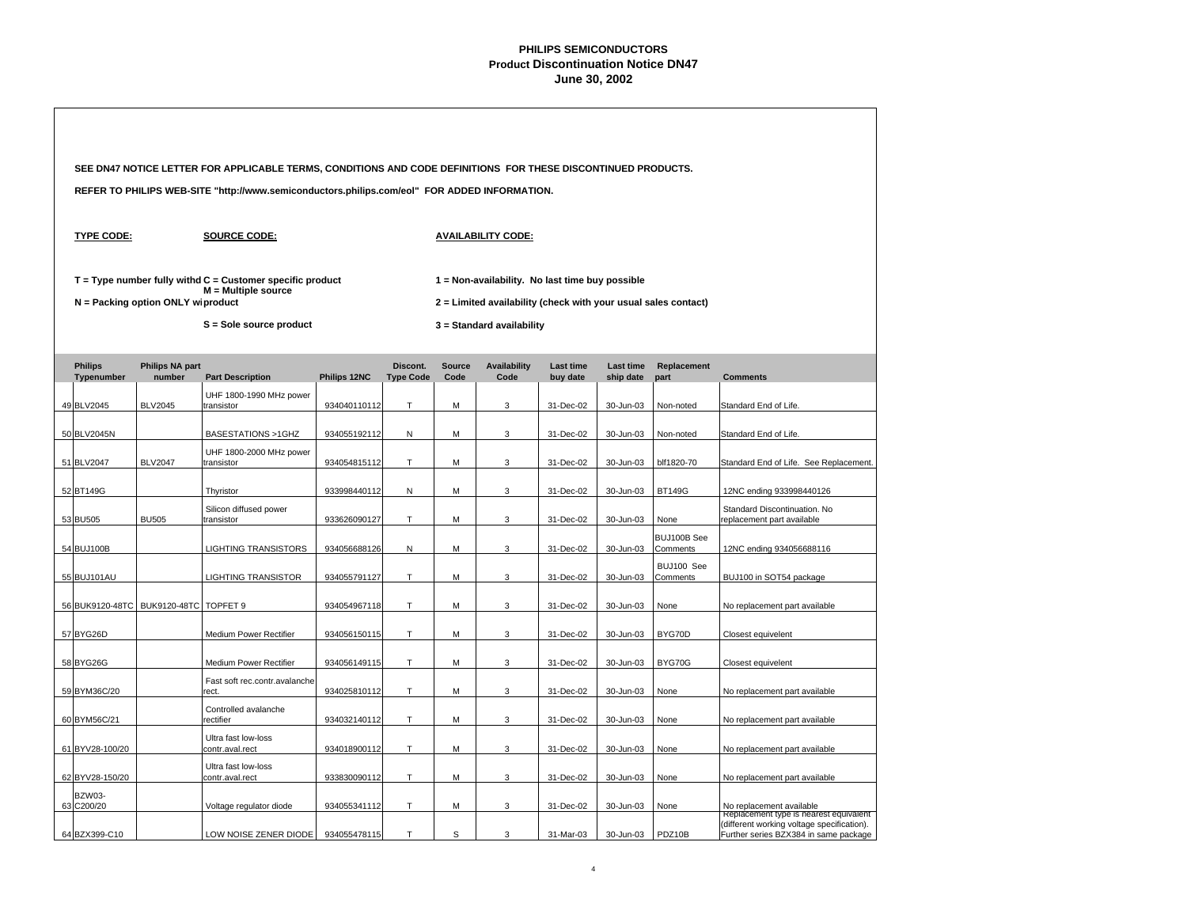|                                                                                                                                                                                                                                                |                                  | SEE DN47 NOTICE LETTER FOR APPLICABLE TERMS, CONDITIONS AND CODE DEFINITIONS FOR THESE DISCONTINUED PRODUCTS. |              |                              |                       |                             |                              |                        |                         |                                                                                     |  |  |  |  |
|------------------------------------------------------------------------------------------------------------------------------------------------------------------------------------------------------------------------------------------------|----------------------------------|---------------------------------------------------------------------------------------------------------------|--------------|------------------------------|-----------------------|-----------------------------|------------------------------|------------------------|-------------------------|-------------------------------------------------------------------------------------|--|--|--|--|
|                                                                                                                                                                                                                                                |                                  | REFER TO PHILIPS WEB-SITE "http://www.semiconductors.philips.com/eol" FOR ADDED INFORMATION.                  |              |                              |                       |                             |                              |                        |                         |                                                                                     |  |  |  |  |
| <b>TYPE CODE:</b>                                                                                                                                                                                                                              |                                  |                                                                                                               |              |                              |                       |                             |                              |                        |                         |                                                                                     |  |  |  |  |
| $T = Type$ number fully withd $C =$ Customer specific product<br>1 = Non-availability. No last time buy possible<br>M = Multiple source<br>N = Packing option ONLY wiproduct<br>2 = Limited availability (check with your usual sales contact) |                                  |                                                                                                               |              |                              |                       |                             |                              |                        |                         |                                                                                     |  |  |  |  |
| S = Sole source product<br>3 = Standard availability                                                                                                                                                                                           |                                  |                                                                                                               |              |                              |                       |                             |                              |                        |                         |                                                                                     |  |  |  |  |
| <b>Philips</b><br>Typenumber                                                                                                                                                                                                                   | <b>Philips NA part</b><br>number | <b>Part Description</b>                                                                                       | Philips 12NC | Discont.<br><b>Type Code</b> | <b>Source</b><br>Code | <b>Availability</b><br>Code | <b>Last time</b><br>buy date | Last time<br>ship date | Replacement<br>part     | <b>Comments</b>                                                                     |  |  |  |  |
| 49 BLV2045                                                                                                                                                                                                                                     | <b>BLV2045</b>                   | UHF 1800-1990 MHz power<br>transistor                                                                         | 934040110112 | T                            | М                     | 3                           | 31-Dec-02                    | 30-Jun-03              | Non-noted               | Standard End of Life.                                                               |  |  |  |  |
| 50 BLV2045N                                                                                                                                                                                                                                    |                                  | BASESTATIONS >1GHZ                                                                                            | 934055192112 | N                            | М                     | 3                           | 31-Dec-02                    | 30-Jun-03              | Non-noted               | Standard End of Life.                                                               |  |  |  |  |
| 51 BLV2047                                                                                                                                                                                                                                     | <b>BLV2047</b>                   | UHF 1800-2000 MHz power<br>transistor                                                                         | 934054815112 | Т                            | м                     | 3                           | 31-Dec-02                    | 30-Jun-03              | blf1820-70              | Standard End of Life. See Replacement.                                              |  |  |  |  |
| 52 BT149G                                                                                                                                                                                                                                      |                                  | Thyristor                                                                                                     | 933998440112 | N                            | М                     | 3                           | 31-Dec-02                    | 30-Jun-03              | <b>BT149G</b>           | 12NC ending 933998440126                                                            |  |  |  |  |
| 53 BU505                                                                                                                                                                                                                                       | <b>BU505</b>                     | Silicon diffused power<br>transistor                                                                          | 933626090127 | T.                           | M                     | 3                           | 31-Dec-02                    | 30-Jun-03              | None                    | Standard Discontinuation. No<br>replacement part available                          |  |  |  |  |
| 54 BUJ100B                                                                                                                                                                                                                                     |                                  | <b>LIGHTING TRANSISTORS</b>                                                                                   | 934056688126 | Ν                            | M                     | 3                           | 31-Dec-02                    | 30-Jun-03              | BUJ100B See<br>Comments | 12NC ending 934056688116                                                            |  |  |  |  |
| 55 BUJ101AU                                                                                                                                                                                                                                    |                                  | <b>LIGHTING TRANSISTOR</b>                                                                                    | 934055791127 | T.                           | м                     | 3                           | 31-Dec-02                    | 30-Jun-03              | BUJ100 See<br>Comments  | BUJ100 in SOT54 package                                                             |  |  |  |  |
| 56 BUK9120-48TC                                                                                                                                                                                                                                | BUK9120-48TC TOPFET 9            |                                                                                                               | 934054967118 | T                            | M                     | 3                           | 31-Dec-02                    | 30-Jun-03              | None                    | No replacement part available                                                       |  |  |  |  |
| 57 BYG26D                                                                                                                                                                                                                                      |                                  | Medium Power Rectifier                                                                                        | 934056150115 | T                            | М                     | 3                           | 31-Dec-02                    | 30-Jun-03              | BYG70D                  | Closest equivelent                                                                  |  |  |  |  |
| 58 BYG26G                                                                                                                                                                                                                                      |                                  | Medium Power Rectifier                                                                                        | 934056149115 | T                            | M                     | 3                           | 31-Dec-02                    | 30-Jun-03              | BYG70G                  | Closest equivelent                                                                  |  |  |  |  |
| 59 BYM36C/20                                                                                                                                                                                                                                   |                                  | Fast soft rec.contr.avalanche<br>rect.                                                                        | 934025810112 | T                            | M                     | 3                           | 31-Dec-02                    | 30-Jun-03              | None                    | No replacement part available                                                       |  |  |  |  |
| 60 BYM56C/21                                                                                                                                                                                                                                   |                                  | Controlled avalanche<br>rectifier                                                                             | 934032140112 | Τ                            | M                     | 3                           | 31-Dec-02                    | 30-Jun-03              | None                    | No replacement part available                                                       |  |  |  |  |
| 61 BYV28-100/20                                                                                                                                                                                                                                |                                  | Ultra fast low-loss<br>contr.aval.rect                                                                        | 934018900112 | T.                           | м                     | 3                           | 31-Dec-02                    | 30-Jun-03              | None                    | No replacement part available                                                       |  |  |  |  |
| 62 BYV28-150/20                                                                                                                                                                                                                                |                                  | Ultra fast low-loss<br>contr.aval.rect                                                                        | 933830090112 | T                            | М                     | 3                           | 31-Dec-02                    | 30-Jun-03              | None                    | No replacement part available                                                       |  |  |  |  |
| <b>BZW03-</b><br>63 C200/20                                                                                                                                                                                                                    |                                  | Voltage regulator diode                                                                                       | 934055341112 | Т                            | М                     | 3                           | 31-Dec-02                    | 30-Jun-03              | None                    | No replacement available<br>Replacement type is nearest equivalent                  |  |  |  |  |
| 64 BZX399-C10                                                                                                                                                                                                                                  |                                  | LOW NOISE ZENER DIODE                                                                                         | 934055478115 | T                            | S                     | 3                           | 31-Mar-03                    | 30-Jun-03              | PDZ10B                  | (different working voltage specification).<br>Further series BZX384 in same package |  |  |  |  |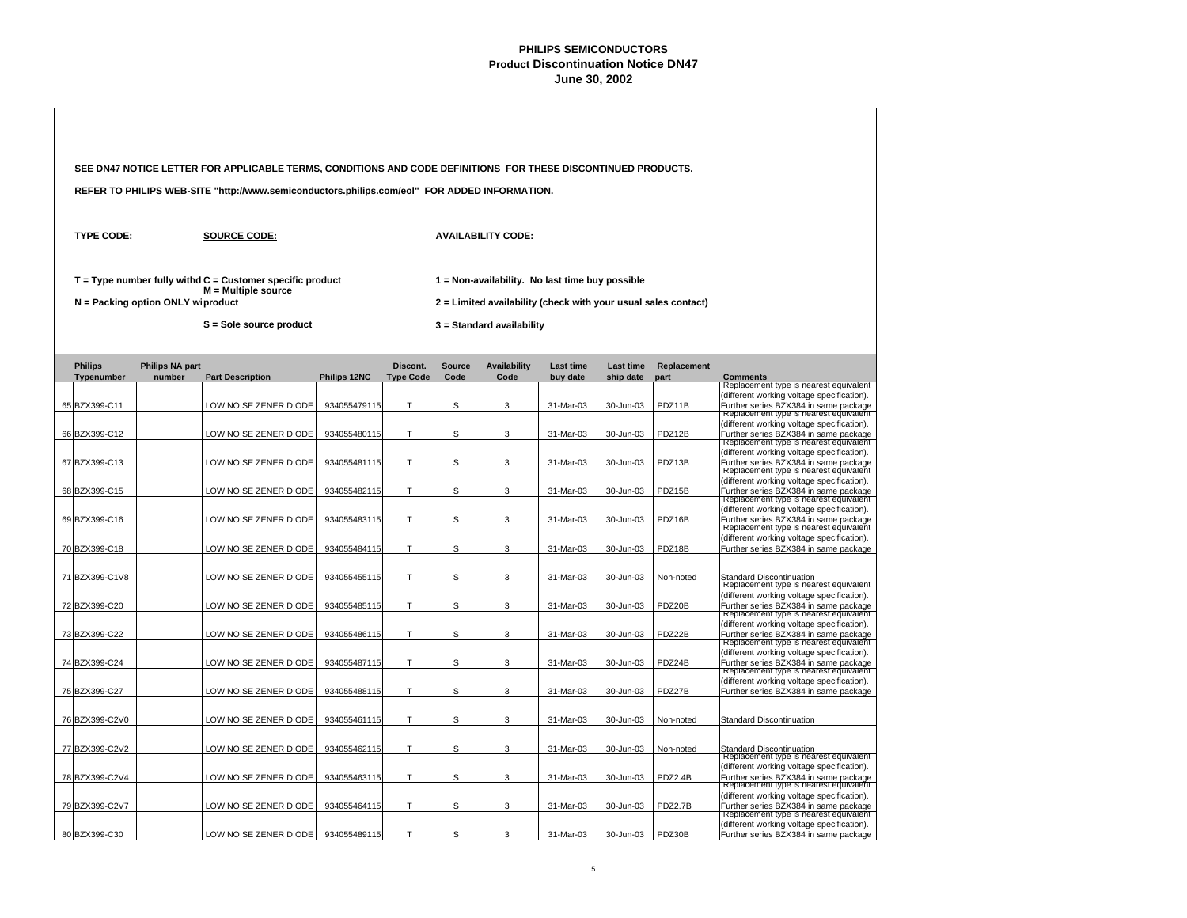| SEE DN47 NOTICE LETTER FOR APPLICABLE TERMS, CONDITIONS AND CODE DEFINITIONS FOR THESE DISCONTINUED PRODUCTS. |                                   |                                                                                              |                              |                              |                       |                                                                                                                   |                              |                               |                     |                                                                                                                                                                         |
|---------------------------------------------------------------------------------------------------------------|-----------------------------------|----------------------------------------------------------------------------------------------|------------------------------|------------------------------|-----------------------|-------------------------------------------------------------------------------------------------------------------|------------------------------|-------------------------------|---------------------|-------------------------------------------------------------------------------------------------------------------------------------------------------------------------|
|                                                                                                               |                                   | REFER TO PHILIPS WEB-SITE "http://www.semiconductors.philips.com/eol" FOR ADDED INFORMATION. |                              |                              |                       |                                                                                                                   |                              |                               |                     |                                                                                                                                                                         |
| <b>TYPE CODE:</b>                                                                                             |                                   | <b>SOURCE CODE:</b>                                                                          |                              |                              |                       | <b>AVAILABILITY CODE:</b>                                                                                         |                              |                               |                     |                                                                                                                                                                         |
|                                                                                                               | N = Packing option ONLY wiproduct | $T = Type$ number fully withd $C =$ Customer specific product<br>M = Multiple source         |                              |                              |                       | 1 = Non-availability. No last time buy possible<br>2 = Limited availability (check with your usual sales contact) |                              |                               |                     |                                                                                                                                                                         |
|                                                                                                               |                                   | S = Sole source product                                                                      |                              |                              |                       | 3 = Standard availability                                                                                         |                              |                               |                     |                                                                                                                                                                         |
| <b>Philips</b><br>Typenumber                                                                                  | <b>Philips NA part</b><br>number  | <b>Part Description</b>                                                                      | Philips 12NC                 | Discont.<br><b>Type Code</b> | <b>Source</b><br>Code | <b>Availability</b><br>Code                                                                                       | <b>Last time</b><br>buy date | <b>Last time</b><br>ship date | Replacement<br>part | <b>Comments</b>                                                                                                                                                         |
| 65 BZX399-C11                                                                                                 |                                   | LOW NOISE ZENER DIODE                                                                        | 934055479115                 | T                            | S                     | 3                                                                                                                 | 31-Mar-03                    | 30-Jun-03                     | PDZ11B              | Replacement type is nearest equivalent<br>(different working voltage specification).<br>Further series BZX384 in same package                                           |
| 66 BZX399-C12                                                                                                 |                                   | LOW NOISE ZENER DIODE                                                                        | 934055480115                 | T                            | S                     | 3                                                                                                                 | 31-Mar-03                    | 30-Jun-03                     | PDZ12B              | Replacement type is nearest equivalent<br>(different working voltage specification).<br>Further series BZX384 in same package<br>Replacement type is nearest equivalent |
| 67 BZX399-C13                                                                                                 |                                   | LOW NOISE ZENER DIODE                                                                        | 934055481115                 | T.                           | S                     | 3                                                                                                                 | 31-Mar-03                    | 30-Jun-03                     | PDZ13B              | (different working voltage specification).<br>Further series BZX384 in same package<br>Replacement type is nearest equivalent                                           |
| 68 BZX399-C15                                                                                                 |                                   | LOW NOISE ZENER DIODE                                                                        | 934055482115                 | T.                           | S                     | 3                                                                                                                 | 31-Mar-03                    | 30-Jun-03                     | PDZ15B              | (different working voltage specification).<br>Further series BZX384 in same package<br>Replacement type is nearest equivalent                                           |
| 69 BZX399-C16                                                                                                 |                                   | LOW NOISE ZENER DIODE                                                                        | 934055483115                 | T.                           | S                     | 3                                                                                                                 | 31-Mar-03                    | 30-Jun-03                     | PDZ16B              | (different working voltage specification).<br>Further series BZX384 in same package<br>Replacement type is nearest equivalent                                           |
| 70 BZX399-C18                                                                                                 |                                   | LOW NOISE ZENER DIODE                                                                        | 934055484115                 | T                            | S                     | 3                                                                                                                 | 31-Mar-03                    | 30-Jun-03                     | PDZ18B              | (different working voltage specification).<br>Further series BZX384 in same package                                                                                     |
| 71 BZX399-C1V8                                                                                                |                                   | LOW NOISE ZENER DIODE                                                                        | 934055455115                 | T                            | S                     | 3                                                                                                                 | 31-Mar-03                    | 30-Jun-03                     | Non-noted           | Standard Discontinuation<br>Replacement type is nearest equivalent<br>(different working voltage specification).                                                        |
| 72 BZX399-C20                                                                                                 |                                   | LOW NOISE ZENER DIODE                                                                        | 934055485115                 | T                            | s                     | 3                                                                                                                 | 31-Mar-03                    | 30-Jun-03                     | PDZ20B              | Further series BZX384 in same package<br>Replacement type is nearest equivalent<br>(different working voltage specification).                                           |
| 73 BZX399-C22                                                                                                 |                                   | LOW NOISE ZENER DIODE                                                                        | 934055486115                 | T                            | S                     | 3                                                                                                                 | 31-Mar-03                    | 30-Jun-03                     | PDZ22B              | Further series BZX384 in same package<br>Replacement type is nearest equivalent<br>(different working voltage specification).                                           |
| 74 BZX399-C24<br>75 BZX399-C27                                                                                |                                   | LOW NOISE ZENER DIODE<br>LOW NOISE ZENER DIODE                                               | 934055487115<br>934055488115 | T.<br>Τ                      | S<br>S                | 3<br>3                                                                                                            | 31-Mar-03<br>31-Mar-03       | 30-Jun-03<br>30-Jun-03        | PDZ24B<br>PDZ27B    | Further series BZX384 in same package<br>Replacement type is nearest equivalent<br>(different working voltage specification).<br>Further series BZX384 in same package  |
| 76 BZX399-C2V0                                                                                                |                                   | LOW NOISE ZENER DIODE                                                                        | 934055461115                 | Т                            | S                     | 3                                                                                                                 | 31-Mar-03                    | 30-Jun-03                     | Non-noted           | <b>Standard Discontinuation</b>                                                                                                                                         |
| 77 BZX399-C2V2                                                                                                |                                   | LOW NOISE ZENER DIODE                                                                        | 934055462115                 | Т                            | S                     | 3                                                                                                                 | 31-Mar-03                    | 30-Jun-03                     | Non-noted           | Standard Discontinuation<br>Replacement type is nearest equivalent                                                                                                      |
| 78 BZX399-C2V4                                                                                                |                                   | LOW NOISE ZENER DIODE                                                                        | 934055463115                 | T                            | S                     | 3                                                                                                                 | 31-Mar-03                    | 30-Jun-03                     | PDZ2.4B             | (different working voltage specification).<br>Further series BZX384 in same package<br>Replacement type is nearest equivalent                                           |
| 79 BZX399-C2V7                                                                                                |                                   | LOW NOISE ZENER DIODE                                                                        | 934055464115                 | Т                            | S                     | 3                                                                                                                 | 31-Mar-03                    | 30-Jun-03                     | PDZ2.7B             | (different working voltage specification).<br>Further series BZX384 in same package<br>Replacement type is nearest equivalent                                           |
| 80 BZX399-C30                                                                                                 |                                   | LOW NOISE ZENER DIODE                                                                        | 934055489115                 | T                            | S                     | 3                                                                                                                 | 31-Mar-03                    | 30-Jun-03                     | PDZ30B              | (different working voltage specification).<br>Further series BZX384 in same package                                                                                     |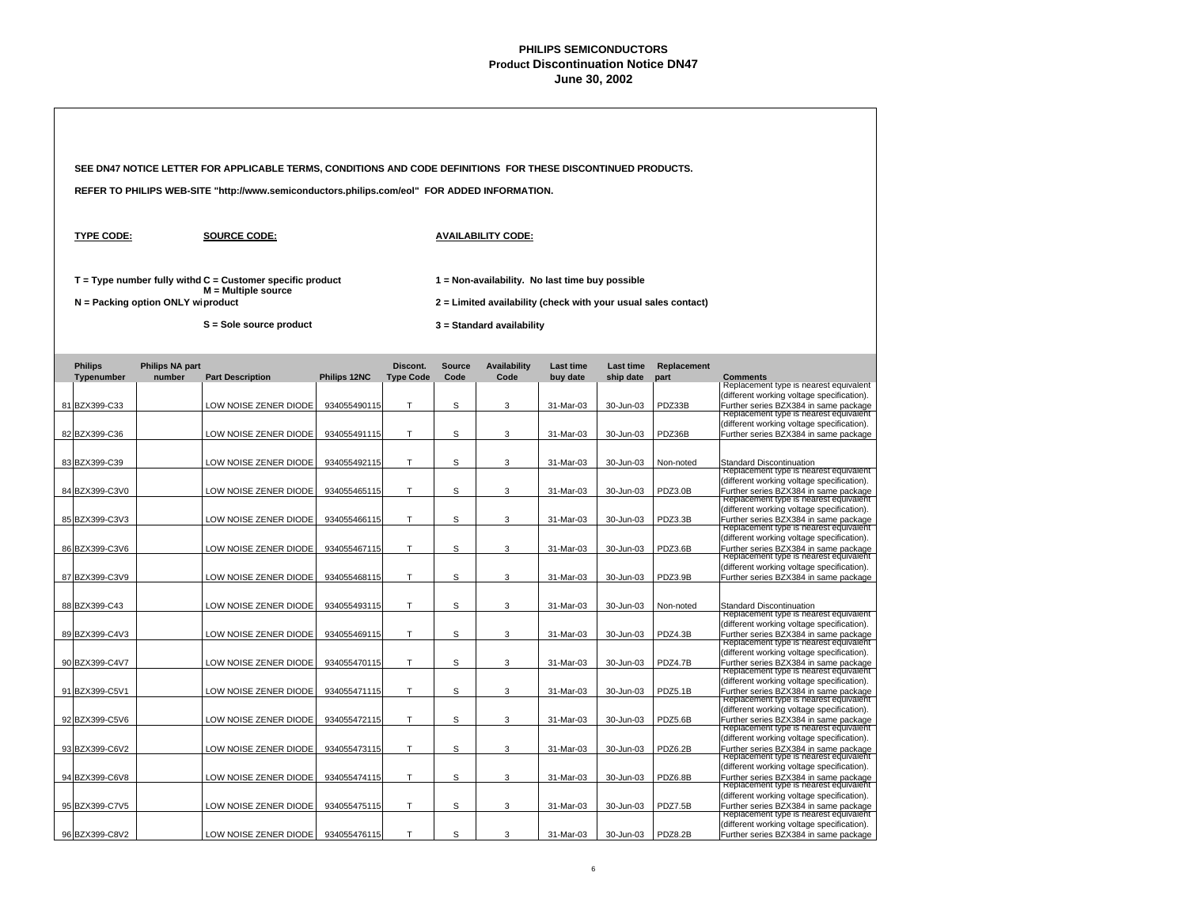|                                 |                                     | SEE DN47 NOTICE LETTER FOR APPLICABLE TERMS, CONDITIONS AND CODE DEFINITIONS FOR THESE DISCONTINUED PRODUCTS. |                              |                              |                       |                                                                                             |                              |                               |                      |                                                                                                                                                                                                                  |  |  |
|---------------------------------|-------------------------------------|---------------------------------------------------------------------------------------------------------------|------------------------------|------------------------------|-----------------------|---------------------------------------------------------------------------------------------|------------------------------|-------------------------------|----------------------|------------------------------------------------------------------------------------------------------------------------------------------------------------------------------------------------------------------|--|--|
|                                 |                                     | REFER TO PHILIPS WEB-SITE "http://www.semiconductors.philips.com/eol" FOR ADDED INFORMATION.                  |                              |                              |                       |                                                                                             |                              |                               |                      |                                                                                                                                                                                                                  |  |  |
| <b>TYPE CODE:</b>               |                                     | <b>SOURCE CODE:</b>                                                                                           |                              |                              |                       | <b>AVAILABILITY CODE:</b>                                                                   |                              |                               |                      |                                                                                                                                                                                                                  |  |  |
|                                 |                                     | $T = Type$ number fully withd $C =$ Customer specific product<br>$M = Multiple source$                        |                              |                              |                       | 1 = Non-availability. No last time buy possible                                             |                              |                               |                      |                                                                                                                                                                                                                  |  |  |
|                                 | $N =$ Packing option ONLY wiproduct | S = Sole source product                                                                                       |                              |                              |                       | 2 = Limited availability (check with your usual sales contact)<br>3 = Standard availability |                              |                               |                      |                                                                                                                                                                                                                  |  |  |
| <b>Philips</b><br>Typenumber    | <b>Philips NA part</b><br>number    | <b>Part Description</b>                                                                                       | Philips 12NC                 | Discont.<br><b>Type Code</b> | <b>Source</b><br>Code | <b>Availability</b><br>Code                                                                 | <b>Last time</b><br>buy date | <b>Last time</b><br>ship date | Replacement<br>part  | <b>Comments</b>                                                                                                                                                                                                  |  |  |
| 81 BZX399-C33                   |                                     | OW NOISE ZENER DIODE                                                                                          | 934055490115                 | т                            | S                     | 3                                                                                           | 31-Mar-03                    | 30-Jun-03                     | PDZ33B               | Replacement type is nearest equivalent<br>(different working voltage specification).<br>Further series BZX384 in same package                                                                                    |  |  |
| 82 BZX399-C36                   |                                     | LOW NOISE ZENER DIODE                                                                                         | 934055491115                 | T.                           | S                     | 3                                                                                           | 31-Mar-03                    | 30-Jun-03                     | PDZ36B               | Replacement type is nearest equivalent<br>(different working voltage specification).<br>Further series BZX384 in same package                                                                                    |  |  |
| 83 BZX399-C39                   |                                     | LOW NOISE ZENER DIODE                                                                                         | 934055492115                 | T.                           | S                     | 3                                                                                           | 31-Mar-03                    | 30-Jun-03                     | Non-noted            | Standard Discontinuation<br>Replacement type is nearest equivalent                                                                                                                                               |  |  |
| 84 BZX399-C3V0                  |                                     | LOW NOISE ZENER DIODE                                                                                         | 934055465115                 | T.                           | S                     | 3                                                                                           | 31-Mar-03                    | 30-Jun-03                     | PDZ3.0B              | (different working voltage specification).<br>Further series BZX384 in same package<br>Replacement type is nearest equivalent                                                                                    |  |  |
| 85 BZX399-C3V3                  |                                     | LOW NOISE ZENER DIODE                                                                                         | 934055466115                 | T                            | S                     | 3                                                                                           | 31-Mar-03                    | 30-Jun-03                     | PDZ3.3B              | (different working voltage specification).<br>Further series BZX384 in same package<br>Replacement type is nearest equivalent<br>(different working voltage specification).                                      |  |  |
| 86 BZX399-C3V6                  |                                     | LOW NOISE ZENER DIODE                                                                                         | 934055467115                 | T                            | S                     | 3                                                                                           | 31-Mar-03                    | 30-Jun-03                     | PDZ3.6B              | Further series BZX384 in same package<br>Replacement type is nearest equivalent<br>(different working voltage specification).                                                                                    |  |  |
| 87 BZX399-C3V9                  |                                     | LOW NOISE ZENER DIODE                                                                                         | 934055468115                 | T                            | S                     | 3                                                                                           | 31-Mar-03                    | 30-Jun-03                     | PDZ3.9B              | Further series BZX384 in same package                                                                                                                                                                            |  |  |
| 88 BZX399-C43<br>89 BZX399-C4V3 |                                     | LOW NOISE ZENER DIODE<br>LOW NOISE ZENER DIODE                                                                | 934055493115<br>934055469115 | T.<br>T                      | S<br>S                | 3<br>3                                                                                      | 31-Mar-03<br>31-Mar-03       | 30-Jun-03<br>30-Jun-03        | Non-noted<br>PDZ4.3B | Standard Discontinuation<br>Replacement type is nearest equivalent<br>(different working voltage specification).                                                                                                 |  |  |
| 90 BZX399-C4V7                  |                                     | LOW NOISE ZENER DIODE                                                                                         | 934055470115                 | T.                           | S                     | 3                                                                                           | 31-Mar-03                    | 30-Jun-03                     | PDZ4.7B              | Further series BZX384 in same package<br>Replacement type is nearest equivalent<br>(different working voltage specification).<br>Further series BZX384 in same package<br>Replacement type is nearest equivalent |  |  |
| 91 BZX399-C5V1                  |                                     | LOW NOISE ZENER DIODE                                                                                         | 934055471115                 | Τ                            | S                     | 3                                                                                           | 31-Mar-03                    | 30-Jun-03                     | PDZ5.1B              | (different working voltage specification).<br>Further series BZX384 in same package<br>Replacement type is nearest equivalent                                                                                    |  |  |
| 92 BZX399-C5V6                  |                                     | LOW NOISE ZENER DIODE                                                                                         | 934055472115                 | T.                           | S                     | 3                                                                                           | 31-Mar-03                    | 30-Jun-03                     | PDZ5.6B              | (different working voltage specification).<br>Further series BZX384 in same package<br>Replacement type is nearest equivalent                                                                                    |  |  |
| 93 BZX399-C6V2                  |                                     | LOW NOISE ZENER DIODE                                                                                         | 934055473115                 | Т                            | S                     | 3                                                                                           | 31-Mar-03                    | 30-Jun-03                     | PDZ6.2B              | (different working voltage specification).<br>Further series BZX384 in same package<br>Replacement type is nearest equivalent                                                                                    |  |  |
| 94 BZX399-C6V8                  |                                     | LOW NOISE ZENER DIODE                                                                                         | 934055474115                 | T.                           | S                     | 3                                                                                           | 31-Mar-03                    | 30-Jun-03                     | PDZ6.8B              | (different working voltage specification).<br>Further series BZX384 in same package<br>Replacement type is nearest equivalent                                                                                    |  |  |
| 95 BZX399-C7V5                  |                                     | LOW NOISE ZENER DIODE                                                                                         | 934055475115                 | Т                            | S                     | 3                                                                                           | 31-Mar-03                    | 30-Jun-03                     | PDZ7.5B              | (different working voltage specification).<br>Further series BZX384 in same package<br>Replacement type is nearest equivalent<br>(different working voltage specification).                                      |  |  |
| 96 BZX399-C8V2                  |                                     | LOW NOISE ZENER DIODE                                                                                         | 934055476115                 | T                            | S                     | 3                                                                                           | 31-Mar-03                    | 30-Jun-03                     | PDZ8.2B              | Further series BZX384 in same package                                                                                                                                                                            |  |  |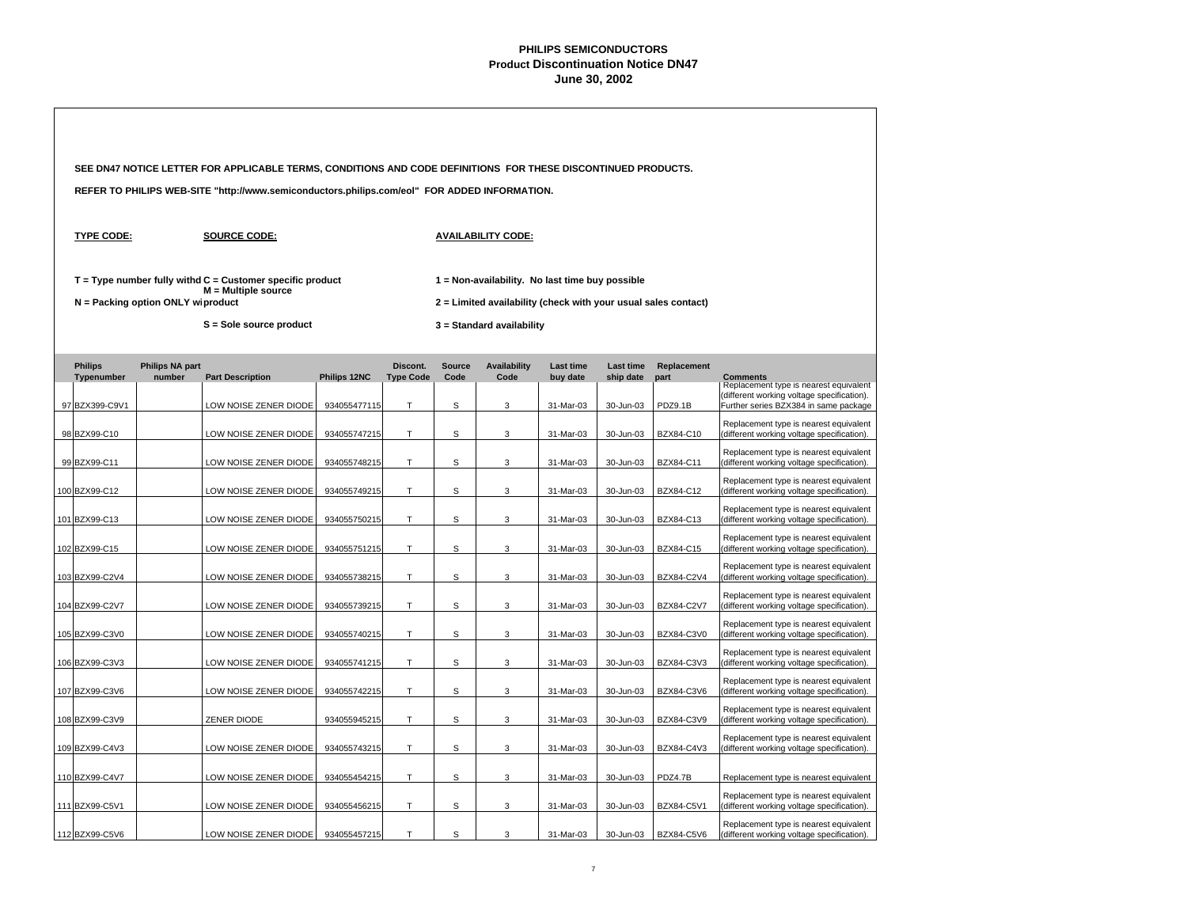|  |                              |                                   | SEE DN47 NOTICE LETTER FOR APPLICABLE TERMS, CONDITIONS AND CODE DEFINITIONS FOR THESE DISCONTINUED PRODUCTS. |              |                              |                       |                                                                                                                   |                              |                        |                     |                                                                                                                               |
|--|------------------------------|-----------------------------------|---------------------------------------------------------------------------------------------------------------|--------------|------------------------------|-----------------------|-------------------------------------------------------------------------------------------------------------------|------------------------------|------------------------|---------------------|-------------------------------------------------------------------------------------------------------------------------------|
|  |                              |                                   | REFER TO PHILIPS WEB-SITE "http://www.semiconductors.philips.com/eol" FOR ADDED INFORMATION.                  |              |                              |                       |                                                                                                                   |                              |                        |                     |                                                                                                                               |
|  | <b>TYPE CODE:</b>            |                                   | <b>SOURCE CODE:</b>                                                                                           |              |                              |                       | <b>AVAILABILITY CODE:</b>                                                                                         |                              |                        |                     |                                                                                                                               |
|  |                              | N = Packing option ONLY wiproduct | $T = Type$ number fully withd $C =$ Customer specific product<br>$M =$ Multiple source                        |              |                              |                       | 1 = Non-availability. No last time buy possible<br>2 = Limited availability (check with your usual sales contact) |                              |                        |                     |                                                                                                                               |
|  |                              |                                   | S = Sole source product                                                                                       |              |                              |                       | 3 = Standard availability                                                                                         |                              |                        |                     |                                                                                                                               |
|  | <b>Philips</b><br>Typenumber | <b>Philips NA part</b><br>number  | <b>Part Description</b>                                                                                       | Philips 12NC | Discont.<br><b>Type Code</b> | <b>Source</b><br>Code | <b>Availability</b><br>Code                                                                                       | <b>Last time</b><br>buy date | Last time<br>ship date | Replacement<br>part | <b>Comments</b>                                                                                                               |
|  | 97 BZX399-C9V1               |                                   | LOW NOISE ZENER DIODE                                                                                         | 934055477115 | Τ                            | S                     | 3                                                                                                                 | 31-Mar-03                    | 30-Jun-03              | PDZ9.1B             | Replacement type is nearest equivalent<br>(different working voltage specification).<br>Further series BZX384 in same package |
|  | 98 BZX99-C10                 |                                   | LOW NOISE ZENER DIODE                                                                                         | 934055747215 | T.                           | S                     | 3                                                                                                                 | 31-Mar-03                    | 30-Jun-03              | BZX84-C10           | Replacement type is nearest equivalent<br>(different working voltage specification).                                          |
|  | 99 BZX99-C11                 |                                   | LOW NOISE ZENER DIODE                                                                                         | 934055748215 | T                            | S                     | 3                                                                                                                 | 31-Mar-03                    | 30-Jun-03              | BZX84-C11           | Replacement type is nearest equivalent<br>(different working voltage specification).                                          |
|  | 100 BZX99-C12                |                                   | LOW NOISE ZENER DIODE                                                                                         | 934055749215 | T                            | s                     | 3                                                                                                                 | 31-Mar-03                    | 30-Jun-03              | BZX84-C12           | Replacement type is nearest equivalent<br>(different working voltage specification).                                          |
|  | 101 BZX99-C13                |                                   | LOW NOISE ZENER DIODE                                                                                         | 934055750215 | Τ                            | s                     | 3                                                                                                                 | 31-Mar-03                    | 30-Jun-03              | BZX84-C13           | Replacement type is nearest equivalent<br>(different working voltage specification).                                          |
|  | 102 BZX99-C15                |                                   | LOW NOISE ZENER DIODE                                                                                         | 934055751215 | T                            | s                     | 3                                                                                                                 | 31-Mar-03                    | 30-Jun-03              | BZX84-C15           | Replacement type is nearest equivalent<br>(different working voltage specification).                                          |
|  | 103 BZX99-C2V4               |                                   | LOW NOISE ZENER DIODE                                                                                         | 934055738215 | Τ                            | s                     | 3                                                                                                                 | 31-Mar-03                    | 30-Jun-03              | BZX84-C2V4          | Replacement type is nearest equivalent<br>(different working voltage specification).                                          |
|  | 104 BZX99-C2V7               |                                   | LOW NOISE ZENER DIODE                                                                                         | 934055739215 | Т                            | s                     | 3                                                                                                                 | 31-Mar-03                    | 30-Jun-03              | BZX84-C2V7          | Replacement type is nearest equivalent<br>(different working voltage specification).                                          |
|  | 105 BZX99-C3V0               |                                   | LOW NOISE ZENER DIODE                                                                                         | 934055740215 | T                            | s                     | 3                                                                                                                 | 31-Mar-03                    | 30-Jun-03              | BZX84-C3V0          | Replacement type is nearest equivalent<br>(different working voltage specification).                                          |
|  | 106 BZX99-C3V3               |                                   | LOW NOISE ZENER DIODE                                                                                         | 934055741215 | T                            | s                     | 3                                                                                                                 | 31-Mar-03                    | 30-Jun-03              | BZX84-C3V3          | Replacement type is nearest equivalent<br>(different working voltage specification).                                          |
|  | 107 BZX99-C3V6               |                                   | LOW NOISE ZENER DIODE                                                                                         | 934055742215 | T                            | s                     | 3                                                                                                                 | 31-Mar-03                    | 30-Jun-03              | BZX84-C3V6          | Replacement type is nearest equivalent<br>(different working voltage specification).                                          |
|  | 108 BZX99-C3V9               |                                   | ZENER DIODE                                                                                                   | 934055945215 | T                            | S                     | 3                                                                                                                 | 31-Mar-03                    | 30-Jun-03              | BZX84-C3V9          | Replacement type is nearest equivalent<br>(different working voltage specification).                                          |
|  | 109 BZX99-C4V3               |                                   | LOW NOISE ZENER DIODE                                                                                         | 934055743215 | T                            | S                     | 3                                                                                                                 | 31-Mar-03                    | 30-Jun-03              | BZX84-C4V3          | Replacement type is nearest equivalent<br>(different working voltage specification).                                          |
|  | 110 BZX99-C4V7               |                                   | LOW NOISE ZENER DIODE                                                                                         | 934055454215 | T                            | S                     | 3                                                                                                                 | 31-Mar-03                    | 30-Jun-03              | PDZ4.7B             | Replacement type is nearest equivalent                                                                                        |
|  | 111 BZX99-C5V1               |                                   | LOW NOISE ZENER DIODE                                                                                         | 934055456215 | Т                            | S                     | 3                                                                                                                 | 31-Mar-03                    | 30-Jun-03              | BZX84-C5V1          | Replacement type is nearest equivalent<br>(different working voltage specification).                                          |
|  | 112 BZX99-C5V6               |                                   | LOW NOISE ZENER DIODE                                                                                         | 934055457215 | T                            | S                     | 3                                                                                                                 | 31-Mar-03                    | 30-Jun-03              | BZX84-C5V6          | Replacement type is nearest equivalent<br>(different working voltage specification).                                          |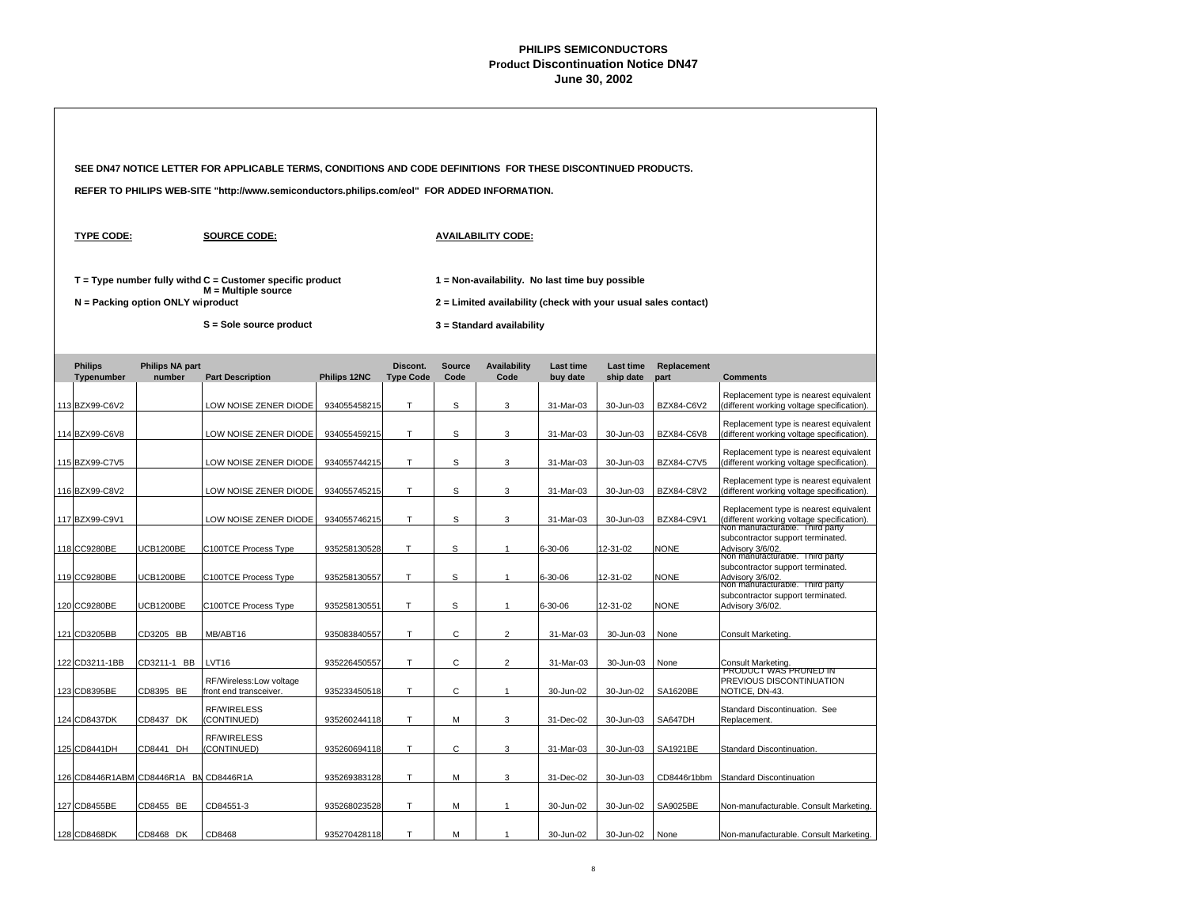| SEE DN47 NOTICE LETTER FOR APPLICABLE TERMS, CONDITIONS AND CODE DEFINITIONS FOR THESE DISCONTINUED PRODUCTS. |                                        |                                     |                                                                                              |              |                              |                       |                             |                                                                                                                   |                               |                     |                                                                                                                         |  |
|---------------------------------------------------------------------------------------------------------------|----------------------------------------|-------------------------------------|----------------------------------------------------------------------------------------------|--------------|------------------------------|-----------------------|-----------------------------|-------------------------------------------------------------------------------------------------------------------|-------------------------------|---------------------|-------------------------------------------------------------------------------------------------------------------------|--|
|                                                                                                               |                                        |                                     | REFER TO PHILIPS WEB-SITE "http://www.semiconductors.philips.com/eol" FOR ADDED INFORMATION. |              |                              |                       |                             |                                                                                                                   |                               |                     |                                                                                                                         |  |
|                                                                                                               | <b>TYPE CODE:</b>                      |                                     | <b>SOURCE CODE:</b>                                                                          |              |                              |                       | <b>AVAILABILITY CODE:</b>   |                                                                                                                   |                               |                     |                                                                                                                         |  |
|                                                                                                               |                                        | $N =$ Packing option ONLY wiproduct | $T = Type$ number fully withd $C =$ Customer specific product<br>$M =$ Multiple source       |              |                              |                       |                             | 1 = Non-availability. No last time buy possible<br>2 = Limited availability (check with your usual sales contact) |                               |                     |                                                                                                                         |  |
|                                                                                                               |                                        |                                     | S = Sole source product                                                                      |              |                              |                       | 3 = Standard availability   |                                                                                                                   |                               |                     |                                                                                                                         |  |
|                                                                                                               | <b>Philips</b><br>Typenumber           | <b>Philips NA part</b><br>number    | <b>Part Description</b>                                                                      | Philips 12NC | Discont.<br><b>Type Code</b> | <b>Source</b><br>Code | <b>Availability</b><br>Code | <b>Last time</b><br>buy date                                                                                      | <b>Last time</b><br>ship date | Replacement<br>part | <b>Comments</b>                                                                                                         |  |
|                                                                                                               | 113 BZX99-C6V2                         |                                     | LOW NOISE ZENER DIODE                                                                        | 934055458215 | T.                           | S                     | 3                           | 31-Mar-03                                                                                                         | 30-Jun-03                     | BZX84-C6V2          | Replacement type is nearest equivalent<br>(different working voltage specification).                                    |  |
|                                                                                                               | 114 BZX99-C6V8                         |                                     | LOW NOISE ZENER DIODE                                                                        | 934055459215 | Т                            | S                     | 3                           | 31-Mar-03                                                                                                         | 30-Jun-03                     | BZX84-C6V8          | Replacement type is nearest equivalent<br>(different working voltage specification).                                    |  |
|                                                                                                               | 115 BZX99-C7V5                         |                                     | LOW NOISE ZENER DIODE                                                                        | 934055744215 | T                            | S                     | 3                           | 31-Mar-03                                                                                                         | 30-Jun-03                     | <b>BZX84-C7V5</b>   | Replacement type is nearest equivalent<br>(different working voltage specification).                                    |  |
|                                                                                                               | 116 BZX99-C8V2                         |                                     | LOW NOISE ZENER DIODE                                                                        | 934055745215 | T                            | s                     | 3                           | 31-Mar-03                                                                                                         | 30-Jun-03                     | BZX84-C8V2          | Replacement type is nearest equivalent<br>(different working voltage specification).                                    |  |
|                                                                                                               | 117 BZX99-C9V1                         |                                     | LOW NOISE ZENER DIODE                                                                        | 934055746215 | T.                           | $\mathsf S$           | 3                           | 31-Mar-03                                                                                                         | 30-Jun-03                     | BZX84-C9V1          | Replacement type is nearest equivalent<br>(different working voltage specification).<br>Non manufacturable. Third party |  |
|                                                                                                               | 118 CC9280BE                           | <b>UCB1200BE</b>                    | C100TCE Process Type                                                                         | 935258130528 | Т                            | s                     | $\overline{1}$              | 6-30-06                                                                                                           | 12-31-02                      | <b>NONE</b>         | subcontractor support terminated.<br>Advisory 3/6/02.<br>Non manufacturable. Third party                                |  |
|                                                                                                               | 119 CC9280BE                           | <b>JCB1200BE</b>                    | C100TCE Process Type                                                                         | 935258130557 | T.                           | S                     | $\overline{1}$              | 6-30-06                                                                                                           | 12-31-02                      | <b>NONE</b>         | subcontractor support terminated.<br>Advisory 3/6/02.<br>Non manufacturable. Third party                                |  |
|                                                                                                               | 120 CC9280BE                           | <b>UCB1200BE</b>                    | C100TCE Process Type                                                                         | 935258130551 | Т                            | s                     | $\overline{1}$              | 6-30-06                                                                                                           | 12-31-02                      | <b>NONE</b>         | subcontractor support terminated.<br>Advisory 3/6/02.                                                                   |  |
|                                                                                                               | 121 CD3205BB                           | CD3205 BB                           | MB/ABT16                                                                                     | 935083840557 | Τ                            | C                     | $\overline{2}$              | 31-Mar-03                                                                                                         | 30-Jun-03                     | None                | <b>Consult Marketing</b>                                                                                                |  |
|                                                                                                               | 122 CD3211-1BB                         | CD3211-1 BB                         | LVT16                                                                                        | 935226450557 | T                            | C                     | $\overline{2}$              | 31-Mar-03                                                                                                         | 30-Jun-03                     | None                | Consult Marketing.                                                                                                      |  |
|                                                                                                               | 123 CD8395BE                           | CD8395 BE                           | RF/Wireless:Low voltage<br>front end transceiver.                                            | 935233450518 | T                            | C                     | $\mathbf{1}$                | 30-Jun-02                                                                                                         | 30-Jun-02                     | SA1620BE            | PRODUCT WAS PRUNED IN<br>PREVIOUS DISCONTINUATION<br>NOTICE, DN-43.                                                     |  |
|                                                                                                               | 124 CD8437DK                           | CD8437 DK                           | <b>RF/WIRELESS</b><br>(CONTINUED)                                                            | 935260244118 | T.                           | M                     | 3                           | 31-Dec-02                                                                                                         | 30-Jun-03                     | SA647DH             | Standard Discontinuation. See<br>Replacement.                                                                           |  |
|                                                                                                               | 125 CD8441DH                           | CD8441 DH                           | <b>RF/WIRELESS</b><br>(CONTINUED)                                                            | 935260694118 | Τ                            | С                     | 3                           | 31-Mar-03                                                                                                         | 30-Jun-03                     | SA1921BE            | Standard Discontinuation.                                                                                               |  |
|                                                                                                               | 126 CD8446R1ABM CD8446R1A BN CD8446R1A |                                     |                                                                                              | 935269383128 | T                            | M                     | 3                           | 31-Dec-02                                                                                                         | 30-Jun-03                     | CD8446r1bbm         | <b>Standard Discontinuation</b>                                                                                         |  |
|                                                                                                               | 127 CD8455BE                           | CD8455 BE                           | CD84551-3                                                                                    | 935268023528 | Т                            | М                     | $\overline{1}$              | 30-Jun-02                                                                                                         | 30-Jun-02                     | SA9025BE            | Non-manufacturable. Consult Marketing.                                                                                  |  |
|                                                                                                               | 128 CD8468DK                           | CD8468 DK                           | CD8468                                                                                       | 935270428118 | T                            | M                     | $\mathbf{1}$                | 30-Jun-02                                                                                                         | 30-Jun-02                     | None                | Non-manufacturable, Consult Marketing,                                                                                  |  |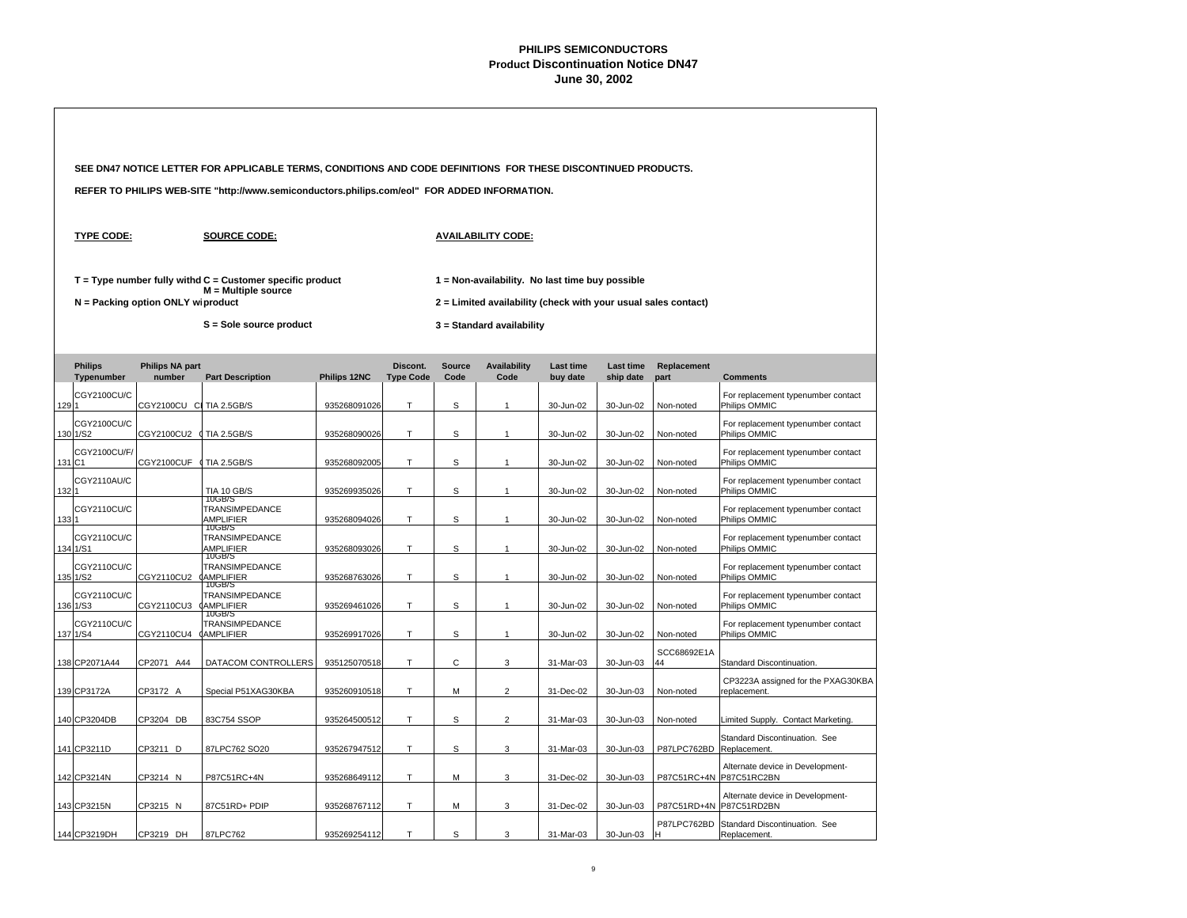|      |                              | SEE DN47 NOTICE LETTER FOR APPLICABLE TERMS, CONDITIONS AND CODE DEFINITIONS FOR THESE DISCONTINUED PRODUCTS. |                                                                                                                   |              |                              |                       |                                                                                                                                                |                              |                        |                     |                                                             |  |
|------|------------------------------|---------------------------------------------------------------------------------------------------------------|-------------------------------------------------------------------------------------------------------------------|--------------|------------------------------|-----------------------|------------------------------------------------------------------------------------------------------------------------------------------------|------------------------------|------------------------|---------------------|-------------------------------------------------------------|--|
|      |                              |                                                                                                               | REFER TO PHILIPS WEB-SITE "http://www.semiconductors.philips.com/eol" FOR ADDED INFORMATION.                      |              |                              |                       |                                                                                                                                                |                              |                        |                     |                                                             |  |
|      | <b>TYPE CODE:</b>            |                                                                                                               | <b>SOURCE CODE:</b>                                                                                               |              |                              |                       | <b>AVAILABILITY CODE:</b>                                                                                                                      |                              |                        |                     |                                                             |  |
|      |                              | $N =$ Packing option ONLY wiproduct                                                                           | $T = Type$ number fully withd $C =$ Customer specific product<br>$M =$ Multiple source<br>S = Sole source product |              |                              |                       | 1 = Non-availability. No last time buy possible<br>2 = Limited availability (check with your usual sales contact)<br>3 = Standard availability |                              |                        |                     |                                                             |  |
|      | <b>Philips</b><br>Typenumber | <b>Philips NA part</b><br>number                                                                              | <b>Part Description</b>                                                                                           | Philips 12NC | Discont.<br><b>Type Code</b> | <b>Source</b><br>Code | <b>Availability</b><br>Code                                                                                                                    | <b>Last time</b><br>buy date | Last time<br>ship date | Replacement<br>part | <b>Comments</b>                                             |  |
| 1291 | CGY2100CU/C                  | CGY2100CU CI TIA 2.5GB/S                                                                                      |                                                                                                                   | 935268091026 | T                            | S                     | 1                                                                                                                                              | 30-Jun-02                    | 30-Jun-02              | Non-noted           | For replacement typenumber contact<br>Philips OMMIC         |  |
|      | CGY2100CU/C<br>130 1/S2      | CGY2100CU2 (                                                                                                  | <b>TIA 2.5GB/S</b>                                                                                                | 935268090026 | Τ                            | s                     | 1                                                                                                                                              | 30-Jun-02                    | 30-Jun-02              | Non-noted           | For replacement typenumber contact<br>Philips OMMIC         |  |
|      | CGY2100CU/F/<br>131 C1       | CGY2100CUF                                                                                                    | <b>TIA 2.5GB/S</b>                                                                                                | 935268092005 | T                            | S                     | 1                                                                                                                                              | 30-Jun-02                    | 30-Jun-02              | Non-noted           | For replacement typenumber contact<br>Philips OMMIC         |  |
| 1321 | CGY2110AU/C                  |                                                                                                               | TIA 10 GB/S                                                                                                       | 935269935026 | T                            | S                     | $\mathbf{1}$                                                                                                                                   | 30-Jun-02                    | 30-Jun-02              | Non-noted           | For replacement typenumber contact<br>Philips OMMIC         |  |
| 1331 | CGY2110CU/C                  |                                                                                                               | 10GB/S<br>TRANSIMPEDANCE<br><b>AMPLIFIER</b><br>10GB/S                                                            | 935268094026 | T                            | S                     | $\mathbf{1}$                                                                                                                                   | 30-Jun-02                    | 30-Jun-02              | Non-noted           | For replacement typenumber contact<br>Philips OMMIC         |  |
|      | CGY2110CU/C<br>134 1/S1      |                                                                                                               | TRANSIMPEDANCE<br><b>AMPLIFIER</b><br>10GB/S                                                                      | 935268093026 | T.                           | S                     | $\mathbf{1}$                                                                                                                                   | 30-Jun-02                    | 30-Jun-02              | Non-noted           | For replacement typenumber contact<br>Philips OMMIC         |  |
|      | CGY2110CU/C<br>135 1/S2      | CGY2110CU2                                                                                                    | TRANSIMPEDANCE<br><b>CAMPLIFIER</b><br>10GB/S                                                                     | 935268763026 | T                            | S                     | 1                                                                                                                                              | 30-Jun-02                    | 30-Jun-02              | Non-noted           | For replacement typenumber contact<br>Philips OMMIC         |  |
|      | CGY2110CU/C<br>136 1/S3      | CGY2110CU3                                                                                                    | TRANSIMPEDANCE<br><b>(AMPLIFIER</b><br>10GB/S                                                                     | 935269461026 | Τ                            | S                     | 1                                                                                                                                              | 30-Jun-02                    | 30-Jun-02              | Non-noted           | For replacement typenumber contact<br>Philips OMMIC         |  |
|      | CGY2110CU/C<br>137 1/S4      | CGY2110CU4                                                                                                    | TRANSIMPEDANCE<br><b>(AMPLIFIER</b>                                                                               | 935269917026 | T.                           | S                     | $\mathbf{1}$                                                                                                                                   | 30-Jun-02                    | 30-Jun-02              | Non-noted           | For replacement typenumber contact<br>Philips OMMIC         |  |
|      | 138 CP2071A44                | CP2071 A44                                                                                                    | DATACOM CONTROLLERS                                                                                               | 935125070518 | T                            | С                     | 3                                                                                                                                              | 31-Mar-03                    | 30-Jun-03              | SCC68692E1A<br>44   | Standard Discontinuation.                                   |  |
|      | 139 CP3172A                  | CP3172 A                                                                                                      | Special P51XAG30KBA                                                                                               | 935260910518 | Τ                            | М                     | 2                                                                                                                                              | 31-Dec-02                    | 30-Jun-03              | Non-noted           | CP3223A assigned for the PXAG30KBA<br>replacement.          |  |
|      | 140 CP3204DB                 | CP3204 DB                                                                                                     | 83C754 SSOP                                                                                                       | 935264500512 | Τ                            | s                     | 2                                                                                                                                              | 31-Mar-03                    | 30-Jun-03              | Non-noted           | Limited Supply. Contact Marketing.                          |  |
|      | 141 CP3211D                  | CP3211 D                                                                                                      | 87LPC762 SO20                                                                                                     | 935267947512 | T                            | s                     | 3                                                                                                                                              | 31-Mar-03                    | 30-Jun-03              | P87LPC762BD         | Standard Discontinuation. See<br>Replacement.               |  |
|      | 142 CP3214N                  | CP3214 N                                                                                                      | P87C51RC+4N                                                                                                       | 935268649112 | T                            | М                     | 3                                                                                                                                              | 31-Dec-02                    | 30-Jun-03              |                     | Alternate device in Development-<br>P87C51RC+4N P87C51RC2BN |  |
|      | 143 CP3215N                  | CP3215 N                                                                                                      | 87C51RD+ PDIP                                                                                                     | 935268767112 | Τ                            | M                     | 3                                                                                                                                              | 31-Dec-02                    | 30-Jun-03              | P87C51RD+4N         | Alternate device in Development-<br>P87C51RD2BN             |  |
|      | 144 CP3219DH                 | CP3219 DH                                                                                                     | 87LPC762                                                                                                          | 935269254112 | T                            | S                     | 3                                                                                                                                              | 31-Mar-03                    | 30-Jun-03              | P87LPC762BD<br>lн.  | Standard Discontinuation. See<br>Replacement.               |  |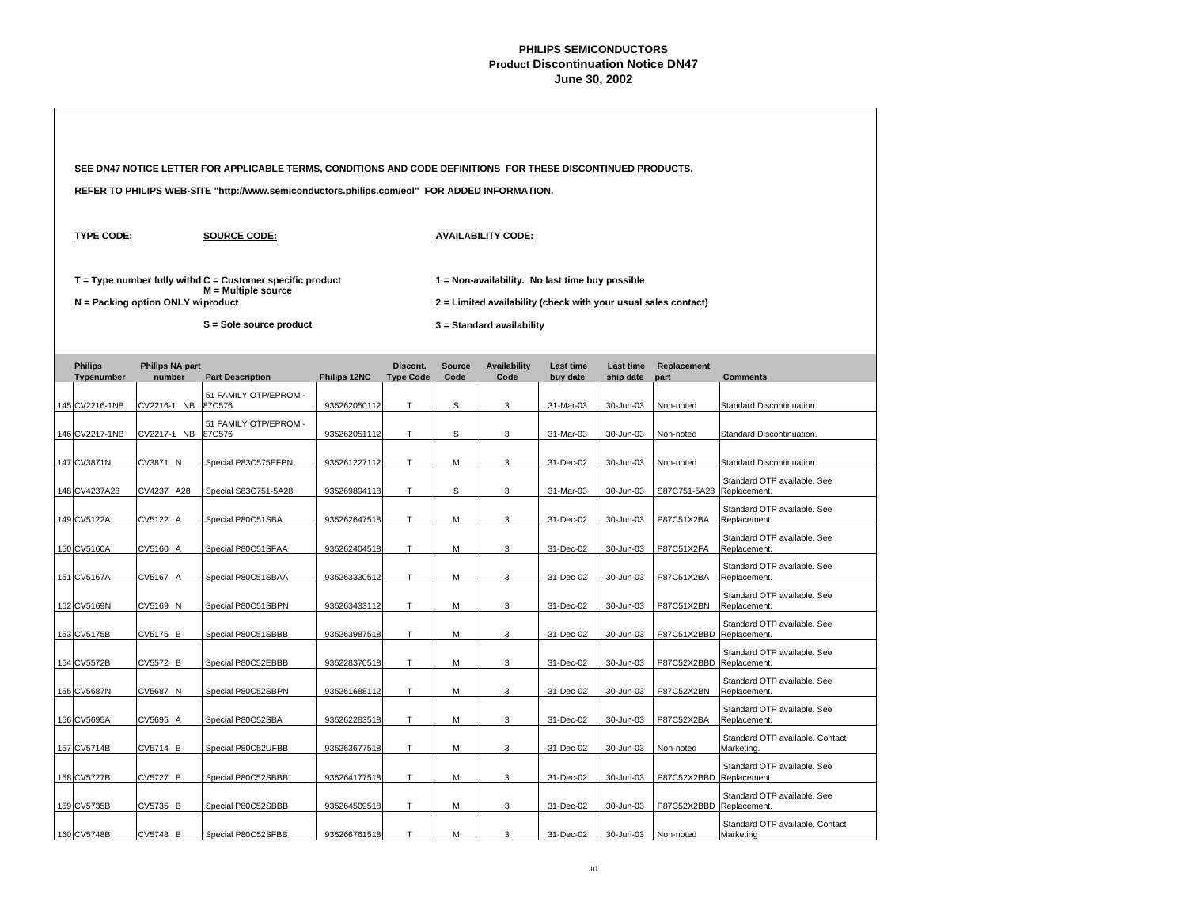|                              |                                   | SEE DN47 NOTICE LETTER FOR APPLICABLE TERMS, CONDITIONS AND CODE DEFINITIONS FOR THESE DISCONTINUED PRODUCTS. |              |                              |                       |                                                                                                                   |                              |                        |                           |                                               |
|------------------------------|-----------------------------------|---------------------------------------------------------------------------------------------------------------|--------------|------------------------------|-----------------------|-------------------------------------------------------------------------------------------------------------------|------------------------------|------------------------|---------------------------|-----------------------------------------------|
|                              |                                   | REFER TO PHILIPS WEB-SITE "http://www.semiconductors.philips.com/eol" FOR ADDED INFORMATION.                  |              |                              |                       |                                                                                                                   |                              |                        |                           |                                               |
| <b>TYPE CODE:</b>            |                                   | <b>SOURCE CODE:</b>                                                                                           |              |                              |                       | <b>AVAILABILITY CODE:</b>                                                                                         |                              |                        |                           |                                               |
|                              | N = Packing option ONLY wiproduct | $T = Type$ number fully withd $C =$ Customer specific product<br>$M =$ Multiple source                        |              |                              |                       | 1 = Non-availability. No last time buy possible<br>2 = Limited availability (check with your usual sales contact) |                              |                        |                           |                                               |
|                              |                                   | S = Sole source product                                                                                       |              |                              |                       | 3 = Standard availability                                                                                         |                              |                        |                           |                                               |
| <b>Philips</b><br>Typenumber | <b>Philips NA part</b><br>number  | <b>Part Description</b>                                                                                       | Philips 12NC | Discont.<br><b>Type Code</b> | <b>Source</b><br>Code | <b>Availability</b><br>Code                                                                                       | <b>Last time</b><br>buy date | Last time<br>ship date | Replacement<br>part       | <b>Comments</b>                               |
| 145 CV2216-1NB               | CV2216-1 NB                       | 51 FAMILY OTP/EPROM -<br>87C576                                                                               | 935262050112 | т                            | S                     | 3                                                                                                                 | 31-Mar-03                    | 30-Jun-03              | Non-noted                 | Standard Discontinuation.                     |
| 146 CV2217-1NB               | CV2217-1 NB                       | 51 FAMILY OTP/EPROM -<br>87C576                                                                               | 935262051112 | T.                           | S                     | 3                                                                                                                 | 31-Mar-03                    | 30-Jun-03              | Non-noted                 | Standard Discontinuation.                     |
| 147 CV3871N                  | CV3871 N                          | Special P83C575EFPN                                                                                           | 935261227112 | Τ                            | М                     | 3                                                                                                                 | 31-Dec-02                    | 30-Jun-03              | Non-noted                 | Standard Discontinuation.                     |
| 148 CV4237A28                | CV4237 A28                        | Special S83C751-5A28                                                                                          | 935269894118 | T.                           | S                     | 3                                                                                                                 | 31-Mar-03                    | 30-Jun-03              | S87C751-5A28 Replacement. | Standard OTP available. See                   |
| 149 CV5122A                  | CV5122 A                          | Special P80C51SBA                                                                                             | 935262647518 | T                            | М                     | 3                                                                                                                 | 31-Dec-02                    | 30-Jun-03              | P87C51X2BA                | Standard OTP available. See<br>Replacement.   |
| 150 CV5160A                  | CV5160 A                          | Special P80C51SFAA                                                                                            | 935262404518 | T                            | М                     | 3                                                                                                                 | 31-Dec-02                    | 30-Jun-03              | P87C51X2FA                | Standard OTP available. See<br>Replacement.   |
| 151 CV5167A                  | CV5167 A                          | Special P80C51SBAA                                                                                            | 935263330512 | T                            | М                     | 3                                                                                                                 | 31-Dec-02                    | 30-Jun-03              | P87C51X2BA                | Standard OTP available. See<br>Replacement.   |
| 152 CV5169N                  | CV5169 N                          | Special P80C51SBPN                                                                                            | 935263433112 | $\mathsf T$                  | М                     | 3                                                                                                                 | 31-Dec-02                    | 30-Jun-03              | P87C51X2BN                | Standard OTP available. See<br>Replacement.   |
| 153 CV5175B                  | CV5175 B                          | Special P80C51SBBB                                                                                            | 935263987518 | T                            | М                     | 3                                                                                                                 | 31-Dec-02                    | 30-Jun-03              | P87C51X2BBD               | Standard OTP available, See<br>Replacement.   |
| 154 CV5572B                  | CV5572 B                          | Special P80C52EBBB                                                                                            | 935228370518 | T                            | М                     | 3                                                                                                                 | 31-Dec-02                    | 30-Jun-03              | P87C52X2BBD               | Standard OTP available. See<br>Replacement.   |
| 155 CV5687N                  | CV5687 N                          | Special P80C52SBPN                                                                                            | 935261688112 | T.                           | М                     | 3                                                                                                                 | 31-Dec-02                    | 30-Jun-03              | P87C52X2BN                | Standard OTP available. See<br>Replacement.   |
| 156 CV5695A                  | CV5695 A                          | Special P80C52SBA                                                                                             | 935262283518 | T.                           | М                     | 3                                                                                                                 | 31-Dec-02                    | 30-Jun-03              | P87C52X2BA                | Standard OTP available. See<br>Replacement.   |
| 157 CV5714B                  | CV5714 B                          | Special P80C52UFBB                                                                                            | 935263677518 | T                            | М                     | 3                                                                                                                 | 31-Dec-02                    | 30-Jun-03              | Non-noted                 | Standard OTP available. Contact<br>Marketing. |
| 158 CV5727B                  | CV5727 B                          | Special P80C52SBBB                                                                                            | 935264177518 | T                            | М                     | 3                                                                                                                 | 31-Dec-02                    | 30-Jun-03              | P87C52X2BBD Replacement.  | Standard OTP available. See                   |
| 159 CV5735B                  | CV5735 B                          | Special P80C52SBBB                                                                                            | 935264509518 | Τ                            | М                     | 3                                                                                                                 | 31-Dec-02                    | 30-Jun-03              | P87C52X2BBD               | Standard OTP available. See<br>Replacement.   |
| 160 CV5748B                  | CV5748 B                          | Special P80C52SFBB                                                                                            | 935266761518 | T                            | M                     | 3                                                                                                                 | 31-Dec-02                    | 30-Jun-03              | Non-noted                 | Standard OTP available. Contact<br>Marketing  |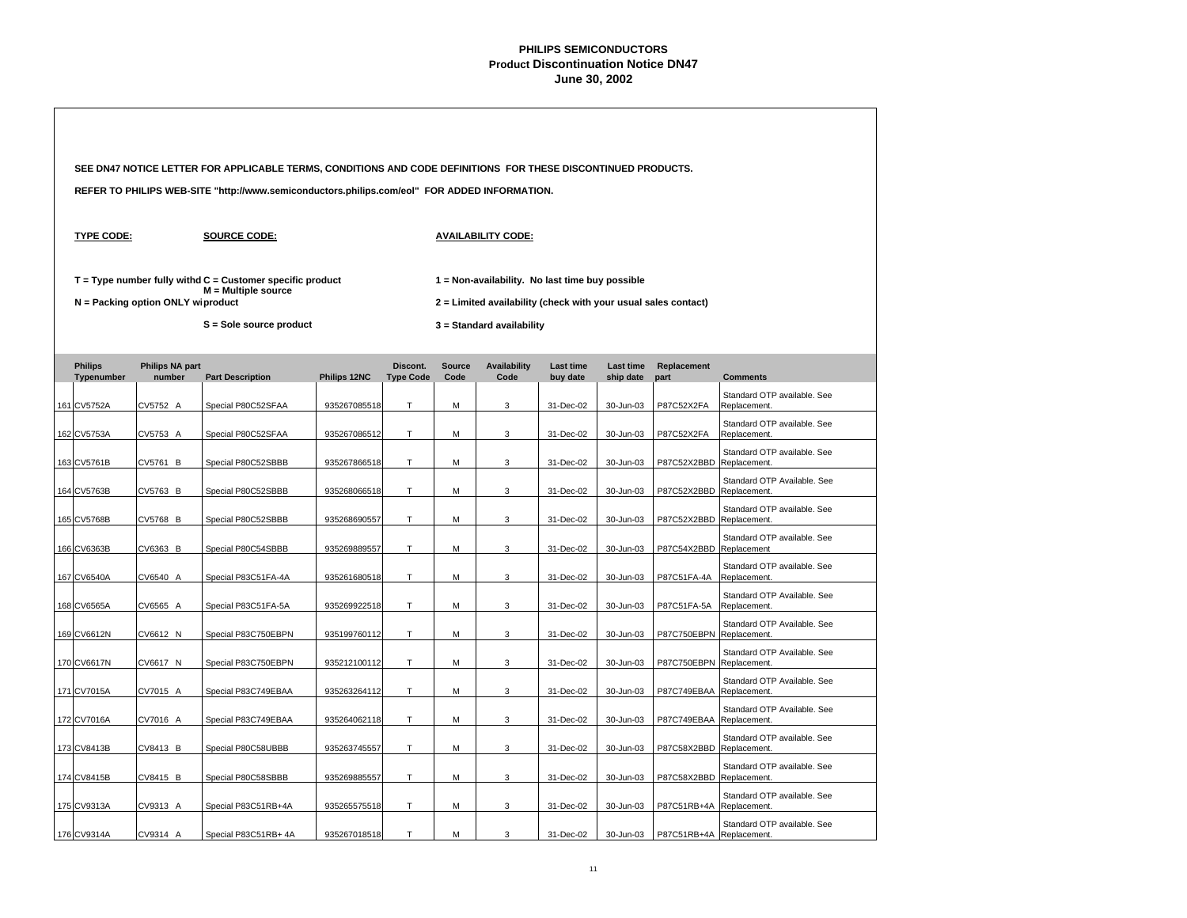|                              |                                   | SEE DN47 NOTICE LETTER FOR APPLICABLE TERMS, CONDITIONS AND CODE DEFINITIONS FOR THESE DISCONTINUED PRODUCTS. |              |                              |                       |                                                                                                                   |                              |                               |                          |                                             |  |  |
|------------------------------|-----------------------------------|---------------------------------------------------------------------------------------------------------------|--------------|------------------------------|-----------------------|-------------------------------------------------------------------------------------------------------------------|------------------------------|-------------------------------|--------------------------|---------------------------------------------|--|--|
|                              |                                   | REFER TO PHILIPS WEB-SITE "http://www.semiconductors.philips.com/eol" FOR ADDED INFORMATION.                  |              |                              |                       |                                                                                                                   |                              |                               |                          |                                             |  |  |
| <b>TYPE CODE:</b>            |                                   | <b>SOURCE CODE:</b>                                                                                           |              |                              |                       | <b>AVAILABILITY CODE:</b>                                                                                         |                              |                               |                          |                                             |  |  |
|                              | N = Packing option ONLY wiproduct | $T = Type$ number fully withd $C =$ Customer specific product<br>$M =$ Multiple source                        |              |                              |                       | 1 = Non-availability. No last time buy possible<br>2 = Limited availability (check with your usual sales contact) |                              |                               |                          |                                             |  |  |
|                              |                                   | S = Sole source product                                                                                       |              |                              |                       | 3 = Standard availability                                                                                         |                              |                               |                          |                                             |  |  |
| <b>Philips</b><br>Typenumber | <b>Philips NA part</b><br>number  | <b>Part Description</b>                                                                                       | Philips 12NC | Discont.<br><b>Type Code</b> | <b>Source</b><br>Code | <b>Availability</b><br>Code                                                                                       | <b>Last time</b><br>buy date | <b>Last time</b><br>ship date | Replacement<br>part      | <b>Comments</b>                             |  |  |
| 161 CV5752A                  | CV5752 A                          | Special P80C52SFAA                                                                                            | 935267085518 | T                            | M                     | 3                                                                                                                 | 31-Dec-02                    | 30-Jun-03                     | P87C52X2FA               | Standard OTP available. See<br>Replacement. |  |  |
| 162 CV5753A                  | CV5753 A                          | Special P80C52SFAA                                                                                            | 935267086512 | T                            | M                     | 3                                                                                                                 | 31-Dec-02                    | 30-Jun-03                     | P87C52X2FA               | Standard OTP available, See<br>Replacement. |  |  |
| 163 CV5761B                  | CV5761 B                          | Special P80C52SBBB                                                                                            | 935267866518 | T.                           | M                     | 3                                                                                                                 | 31-Dec-02                    | 30-Jun-03                     | P87C52X2BBD              | Standard OTP available. See<br>Replacement. |  |  |
| 164 CV5763B                  | CV5763 B                          | Special P80C52SBBB                                                                                            | 935268066518 | T                            | M                     | 3                                                                                                                 | 31-Dec-02                    | 30-Jun-03                     | P87C52X2BBD Replacement. | Standard OTP Available. See                 |  |  |
| 165 CV5768B                  | CV5768 B                          | Special P80C52SBBB                                                                                            | 935268690557 | T                            | M                     | 3                                                                                                                 | 31-Dec-02                    | 30-Jun-03                     | P87C52X2BBD              | Standard OTP available. See<br>Replacement. |  |  |
| 166 CV6363B                  | CV6363 B                          | Special P80C54SBBB                                                                                            | 935269889557 | T                            | M                     | 3                                                                                                                 | 31-Dec-02                    | 30-Jun-03                     | P87C54X2BBD              | Standard OTP available. See<br>Replacement  |  |  |
| 167 CV6540A                  | CV6540 A                          | Special P83C51FA-4A                                                                                           | 935261680518 | $\mathsf T$                  | M                     | 3                                                                                                                 | 31-Dec-02                    | 30-Jun-03                     | P87C51FA-4A              | Standard OTP available. See<br>Replacement. |  |  |
| 168 CV6565A                  | CV6565 A                          | Special P83C51FA-5A                                                                                           | 935269922518 | T                            | M                     | $\ensuremath{\mathsf{3}}$                                                                                         | 31-Dec-02                    | 30-Jun-03                     | P87C51FA-5A              | Standard OTP Available. See<br>Replacement. |  |  |
| 169 CV6612N                  | CV6612 N                          | Special P83C750EBPN                                                                                           | 935199760112 | T                            | М                     | 3                                                                                                                 | 31-Dec-02                    | 30-Jun-03                     | P87C750EBPN              | Standard OTP Available, See<br>Replacement. |  |  |
| 170 CV6617N                  | CV6617 N                          | Special P83C750EBPN                                                                                           | 935212100112 | T                            | M                     | 3                                                                                                                 | 31-Dec-02                    | 30-Jun-03                     | P87C750EBPN Replacement. | Standard OTP Available. See                 |  |  |
| 171 CV7015A                  | CV7015 A                          | Special P83C749EBAA                                                                                           | 935263264112 | Т                            | М                     | 3                                                                                                                 | 31-Dec-02                    | 30-Jun-03                     | P87C749EBAA              | Standard OTP Available. See<br>Replacement. |  |  |
| 172 CV7016A                  | CV7016 A                          | Special P83C749EBAA                                                                                           | 935264062118 | T                            | M                     | 3                                                                                                                 | 31-Dec-02                    | 30-Jun-03                     | P87C749EBAA Replacement. | Standard OTP Available. See                 |  |  |
| 173 CV8413B                  | CV8413 B                          | Special P80C58UBBB                                                                                            | 935263745557 | Τ                            | M                     | 3                                                                                                                 | 31-Dec-02                    | 30-Jun-03                     | P87C58X2BBD              | Standard OTP available, See<br>Replacement. |  |  |
| 174 CV8415B                  | CV8415 B                          | Special P80C58SBBB                                                                                            | 935269885557 | T                            | M                     | 3                                                                                                                 | 31-Dec-02                    | 30-Jun-03                     | P87C58X2BBD Replacement. | Standard OTP available. See                 |  |  |
| 175 CV9313A                  | CV9313 A                          | Special P83C51RB+4A                                                                                           | 935265575518 | Т                            | M                     | 3                                                                                                                 | 31-Dec-02                    | 30-Jun-03                     | P87C51RB+4A              | Standard OTP available. See<br>Replacement. |  |  |
| 176 CV9314A                  | CV9314 A                          | Special P83C51RB+ 4A                                                                                          | 935267018518 | T                            | M                     | 3                                                                                                                 | 31-Dec-02                    | 30-Jun-03                     | P87C51RB+4A Replacement. | Standard OTP available. See                 |  |  |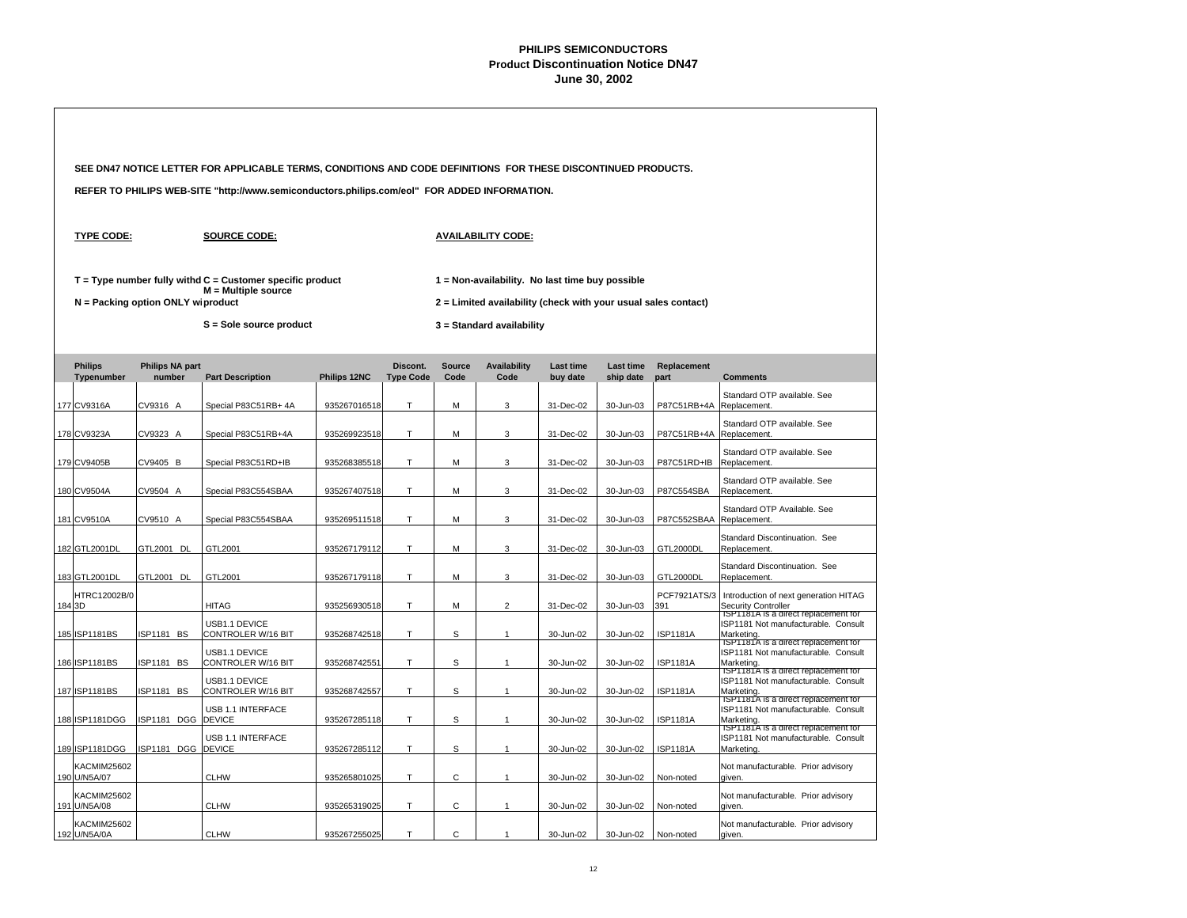|                                    |                                   | SEE DN47 NOTICE LETTER FOR APPLICABLE TERMS, CONDITIONS AND CODE DEFINITIONS FOR THESE DISCONTINUED PRODUCTS. |              |                              |                |                                                                                                                   |                              |                               |                          |                                                                                                    |  |
|------------------------------------|-----------------------------------|---------------------------------------------------------------------------------------------------------------|--------------|------------------------------|----------------|-------------------------------------------------------------------------------------------------------------------|------------------------------|-------------------------------|--------------------------|----------------------------------------------------------------------------------------------------|--|
|                                    |                                   | REFER TO PHILIPS WEB-SITE "http://www.semiconductors.philips.com/eol" FOR ADDED INFORMATION.                  |              |                              |                |                                                                                                                   |                              |                               |                          |                                                                                                    |  |
| <b>TYPE CODE:</b>                  |                                   | <b>SOURCE CODE:</b>                                                                                           |              |                              |                | <b>AVAILABILITY CODE:</b>                                                                                         |                              |                               |                          |                                                                                                    |  |
|                                    | N = Packing option ONLY wiproduct | $T = Type$ number fully withd $C =$ Customer specific product<br>$M =$ Multiple source                        |              |                              |                | 1 = Non-availability. No last time buy possible<br>2 = Limited availability (check with your usual sales contact) |                              |                               |                          |                                                                                                    |  |
|                                    |                                   | S = Sole source product                                                                                       |              |                              |                | 3 = Standard availability                                                                                         |                              |                               |                          |                                                                                                    |  |
| <b>Philips</b><br>Typenumber       | <b>Philips NA part</b><br>number  | <b>Part Description</b>                                                                                       | Philips 12NC | Discont.<br><b>Type Code</b> | Source<br>Code | <b>Availability</b><br>Code                                                                                       | <b>Last time</b><br>buy date | <b>Last time</b><br>ship date | Replacement<br>part      | <b>Comments</b>                                                                                    |  |
| 177 CV9316A                        | CV9316 A                          | Special P83C51RB+ 4A                                                                                          | 935267016518 | T.                           | M              | 3                                                                                                                 | 31-Dec-02                    | 30-Jun-03                     | P87C51RB+4A              | Standard OTP available. See<br>Replacement.                                                        |  |
| 178 CV9323A                        | CV9323 A                          | Special P83C51RB+4A                                                                                           | 935269923518 | T                            | M              | 3                                                                                                                 | 31-Dec-02                    | 30-Jun-03                     | P87C51RB+4A Replacement. | Standard OTP available. See                                                                        |  |
| 179 CV9405B                        | CV9405 B                          | Special P83C51RD+IB                                                                                           | 935268385518 | T                            | M              | 3                                                                                                                 | 31-Dec-02                    | 30-Jun-03                     | P87C51RD+IB              | Standard OTP available. See<br>Replacement.                                                        |  |
| 180 CV9504A                        | CV9504 A                          | Special P83C554SBAA                                                                                           | 935267407518 | T                            | M              | 3                                                                                                                 | 31-Dec-02                    | 30-Jun-03                     | P87C554SBA               | Standard OTP available. See<br>Replacement.                                                        |  |
| 181 CV9510A                        | CV9510 A                          | Special P83C554SBAA                                                                                           | 935269511518 | T                            | M              | 3                                                                                                                 | 31-Dec-02                    | 30-Jun-03                     | P87C552SBAA              | Standard OTP Available. See<br>Replacement.                                                        |  |
| 182 GTL2001DL                      | GTL2001 DL                        | GTL2001                                                                                                       | 935267179112 | T                            | м              | 3                                                                                                                 | 31-Dec-02                    | 30-Jun-03                     | <b>GTL2000DL</b>         | Standard Discontinuation. See<br>Replacement.                                                      |  |
| 183 GTL2001DL                      | GTL2001 DL                        | GTL2001                                                                                                       | 935267179118 | T                            | M              | 3                                                                                                                 | 31-Dec-02                    | 30-Jun-03                     | GTL2000DL                | Standard Discontinuation. See<br>Replacement.                                                      |  |
| HTRC12002B/0<br>184 3D             |                                   | <b>HITAG</b>                                                                                                  |              | T                            |                | $\overline{2}$                                                                                                    |                              |                               | PCF7921ATS/3<br>391      | Introduction of next generation HITAG                                                              |  |
|                                    |                                   | USB1.1 DEVICE                                                                                                 | 935256930518 |                              | М              |                                                                                                                   | 31-Dec-02                    | 30-Jun-03                     |                          | Security Controller<br>ISP1181A is a direct replacement for<br>ISP1181 Not manufacturable. Consult |  |
| 185 ISP1181BS                      | ISP1181 BS                        | CONTROLER W/16 BIT<br>USB1.1 DEVICE                                                                           | 935268742518 | T                            | s              | $\mathbf{1}$                                                                                                      | 30-Jun-02                    | 30-Jun-02                     | <b>ISP1181A</b>          | Marketing.<br>ISP1181A is a direct replacement for<br>ISP1181 Not manufacturable. Consult          |  |
| 186 ISP1181BS                      | ISP1181 BS                        | <b>CONTROLER W/16 BIT</b><br>USB1.1 DEVICE                                                                    | 935268742551 | T                            | S              | $\mathbf{1}$                                                                                                      | 30-Jun-02                    | 30-Jun-02                     | <b>ISP1181A</b>          | Marketing.<br>ISP1181A is a direct replacement for<br>ISP1181 Not manufacturable. Consult          |  |
| 187 ISP1181BS                      | ISP1181 BS                        | CONTROLER W/16 BIT<br>USB 1.1 INTERFACE                                                                       | 935268742557 | T                            | S              | $\mathbf{1}$                                                                                                      | 30-Jun-02                    | 30-Jun-02                     | <b>ISP1181A</b>          | Marketing.<br>ISP1181A is a direct replacement for<br>ISP1181 Not manufacturable. Consult          |  |
| 188 ISP1181DGG                     | ISP1181 DGG                       | <b>DEVICE</b>                                                                                                 | 935267285118 | T                            | S              | $\mathbf{1}$                                                                                                      | 30-Jun-02                    | 30-Jun-02                     | <b>ISP1181A</b>          | Marketing.<br>TSP1181A is a direct replacement for                                                 |  |
| 189 ISP1181DGG                     | ISP1181 DGG DEVICE                | USB 1.1 INTERFACE                                                                                             | 935267285112 | T                            | S              | $\overline{1}$                                                                                                    | 30-Jun-02                    | 30-Jun-02                     | <b>ISP1181A</b>          | ISP1181 Not manufacturable. Consult<br>Marketing.                                                  |  |
| KACMIM25602<br>190 U/N5A/07        |                                   | <b>CLHW</b>                                                                                                   | 935265801025 | $\top$                       | C              | $\mathbf{1}$                                                                                                      | 30-Jun-02                    | 30-Jun-02                     | Non-noted                | Not manufacturable. Prior advisory<br>given.                                                       |  |
| <b>KACMIM25602</b><br>191 U/N5A/08 |                                   | <b>CLHW</b>                                                                                                   | 935265319025 | T                            | $\mathsf{C}$   | $\mathbf{1}$                                                                                                      | 30-Jun-02                    | 30-Jun-02                     | Non-noted                | Not manufacturable. Prior advisory<br>aiven.                                                       |  |
| <b>KACMIM25602</b><br>192 U/N5A/0A |                                   | <b>CLHW</b>                                                                                                   | 935267255025 | T.                           | C              | $\overline{1}$                                                                                                    | 30-Jun-02                    | 30-Jun-02                     | Non-noted                | Not manufacturable. Prior advisory<br>given.                                                       |  |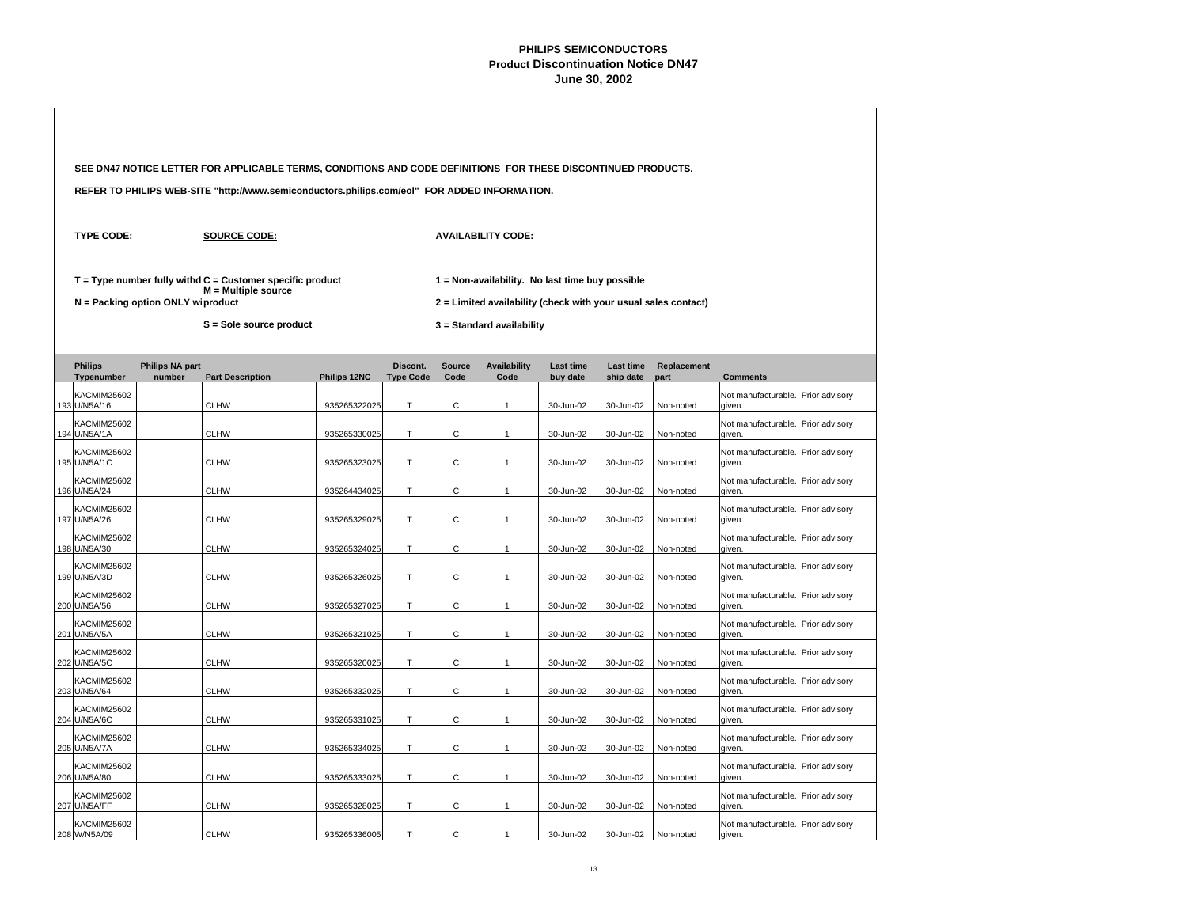|  |                                    |                                   | SEE DN47 NOTICE LETTER FOR APPLICABLE TERMS, CONDITIONS AND CODE DEFINITIONS FOR THESE DISCONTINUED PRODUCTS. |              |                              |                                                                                                                   |                             |                              |                               |                     |                                              |  |  |  |  |
|--|------------------------------------|-----------------------------------|---------------------------------------------------------------------------------------------------------------|--------------|------------------------------|-------------------------------------------------------------------------------------------------------------------|-----------------------------|------------------------------|-------------------------------|---------------------|----------------------------------------------|--|--|--|--|
|  |                                    |                                   | REFER TO PHILIPS WEB-SITE "http://www.semiconductors.philips.com/eol" FOR ADDED INFORMATION.                  |              |                              |                                                                                                                   |                             |                              |                               |                     |                                              |  |  |  |  |
|  | <b>TYPE CODE:</b>                  |                                   | <b>SOURCE CODE:</b>                                                                                           |              |                              |                                                                                                                   | <b>AVAILABILITY CODE:</b>   |                              |                               |                     |                                              |  |  |  |  |
|  |                                    | N = Packing option ONLY wiproduct | $T = Type$ number fully withd $C =$ Customer specific product<br>$M =$ Multiple source                        |              |                              | 1 = Non-availability. No last time buy possible<br>2 = Limited availability (check with your usual sales contact) |                             |                              |                               |                     |                                              |  |  |  |  |
|  |                                    |                                   | S = Sole source product                                                                                       |              |                              |                                                                                                                   | 3 = Standard availability   |                              |                               |                     |                                              |  |  |  |  |
|  | <b>Philips</b><br>Typenumber       | <b>Philips NA part</b><br>number  | <b>Part Description</b>                                                                                       | Philips 12NC | Discont.<br><b>Type Code</b> | <b>Source</b><br>Code                                                                                             | <b>Availability</b><br>Code | <b>Last time</b><br>buy date | <b>Last time</b><br>ship date | Replacement<br>part | <b>Comments</b>                              |  |  |  |  |
|  | <b>KACMIM25602</b><br>193 U/N5A/16 |                                   | <b>CLHW</b>                                                                                                   | 935265322025 | T.                           | $\mathsf{C}$                                                                                                      | $\mathbf{1}$                | 30-Jun-02                    | 30-Jun-02                     | Non-noted           | Not manufacturable. Prior advisory<br>given. |  |  |  |  |
|  | <b>KACMIM25602</b><br>194 U/N5A/1A |                                   | <b>CLHW</b>                                                                                                   | 935265330025 | T.                           | C                                                                                                                 | $\mathbf{1}$                | 30-Jun-02                    | 30-Jun-02                     | Non-noted           | Not manufacturable. Prior advisory<br>given. |  |  |  |  |
|  | <b>KACMIM25602</b><br>195 U/N5A/1C |                                   | <b>CLHW</b>                                                                                                   | 935265323025 | T                            | С                                                                                                                 | $\mathbf{1}$                | 30-Jun-02                    | 30-Jun-02                     | Non-noted           | Not manufacturable. Prior advisory<br>given. |  |  |  |  |
|  | <b>KACMIM25602</b><br>196 U/N5A/24 |                                   | <b>CLHW</b>                                                                                                   | 935264434025 | T.                           | C                                                                                                                 | $\mathbf{1}$                | 30-Jun-02                    | 30-Jun-02                     | Non-noted           | Not manufacturable. Prior advisory<br>given. |  |  |  |  |
|  | <b>KACMIM25602</b><br>197 U/N5A/26 |                                   | <b>CLHW</b>                                                                                                   | 935265329025 | T                            | C                                                                                                                 | $\mathbf{1}$                | 30-Jun-02                    | 30-Jun-02                     | Non-noted           | Not manufacturable. Prior advisory<br>given. |  |  |  |  |
|  | KACMIM25602<br>198 U/N5A/30        |                                   | <b>CLHW</b>                                                                                                   | 935265324025 | $\top$                       | С                                                                                                                 | $\mathbf{1}$                | 30-Jun-02                    | 30-Jun-02                     | Non-noted           | Not manufacturable. Prior advisory<br>given. |  |  |  |  |
|  | <b>KACMIM25602</b><br>199 U/N5A/3D |                                   | <b>CLHW</b>                                                                                                   | 935265326025 | T                            | С                                                                                                                 | $\mathbf{1}$                | 30-Jun-02                    | 30-Jun-02                     | Non-noted           | Not manufacturable. Prior advisory<br>given. |  |  |  |  |
|  | KACMIM25602<br>200 U/N5A/56        |                                   | <b>CLHW</b>                                                                                                   | 935265327025 | T                            | C                                                                                                                 | $\mathbf{1}$                | 30-Jun-02                    | 30-Jun-02                     | Non-noted           | Not manufacturable. Prior advisory<br>aiven. |  |  |  |  |
|  | KACMIM25602<br>201 U/N5A/5A        |                                   | <b>CLHW</b>                                                                                                   | 935265321025 | T.                           | С                                                                                                                 | $\mathbf{1}$                | 30-Jun-02                    | 30-Jun-02                     | Non-noted           | Not manufacturable. Prior advisory<br>given. |  |  |  |  |
|  | KACMIM25602<br>202 U/N5A/5C        |                                   | <b>CLHW</b>                                                                                                   | 935265320025 | T                            | С                                                                                                                 | $\mathbf{1}$                | 30-Jun-02                    | 30-Jun-02                     | Non-noted           | Not manufacturable. Prior advisory<br>given. |  |  |  |  |
|  | <b>KACMIM25602</b><br>203 U/N5A/64 |                                   | <b>CLHW</b>                                                                                                   | 935265332025 | T.                           | С                                                                                                                 | $\mathbf{1}$                | 30-Jun-02                    | 30-Jun-02                     | Non-noted           | Not manufacturable. Prior advisory<br>given. |  |  |  |  |
|  | KACMIM25602<br>204 U/N5A/6C        |                                   | <b>CLHW</b>                                                                                                   | 935265331025 | T                            | $\mathsf{C}$                                                                                                      | $\mathbf{1}$                | 30-Jun-02                    | 30-Jun-02                     | Non-noted           | Not manufacturable. Prior advisory<br>given. |  |  |  |  |
|  | <b>KACMIM25602</b><br>205 U/N5A/7A |                                   | <b>CLHW</b>                                                                                                   | 935265334025 | T                            | $\mathsf{C}$                                                                                                      | $\mathbf{1}$                | 30-Jun-02                    | 30-Jun-02                     | Non-noted           | Not manufacturable. Prior advisory<br>given. |  |  |  |  |
|  | KACMIM25602<br>206 U/N5A/80        |                                   | <b>CLHW</b>                                                                                                   | 935265333025 | $\top$                       | C                                                                                                                 | $\mathbf{1}$                | 30-Jun-02                    | 30-Jun-02                     | Non-noted           | Not manufacturable. Prior advisory<br>given. |  |  |  |  |
|  | <b>KACMIM25602</b><br>207 U/N5A/FF |                                   | <b>CLHW</b>                                                                                                   | 935265328025 | T                            | $\mathsf{C}$                                                                                                      | $\mathbf{1}$                | 30-Jun-02                    | 30-Jun-02                     | Non-noted           | Not manufacturable. Prior advisory<br>aiven. |  |  |  |  |
|  | <b>KACMIM25602</b><br>208 W/N5A/09 |                                   | <b>CLHW</b>                                                                                                   | 935265336005 | T                            | C                                                                                                                 | $\mathbf{1}$                | 30-Jun-02                    | 30-Jun-02                     | Non-noted           | Not manufacturable. Prior advisory<br>given. |  |  |  |  |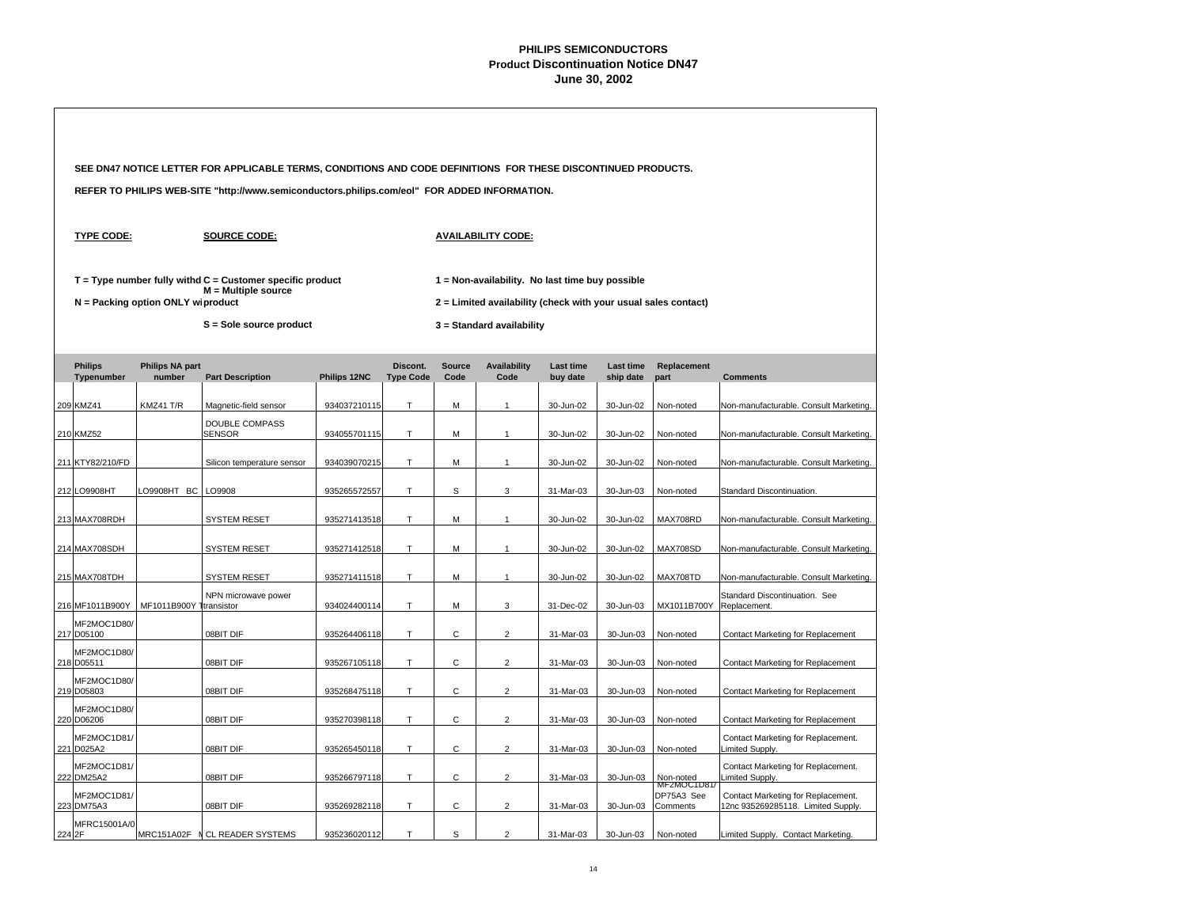|                              |                                   | SEE DN47 NOTICE LETTER FOR APPLICABLE TERMS, CONDITIONS AND CODE DEFINITIONS FOR THESE DISCONTINUED PRODUCTS. |              |                              |                                                                                                                   |                             |                       |                        |                                      |                                                                          |  |  |  |
|------------------------------|-----------------------------------|---------------------------------------------------------------------------------------------------------------|--------------|------------------------------|-------------------------------------------------------------------------------------------------------------------|-----------------------------|-----------------------|------------------------|--------------------------------------|--------------------------------------------------------------------------|--|--|--|
|                              |                                   | REFER TO PHILIPS WEB-SITE "http://www.semiconductors.philips.com/eol" FOR ADDED INFORMATION.                  |              |                              |                                                                                                                   |                             |                       |                        |                                      |                                                                          |  |  |  |
| <b>TYPE CODE:</b>            |                                   | <b>SOURCE CODE:</b>                                                                                           |              |                              |                                                                                                                   | <b>AVAILABILITY CODE:</b>   |                       |                        |                                      |                                                                          |  |  |  |
|                              | N = Packing option ONLY wiproduct | $T = Type$ number fully withd $C =$ Customer specific product<br>M = Multiple source                          |              |                              | 1 = Non-availability. No last time buy possible<br>2 = Limited availability (check with your usual sales contact) |                             |                       |                        |                                      |                                                                          |  |  |  |
|                              |                                   | S = Sole source product                                                                                       |              |                              |                                                                                                                   | 3 = Standard availability   |                       |                        |                                      |                                                                          |  |  |  |
| <b>Philips</b><br>Typenumber | <b>Philips NA part</b><br>number  | <b>Part Description</b>                                                                                       | Philips 12NC | Discont.<br><b>Type Code</b> | <b>Source</b><br>Code                                                                                             | <b>Availability</b><br>Code | Last time<br>buy date | Last time<br>ship date | Replacement<br>part                  | <b>Comments</b>                                                          |  |  |  |
| 209 KMZ41                    | KMZ41 T/R                         | Magnetic-field sensor                                                                                         | 934037210115 | T.                           | M                                                                                                                 | $\mathbf{1}$                | 30-Jun-02             | 30-Jun-02              | Non-noted                            | Non-manufacturable. Consult Marketing.                                   |  |  |  |
| 210 KMZ52                    |                                   | <b>DOUBLE COMPASS</b><br>SENSOR                                                                               | 934055701115 | T.                           | M                                                                                                                 | $\mathbf{1}$                | 30-Jun-02             | 30-Jun-02              | Non-noted                            | Non-manufacturable. Consult Marketing.                                   |  |  |  |
| 211 KTY82/210/FD             |                                   | Silicon temperature sensor                                                                                    | 934039070215 | T.                           | M                                                                                                                 | $\mathbf{1}$                | 30-Jun-02             | 30-Jun-02              | Non-noted                            | Non-manufacturable. Consult Marketing.                                   |  |  |  |
| 212 LO9908HT                 | LO9908HT BC                       | LO9908                                                                                                        | 935265572557 | T                            | S                                                                                                                 | 3                           | 31-Mar-03             | 30-Jun-03              | Non-noted                            | Standard Discontinuation.                                                |  |  |  |
| 213 MAX708RDH                |                                   | <b>SYSTEM RESET</b>                                                                                           | 935271413518 | $\top$                       | M                                                                                                                 | $\mathbf{1}$                | 30-Jun-02             | 30-Jun-02              | MAX708RD                             | Non-manufacturable. Consult Marketing.                                   |  |  |  |
| 214 MAX708SDH                |                                   | <b>SYSTEM RESET</b>                                                                                           | 935271412518 | $\top$                       | М                                                                                                                 | $\mathbf{1}$                | 30-Jun-02             | 30-Jun-02              | MAX708SD                             | Non-manufacturable. Consult Marketing.                                   |  |  |  |
| 215 MAX708TDH                |                                   | <b>SYSTEM RESET</b>                                                                                           | 935271411518 | T                            | M                                                                                                                 | $\mathbf{1}$                | 30-Jun-02             | 30-Jun-02              | MAX708TD                             | Non-manufacturable. Consult Marketing.                                   |  |  |  |
| 216 MF1011B900Y              | MF1011B900Y 1transistor           | NPN microwave power                                                                                           | 934024400114 | T.                           | M                                                                                                                 | 3                           | 31-Dec-02             | 30-Jun-03              | MX1011B700Y                          | Standard Discontinuation. See<br>Replacement.                            |  |  |  |
| MF2MOC1D80/<br>217 D05100    |                                   | 08BIT DIF                                                                                                     | 935264406118 | T                            | C                                                                                                                 | $\overline{2}$              | 31-Mar-03             | 30-Jun-03              | Non-noted                            | Contact Marketing for Replacement                                        |  |  |  |
| MF2MOC1D80/<br>218 D05511    |                                   | 08BIT DIF                                                                                                     | 935267105118 | T                            | C                                                                                                                 | $\overline{2}$              | 31-Mar-03             | 30-Jun-03              | Non-noted                            | Contact Marketing for Replacement                                        |  |  |  |
| MF2MOC1D80/<br>219 D05803    |                                   | 08BIT DIF                                                                                                     | 935268475118 | T                            | C                                                                                                                 | $\overline{2}$              | 31-Mar-03             | 30-Jun-03              | Non-noted                            | Contact Marketing for Replacement                                        |  |  |  |
| MF2MOC1D80/<br>220 D06206    |                                   | 08BIT DIF                                                                                                     | 935270398118 | T.                           | $\mathsf{C}$                                                                                                      | $\overline{2}$              | 31-Mar-03             | 30-Jun-03              | Non-noted                            | Contact Marketing for Replacement                                        |  |  |  |
| MF2MOC1D81/<br>221 D025A2    |                                   | 08BIT DIF                                                                                                     | 935265450118 | T                            | $\mathsf{C}$                                                                                                      | $\overline{2}$              | 31-Mar-03             | 30-Jun-03              | Non-noted                            | Contact Marketing for Replacement.<br>Limited Supply.                    |  |  |  |
| MF2MOC1D81/<br>222 DM25A2    |                                   | 08BIT DIF                                                                                                     | 935266797118 | $\top$                       | $\mathsf{C}$                                                                                                      | $\overline{2}$              | 31-Mar-03             | 30-Jun-03              | Non-noted                            | Contact Marketing for Replacement.<br>Limited Supply.                    |  |  |  |
| MF2MOC1D81/<br>223 DM75A3    |                                   | 08BIT DIF                                                                                                     | 935269282118 | T                            | $\mathsf{C}$                                                                                                      | $\overline{2}$              | 31-Mar-03             | 30-Jun-03              | MF2MOC1D81<br>DP75A3 See<br>Comments | Contact Marketing for Replacement.<br>12nc 935269285118. Limited Supply. |  |  |  |
| MFRC15001A/0<br>224 2F       | MRC151A02F<br>- N                 | CL READER SYSTEMS                                                                                             | 935236020112 | T.                           | S                                                                                                                 | $\overline{2}$              | 31-Mar-03             | 30-Jun-03              | Non-noted                            | Limited Supply. Contact Marketing.                                       |  |  |  |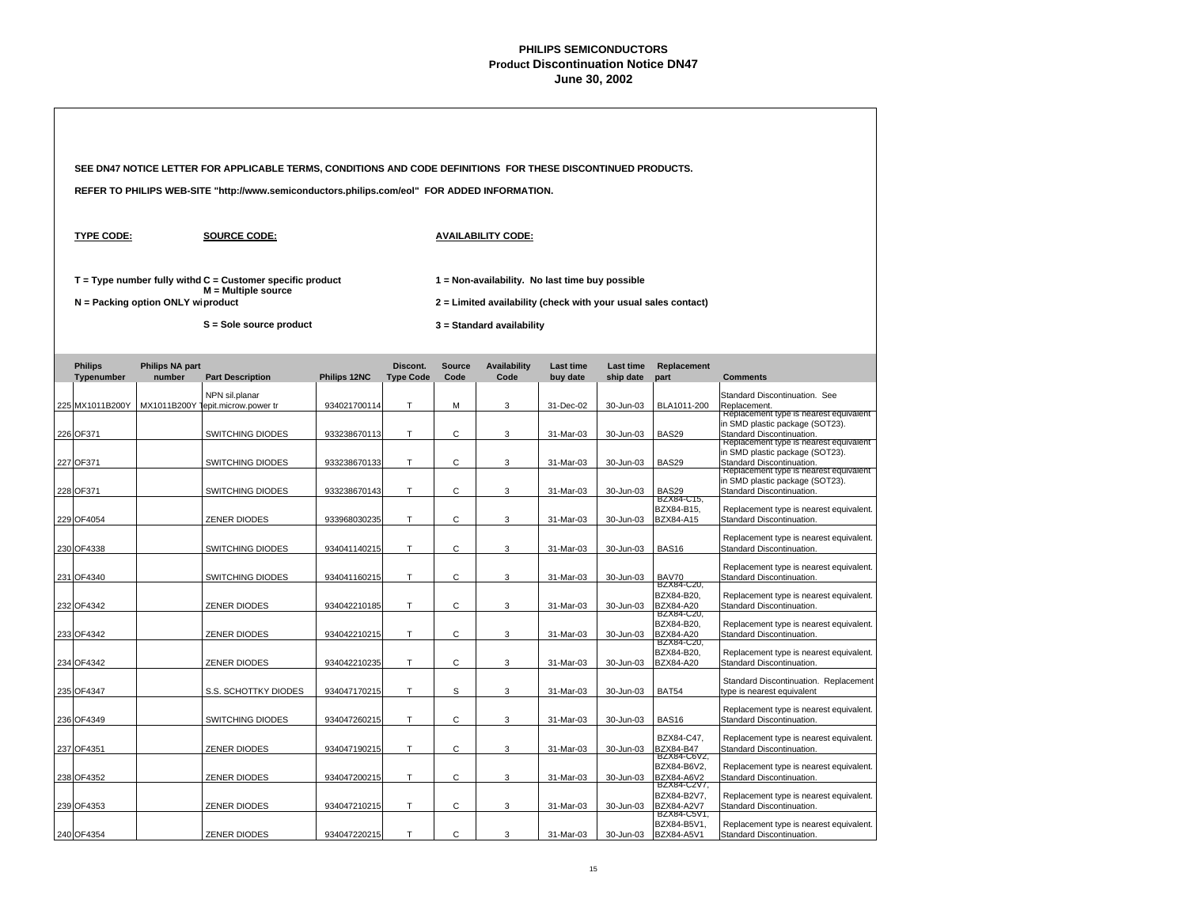| SEE DN47 NOTICE LETTER FOR APPLICABLE TERMS, CONDITIONS AND CODE DEFINITIONS FOR THESE DISCONTINUED PRODUCTS. |                              |                                   |                                                                                              |              |                              |                       |                                                                                                                   |                              |                        |                                                 |                                                                                                                                                  |  |  |
|---------------------------------------------------------------------------------------------------------------|------------------------------|-----------------------------------|----------------------------------------------------------------------------------------------|--------------|------------------------------|-----------------------|-------------------------------------------------------------------------------------------------------------------|------------------------------|------------------------|-------------------------------------------------|--------------------------------------------------------------------------------------------------------------------------------------------------|--|--|
|                                                                                                               |                              |                                   | REFER TO PHILIPS WEB-SITE "http://www.semiconductors.philips.com/eol" FOR ADDED INFORMATION. |              |                              |                       |                                                                                                                   |                              |                        |                                                 |                                                                                                                                                  |  |  |
|                                                                                                               | <b>TYPE CODE:</b>            |                                   | <b>SOURCE CODE:</b>                                                                          |              |                              |                       | <b>AVAILABILITY CODE:</b>                                                                                         |                              |                        |                                                 |                                                                                                                                                  |  |  |
|                                                                                                               |                              | N = Packing option ONLY wiproduct | $T = Type$ number fully withd $C =$ Customer specific product<br>$M =$ Multiple source       |              |                              |                       | 1 = Non-availability. No last time buy possible<br>2 = Limited availability (check with your usual sales contact) |                              |                        |                                                 |                                                                                                                                                  |  |  |
|                                                                                                               |                              |                                   | S = Sole source product                                                                      |              |                              |                       | 3 = Standard availability                                                                                         |                              |                        |                                                 |                                                                                                                                                  |  |  |
|                                                                                                               | <b>Philips</b><br>Typenumber | <b>Philips NA part</b><br>number  | <b>Part Description</b>                                                                      | Philips 12NC | Discont.<br><b>Type Code</b> | <b>Source</b><br>Code | <b>Availability</b><br>Code                                                                                       | <b>Last time</b><br>buy date | Last time<br>ship date | Replacement<br>part                             | <b>Comments</b>                                                                                                                                  |  |  |
|                                                                                                               | 225 MX1011B200Y              | MX1011B200Y                       | NPN sil.planar<br>epit.microw.power tr                                                       | 934021700114 | т                            | M                     | 3                                                                                                                 | 31-Dec-02                    | 30-Jun-03              | BLA1011-200                                     | Standard Discontinuation. See<br>Replacement.                                                                                                    |  |  |
|                                                                                                               | 226 OF371                    |                                   | SWITCHING DIODES                                                                             | 933238670113 | т                            | C                     | 3                                                                                                                 | 31-Mar-03                    | 30-Jun-03              | <b>BAS29</b>                                    | Replacement type is nearest equivalent<br>in SMD plastic package (SOT23).<br>Standard Discontinuation.<br>Replacement type is nearest equivalent |  |  |
|                                                                                                               | 227 OF371                    |                                   | SWITCHING DIODES                                                                             | 933238670133 | T.                           | С                     | 3                                                                                                                 | 31-Mar-03                    | 30-Jun-03              | <b>BAS29</b>                                    | in SMD plastic package (SOT23).<br>Standard Discontinuation.<br>Replacement type is nearest equivalent                                           |  |  |
|                                                                                                               | 228 OF371                    |                                   | SWITCHING DIODES                                                                             | 933238670143 | T.                           | C                     | 3                                                                                                                 | 31-Mar-03                    | 30-Jun-03              | BAS29<br>BZX84-C15,                             | in SMD plastic package (SOT23).<br>Standard Discontinuation.                                                                                     |  |  |
|                                                                                                               | 229 OF4054                   |                                   | <b>ZENER DIODES</b>                                                                          | 933968030235 | T.                           | С                     | 3                                                                                                                 | 31-Mar-03                    | 30-Jun-03              | BZX84-B15,<br>BZX84-A15                         | Replacement type is nearest equivalent.<br>Standard Discontinuation.                                                                             |  |  |
|                                                                                                               | 230 OF4338                   |                                   | SWITCHING DIODES                                                                             | 934041140215 | T.                           | C                     | 3                                                                                                                 | 31-Mar-03                    | 30-Jun-03              | <b>BAS16</b>                                    | Replacement type is nearest equivalent.<br>Standard Discontinuation.                                                                             |  |  |
|                                                                                                               | 231 OF4340                   |                                   | SWITCHING DIODES                                                                             | 934041160215 | T                            | С                     | 3                                                                                                                 | 31-Mar-03                    | 30-Jun-03              | BAV70<br>BZX84-C20,                             | Replacement type is nearest equivalent.<br>Standard Discontinuation.                                                                             |  |  |
|                                                                                                               | 232 OF4342                   |                                   | ZENER DIODES                                                                                 | 934042210185 | T.                           | С                     | 3                                                                                                                 | 31-Mar-03                    | 30-Jun-03              | BZX84-B20,<br>BZX84-A20<br>BZX84-C20,           | Replacement type is nearest equivalent.<br>Standard Discontinuation.                                                                             |  |  |
|                                                                                                               | 233 OF4342                   |                                   | ZENER DIODES                                                                                 | 934042210215 | T.                           | C                     | 3                                                                                                                 | 31-Mar-03                    | 30-Jun-03              | BZX84-B20,<br>BZX84-A20<br>BZX84-C20,           | Replacement type is nearest equivalent.<br>Standard Discontinuation.                                                                             |  |  |
|                                                                                                               | 234 OF4342                   |                                   | ZENER DIODES                                                                                 | 934042210235 | T.                           | С                     | 3                                                                                                                 | 31-Mar-03                    | 30-Jun-03              | BZX84-B20,<br><b>BZX84-A20</b>                  | Replacement type is nearest equivalent.<br>Standard Discontinuation.                                                                             |  |  |
|                                                                                                               | 235 OF4347                   |                                   | S.S. SCHOTTKY DIODES                                                                         | 934047170215 | T                            | S                     | 3                                                                                                                 | 31-Mar-03                    | 30-Jun-03              | <b>BAT54</b>                                    | Standard Discontinuation. Replacement<br>type is nearest equivalent                                                                              |  |  |
|                                                                                                               | 236 OF4349                   |                                   | SWITCHING DIODES                                                                             | 934047260215 | T.                           | С                     | 3                                                                                                                 | 31-Mar-03                    | 30-Jun-03              | <b>BAS16</b>                                    | Replacement type is nearest equivalent.<br>Standard Discontinuation.                                                                             |  |  |
|                                                                                                               | 237 OF4351                   |                                   | ZENER DIODES                                                                                 | 934047190215 | Τ                            | С                     | 3                                                                                                                 | 31-Mar-03                    | 30-Jun-03              | BZX84-C47.<br><b>BZX84-B47</b><br>BZX84-C6V2,   | Replacement type is nearest equivalent.<br>Standard Discontinuation.                                                                             |  |  |
|                                                                                                               | 238 OF4352                   |                                   | <b>ZENER DIODES</b>                                                                          | 934047200215 | T.                           | С                     | 3                                                                                                                 | 31-Mar-03                    | 30-Jun-03              | BZX84-B6V2,<br><b>BZX84-A6V2</b><br>BZX84-C2V7, | Replacement type is nearest equivalent.<br>Standard Discontinuation.                                                                             |  |  |
|                                                                                                               | 239 OF4353                   |                                   | ZENER DIODES                                                                                 | 934047210215 | Τ                            | С                     | 3                                                                                                                 | 31-Mar-03                    | 30-Jun-03              | BZX84-B2V7.<br><b>BZX84-A2V7</b>                | Replacement type is nearest equivalent.<br>Standard Discontinuation.                                                                             |  |  |
|                                                                                                               | 240 OF4354                   |                                   | <b>ZENER DIODES</b>                                                                          | 934047220215 | T                            | $\mathsf{C}$          | 3                                                                                                                 | 31-Mar-03                    | 30-Jun-03              | BZX84-C5V1,<br>BZX84-B5V1,<br><b>BZX84-A5V1</b> | Replacement type is nearest equivalent.<br>Standard Discontinuation.                                                                             |  |  |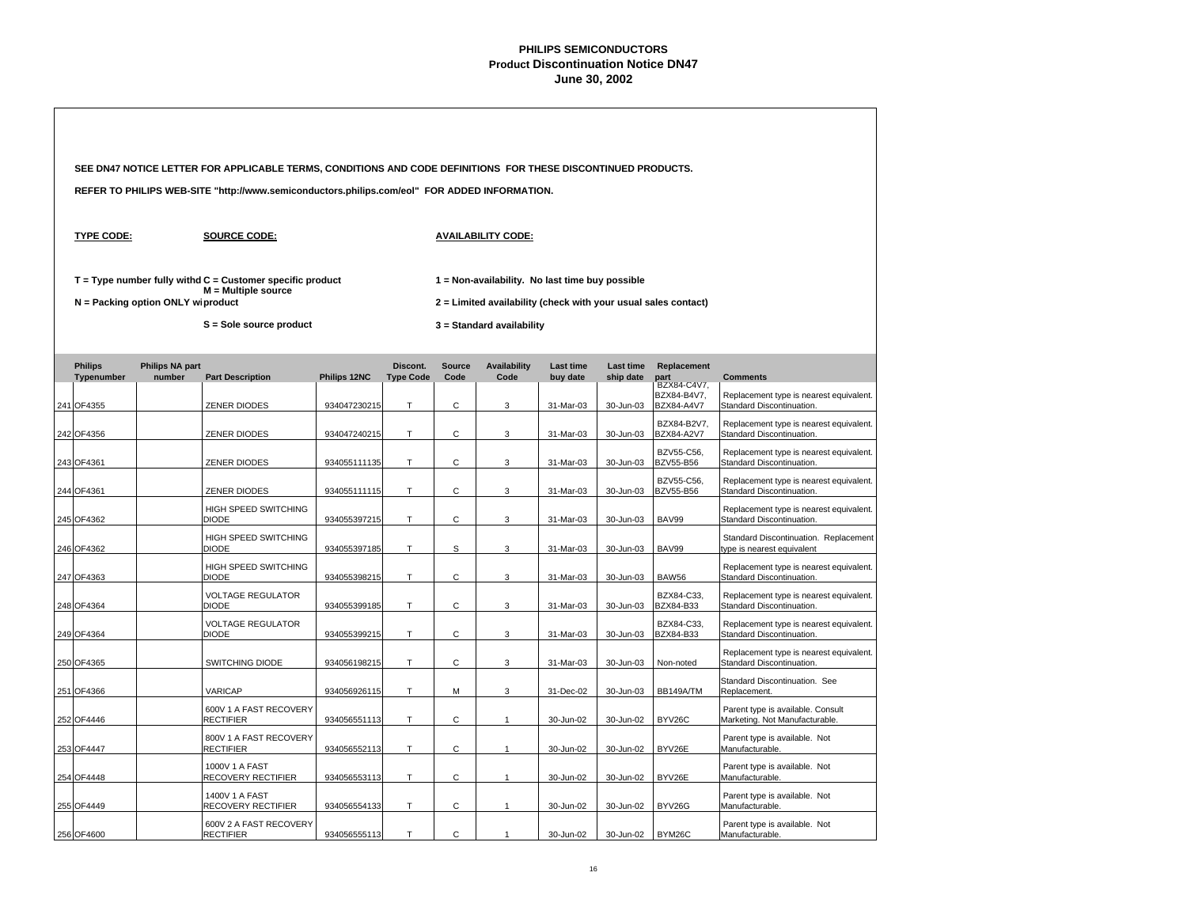|                              |                                   | SEE DN47 NOTICE LETTER FOR APPLICABLE TERMS, CONDITIONS AND CODE DEFINITIONS FOR THESE DISCONTINUED PRODUCTS. |              |                              |                       |                                                                                             |                              |                               |                                          |                                                                      |  |
|------------------------------|-----------------------------------|---------------------------------------------------------------------------------------------------------------|--------------|------------------------------|-----------------------|---------------------------------------------------------------------------------------------|------------------------------|-------------------------------|------------------------------------------|----------------------------------------------------------------------|--|
|                              |                                   | REFER TO PHILIPS WEB-SITE "http://www.semiconductors.philips.com/eol" FOR ADDED INFORMATION.                  |              |                              |                       |                                                                                             |                              |                               |                                          |                                                                      |  |
| <b>TYPE CODE:</b>            |                                   | <b>SOURCE CODE:</b>                                                                                           |              |                              |                       | <b>AVAILABILITY CODE:</b>                                                                   |                              |                               |                                          |                                                                      |  |
|                              |                                   | $T = Type$ number fully withd $C =$ Customer specific product<br>$M =$ Multiple source                        |              |                              |                       | 1 = Non-availability. No last time buy possible                                             |                              |                               |                                          |                                                                      |  |
|                              | N = Packing option ONLY wiproduct | S = Sole source product                                                                                       |              |                              |                       | 2 = Limited availability (check with your usual sales contact)<br>3 = Standard availability |                              |                               |                                          |                                                                      |  |
|                              |                                   |                                                                                                               |              |                              |                       |                                                                                             |                              |                               |                                          |                                                                      |  |
| <b>Philips</b><br>Typenumber | <b>Philips NA part</b><br>number  | <b>Part Description</b>                                                                                       | Philips 12NC | Discont.<br><b>Type Code</b> | <b>Source</b><br>Code | <b>Availability</b><br>Code                                                                 | <b>Last time</b><br>buy date | <b>Last time</b><br>ship date | Replacement<br>part                      | <b>Comments</b>                                                      |  |
| 241 OF4355                   |                                   | <b>ZENER DIODES</b>                                                                                           | 934047230215 | T.                           | C                     | 3                                                                                           | 31-Mar-03                    | 30-Jun-03                     | BZX84-C4V7,<br>BZX84-B4V7,<br>BZX84-A4V7 | Replacement type is nearest equivalent.<br>Standard Discontinuation. |  |
| 242 OF4356                   |                                   | <b>ZENER DIODES</b>                                                                                           | 934047240215 | T.                           | C                     | 3                                                                                           | 31-Mar-03                    | 30-Jun-03                     | BZX84-B2V7,<br><b>BZX84-A2V7</b>         | Replacement type is nearest equivalent.<br>Standard Discontinuation. |  |
| 243 OF4361                   |                                   | <b>ZENER DIODES</b>                                                                                           | 934055111135 | T.                           | $\mathsf{C}$          | 3                                                                                           | 31-Mar-03                    | 30-Jun-03                     | BZV55-C56,<br>BZV55-B56                  | Replacement type is nearest equivalent.<br>Standard Discontinuation. |  |
| 244 OF4361                   |                                   | <b>ZENER DIODES</b>                                                                                           | 934055111115 | T                            | C                     | 3                                                                                           | 31-Mar-03                    | 30-Jun-03                     | BZV55-C56.<br><b>BZV55-B56</b>           | Replacement type is nearest equivalent.<br>Standard Discontinuation. |  |
| 245 OF4362                   |                                   | <b>HIGH SPEED SWITCHING</b><br><b>DIODE</b>                                                                   | 934055397215 | T                            | С                     | 3                                                                                           | 31-Mar-03                    | 30-Jun-03                     | BAV99                                    | Replacement type is nearest equivalent.<br>Standard Discontinuation. |  |
| 246 OF4362                   |                                   | <b>HIGH SPEED SWITCHING</b><br><b>DIODE</b>                                                                   | 934055397185 | T.                           | s                     | 3                                                                                           | 31-Mar-03                    | 30-Jun-03                     | BAV99                                    | Standard Discontinuation. Replacement<br>type is nearest equivalent  |  |
| 247 OF4363                   |                                   | HIGH SPEED SWITCHING<br><b>DIODE</b>                                                                          | 934055398215 | Τ                            | С                     | 3                                                                                           | 31-Mar-03                    | 30-Jun-03                     | <b>BAW56</b>                             | Replacement type is nearest equivalent.<br>Standard Discontinuation. |  |
| 248 OF4364                   |                                   | <b>VOLTAGE REGULATOR</b><br><b>DIODE</b>                                                                      | 934055399185 | T                            | C                     | 3                                                                                           | 31-Mar-03                    | 30-Jun-03                     | BZX84-C33,<br>BZX84-B33                  | Replacement type is nearest equivalent.<br>Standard Discontinuation. |  |
| 249 OF4364                   |                                   | <b>VOLTAGE REGULATOR</b><br><b>DIODE</b>                                                                      | 934055399215 | т                            | С                     | 3                                                                                           | 31-Mar-03                    | 30-Jun-03                     | BZX84-C33,<br>BZX84-B33                  | Replacement type is nearest equivalent.<br>Standard Discontinuation. |  |
| 250 OF4365                   |                                   | <b>SWITCHING DIODE</b>                                                                                        | 934056198215 | T.                           | C                     | 3                                                                                           | 31-Mar-03                    | 30-Jun-03                     | Non-noted                                | Replacement type is nearest equivalent.<br>Standard Discontinuation. |  |
| 251 OF4366                   |                                   | VARICAP                                                                                                       | 934056926115 | T.                           | M                     | 3                                                                                           | 31-Dec-02                    | 30-Jun-03                     | BB149A/TM                                | Standard Discontinuation. See<br>Replacement.                        |  |
| 252 OF4446                   |                                   | 600V 1 A FAST RECOVERY<br><b>RECTIFIER</b>                                                                    | 934056551113 | T.                           | C                     | $\mathbf{1}$                                                                                | 30-Jun-02                    | 30-Jun-02                     | BYV26C                                   | Parent type is available. Consult<br>Marketing. Not Manufacturable.  |  |
| 253 OF4447                   |                                   | 800V 1 A FAST RECOVERY<br><b>RECTIFIER</b>                                                                    | 934056552113 | T                            | C                     | $\overline{1}$                                                                              | 30-Jun-02                    | 30-Jun-02                     | BYV26E                                   | Parent type is available. Not<br>Manufacturable.                     |  |
| 254 OF4448                   |                                   | 1000V 1 A FAST<br>RECOVERY RECTIFIER                                                                          | 934056553113 | T.                           | C                     | $\overline{1}$                                                                              | 30-Jun-02                    | 30-Jun-02                     | BYV26E                                   | Parent type is available. Not<br>Manufacturable.                     |  |
| 255 OF4449                   |                                   | 1400V 1 A FAST<br>RECOVERY RECTIFIER                                                                          | 934056554133 | T.                           | C                     | $\mathbf{1}$                                                                                | 30-Jun-02                    | 30-Jun-02                     | BYV26G                                   | Parent type is available. Not<br>Manufacturable.                     |  |
| 256 OF4600                   |                                   | 600V 2 A FAST RECOVERY<br><b>RECTIFIER</b>                                                                    | 934056555113 | T                            | C                     | $\mathbf{1}$                                                                                | 30-Jun-02                    | 30-Jun-02                     | BYM26C                                   | Parent type is available. Not<br>Manufacturable.                     |  |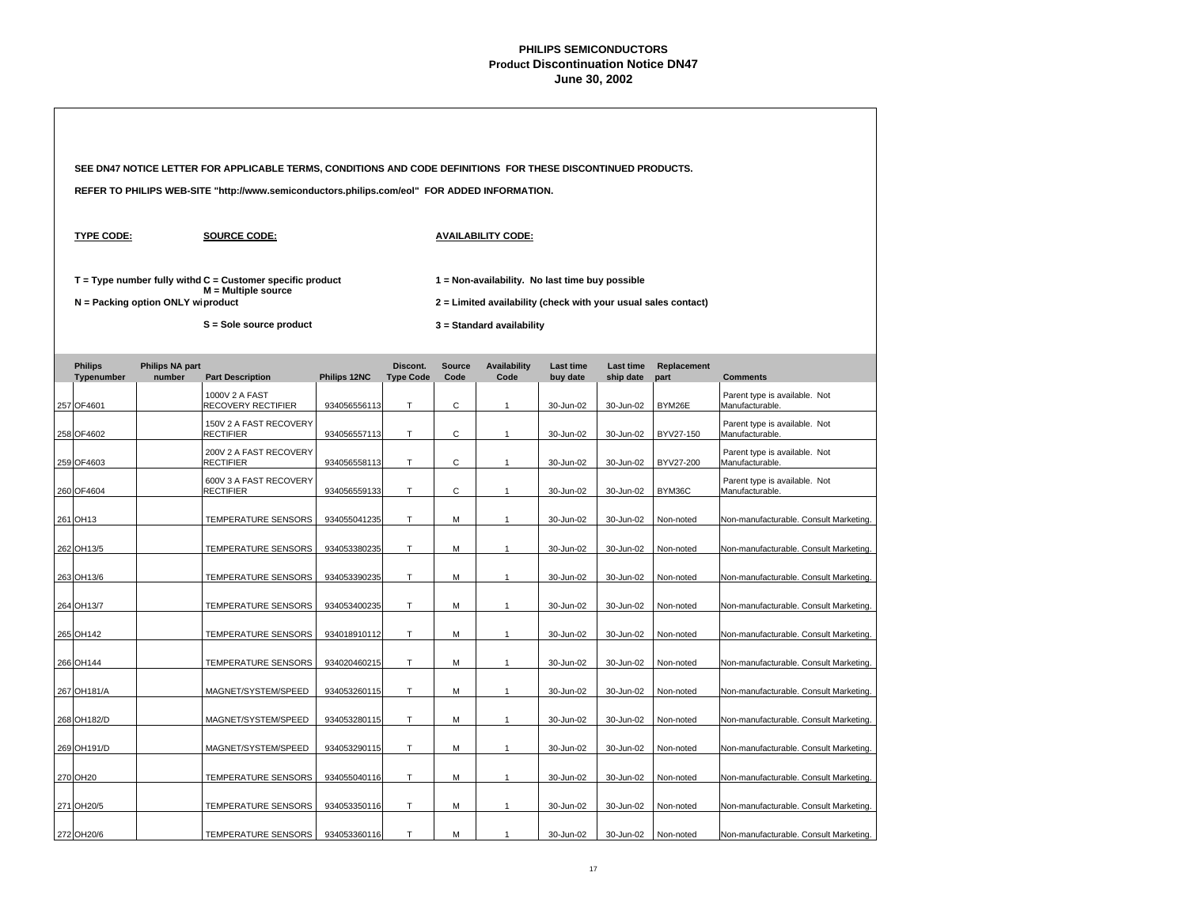|  |                              |                                   | SEE DN47 NOTICE LETTER FOR APPLICABLE TERMS, CONDITIONS AND CODE DEFINITIONS FOR THESE DISCONTINUED PRODUCTS. |              |                              |                       |                                                                                                                     |                              |                               |                     |                                                  |  |
|--|------------------------------|-----------------------------------|---------------------------------------------------------------------------------------------------------------|--------------|------------------------------|-----------------------|---------------------------------------------------------------------------------------------------------------------|------------------------------|-------------------------------|---------------------|--------------------------------------------------|--|
|  |                              |                                   | REFER TO PHILIPS WEB-SITE "http://www.semiconductors.philips.com/eol" FOR ADDED INFORMATION.                  |              |                              |                       |                                                                                                                     |                              |                               |                     |                                                  |  |
|  | <b>TYPE CODE:</b>            |                                   | <b>SOURCE CODE:</b>                                                                                           |              |                              |                       | <b>AVAILABILITY CODE:</b>                                                                                           |                              |                               |                     |                                                  |  |
|  |                              | N = Packing option ONLY wiproduct | $T = Type$ number fully withd $C =$ Customer specific product<br>M = Multiple source                          |              |                              |                       | $1$ = Non-availability. No last time buy possible<br>2 = Limited availability (check with your usual sales contact) |                              |                               |                     |                                                  |  |
|  |                              |                                   | S = Sole source product                                                                                       |              |                              |                       | 3 = Standard availability                                                                                           |                              |                               |                     |                                                  |  |
|  | <b>Philips</b><br>Typenumber | <b>Philips NA part</b><br>number  | <b>Part Description</b>                                                                                       | Philips 12NC | Discont.<br><b>Type Code</b> | <b>Source</b><br>Code | <b>Availability</b><br>Code                                                                                         | <b>Last time</b><br>buy date | <b>Last time</b><br>ship date | Replacement<br>part | <b>Comments</b>                                  |  |
|  | 257 OF4601                   |                                   | 1000V 2 A FAST<br>RECOVERY RECTIFIER                                                                          | 934056556113 | T.                           | C                     | $\mathbf{1}$                                                                                                        | 30-Jun-02                    | 30-Jun-02                     | BYM26E              | Parent type is available. Not<br>Manufacturable. |  |
|  | 258 OF4602                   |                                   | 150V 2 A FAST RECOVERY<br><b>RECTIFIER</b>                                                                    | 934056557113 | T                            | C                     | $\overline{1}$                                                                                                      | 30-Jun-02                    | 30-Jun-02                     | BYV27-150           | Parent type is available. Not<br>Manufacturable. |  |
|  | 259 OF4603                   |                                   | 200V 2 A FAST RECOVERY<br><b>RECTIFIER</b>                                                                    | 934056558113 | T.                           | C                     | $\mathbf{1}$                                                                                                        | 30-Jun-02                    | 30-Jun-02                     | BYV27-200           | Parent type is available. Not<br>Manufacturable. |  |
|  | 260 OF4604                   |                                   | 600V 3 A FAST RECOVERY<br><b>RECTIFIER</b>                                                                    | 934056559133 | T.                           | C                     | $\mathbf{1}$                                                                                                        | 30-Jun-02                    | 30-Jun-02                     | BYM36C              | Parent type is available. Not<br>Manufacturable. |  |
|  | 261 OH13                     |                                   | <b>TEMPERATURE SENSORS</b>                                                                                    | 934055041235 | T.                           | M                     | $\mathbf{1}$                                                                                                        | 30-Jun-02                    | 30-Jun-02                     | Non-noted           | Non-manufacturable. Consult Marketing.           |  |
|  | 262 OH13/5                   |                                   | <b>TEMPERATURE SENSORS</b>                                                                                    | 934053380235 | T.                           | M                     | $\mathbf{1}$                                                                                                        | 30-Jun-02                    | 30-Jun-02                     | Non-noted           | Non-manufacturable. Consult Marketing.           |  |
|  | 263 OH13/6                   |                                   | TEMPERATURE SENSORS                                                                                           | 934053390235 | $\mathsf T$                  | M                     | $\mathbf{1}$                                                                                                        | 30-Jun-02                    | 30-Jun-02                     | Non-noted           | Non-manufacturable. Consult Marketing.           |  |
|  | 264 OH13/7                   |                                   | <b>TEMPERATURE SENSORS</b>                                                                                    | 934053400235 | T                            | M                     | $\mathbf{1}$                                                                                                        | 30-Jun-02                    | 30-Jun-02                     | Non-noted           | Non-manufacturable. Consult Marketing.           |  |
|  | 265 OH142                    |                                   | TEMPERATURE SENSORS                                                                                           | 934018910112 | $\mathsf T$                  | M                     | $\mathbf{1}$                                                                                                        | 30-Jun-02                    | 30-Jun-02                     | Non-noted           | Non-manufacturable. Consult Marketing.           |  |
|  | 266 OH144                    |                                   | TEMPERATURE SENSORS                                                                                           | 934020460215 | T.                           | M                     | $\mathbf{1}$                                                                                                        | 30-Jun-02                    | 30-Jun-02                     | Non-noted           | Non-manufacturable. Consult Marketing.           |  |
|  | 267 OH181/A                  |                                   | MAGNET/SYSTEM/SPEED                                                                                           | 934053260115 | T.                           | M                     | $\mathbf{1}$                                                                                                        | 30-Jun-02                    | 30-Jun-02                     | Non-noted           | Non-manufacturable. Consult Marketing.           |  |
|  | 268 OH182/D                  |                                   | MAGNET/SYSTEM/SPEED                                                                                           | 934053280115 | T.                           | М                     | $\mathbf{1}$                                                                                                        | 30-Jun-02                    | 30-Jun-02                     | Non-noted           | Non-manufacturable. Consult Marketing.           |  |
|  | 269 OH191/D                  |                                   | MAGNET/SYSTEM/SPEED                                                                                           | 934053290115 | T                            | M                     | $\mathbf{1}$                                                                                                        | 30-Jun-02                    | 30-Jun-02                     | Non-noted           | Non-manufacturable. Consult Marketing.           |  |
|  | 270 OH20                     |                                   | TEMPERATURE SENSORS                                                                                           | 934055040116 | T                            | M                     | $\mathbf{1}$                                                                                                        | 30-Jun-02                    | 30-Jun-02                     | Non-noted           | Non-manufacturable. Consult Marketing.           |  |
|  | 271 OH20/5                   |                                   | TEMPERATURE SENSORS                                                                                           | 934053350116 | т                            | M                     | $\mathbf{1}$                                                                                                        | 30-Jun-02                    | 30-Jun-02                     | Non-noted           | Non-manufacturable. Consult Marketing.           |  |
|  | 272 OH20/6                   |                                   | <b>TEMPERATURE SENSORS</b>                                                                                    | 934053360116 | т                            | M                     | 1                                                                                                                   | 30-Jun-02                    | 30-Jun-02                     | Non-noted           | Non-manufacturable, Consult Marketing,           |  |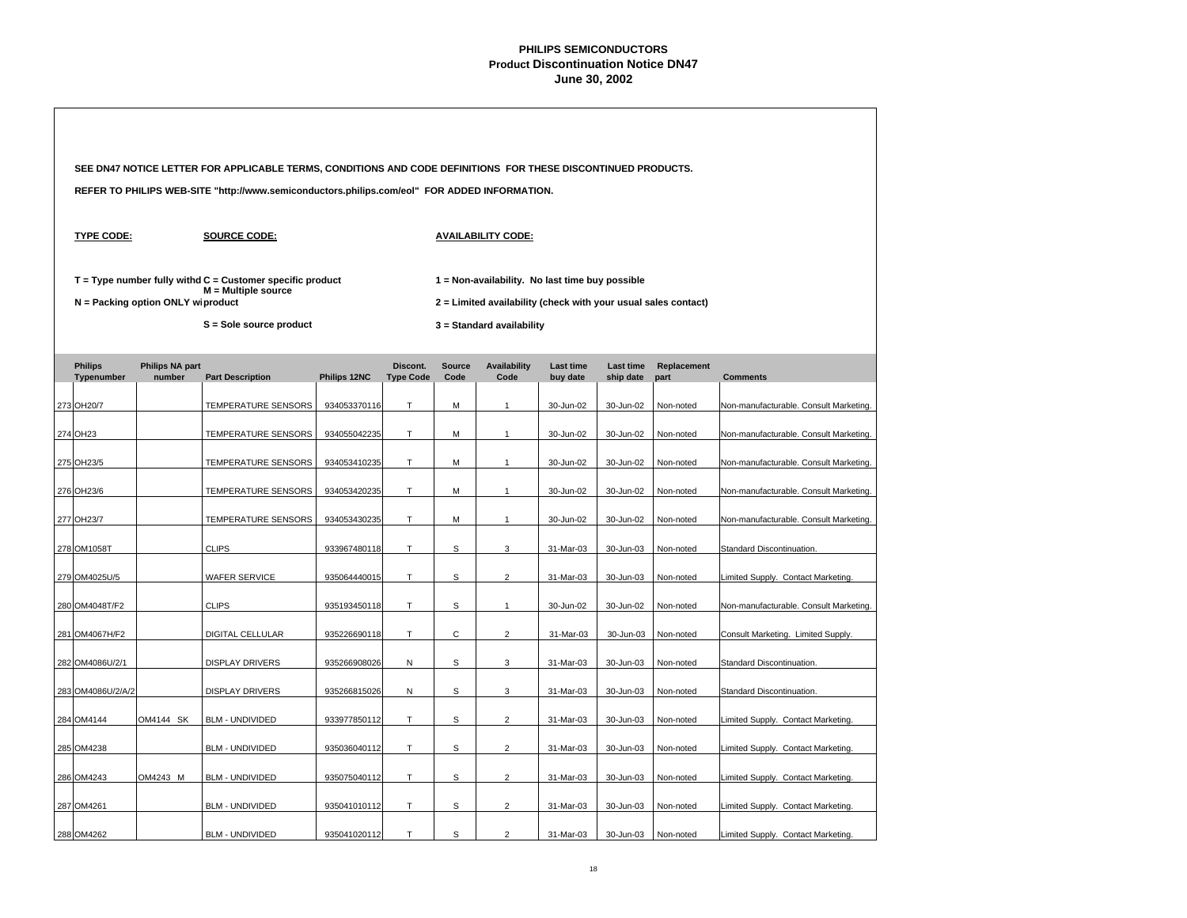|                              |                                   | SEE DN47 NOTICE LETTER FOR APPLICABLE TERMS, CONDITIONS AND CODE DEFINITIONS FOR THESE DISCONTINUED PRODUCTS.   |              |                              |                |                                                                                                                                                |                       |                        |                     |                                        |  |  |
|------------------------------|-----------------------------------|-----------------------------------------------------------------------------------------------------------------|--------------|------------------------------|----------------|------------------------------------------------------------------------------------------------------------------------------------------------|-----------------------|------------------------|---------------------|----------------------------------------|--|--|
|                              |                                   | REFER TO PHILIPS WEB-SITE "http://www.semiconductors.philips.com/eol" FOR ADDED INFORMATION.                    |              |                              |                |                                                                                                                                                |                       |                        |                     |                                        |  |  |
| <b>TYPE CODE:</b>            |                                   | <b>SOURCE CODE:</b>                                                                                             |              |                              |                | <b>AVAILABILITY CODE:</b>                                                                                                                      |                       |                        |                     |                                        |  |  |
|                              | N = Packing option ONLY wiproduct | $T = Type$ number fully withd $C =$ Customer specific product<br>M = Multiple source<br>S = Sole source product |              |                              |                | 1 = Non-availability. No last time buy possible<br>2 = Limited availability (check with your usual sales contact)<br>3 = Standard availability |                       |                        |                     |                                        |  |  |
| <b>Philips</b><br>Typenumber | <b>Philips NA part</b><br>number  | <b>Part Description</b>                                                                                         | Philips 12NC | Discont.<br><b>Type Code</b> | Source<br>Code | Availability<br>Code                                                                                                                           | Last time<br>buy date | Last time<br>ship date | Replacement<br>part | <b>Comments</b>                        |  |  |
| 273 OH20/7                   |                                   | TEMPERATURE SENSORS                                                                                             | 934053370116 | Τ                            | M              | 1                                                                                                                                              | 30-Jun-02             | 30-Jun-02              | Non-noted           | Non-manufacturable. Consult Marketing. |  |  |
| 274 OH23                     |                                   | TEMPERATURE SENSORS                                                                                             | 934055042235 | T.                           | M              | $\mathbf{1}$                                                                                                                                   | 30-Jun-02             | 30-Jun-02              | Non-noted           | Non-manufacturable. Consult Marketing. |  |  |
| 275 OH23/5                   |                                   | TEMPERATURE SENSORS                                                                                             | 934053410235 | T.                           | M              | 1                                                                                                                                              | 30-Jun-02             | 30-Jun-02              | Non-noted           | Non-manufacturable. Consult Marketing. |  |  |
| 276 OH23/6                   |                                   | <b>TEMPERATURE SENSORS</b>                                                                                      | 934053420235 | T.                           | M              | $\mathbf{1}$                                                                                                                                   | 30-Jun-02             | 30-Jun-02              | Non-noted           | Non-manufacturable. Consult Marketing. |  |  |
| 277 OH23/7                   |                                   | TEMPERATURE SENSORS                                                                                             | 934053430235 | T.                           | M              | $\mathbf{1}$                                                                                                                                   | 30-Jun-02             | 30-Jun-02              | Non-noted           | Non-manufacturable. Consult Marketing. |  |  |
| 278 OM1058T                  |                                   | <b>CLIPS</b>                                                                                                    | 933967480118 | T                            | $\mathbb S$    | 3                                                                                                                                              | 31-Mar-03             | 30-Jun-03              | Non-noted           | Standard Discontinuation.              |  |  |
| 279 OM4025U/5                |                                   | <b>WAFER SERVICE</b>                                                                                            | 935064440015 | T                            | S              | $\overline{2}$                                                                                                                                 | 31-Mar-03             | 30-Jun-03              | Non-noted           | Limited Supply. Contact Marketing.     |  |  |
| 280 OM4048T/F2               |                                   | <b>CLIPS</b>                                                                                                    | 935193450118 | Τ                            | s              | $\mathbf{1}$                                                                                                                                   | 30-Jun-02             | 30-Jun-02              | Non-noted           | Non-manufacturable. Consult Marketing. |  |  |
| 281 OM4067H/F2               |                                   | DIGITAL CELLULAR                                                                                                | 935226690118 | T.                           | C              | $\overline{2}$                                                                                                                                 | 31-Mar-03             | 30-Jun-03              | Non-noted           | Consult Marketing. Limited Supply.     |  |  |
| 282 OM4086U/2/1              |                                   | <b>DISPLAY DRIVERS</b>                                                                                          | 935266908026 | N                            | s              | 3                                                                                                                                              | 31-Mar-03             | 30-Jun-03              | Non-noted           | Standard Discontinuation.              |  |  |
| 283 OM4086U/2/A/2            |                                   | <b>DISPLAY DRIVERS</b>                                                                                          | 935266815026 | N                            | s              | 3                                                                                                                                              | 31-Mar-03             | 30-Jun-03              | Non-noted           | Standard Discontinuation.              |  |  |
| 284 OM4144                   | OM4144 SK                         | <b>BLM - UNDIVIDED</b>                                                                                          | 933977850112 | T.                           | S              | $\overline{2}$                                                                                                                                 | 31-Mar-03             | 30-Jun-03              | Non-noted           | Limited Supply. Contact Marketing.     |  |  |
| 285 OM4238                   |                                   | <b>BLM - UNDIVIDED</b>                                                                                          | 935036040112 | Τ                            | s              | 2                                                                                                                                              | 31-Mar-03             | 30-Jun-03              | Non-noted           | Limited Supply. Contact Marketing.     |  |  |
| 286 OM4243                   | OM4243 M                          | <b>BLM - UNDIVIDED</b>                                                                                          | 935075040112 | T                            | $\mathbb S$    | $\overline{2}$                                                                                                                                 | 31-Mar-03             | 30-Jun-03              | Non-noted           | Limited Supply. Contact Marketing.     |  |  |
| 287 OM4261                   |                                   | <b>BLM - UNDIVIDED</b>                                                                                          | 935041010112 | T.                           | s              | $\overline{c}$                                                                                                                                 | 31-Mar-03             | 30-Jun-03              | Non-noted           | Limited Supply. Contact Marketing.     |  |  |
| 288 OM4262                   |                                   | <b>BLM - UNDIVIDED</b>                                                                                          | 935041020112 | T                            | S              | $\overline{2}$                                                                                                                                 | 31-Mar-03             | 30-Jun-03              | Non-noted           | Limited Supply. Contact Marketing.     |  |  |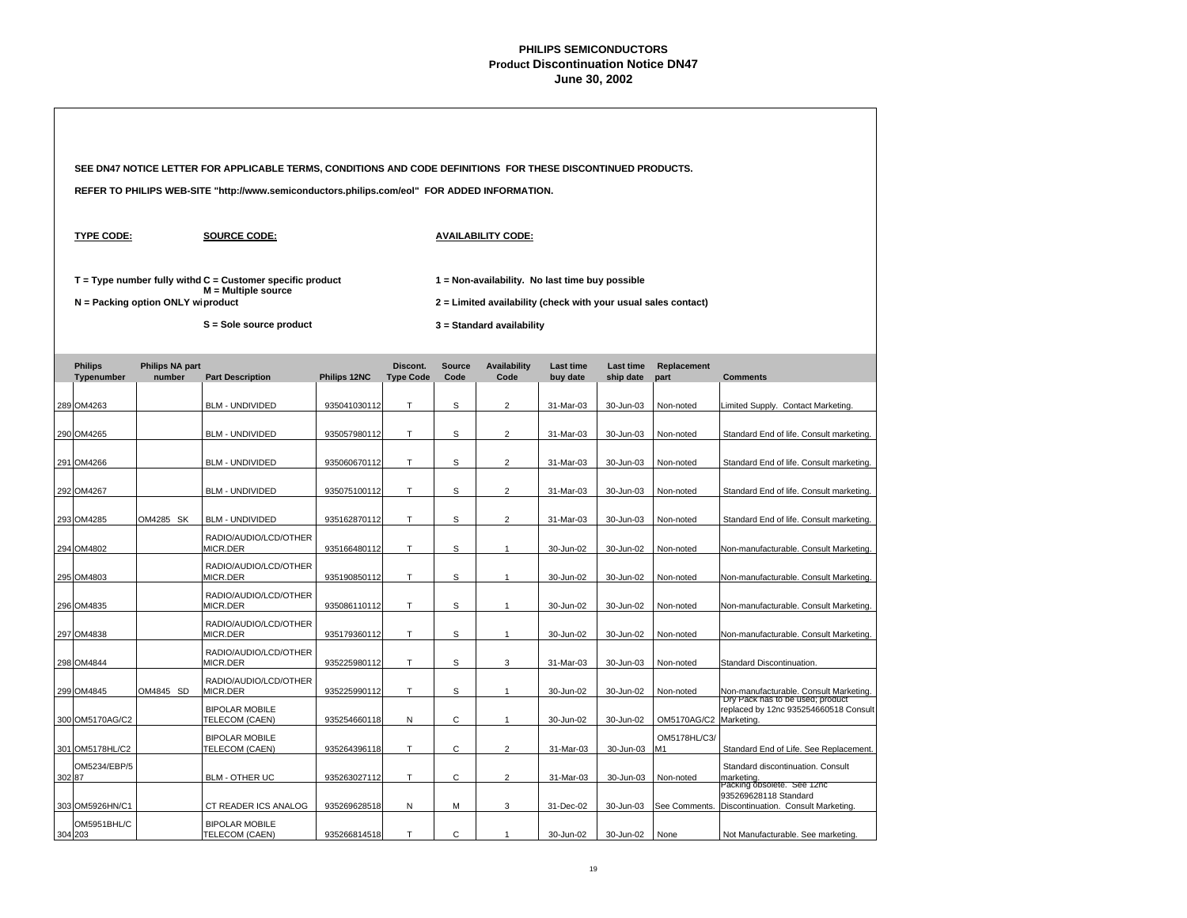|                              |                                   | SEE DN47 NOTICE LETTER FOR APPLICABLE TERMS, CONDITIONS AND CODE DEFINITIONS FOR THESE DISCONTINUED PRODUCTS.     |              |                              |                       |                                                                                                                                                |                       |                        |                     |                                                                               |
|------------------------------|-----------------------------------|-------------------------------------------------------------------------------------------------------------------|--------------|------------------------------|-----------------------|------------------------------------------------------------------------------------------------------------------------------------------------|-----------------------|------------------------|---------------------|-------------------------------------------------------------------------------|
|                              |                                   | REFER TO PHILIPS WEB-SITE "http://www.semiconductors.philips.com/eol" FOR ADDED INFORMATION.                      |              |                              |                       |                                                                                                                                                |                       |                        |                     |                                                                               |
| <b>TYPE CODE:</b>            |                                   | <b>SOURCE CODE:</b>                                                                                               |              |                              |                       | <b>AVAILABILITY CODE:</b>                                                                                                                      |                       |                        |                     |                                                                               |
|                              | N = Packing option ONLY wiproduct | $T = Type$ number fully withd $C =$ Customer specific product<br>$M =$ Multiple source<br>S = Sole source product |              |                              |                       | 1 = Non-availability. No last time buy possible<br>2 = Limited availability (check with your usual sales contact)<br>3 = Standard availability |                       |                        |                     |                                                                               |
| <b>Philips</b><br>Typenumber | <b>Philips NA part</b><br>number  | <b>Part Description</b>                                                                                           | Philips 12NC | Discont.<br><b>Type Code</b> | <b>Source</b><br>Code | <b>Availability</b><br>Code                                                                                                                    | Last time<br>buy date | Last time<br>ship date | Replacement<br>part | <b>Comments</b>                                                               |
| 289 OM4263                   |                                   | <b>BLM - UNDIVIDED</b>                                                                                            | 935041030112 | T                            | s                     | $\overline{2}$                                                                                                                                 | 31-Mar-03             | 30-Jun-03              | Non-noted           | Limited Supply. Contact Marketing.                                            |
| 290 OM4265                   |                                   | <b>BLM - UNDIVIDED</b>                                                                                            | 935057980112 | т                            | s                     | $\overline{2}$                                                                                                                                 | 31-Mar-03             | 30-Jun-03              | Non-noted           | Standard End of life. Consult marketing.                                      |
| 291 OM4266                   |                                   | <b>BLM - UNDIVIDED</b>                                                                                            | 935060670112 | T                            | S                     | $\overline{2}$                                                                                                                                 | 31-Mar-03             | 30-Jun-03              | Non-noted           | Standard End of life. Consult marketing.                                      |
| 292 OM4267                   |                                   | <b>BLM - UNDIVIDED</b>                                                                                            | 935075100112 | T                            | S                     | $\overline{2}$                                                                                                                                 | 31-Mar-03             | 30-Jun-03              | Non-noted           | Standard End of life. Consult marketing.                                      |
| 293 OM4285                   | OM4285 SK                         | <b>BLM - UNDIVIDED</b>                                                                                            | 935162870112 | T.                           | S                     | $\overline{2}$                                                                                                                                 | 31-Mar-03             | 30-Jun-03              | Non-noted           | Standard End of life. Consult marketing.                                      |
| 294 OM4802                   |                                   | RADIO/AUDIO/LCD/OTHER<br>MICR.DER                                                                                 | 935166480112 | T                            | S                     | $\mathbf{1}$                                                                                                                                   | 30-Jun-02             | 30-Jun-02              | Non-noted           | Non-manufacturable. Consult Marketing.                                        |
| 295 OM4803                   |                                   | RADIO/AUDIO/LCD/OTHER<br>MICR.DER                                                                                 | 935190850112 | T                            | S                     | $\mathbf{1}$                                                                                                                                   | 30-Jun-02             | 30-Jun-02              | Non-noted           | Non-manufacturable. Consult Marketing.                                        |
| 296 OM4835                   |                                   | RADIO/AUDIO/LCD/OTHER<br>MICR.DER                                                                                 | 935086110112 | T                            | S                     | 1                                                                                                                                              | 30-Jun-02             | 30-Jun-02              | Non-noted           | Non-manufacturable. Consult Marketing.                                        |
| 297 OM4838                   |                                   | RADIO/AUDIO/LCD/OTHER<br>MICR.DER                                                                                 | 935179360112 | T                            | s                     | $\mathbf{1}$                                                                                                                                   | 30-Jun-02             | 30-Jun-02              | Non-noted           | Non-manufacturable. Consult Marketing.                                        |
| 298 OM4844                   |                                   | RADIO/AUDIO/LCD/OTHER<br>MICR.DER                                                                                 | 935225980112 | T.                           | s                     | 3                                                                                                                                              | 31-Mar-03             | 30-Jun-03              | Non-noted           | Standard Discontinuation.                                                     |
| 299 OM4845                   | OM4845 SD                         | RADIO/AUDIO/LCD/OTHER<br>MICR.DER                                                                                 | 935225990112 | Τ                            | s                     | $\mathbf{1}$                                                                                                                                   | 30-Jun-02             | 30-Jun-02              | Non-noted           | Non-manufacturable. Consult Marketing.<br>Dry Pack has to be used; product    |
| 300 OM5170AG/C2              |                                   | <b>BIPOLAR MOBILE</b><br>TELECOM (CAEN)                                                                           | 935254660118 | N                            | С                     | $\mathbf{1}$                                                                                                                                   | 30-Jun-02             | 30-Jun-02              | OM5170AG/C2         | replaced by 12nc 935254660518 Consult<br>Marketing.                           |
| 301 OM5178HL/C2              |                                   | <b>BIPOLAR MOBILE</b><br>TELECOM (CAEN)                                                                           | 935264396118 | T                            | C                     | $\overline{2}$                                                                                                                                 | 31-Mar-03             | 30-Jun-03              | OM5178HL/C3/<br>M1  | Standard End of Life. See Replacement.                                        |
| OM5234/EBP/5<br>302 87       |                                   | <b>BLM - OTHER UC</b>                                                                                             | 935263027112 | т                            | С                     | $\overline{2}$                                                                                                                                 | 31-Mar-03             | 30-Jun-03              | Non-noted           | Standard discontinuation. Consult<br>marketing.<br>Packing obsolete. See 12nc |
| 303 OM5926HN/C1              |                                   | CT READER ICS ANALOG                                                                                              | 935269628518 | N                            | м                     | 3                                                                                                                                              | 31-Dec-02             | 30-Jun-03              | See Comments.       | 935269628118 Standard<br>Discontinuation. Consult Marketing.                  |
| OM5951BHL/C<br>304 203       |                                   | <b>BIPOLAR MOBILE</b><br>TELECOM (CAEN)                                                                           | 935266814518 | T                            | C                     | 1                                                                                                                                              | 30-Jun-02             | 30-Jun-02              | None                | Not Manufacturable. See marketing.                                            |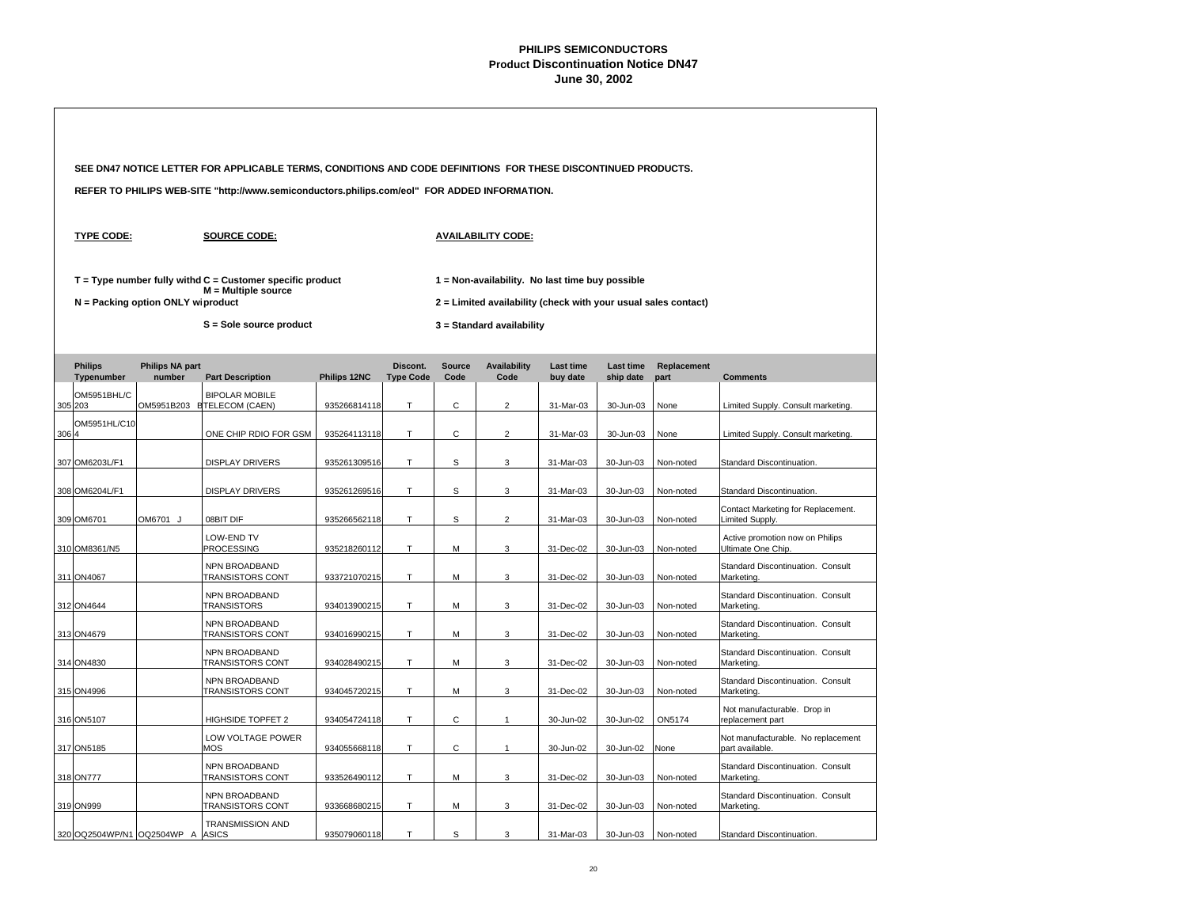|      |                                   |                                  | SEE DN47 NOTICE LETTER FOR APPLICABLE TERMS, CONDITIONS AND CODE DEFINITIONS FOR THESE DISCONTINUED PRODUCTS. |              |                              |                       |                                                                                                                   |                       |                        |                     |                                                       |  |
|------|-----------------------------------|----------------------------------|---------------------------------------------------------------------------------------------------------------|--------------|------------------------------|-----------------------|-------------------------------------------------------------------------------------------------------------------|-----------------------|------------------------|---------------------|-------------------------------------------------------|--|
|      |                                   |                                  | REFER TO PHILIPS WEB-SITE "http://www.semiconductors.philips.com/eol" FOR ADDED INFORMATION.                  |              |                              |                       |                                                                                                                   |                       |                        |                     |                                                       |  |
|      | <b>TYPE CODE:</b>                 |                                  | <b>SOURCE CODE:</b>                                                                                           |              |                              |                       | <b>AVAILABILITY CODE:</b>                                                                                         |                       |                        |                     |                                                       |  |
|      | N = Packing option ONLY wiproduct |                                  | $T = Type$ number fully withd $C =$ Customer specific product<br>$M =$ Multiple source                        |              |                              |                       | 1 = Non-availability. No last time buy possible<br>2 = Limited availability (check with your usual sales contact) |                       |                        |                     |                                                       |  |
|      |                                   |                                  | S = Sole source product                                                                                       |              |                              |                       | 3 = Standard availability                                                                                         |                       |                        |                     |                                                       |  |
|      | <b>Philips</b><br>Typenumber      | <b>Philips NA part</b><br>number | <b>Part Description</b>                                                                                       | Philips 12NC | Discont.<br><b>Type Code</b> | <b>Source</b><br>Code | <b>Availability</b><br>Code                                                                                       | Last time<br>buy date | Last time<br>ship date | Replacement<br>part | <b>Comments</b>                                       |  |
|      | OM5951BHL/C<br>305 203            |                                  | <b>BIPOLAR MOBILE</b><br>OM5951B203 ETELECOM (CAEN)                                                           | 935266814118 | T                            | C                     | $\overline{2}$                                                                                                    | 31-Mar-03             | 30-Jun-03              | None                | Limited Supply. Consult marketing.                    |  |
| 3064 | OM5951HL/C10                      |                                  | ONE CHIP RDIO FOR GSM                                                                                         | 935264113118 | T                            | $\mathsf{C}$          | $\overline{2}$                                                                                                    | 31-Mar-03             | 30-Jun-03              | None                | Limited Supply. Consult marketing.                    |  |
|      | 307 OM6203L/F1                    |                                  | <b>DISPLAY DRIVERS</b>                                                                                        | 935261309516 | T                            | S                     | 3                                                                                                                 | 31-Mar-03             | 30-Jun-03              | Non-noted           | Standard Discontinuation.                             |  |
|      | 308 OM6204L/F1                    |                                  | <b>DISPLAY DRIVERS</b>                                                                                        | 935261269516 | T                            | S                     | 3                                                                                                                 | 31-Mar-03             | 30-Jun-03              | Non-noted           | Standard Discontinuation.                             |  |
|      | 309 OM6701                        | OM6701 J                         | 08BIT DIF                                                                                                     | 935266562118 | $\mathsf T$                  | S                     | $\overline{2}$                                                                                                    | 31-Mar-03             | 30-Jun-03              | Non-noted           | Contact Marketing for Replacement.<br>Limited Supply. |  |
|      | 310 OM8361/N5                     |                                  | LOW-END TV<br><b>PROCESSING</b>                                                                               | 935218260112 | $\top$                       | М                     | $\mathbf 3$                                                                                                       | 31-Dec-02             | 30-Jun-03              | Non-noted           | Active promotion now on Philips<br>Ultimate One Chip. |  |
|      | 311 ON4067                        |                                  | NPN BROADBAND<br>TRANSISTORS CONT                                                                             | 933721070215 | $\mathsf T$                  | M                     | 3                                                                                                                 | 31-Dec-02             | 30-Jun-03              | Non-noted           | Standard Discontinuation. Consult<br>Marketing.       |  |
|      | 312 ON4644                        |                                  | NPN BROADBAND<br><b>TRANSISTORS</b>                                                                           | 934013900215 | T                            | M                     | 3                                                                                                                 | 31-Dec-02             | 30-Jun-03              | Non-noted           | Standard Discontinuation. Consult<br>Marketing.       |  |
|      | 313 ON4679                        |                                  | NPN BROADBAND<br>TRANSISTORS CONT                                                                             | 934016990215 | T                            | M                     | 3                                                                                                                 | 31-Dec-02             | 30-Jun-03              | Non-noted           | Standard Discontinuation. Consult<br>Marketing.       |  |
|      | 314 ON4830                        |                                  | NPN BROADBAND<br>TRANSISTORS CONT                                                                             | 934028490215 | T                            | M                     | 3                                                                                                                 | 31-Dec-02             | 30-Jun-03              | Non-noted           | Standard Discontinuation. Consult<br>Marketing.       |  |
|      | 315 ON4996                        |                                  | NPN BROADBAND<br><b>TRANSISTORS CONT</b>                                                                      | 934045720215 | T                            | M                     | 3                                                                                                                 | 31-Dec-02             | 30-Jun-03              | Non-noted           | Standard Discontinuation. Consult<br>Marketing.       |  |
|      | 316 ON5107                        |                                  | HIGHSIDE TOPFET 2                                                                                             | 934054724118 | $\top$                       | $\mathsf{C}$          | $\mathbf{1}$                                                                                                      | 30-Jun-02             | 30-Jun-02              | ON5174              | Not manufacturable. Drop in<br>replacement part       |  |
|      | 317 ON5185                        |                                  | LOW VOLTAGE POWER<br>MOS                                                                                      | 934055668118 | T                            | C                     | $\mathbf{1}$                                                                                                      | 30-Jun-02             | 30-Jun-02              | None                | Not manufacturable. No replacement<br>part available. |  |
|      | 318 ON777                         |                                  | NPN BROADBAND<br>TRANSISTORS CONT                                                                             | 933526490112 | $\top$                       | M                     | 3                                                                                                                 | 31-Dec-02             | 30-Jun-03              | Non-noted           | Standard Discontinuation. Consult<br>Marketing.       |  |
|      | 319 ON999                         |                                  | NPN BROADBAND<br>TRANSISTORS CONT                                                                             | 933668680215 | T                            | M                     | 3                                                                                                                 | 31-Dec-02             | 30-Jun-03              | Non-noted           | Standard Discontinuation. Consult<br>Marketing.       |  |
|      | 320 OQ2504WP/N1 OQ2504WP A        |                                  | <b>TRANSMISSION AND</b><br><b>ASICS</b>                                                                       | 935079060118 | T                            | S                     | 3                                                                                                                 | 31-Mar-03             | 30-Jun-03              | Non-noted           | Standard Discontinuation.                             |  |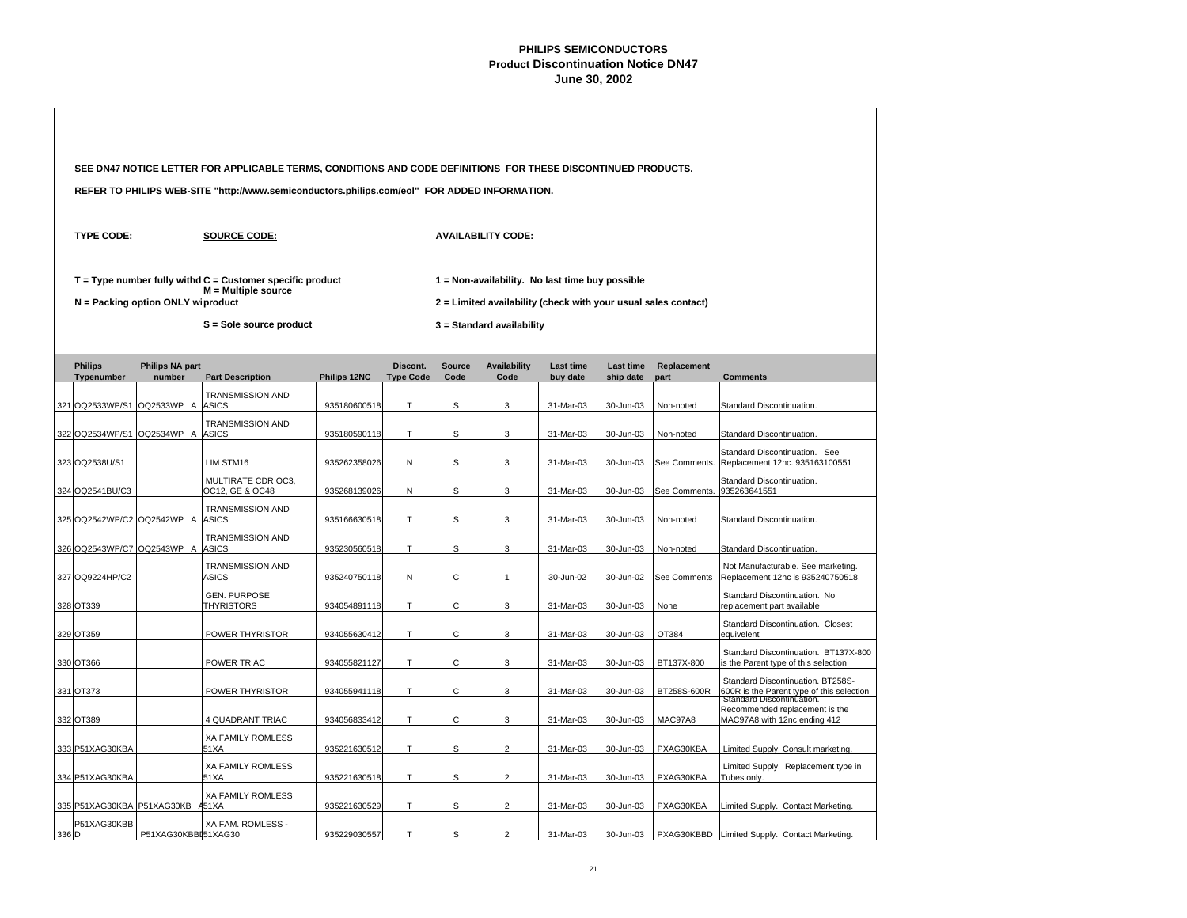|       |                                   |                           | SEE DN47 NOTICE LETTER FOR APPLICABLE TERMS, CONDITIONS AND CODE DEFINITIONS FOR THESE DISCONTINUED PRODUCTS. |              |                              |                       |                                                                                                                   |                              |                        |                     |                                                                                                             |
|-------|-----------------------------------|---------------------------|---------------------------------------------------------------------------------------------------------------|--------------|------------------------------|-----------------------|-------------------------------------------------------------------------------------------------------------------|------------------------------|------------------------|---------------------|-------------------------------------------------------------------------------------------------------------|
|       |                                   |                           | REFER TO PHILIPS WEB-SITE "http://www.semiconductors.philips.com/eol" FOR ADDED INFORMATION.                  |              |                              |                       |                                                                                                                   |                              |                        |                     |                                                                                                             |
|       | <b>TYPE CODE:</b>                 |                           | <b>SOURCE CODE:</b>                                                                                           |              |                              |                       | <b>AVAILABILITY CODE:</b>                                                                                         |                              |                        |                     |                                                                                                             |
|       | N = Packing option ONLY wiproduct |                           | $T = Type$ number fully withd $C =$ Customer specific product<br>$M =$ Multiple source                        |              |                              |                       | 1 = Non-availability. No last time buy possible<br>2 = Limited availability (check with your usual sales contact) |                              |                        |                     |                                                                                                             |
|       |                                   |                           | S = Sole source product                                                                                       |              |                              |                       | 3 = Standard availability                                                                                         |                              |                        |                     |                                                                                                             |
|       | <b>Philips</b><br>Typenumber      | Philips NA part<br>number | <b>Part Description</b>                                                                                       | Philips 12NC | Discont.<br><b>Type Code</b> | <b>Source</b><br>Code | <b>Availability</b><br>Code                                                                                       | <b>Last time</b><br>buy date | Last time<br>ship date | Replacement<br>part | <b>Comments</b>                                                                                             |
|       | 321 OQ2533WP/S1 OQ2533WP A        |                           | <b>TRANSMISSION AND</b><br><b>ASICS</b>                                                                       | 935180600518 | T                            | S                     | 3                                                                                                                 | 31-Mar-03                    | 30-Jun-03              | Non-noted           | Standard Discontinuation.                                                                                   |
|       | 322 OQ2534WP/S1 OQ2534WP A ASICS  |                           | <b>TRANSMISSION AND</b>                                                                                       | 935180590118 | T                            | S                     | 3                                                                                                                 | 31-Mar-03                    | 30-Jun-03              | Non-noted           | Standard Discontinuation.                                                                                   |
|       | 323 OQ2538U/S1                    |                           | LIM STM16                                                                                                     | 935262358026 | N                            | S                     | 3                                                                                                                 | 31-Mar-03                    | 30-Jun-03              | See Comments.       | Standard Discontinuation. See<br>Replacement 12nc. 935163100551                                             |
|       | 324 OQ2541BU/C3                   |                           | MULTIRATE CDR OC3,<br>OC12, GE & OC48                                                                         | 935268139026 | N                            | S                     | 3                                                                                                                 | 31-Mar-03                    | 30-Jun-03              | See Comments.       | Standard Discontinuation.<br>935263641551                                                                   |
|       | 325 OQ2542WP/C2 OQ2542WP A        |                           | <b>TRANSMISSION AND</b><br><b>ASICS</b>                                                                       | 935166630518 | T                            | S                     | 3                                                                                                                 | 31-Mar-03                    | 30-Jun-03              | Non-noted           | Standard Discontinuation.                                                                                   |
|       | 326 OQ2543WP/C7 OQ2543WP A        |                           | <b>TRANSMISSION AND</b><br><b>ASICS</b>                                                                       | 935230560518 | $\top$                       | s                     | 3                                                                                                                 | 31-Mar-03                    | 30-Jun-03              | Non-noted           | Standard Discontinuation.                                                                                   |
|       | 327 OQ9224HP/C2                   |                           | <b>TRANSMISSION AND</b><br>ASICS                                                                              | 935240750118 | N                            | C                     | $\mathbf{1}$                                                                                                      | 30-Jun-02                    | 30-Jun-02              | See Comments        | Not Manufacturable. See marketing.<br>Replacement 12nc is 935240750518.                                     |
|       | 328 OT339                         |                           | <b>GEN. PURPOSE</b><br><b>THYRISTORS</b>                                                                      | 934054891118 | T                            | C                     | 3                                                                                                                 | 31-Mar-03                    | 30-Jun-03              | None                | Standard Discontinuation. No<br>replacement part available                                                  |
|       | 329 OT359                         |                           | POWER THYRISTOR                                                                                               | 934055630412 | T                            | C                     | 3                                                                                                                 | 31-Mar-03                    | 30-Jun-03              | OT384               | Standard Discontinuation. Closest<br>equivelent                                                             |
|       | 330 OT366                         |                           | POWER TRIAC                                                                                                   | 934055821127 | T                            | C                     | 3                                                                                                                 | 31-Mar-03                    | 30-Jun-03              | BT137X-800          | Standard Discontinuation. BT137X-800<br>is the Parent type of this selection                                |
|       | 331 OT373                         |                           | POWER THYRISTOR                                                                                               | 934055941118 | $\top$                       | $\mathsf{C}$          | 3                                                                                                                 | 31-Mar-03                    | 30-Jun-03              | BT258S-600R         | Standard Discontinuation. BT258S-<br>600R is the Parent type of this selection<br>Standard Discontinuation. |
|       | 332 OT389                         |                           | 4 QUADRANT TRIAC                                                                                              | 934056833412 | T                            | $\mathsf{C}$          | 3                                                                                                                 | 31-Mar-03                    | 30-Jun-03              | MAC97A8             | Recommended replacement is the<br>MAC97A8 with 12nc ending 412                                              |
|       | 333 P51XAG30KBA                   |                           | XA FAMILY ROMLESS<br>51XA                                                                                     | 935221630512 | T                            | S                     | $\overline{2}$                                                                                                    | 31-Mar-03                    | 30-Jun-03              | PXAG30KBA           | Limited Supply. Consult marketing.                                                                          |
|       | 334 P51XAG30KBA                   |                           | <b>XA FAMILY ROMLESS</b><br>51XA                                                                              | 935221630518 | $\top$                       | S                     | $\overline{2}$                                                                                                    | 31-Mar-03                    | 30-Jun-03              | PXAG30KBA           | Limited Supply. Replacement type in<br>Tubes only.                                                          |
|       | 335 P51XAG30KBA P51XAG30KB        |                           | XA FAMILY ROMLESS<br>A51XA                                                                                    | 935221630529 | T                            | S                     | $\overline{2}$                                                                                                    | 31-Mar-03                    | 30-Jun-03              | PXAG30KBA           | Limited Supply. Contact Marketing.                                                                          |
| 336 D | P51XAG30KBB                       | P51XAG30KBBI51XAG30       | XA FAM. ROMLESS -                                                                                             | 935229030557 | T                            | S                     | $\overline{2}$                                                                                                    | 31-Mar-03                    | 30-Jun-03              | PXAG30KBBD          | Limited Supply. Contact Marketing.                                                                          |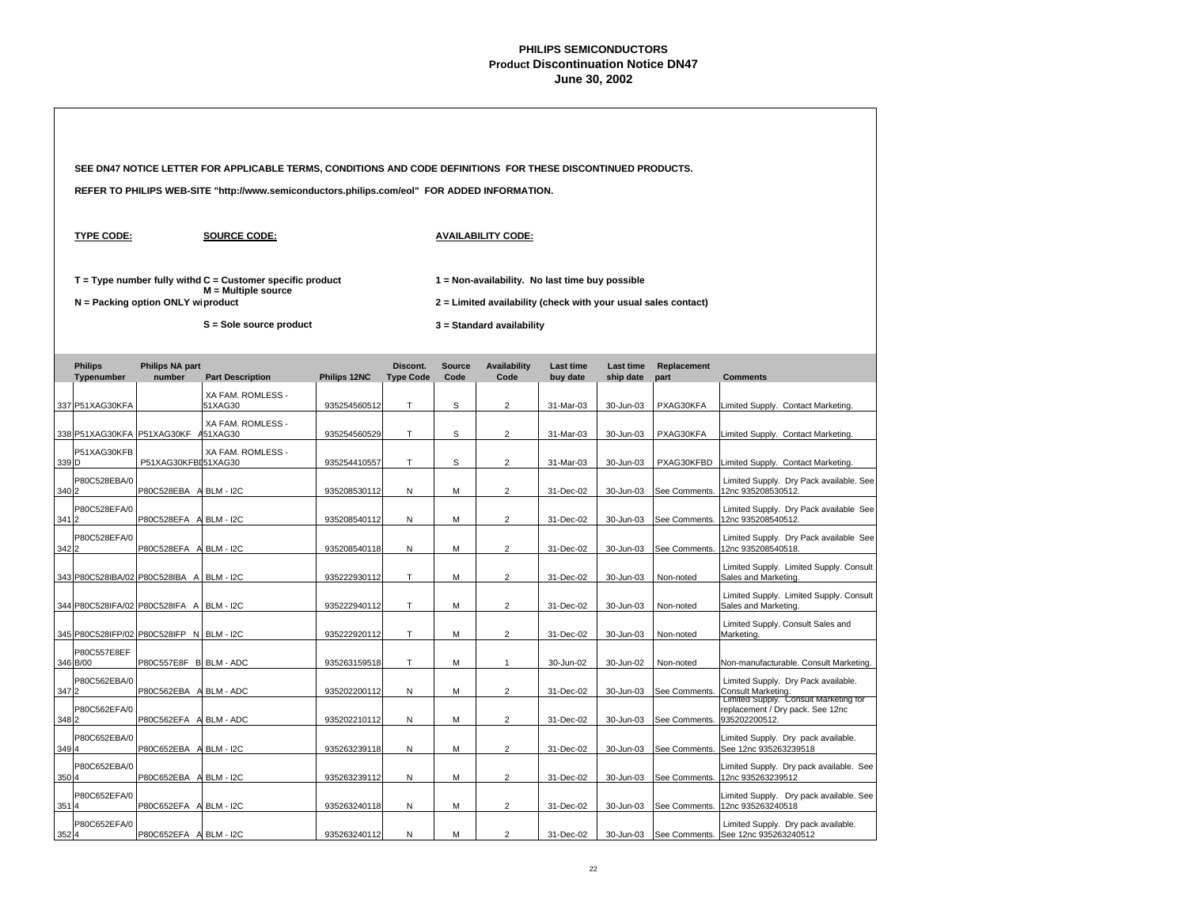|       | SEE DN47 NOTICE LETTER FOR APPLICABLE TERMS, CONDITIONS AND CODE DEFINITIONS FOR THESE DISCONTINUED PRODUCTS. |                                     |                                                                                              |              |                              |                       |                                                                                                                   |                              |                        |                         |                                                                                                    |  |  |
|-------|---------------------------------------------------------------------------------------------------------------|-------------------------------------|----------------------------------------------------------------------------------------------|--------------|------------------------------|-----------------------|-------------------------------------------------------------------------------------------------------------------|------------------------------|------------------------|-------------------------|----------------------------------------------------------------------------------------------------|--|--|
|       |                                                                                                               |                                     | REFER TO PHILIPS WEB-SITE "http://www.semiconductors.philips.com/eol" FOR ADDED INFORMATION. |              |                              |                       |                                                                                                                   |                              |                        |                         |                                                                                                    |  |  |
|       | <b>TYPE CODE:</b>                                                                                             |                                     | <b>SOURCE CODE:</b>                                                                          |              |                              |                       | <b>AVAILABILITY CODE:</b>                                                                                         |                              |                        |                         |                                                                                                    |  |  |
|       |                                                                                                               | $N =$ Packing option ONLY wiproduct | $T = Type$ number fully withd $C =$ Customer specific product<br>$M =$ Multiple source       |              |                              |                       | 1 = Non-availability. No last time buy possible<br>2 = Limited availability (check with your usual sales contact) |                              |                        |                         |                                                                                                    |  |  |
|       |                                                                                                               |                                     | S = Sole source product                                                                      |              |                              |                       | 3 = Standard availability                                                                                         |                              |                        |                         |                                                                                                    |  |  |
|       | <b>Philips</b><br>Typenumber                                                                                  | <b>Philips NA part</b><br>number    | <b>Part Description</b>                                                                      | Philips 12NC | Discont.<br><b>Type Code</b> | <b>Source</b><br>Code | <b>Availability</b><br>Code                                                                                       | <b>Last time</b><br>buy date | Last time<br>ship date | Replacement<br>part     | <b>Comments</b>                                                                                    |  |  |
|       | 337 P51XAG30KFA                                                                                               |                                     | XA FAM. ROMLESS -<br>51XAG30                                                                 | 935254560512 | T                            | S                     | $\overline{2}$                                                                                                    | 31-Mar-03                    | 30-Jun-03              | PXAG30KFA               | Limited Supply. Contact Marketing.                                                                 |  |  |
|       | 338 P51XAG30KFA P51XAG30KF A51XAG30                                                                           |                                     | XA FAM. ROMLESS -                                                                            | 935254560529 | T                            | S                     | $\overline{2}$                                                                                                    | 31-Mar-03                    | 30-Jun-03              | PXAG30KFA               | Limited Supply. Contact Marketing.                                                                 |  |  |
| 339 D | P51XAG30KFB                                                                                                   | P51XAG30KFBI51XAG30                 | XA FAM. ROMLESS -                                                                            | 935254410557 | T                            | S                     | $\overline{2}$                                                                                                    | 31-Mar-03                    | 30-Jun-03              | PXAG30KFBD              | Limited Supply. Contact Marketing.                                                                 |  |  |
| 340 2 | P80C528EBA/0                                                                                                  | P80C528EBA A BLM - I2C              |                                                                                              | 935208530112 | N                            | М                     | $\overline{2}$                                                                                                    | 31-Dec-02                    | 30-Jun-03              | See Comments.           | Limited Supply. Dry Pack available. See<br>12nc 935208530512.                                      |  |  |
| 3412  | P80C528EFA/0                                                                                                  | P80C528EFA A BLM - I2C              |                                                                                              | 935208540112 | N                            | М                     | $\overline{2}$                                                                                                    | 31-Dec-02                    | 30-Jun-03              | See Comments.           | Limited Supply. Dry Pack available See<br>12nc 935208540512.                                       |  |  |
| 342 2 | P80C528EFA/0                                                                                                  | P80C528EFA A BLM - I2C              |                                                                                              | 935208540118 | ${\sf N}$                    | М                     | $\overline{c}$                                                                                                    | 31-Dec-02                    | 30-Jun-03              | See Comments.           | Limited Supply. Dry Pack available See<br>12nc 935208540518.                                       |  |  |
|       | 343 P80C528IBA/02 P80C528IBA A BLM - I2C                                                                      |                                     |                                                                                              | 935222930112 | T.                           | M                     | $\overline{2}$                                                                                                    | 31-Dec-02                    | 30-Jun-03              | Non-noted               | Limited Supply. Limited Supply. Consult<br>Sales and Marketing.                                    |  |  |
|       | 344 P80C528IFA/02 P80C528IFA A BLM - I2C                                                                      |                                     |                                                                                              | 935222940112 | T.                           | М                     | $\overline{2}$                                                                                                    | 31-Dec-02                    | 30-Jun-03              | Non-noted               | Limited Supply. Limited Supply. Consult<br>Sales and Marketing.                                    |  |  |
|       | 345 P80C528IFP/02 P80C528IFP N BLM - I2C                                                                      |                                     |                                                                                              | 935222920112 | T                            | М                     | $\overline{2}$                                                                                                    | 31-Dec-02                    | 30-Jun-03              | Non-noted               | Limited Supply. Consult Sales and<br>Marketing.                                                    |  |  |
|       | P80C557E8EF<br>346 B/00                                                                                       | P80C557E8F B BLM - ADC              |                                                                                              | 935263159518 | T                            | М                     | $\mathbf{1}$                                                                                                      | 30-Jun-02                    | 30-Jun-02              | Non-noted               | Non-manufacturable. Consult Marketing.                                                             |  |  |
| 347 2 | P80C562EBA/0                                                                                                  | P80C562EBA A BLM - ADC              |                                                                                              | 935202200112 | N                            | М                     | $\overline{2}$                                                                                                    | 31-Dec-02                    | 30-Jun-03              | See Comments.           | Limited Supply. Dry Pack available.<br>Consult Marketing.<br>Limited Supply. Consult Marketing for |  |  |
| 348 2 | P80C562EFA/0                                                                                                  | P80C562EFA A BLM - ADC              |                                                                                              | 935202210112 | N                            | М                     | $\overline{2}$                                                                                                    | 31-Dec-02                    | 30-Jun-03              | See Comments.           | replacement / Dry pack. See 12nc<br>935202200512.                                                  |  |  |
| 3494  | P80C652EBA/0                                                                                                  | P80C652EBA A BLM - I2C              |                                                                                              | 935263239118 | N                            | М                     | $\overline{a}$                                                                                                    | 31-Dec-02                    | 30-Jun-03              | See Comments.           | Limited Supply. Dry pack available.<br>See 12nc 935263239518                                       |  |  |
| 350 4 | P80C652EBA/0                                                                                                  | P80C652EBA A BLM - I2C              |                                                                                              | 935263239112 | $\mathsf{N}$                 | M                     | $\overline{2}$                                                                                                    | 31-Dec-02                    | 30-Jun-03              | See Comments.           | Limited Supply. Dry pack available. See<br>12nc 935263239512                                       |  |  |
| 3514  | P80C652EFA/0                                                                                                  | P80C652EFA A BLM - I2C              |                                                                                              | 935263240118 | N                            | М                     | $\overline{2}$                                                                                                    | 31-Dec-02                    | 30-Jun-03              | See Comments.           | Limited Supply. Dry pack available. See<br>12nc 935263240518                                       |  |  |
| 352 4 | P80C652EFA/0                                                                                                  | P80C652EFA A BLM - I2C              |                                                                                              | 935263240112 | N                            | М                     | $\overline{2}$                                                                                                    | 31-Dec-02                    |                        | 30-Jun-03 See Comments. | Limited Supply. Dry pack available.<br>See 12nc 935263240512                                       |  |  |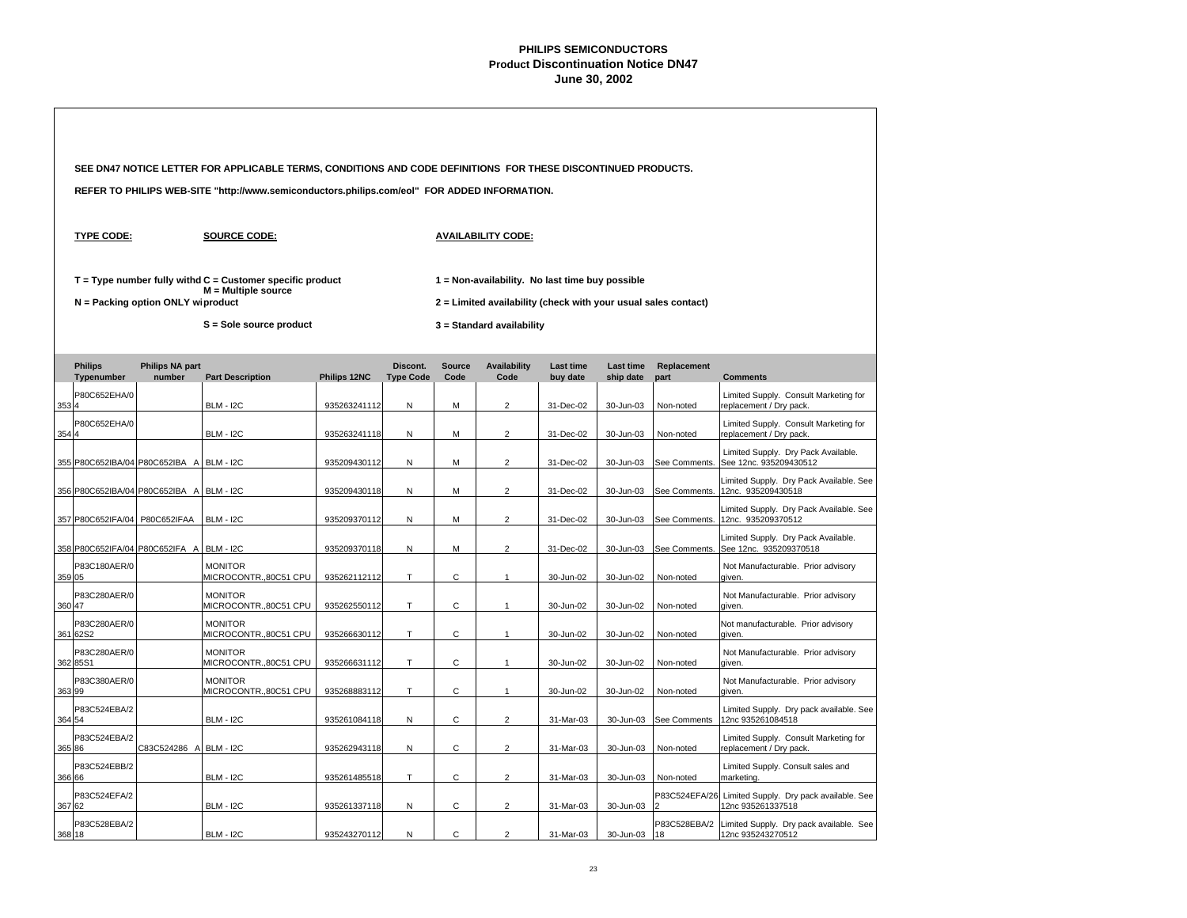|       |                                          |                                   | SEE DN47 NOTICE LETTER FOR APPLICABLE TERMS, CONDITIONS AND CODE DEFINITIONS FOR THESE DISCONTINUED PRODUCTS. |              |                              |                                                                                                                   |                             |                              |                               |                     |                                                                  |  |  |  |  |
|-------|------------------------------------------|-----------------------------------|---------------------------------------------------------------------------------------------------------------|--------------|------------------------------|-------------------------------------------------------------------------------------------------------------------|-----------------------------|------------------------------|-------------------------------|---------------------|------------------------------------------------------------------|--|--|--|--|
|       |                                          |                                   | REFER TO PHILIPS WEB-SITE "http://www.semiconductors.philips.com/eol" FOR ADDED INFORMATION.                  |              |                              |                                                                                                                   |                             |                              |                               |                     |                                                                  |  |  |  |  |
|       | <b>TYPE CODE:</b>                        |                                   | <b>SOURCE CODE:</b>                                                                                           |              |                              |                                                                                                                   | <b>AVAILABILITY CODE:</b>   |                              |                               |                     |                                                                  |  |  |  |  |
|       |                                          | N = Packing option ONLY wiproduct | $T = Type$ number fully withd $C =$ Customer specific product<br>$M =$ Multiple source                        |              |                              | 1 = Non-availability. No last time buy possible<br>2 = Limited availability (check with your usual sales contact) |                             |                              |                               |                     |                                                                  |  |  |  |  |
|       |                                          |                                   | S = Sole source product                                                                                       |              |                              |                                                                                                                   | 3 = Standard availability   |                              |                               |                     |                                                                  |  |  |  |  |
|       | <b>Philips</b><br>Typenumber             | <b>Philips NA part</b><br>number  | <b>Part Description</b>                                                                                       | Philips 12NC | Discont.<br><b>Type Code</b> | <b>Source</b><br>Code                                                                                             | <b>Availability</b><br>Code | <b>Last time</b><br>buy date | <b>Last time</b><br>ship date | Replacement<br>part | <b>Comments</b>                                                  |  |  |  |  |
| 3534  | P80C652EHA/0                             |                                   | <b>BLM - I2C</b>                                                                                              | 935263241112 | N                            | М                                                                                                                 | $\overline{2}$              | 31-Dec-02                    | 30-Jun-03                     | Non-noted           | Limited Supply. Consult Marketing for<br>replacement / Dry pack. |  |  |  |  |
| 354 4 | P80C652EHA/0                             |                                   | <b>BLM - I2C</b>                                                                                              | 935263241118 | N                            | М                                                                                                                 | $\overline{2}$              | 31-Dec-02                    | 30-Jun-03                     | Non-noted           | Limited Supply. Consult Marketing for<br>replacement / Dry pack. |  |  |  |  |
|       | 355 P80C652IBA/04 P80C652IBA A BLM - I2C |                                   |                                                                                                               | 935209430112 | N                            | М                                                                                                                 | $\overline{c}$              | 31-Dec-02                    | 30-Jun-03                     | See Comments.       | Limited Supply. Dry Pack Available.<br>See 12nc. 935209430512    |  |  |  |  |
|       | 356 P80C652IBA/04 P80C652IBA A BLM - I2C |                                   |                                                                                                               | 935209430118 | N                            | M                                                                                                                 | $\overline{2}$              | 31-Dec-02                    | 30-Jun-03                     | See Comments.       | Limited Supply. Dry Pack Available. See<br>12nc. 935209430518    |  |  |  |  |
|       | 357 P80C652IFA/04 P80C652IFAA            |                                   | <b>BLM - I2C</b>                                                                                              | 935209370112 | N                            | М                                                                                                                 | $\overline{2}$              | 31-Dec-02                    | 30-Jun-03                     | See Comments.       | Limited Supply. Dry Pack Available. See<br>12nc. 935209370512    |  |  |  |  |
|       | 358 P80C652IFA/04 P80C652IFA A           |                                   | <b>BLM - I2C</b>                                                                                              | 935209370118 | N                            | М                                                                                                                 | $\overline{c}$              | 31-Dec-02                    | 30-Jun-03                     | See Comments.       | Limited Supply. Dry Pack Available.<br>See 12nc. 935209370518    |  |  |  |  |
|       | P83C180AER/0<br>359 05                   |                                   | <b>MONITOR</b><br>MICROCONTR.,80C51 CPU                                                                       | 935262112112 | T                            | С                                                                                                                 | $\mathbf{1}$                | 30-Jun-02                    | 30-Jun-02                     | Non-noted           | Not Manufacturable. Prior advisory<br>given.                     |  |  |  |  |
|       | P83C280AER/0<br>360 47                   |                                   | <b>MONITOR</b><br>MICROCONTR.,80C51 CPU                                                                       | 935262550112 | T.                           | C                                                                                                                 | $\mathbf{1}$                | 30-Jun-02                    | 30-Jun-02                     | Non-noted           | Not Manufacturable. Prior advisory<br>aiven.                     |  |  |  |  |
|       | P83C280AER/0<br>361 62S2                 |                                   | <b>MONITOR</b><br>MICROCONTR., 80C51 CPU                                                                      | 935266630112 | T                            | C                                                                                                                 | $\mathbf{1}$                | 30-Jun-02                    | 30-Jun-02                     | Non-noted           | Not manufacturable. Prior advisory<br>given.                     |  |  |  |  |
|       | P83C280AER/0<br>362 85S1                 |                                   | <b>MONITOR</b><br>MICROCONTR.,80C51 CPU                                                                       | 935266631112 | T                            | C                                                                                                                 | $\mathbf{1}$                | 30-Jun-02                    | 30-Jun-02                     | Non-noted           | Not Manufacturable. Prior advisory<br>given.                     |  |  |  |  |
|       | P83C380AER/0<br>363 99                   |                                   | <b>MONITOR</b><br>MICROCONTR., 80C51 CPU                                                                      | 935268883112 | T                            | С                                                                                                                 | $\mathbf{1}$                | 30-Jun-02                    | 30-Jun-02                     | Non-noted           | Not Manufacturable. Prior advisory<br>given.                     |  |  |  |  |
|       | P83C524EBA/2<br>364 54                   |                                   | <b>BLM - I2C</b>                                                                                              | 935261084118 | N                            | C                                                                                                                 | $\overline{2}$              | 31-Mar-03                    | 30-Jun-03                     | See Comments        | Limited Supply. Dry pack available. See<br>12nc 935261084518     |  |  |  |  |
|       | P83C524EBA/2<br>365 86                   | C83C524286 A BLM - I2C            |                                                                                                               | 935262943118 | N                            | C                                                                                                                 | $\overline{2}$              | 31-Mar-03                    | 30-Jun-03                     | Non-noted           | Limited Supply. Consult Marketing for<br>replacement / Dry pack. |  |  |  |  |
|       | P83C524EBB/2<br>366 66                   |                                   | <b>BLM - I2C</b>                                                                                              | 935261485518 | $\top$                       | C                                                                                                                 | $\overline{c}$              | 31-Mar-03                    | 30-Jun-03                     | Non-noted           | Limited Supply. Consult sales and<br>marketing.                  |  |  |  |  |
|       | P83C524EFA/2<br>367 62                   |                                   | <b>BLM - I2C</b>                                                                                              | 935261337118 | ${\sf N}$                    | $\mathsf{C}$                                                                                                      | $\overline{2}$              | 31-Mar-03                    | 30-Jun-03                     | P83C524EFA/26<br>b  | Limited Supply. Dry pack available. See<br>12nc 935261337518     |  |  |  |  |
|       | P83C528EBA/2<br>368 18                   |                                   | <b>BLM - I2C</b>                                                                                              | 935243270112 | N                            | C                                                                                                                 | $\overline{2}$              | 31-Mar-03                    | 30-Jun-03                     | P83C528EBA/2<br>18  | Limited Supply. Dry pack available. See<br>12nc 935243270512     |  |  |  |  |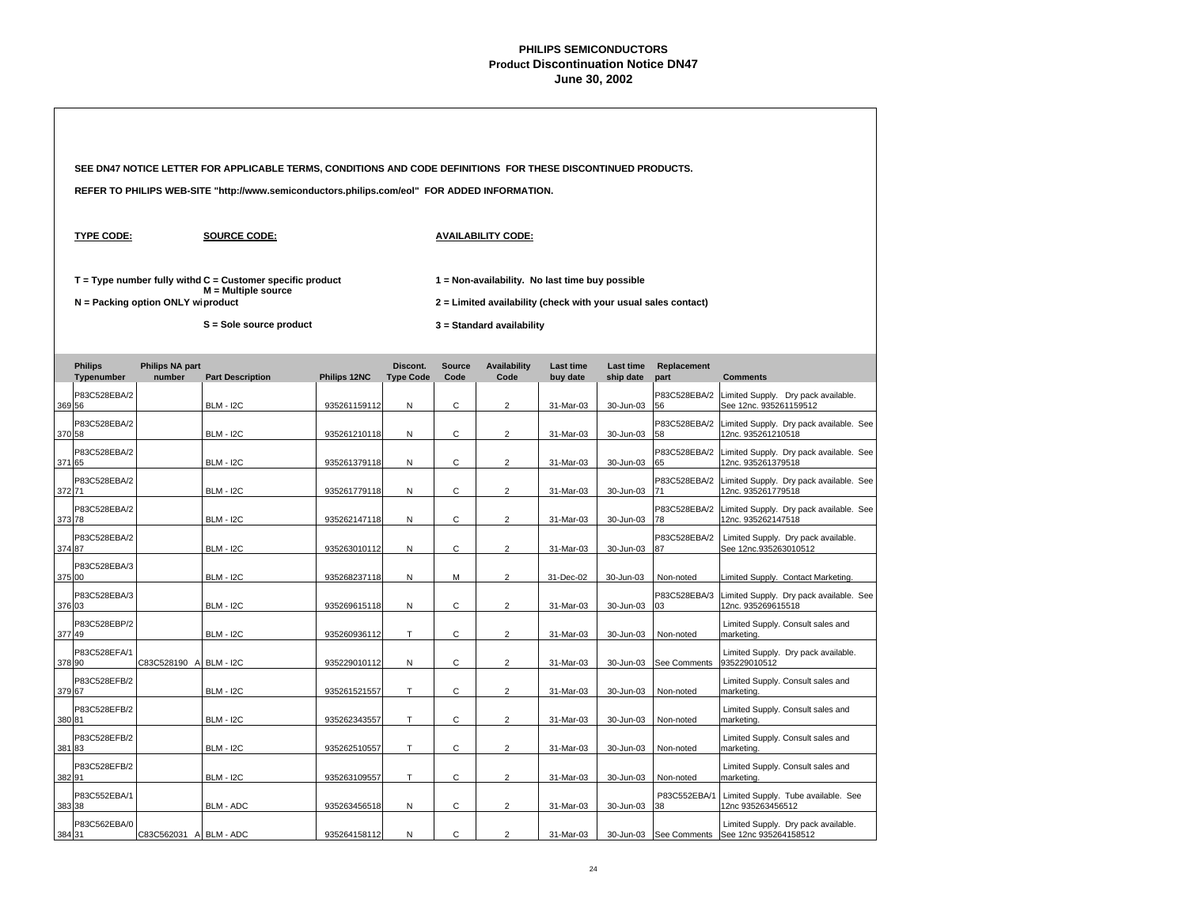|        |                              |                                   | SEE DN47 NOTICE LETTER FOR APPLICABLE TERMS, CONDITIONS AND CODE DEFINITIONS FOR THESE DISCONTINUED PRODUCTS. |              |                              |                       |                                                                                                                   |                              |                               |                     |                                                               |  |
|--------|------------------------------|-----------------------------------|---------------------------------------------------------------------------------------------------------------|--------------|------------------------------|-----------------------|-------------------------------------------------------------------------------------------------------------------|------------------------------|-------------------------------|---------------------|---------------------------------------------------------------|--|
|        |                              |                                   | REFER TO PHILIPS WEB-SITE "http://www.semiconductors.philips.com/eol" FOR ADDED INFORMATION.                  |              |                              |                       |                                                                                                                   |                              |                               |                     |                                                               |  |
|        | <b>TYPE CODE:</b>            |                                   | <b>SOURCE CODE:</b>                                                                                           |              |                              |                       | <b>AVAILABILITY CODE:</b>                                                                                         |                              |                               |                     |                                                               |  |
|        |                              | N = Packing option ONLY wiproduct | $T = Type$ number fully withd $C =$ Customer specific product<br>M = Multiple source                          |              |                              |                       | 1 = Non-availability. No last time buy possible<br>2 = Limited availability (check with your usual sales contact) |                              |                               |                     |                                                               |  |
|        |                              |                                   | S = Sole source product                                                                                       |              |                              |                       | 3 = Standard availability                                                                                         |                              |                               |                     |                                                               |  |
|        | <b>Philips</b><br>Typenumber | <b>Philips NA part</b><br>number  | <b>Part Description</b>                                                                                       | Philips 12NC | Discont.<br><b>Type Code</b> | <b>Source</b><br>Code | <b>Availability</b><br>Code                                                                                       | <b>Last time</b><br>buy date | <b>Last time</b><br>ship date | Replacement<br>part | <b>Comments</b>                                               |  |
|        | P83C528EBA/2<br>369 56       |                                   | <b>BLM - I2C</b>                                                                                              | 935261159112 | N                            | С                     | $\overline{2}$                                                                                                    | 31-Mar-03                    | 30-Jun-03                     | P83C528EBA/2<br>56  | Limited Supply. Dry pack available.<br>See 12nc. 935261159512 |  |
|        | P83C528EBA/2<br>370 58       |                                   | <b>BLM - I2C</b>                                                                                              | 935261210118 | N                            | $\mathsf{C}$          | $\overline{2}$                                                                                                    | 31-Mar-03                    | 30-Jun-03                     | P83C528EBA/2<br>58  | Limited Supply. Dry pack available. See<br>12nc. 935261210518 |  |
|        | P83C528EBA/2<br>371 65       |                                   | <b>BLM - I2C</b>                                                                                              | 935261379118 | N                            | $\mathsf{C}$          | $\overline{2}$                                                                                                    | 31-Mar-03                    | 30-Jun-03                     | P83C528EBA/2<br>65  | Limited Supply. Dry pack available. See<br>12nc. 935261379518 |  |
|        | P83C528EBA/2<br>372 71       |                                   | <b>BLM - I2C</b>                                                                                              | 935261779118 | N                            | C                     | $\overline{2}$                                                                                                    | 31-Mar-03                    | 30-Jun-03                     | P83C528EBA/2<br>71  | Limited Supply. Dry pack available. See<br>12nc. 935261779518 |  |
|        | P83C528EBA/2<br>373 78       |                                   | <b>BLM - I2C</b>                                                                                              | 935262147118 | N                            | С                     | $\overline{2}$                                                                                                    | 31-Mar-03                    | 30-Jun-03                     | P83C528EBA/2<br>78  | Limited Supply. Dry pack available. See<br>12nc. 935262147518 |  |
| 374 87 | P83C528EBA/2                 |                                   | <b>BLM - I2C</b>                                                                                              | 935263010112 | N                            | C                     | $\overline{2}$                                                                                                    | 31-Mar-03                    | 30-Jun-03                     | P83C528EBA/2<br>87  | Limited Supply. Dry pack available.<br>See 12nc.935263010512  |  |
|        | P83C528EBA/3<br>375 00       |                                   | <b>BLM - I2C</b>                                                                                              | 935268237118 | N                            | М                     | $\overline{2}$                                                                                                    | 31-Dec-02                    | 30-Jun-03                     | Non-noted           | Limited Supply. Contact Marketing.                            |  |
|        | P83C528EBA/3<br>376 03       |                                   | <b>BLM - I2C</b>                                                                                              | 935269615118 | Ν                            | С                     | $\overline{2}$                                                                                                    | 31-Mar-03                    | 30-Jun-03                     | P83C528EBA/3<br>03  | Limited Supply. Dry pack available. See<br>12nc. 935269615518 |  |
|        | P83C528EBP/2<br>377 49       |                                   | <b>BLM - I2C</b>                                                                                              | 935260936112 | T.                           | $\mathsf{C}$          | $\overline{2}$                                                                                                    | 31-Mar-03                    | 30-Jun-03                     | Non-noted           | Limited Supply. Consult sales and<br>marketing.               |  |
|        | P83C528EFA/1<br>378 90       | C83C528190 A                      | <b>BLM - I2C</b>                                                                                              | 935229010112 | N                            | C                     | $\overline{2}$                                                                                                    | 31-Mar-03                    | 30-Jun-03                     | See Comments        | Limited Supply. Dry pack available.<br>935229010512           |  |
|        | P83C528EFB/2<br>379 67       |                                   | <b>BLM - I2C</b>                                                                                              | 935261521557 | T                            | C                     | $\overline{2}$                                                                                                    | 31-Mar-03                    | 30-Jun-03                     | Non-noted           | Limited Supply. Consult sales and<br>marketing.               |  |
|        | P83C528EFB/2<br>380 81       |                                   | <b>BLM - I2C</b>                                                                                              | 935262343557 | T.                           | $\mathsf{C}$          | $\overline{a}$                                                                                                    | 31-Mar-03                    | 30-Jun-03                     | Non-noted           | Limited Supply. Consult sales and<br>marketing.               |  |
|        | P83C528EFB/2<br>381 83       |                                   | <b>BLM - I2C</b>                                                                                              | 935262510557 | T.                           | C                     | $\overline{2}$                                                                                                    | 31-Mar-03                    | 30-Jun-03                     | Non-noted           | Limited Supply. Consult sales and<br>marketing.               |  |
|        | P83C528EFB/2<br>382 91       |                                   | <b>BLM - I2C</b>                                                                                              | 935263109557 | T                            | C                     | $\overline{2}$                                                                                                    | 31-Mar-03                    | 30-Jun-03                     | Non-noted           | Limited Supply. Consult sales and<br>marketing.               |  |
|        | P83C552EBA/1<br>383 38       |                                   | BLM - ADC                                                                                                     | 935263456518 | ${\sf N}$                    | $\mathsf{C}$          | $\overline{2}$                                                                                                    | 31-Mar-03                    | 30-Jun-03                     | P83C552EBA/1<br>38  | Limited Supply. Tube available. See<br>12nc 935263456512      |  |
|        | P83C562EBA/0<br>384 31       | C83C562031 A BLM - ADC            |                                                                                                               | 935264158112 | N                            | C                     | $\overline{2}$                                                                                                    | 31-Mar-03                    | 30-Jun-03                     | See Comments        | Limited Supply. Dry pack available.<br>See 12nc 935264158512  |  |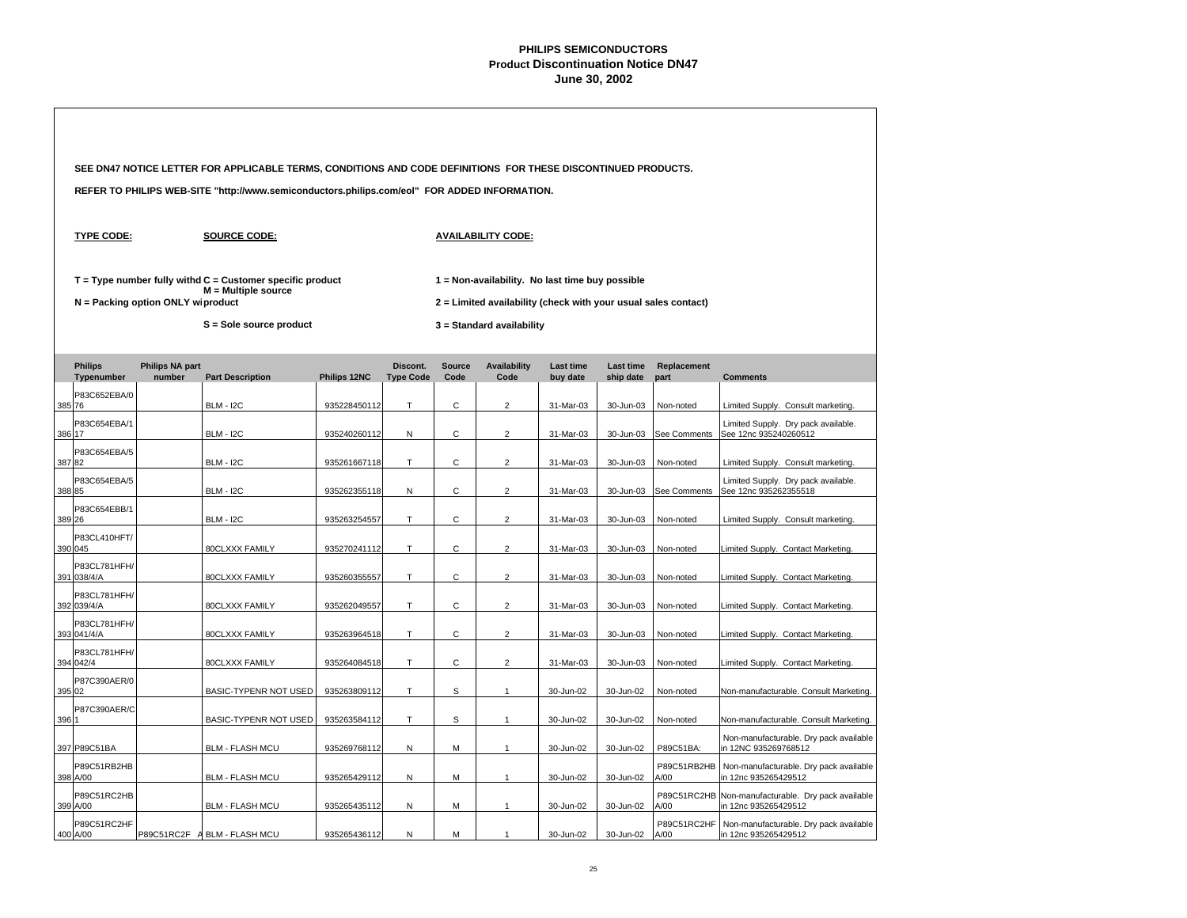|       |                              |                                   | SEE DN47 NOTICE LETTER FOR APPLICABLE TERMS, CONDITIONS AND CODE DEFINITIONS FOR THESE DISCONTINUED PRODUCTS. |              |                              |                       |                                                                |                       |                        |                     |                                                                |
|-------|------------------------------|-----------------------------------|---------------------------------------------------------------------------------------------------------------|--------------|------------------------------|-----------------------|----------------------------------------------------------------|-----------------------|------------------------|---------------------|----------------------------------------------------------------|
|       |                              |                                   | REFER TO PHILIPS WEB-SITE "http://www.semiconductors.philips.com/eol" FOR ADDED INFORMATION.                  |              |                              |                       |                                                                |                       |                        |                     |                                                                |
|       | <b>TYPE CODE:</b>            |                                   | <b>SOURCE CODE:</b>                                                                                           |              |                              |                       | <b>AVAILABILITY CODE:</b>                                      |                       |                        |                     |                                                                |
|       |                              |                                   | $T = Type$ number fully withd $C =$ Customer specific product<br>M = Multiple source                          |              |                              |                       | 1 = Non-availability. No last time buy possible                |                       |                        |                     |                                                                |
|       |                              | N = Packing option ONLY wiproduct |                                                                                                               |              |                              |                       | 2 = Limited availability (check with your usual sales contact) |                       |                        |                     |                                                                |
|       |                              |                                   | S = Sole source product                                                                                       |              |                              |                       | 3 = Standard availability                                      |                       |                        |                     |                                                                |
|       | <b>Philips</b><br>Typenumber | <b>Philips NA part</b><br>number  | <b>Part Description</b>                                                                                       | Philips 12NC | Discont.<br><b>Type Code</b> | <b>Source</b><br>Code | <b>Availability</b><br>Code                                    | Last time<br>buy date | Last time<br>ship date | Replacement<br>part | <b>Comments</b>                                                |
|       | P83C652EBA/0<br>385 76       |                                   | <b>BLM - I2C</b>                                                                                              | 935228450112 | T                            | C                     | $\overline{c}$                                                 | 31-Mar-03             | 30-Jun-03              | Non-noted           | Limited Supply. Consult marketing.                             |
|       | P83C654EBA/1<br>386 17       |                                   | <b>BLM - I2C</b>                                                                                              | 935240260112 | ${\sf N}$                    | $\mathsf{C}$          | $\overline{2}$                                                 | 31-Mar-03             | 30-Jun-03              | See Comments        | Limited Supply. Dry pack available.<br>See 12nc 935240260512   |
|       | P83C654EBA/5<br>387 82       |                                   | <b>BLM - I2C</b>                                                                                              | 935261667118 | T                            | $\mathsf{C}$          | $\overline{2}$                                                 | 31-Mar-03             | 30-Jun-03              | Non-noted           | Limited Supply. Consult marketing.                             |
|       | P83C654EBA/5<br>388 85       |                                   | <b>BLM - I2C</b>                                                                                              | 935262355118 | N                            | C                     | $\overline{2}$                                                 | 31-Mar-03             | 30-Jun-03              | See Comments        | Limited Supply. Dry pack available.<br>See 12nc 935262355518   |
|       | P83C654EBB/1<br>389 26       |                                   | <b>BLM - I2C</b>                                                                                              | 935263254557 | T                            | C                     | $\overline{c}$                                                 | 31-Mar-03             | 30-Jun-03              | Non-noted           | Limited Supply. Consult marketing.                             |
|       | P83CL410HFT/<br>390 045      |                                   | 80CLXXX FAMILY                                                                                                | 935270241112 | $\top$                       | $\mathbf C$           | $\overline{c}$                                                 | 31-Mar-03             | 30-Jun-03              | Non-noted           | Limited Supply. Contact Marketing.                             |
|       | P83CL781HFH/<br>391 038/4/A  |                                   | 80CLXXX FAMILY                                                                                                | 935260355557 | $\top$                       | $\mathsf{C}$          | $\overline{2}$                                                 | 31-Mar-03             | 30-Jun-03              | Non-noted           | Limited Supply. Contact Marketing.                             |
|       | P83CL781HFH/<br>392 039/4/A  |                                   | 80CLXXX FAMILY                                                                                                | 935262049557 | T                            | C                     | $\overline{2}$                                                 | 31-Mar-03             | 30-Jun-03              | Non-noted           | Limited Supply. Contact Marketing.                             |
|       | P83CL781HFH/<br>393 041/4/A  |                                   | 80CLXXX FAMILY                                                                                                | 935263964518 | T                            | C                     | $\overline{c}$                                                 | 31-Mar-03             | 30-Jun-03              | Non-noted           | Limited Supply. Contact Marketing.                             |
|       | P83CL781HFH/<br>394 042/4    |                                   | 80CLXXX FAMILY                                                                                                | 935264084518 | Τ                            | С                     | $\overline{2}$                                                 | 31-Mar-03             | 30-Jun-03              | Non-noted           | Limited Supply. Contact Marketing.                             |
|       | P87C390AER/0<br>395 02       |                                   | BASIC-TYPENR NOT USED                                                                                         | 935263809112 | $\top$                       | S                     | $\mathbf{1}$                                                   | 30-Jun-02             | 30-Jun-02              | Non-noted           | Non-manufacturable. Consult Marketing.                         |
| 396 1 | P87C390AER/C                 |                                   | BASIC-TYPENR NOT USED                                                                                         | 935263584112 | T                            | S                     | $\mathbf{1}$                                                   | 30-Jun-02             | 30-Jun-02              | Non-noted           | Non-manufacturable. Consult Marketing.                         |
|       | 397 P89C51BA                 |                                   | <b>BLM - FLASH MCU</b>                                                                                        | 935269768112 | ${\sf N}$                    | M                     | $\mathbf{1}$                                                   | 30-Jun-02             | 30-Jun-02              | P89C51BA:           | Non-manufacturable. Dry pack available<br>in 12NC 935269768512 |
|       | P89C51RB2HB<br>398 A/00      |                                   | <b>BLM - FLASH MCU</b>                                                                                        | 935265429112 | ${\sf N}$                    | M                     | $\mathbf{1}$                                                   | 30-Jun-02             | 30-Jun-02              | P89C51RB2HB<br>A/00 | Non-manufacturable. Dry pack available<br>in 12nc 935265429512 |
|       | P89C51RC2HB<br>399 A/00      |                                   | <b>BLM - FLASH MCU</b>                                                                                        | 935265435112 | $\mathsf{N}$                 | M                     | $\mathbf{1}$                                                   | 30-Jun-02             | 30-Jun-02              | P89C51RC2HB<br>A/00 | Non-manufacturable. Dry pack available<br>in 12nc 935265429512 |
|       | P89C51RC2HF<br>400 A/00      | P89C51RC2F<br>$\overline{ }$      | <b>BLM - FLASH MCU</b>                                                                                        | 935265436112 | N                            | M                     | $\mathbf{1}$                                                   | 30-Jun-02             | 30-Jun-02              | P89C51RC2HF<br>A/00 | Non-manufacturable. Dry pack available<br>in 12nc 935265429512 |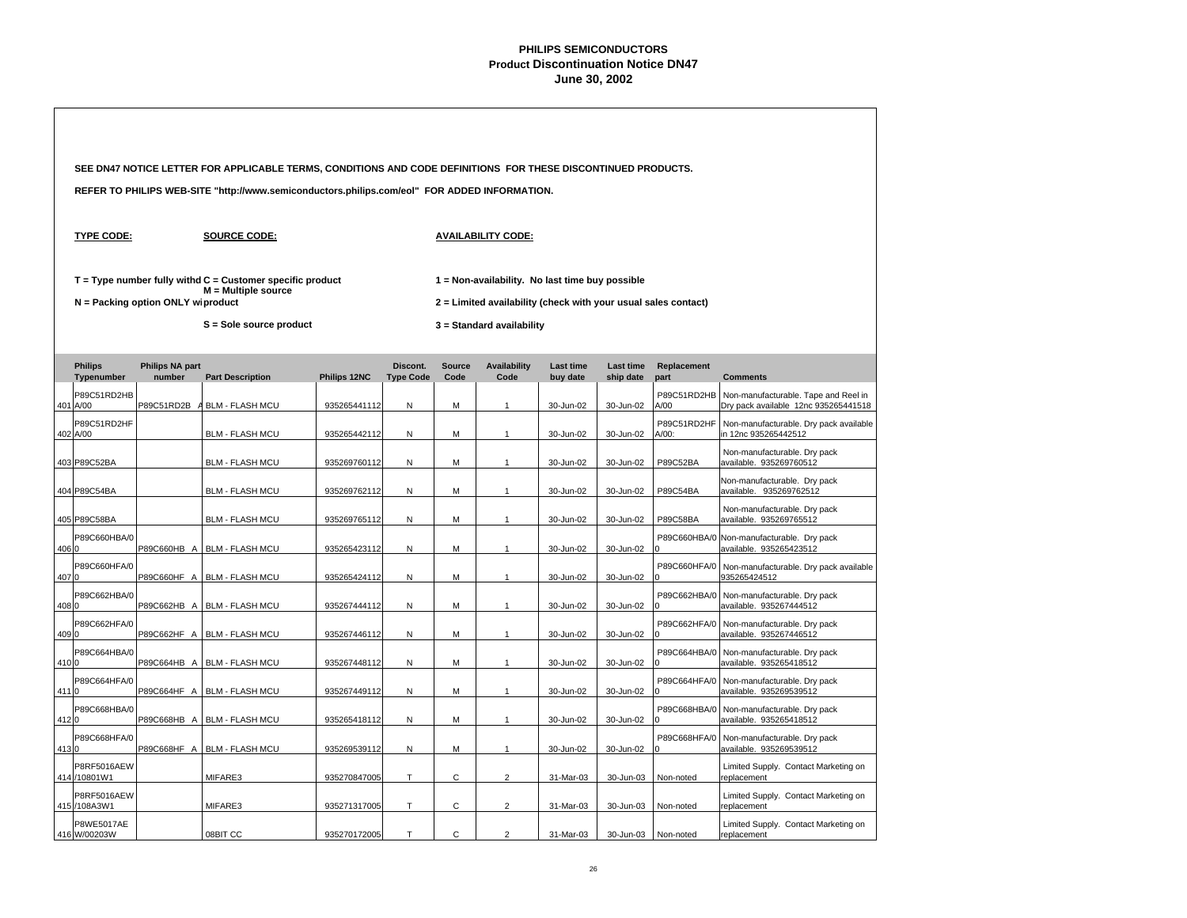|       |                                   |                                   | SEE DN47 NOTICE LETTER FOR APPLICABLE TERMS, CONDITIONS AND CODE DEFINITIONS FOR THESE DISCONTINUED PRODUCTS.     |              |                              |                       |                                                                                                                                                |                              |                        |                      |                                                                              |  |  |
|-------|-----------------------------------|-----------------------------------|-------------------------------------------------------------------------------------------------------------------|--------------|------------------------------|-----------------------|------------------------------------------------------------------------------------------------------------------------------------------------|------------------------------|------------------------|----------------------|------------------------------------------------------------------------------|--|--|
|       |                                   |                                   | REFER TO PHILIPS WEB-SITE "http://www.semiconductors.philips.com/eol" FOR ADDED INFORMATION.                      |              |                              |                       |                                                                                                                                                |                              |                        |                      |                                                                              |  |  |
|       | <b>TYPE CODE:</b>                 |                                   | <b>SOURCE CODE:</b>                                                                                               |              |                              |                       | <b>AVAILABILITY CODE:</b>                                                                                                                      |                              |                        |                      |                                                                              |  |  |
|       |                                   | N = Packing option ONLY wiproduct | $T = Type$ number fully withd $C =$ Customer specific product<br>$M =$ Multiple source<br>S = Sole source product |              |                              |                       | 1 = Non-availability. No last time buy possible<br>2 = Limited availability (check with your usual sales contact)<br>3 = Standard availability |                              |                        |                      |                                                                              |  |  |
|       |                                   |                                   |                                                                                                                   |              |                              |                       |                                                                                                                                                |                              |                        |                      |                                                                              |  |  |
|       | <b>Philips</b><br>Typenumber      | <b>Philips NA part</b><br>number  | <b>Part Description</b>                                                                                           | Philips 12NC | Discont.<br><b>Type Code</b> | <b>Source</b><br>Code | <b>Availability</b><br>Code                                                                                                                    | <b>Last time</b><br>buy date | Last time<br>ship date | Replacement<br>part  | <b>Comments</b>                                                              |  |  |
|       | P89C51RD2HB<br>401 A/00           | P89C51RD2B                        | <b>BLM - FLASH MCU</b>                                                                                            | 935265441112 | N                            | M                     | $\overline{1}$                                                                                                                                 | 30-Jun-02                    | 30-Jun-02              | P89C51RD2HB<br>A/00  | Non-manufacturable. Tape and Reel in<br>Dry pack available 12nc 935265441518 |  |  |
|       | P89C51RD2HF<br>402 A/00           |                                   | <b>BLM - FLASH MCU</b>                                                                                            | 935265442112 | N                            | M                     | $\mathbf{1}$                                                                                                                                   | 30-Jun-02                    | 30-Jun-02              | P89C51RD2HF<br>A/00: | Non-manufacturable. Dry pack available<br>in 12nc 935265442512               |  |  |
|       | 403 P89C52BA                      |                                   | <b>BLM - FLASH MCU</b>                                                                                            | 935269760112 | N                            | M                     | $\overline{1}$                                                                                                                                 | 30-Jun-02                    | 30-Jun-02              | P89C52BA             | Non-manufacturable. Dry pack<br>available. 935269760512                      |  |  |
|       | 404 P89C54BA                      |                                   | <b>BLM - FLASH MCU</b>                                                                                            | 935269762112 | N                            | M                     | $\overline{1}$                                                                                                                                 | 30-Jun-02                    | 30-Jun-02              | P89C54BA             | Non-manufacturable. Dry pack<br>available. 935269762512                      |  |  |
|       | 405 P89C58BA                      |                                   | <b>BLM - FLASH MCU</b>                                                                                            | 935269765112 | N                            | M                     | $\mathbf{1}$                                                                                                                                   | 30-Jun-02                    | 30-Jun-02              | P89C58BA             | Non-manufacturable. Dry pack<br>available. 935269765512                      |  |  |
| 406 0 | P89C660HBA/0                      | P89C660HB A                       | <b>BLM - FLASH MCU</b>                                                                                            | 935265423112 | N                            | M                     | $\mathbf{1}$                                                                                                                                   | 30-Jun-02                    | 30-Jun-02              | P89C660HBA/0         | Non-manufacturable. Dry pack<br>available. 935265423512                      |  |  |
| 4070  | P89C660HFA/0                      | P89C660HF A                       | <b>BLM - FLASH MCU</b>                                                                                            | 935265424112 | $\mathsf{N}$                 | M                     | $\mathbf{1}$                                                                                                                                   | 30-Jun-02                    | 30-Jun-02              | P89C660HFA/0         | Non-manufacturable. Dry pack available<br>935265424512                       |  |  |
| 4080  | P89C662HBA/0                      | P89C662HB A                       | <b>BLM - FLASH MCU</b>                                                                                            | 935267444112 | N                            | M                     | $\mathbf{1}$                                                                                                                                   | 30-Jun-02                    | 30-Jun-02              | P89C662HBA/0         | Non-manufacturable. Dry pack<br>available. 935267444512                      |  |  |
| 4090  | P89C662HFA/0                      | P89C662HF A                       | <b>BLM - FLASH MCU</b>                                                                                            | 935267446112 | N                            | М                     | $\mathbf{1}$                                                                                                                                   | 30-Jun-02                    | 30-Jun-02              | P89C662HFA/0         | Non-manufacturable. Dry pack<br>available. 935267446512                      |  |  |
| 4100  | P89C664HBA/0                      | P89C664HB A                       | <b>BLM - FLASH MCU</b>                                                                                            | 935267448112 | N                            | M                     | $\mathbf{1}$                                                                                                                                   | 30-Jun-02                    | 30-Jun-02              | P89C664HBA/0         | Non-manufacturable. Dry pack<br>available. 935265418512                      |  |  |
| 4110  | P89C664HFA/0                      | P89C664HF A                       | <b>BLM - FLASH MCU</b>                                                                                            | 935267449112 | N                            | M                     | $\mathbf{1}$                                                                                                                                   | 30-Jun-02                    | 30-Jun-02              | P89C664HFA/0         | Non-manufacturable. Dry pack<br>available. 935269539512                      |  |  |
| 4120  | P89C668HBA/0                      | P89C668HB A                       | <b>BLM - FLASH MCU</b>                                                                                            | 935265418112 | N                            | M                     | $\mathbf{1}$                                                                                                                                   | 30-Jun-02                    | 30-Jun-02              | P89C668HBA/0         | Non-manufacturable. Dry pack<br>available. 935265418512                      |  |  |
| 4130  | P89C668HFA/0                      | P89C668HF A                       | <b>BLM - FLASH MCU</b>                                                                                            | 935269539112 | N                            | M                     | $\mathbf{1}$                                                                                                                                   | 30-Jun-02                    | 30-Jun-02              | P89C668HFA/0<br>n    | Non-manufacturable. Dry pack<br>available. 935269539512                      |  |  |
|       | P8RF5016AEW<br>414 / 10801 W1     |                                   | MIFARE3                                                                                                           | 935270847005 | T                            | $\mathsf{C}$          | $\overline{2}$                                                                                                                                 | 31-Mar-03                    | 30-Jun-03              | Non-noted            | Limited Supply. Contact Marketing on<br>replacement                          |  |  |
|       | P8RF5016AEW<br>415 /108A3W1       |                                   | MIFARE3                                                                                                           | 935271317005 | Т                            | C                     | $\overline{2}$                                                                                                                                 | 31-Mar-03                    | 30-Jun-03              | Non-noted            | Limited Supply. Contact Marketing on<br>replacement                          |  |  |
|       | <b>P8WE5017AE</b><br>416 W/00203W |                                   | 08BIT CC                                                                                                          | 935270172005 | T                            | C                     | $\overline{2}$                                                                                                                                 | 31-Mar-03                    | 30-Jun-03              | Non-noted            | Limited Supply. Contact Marketing on<br>replacement                          |  |  |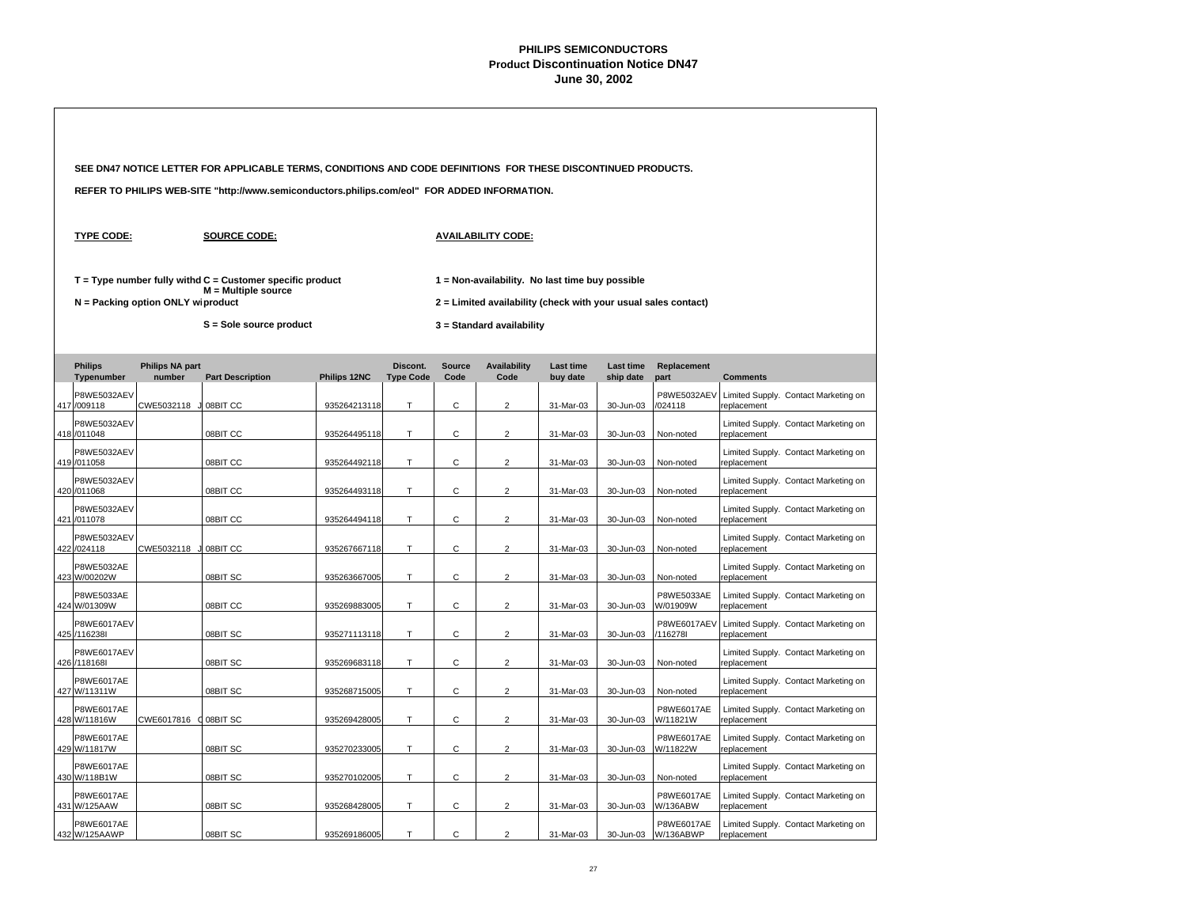|                                                  |                                   | SEE DN47 NOTICE LETTER FOR APPLICABLE TERMS, CONDITIONS AND CODE DEFINITIONS FOR THESE DISCONTINUED PRODUCTS.       |                              |                  |               |                                                                                                                                                |                        |                        |                               |                                                                                             |
|--------------------------------------------------|-----------------------------------|---------------------------------------------------------------------------------------------------------------------|------------------------------|------------------|---------------|------------------------------------------------------------------------------------------------------------------------------------------------|------------------------|------------------------|-------------------------------|---------------------------------------------------------------------------------------------|
|                                                  |                                   | REFER TO PHILIPS WEB-SITE "http://www.semiconductors.philips.com/eol" FOR ADDED INFORMATION.                        |                              |                  |               |                                                                                                                                                |                        |                        |                               |                                                                                             |
| <b>TYPE CODE:</b>                                |                                   | <b>SOURCE CODE:</b>                                                                                                 |                              |                  |               | <b>AVAILABILITY CODE:</b>                                                                                                                      |                        |                        |                               |                                                                                             |
|                                                  | N = Packing option ONLY wiproduct | $T = Type$ number fully withd $C =$ Customer specific product<br>$M =$ Multiple source<br>$S =$ Sole source product |                              |                  |               | 1 = Non-availability. No last time buy possible<br>2 = Limited availability (check with your usual sales contact)<br>3 = Standard availability |                        |                        |                               |                                                                                             |
| <b>Philips</b>                                   | <b>Philips NA part</b>            |                                                                                                                     |                              | Discont.         | <b>Source</b> | <b>Availability</b>                                                                                                                            | <b>Last time</b>       | Last time              | Replacement                   |                                                                                             |
| Typenumber<br>P8WE5032AEV                        | number                            | <b>Part Description</b>                                                                                             | Philips 12NC                 | <b>Type Code</b> | Code          | Code                                                                                                                                           | buy date               | ship date              | part<br>P8WE5032AEV           | <b>Comments</b><br>Limited Supply. Contact Marketing on                                     |
| 417 /009118<br><b>P8WE5032AEV</b><br>418 /011048 | CWE5032118                        | 08BIT CC<br>08BIT CC                                                                                                | 935264213118<br>935264495118 | т<br>T           | C<br>C        | $\overline{2}$<br>2                                                                                                                            | 31-Mar-03<br>31-Mar-03 | 30-Jun-03<br>30-Jun-03 | /024118<br>Non-noted          | replacement<br>Limited Supply. Contact Marketing on<br>replacement                          |
| P8WE5032AEV<br>419 /011058                       |                                   | 08BIT CC                                                                                                            | 935264492118                 | Т                | C             | $\overline{2}$                                                                                                                                 | 31-Mar-03              | 30-Jun-03              | Non-noted                     | Limited Supply. Contact Marketing on<br>replacement                                         |
| P8WE5032AEV<br>420 /011068                       |                                   | 08BIT CC                                                                                                            | 935264493118                 | T                | $\mathsf{C}$  | $\overline{2}$                                                                                                                                 | 31-Mar-03              | 30-Jun-03              | Non-noted                     | Limited Supply. Contact Marketing on<br>replacement                                         |
| P8WE5032AEV<br>421 /011078                       |                                   | 08BIT CC                                                                                                            | 935264494118                 | T.               | C             | $\overline{2}$                                                                                                                                 | 31-Mar-03              | 30-Jun-03              | Non-noted                     | Limited Supply. Contact Marketing on<br>replacement                                         |
| <b>P8WE5032AEV</b><br>422 /024118                | CWE5032118                        | 08BIT CC                                                                                                            | 935267667118                 | Т                | C             | $\overline{c}$                                                                                                                                 | 31-Mar-03              | 30-Jun-03              | Non-noted                     | Limited Supply. Contact Marketing on<br>replacement                                         |
| P8WE5032AE<br>423 W/00202W                       |                                   | 08BIT SC                                                                                                            | 935263667005                 | T.               | C             | $\overline{2}$                                                                                                                                 | 31-Mar-03              | 30-Jun-03              | Non-noted                     | Limited Supply. Contact Marketing on<br>replacement                                         |
| P8WE5033AE<br>424 W/01309W                       |                                   | 08BIT CC                                                                                                            | 935269883005                 | T                | C             | $\overline{2}$                                                                                                                                 | 31-Mar-03              | 30-Jun-03              | P8WE5033AE<br>W/01909W        | Limited Supply. Contact Marketing on<br>replacement                                         |
| <b>P8WE6017AEV</b><br>425 /116238                |                                   | 08BIT SC                                                                                                            | 935271113118                 | T                | С             | $\overline{2}$                                                                                                                                 | 31-Mar-03              | 30-Jun-03              | <b>P8WE6017AEV</b><br>/116278 | Limited Supply. Contact Marketing on<br>replacement                                         |
| P8WE6017AEV<br>426 /118168                       |                                   | 08BIT SC                                                                                                            | 935269683118                 | T.               | C             | $\overline{2}$                                                                                                                                 | 31-Mar-03              | 30-Jun-03              | Non-noted                     | Limited Supply. Contact Marketing on<br>replacement                                         |
| P8WE6017AE<br>427 W/11311W<br><b>P8WE6017AE</b>  |                                   | 08BIT SC                                                                                                            | 935268715005                 | T                | С             | $\overline{2}$                                                                                                                                 | 31-Mar-03              | 30-Jun-03              | Non-noted<br>P8WE6017AE       | Limited Supply. Contact Marketing on<br>replacement<br>Limited Supply. Contact Marketing on |
| 428 W/11816W<br>P8WE6017AE                       | CWE6017816 ( 08BIT SC             |                                                                                                                     | 935269428005                 | Т                | С             | $\overline{2}$                                                                                                                                 | 31-Mar-03              | 30-Jun-03              | W/11821W<br>P8WE6017AE        | replacement<br>Limited Supply. Contact Marketing on                                         |
| 429 W/11817W<br>P8WE6017AE                       |                                   | 08BIT SC                                                                                                            | 935270233005                 | T.               | C             | 2                                                                                                                                              | 31-Mar-03              | 30-Jun-03              | W/11822W                      | replacement<br>Limited Supply. Contact Marketing on                                         |
| 430 W/118B1W<br>P8WE6017AE                       |                                   | 08BIT SC                                                                                                            | 935270102005                 | T                | C             | $\overline{2}$                                                                                                                                 | 31-Mar-03              | 30-Jun-03              | Non-noted<br>P8WE6017AE       | replacement<br>Limited Supply. Contact Marketing on                                         |
| 431 W/125AAW<br>P8WE6017AE                       |                                   | 08BIT SC                                                                                                            | 935268428005                 | Т                | С             | $\overline{c}$                                                                                                                                 | 31-Mar-03              | 30-Jun-03              | W/136ABW<br>P8WE6017AE        | replacement<br>Limited Supply. Contact Marketing on                                         |
| 432 W/125AAWP                                    |                                   | 08BIT SC                                                                                                            | 935269186005                 | T                | $\mathsf{C}$  | $\overline{2}$                                                                                                                                 | 31-Mar-03              | 30-Jun-03              | W/136ABWP                     | replacement                                                                                 |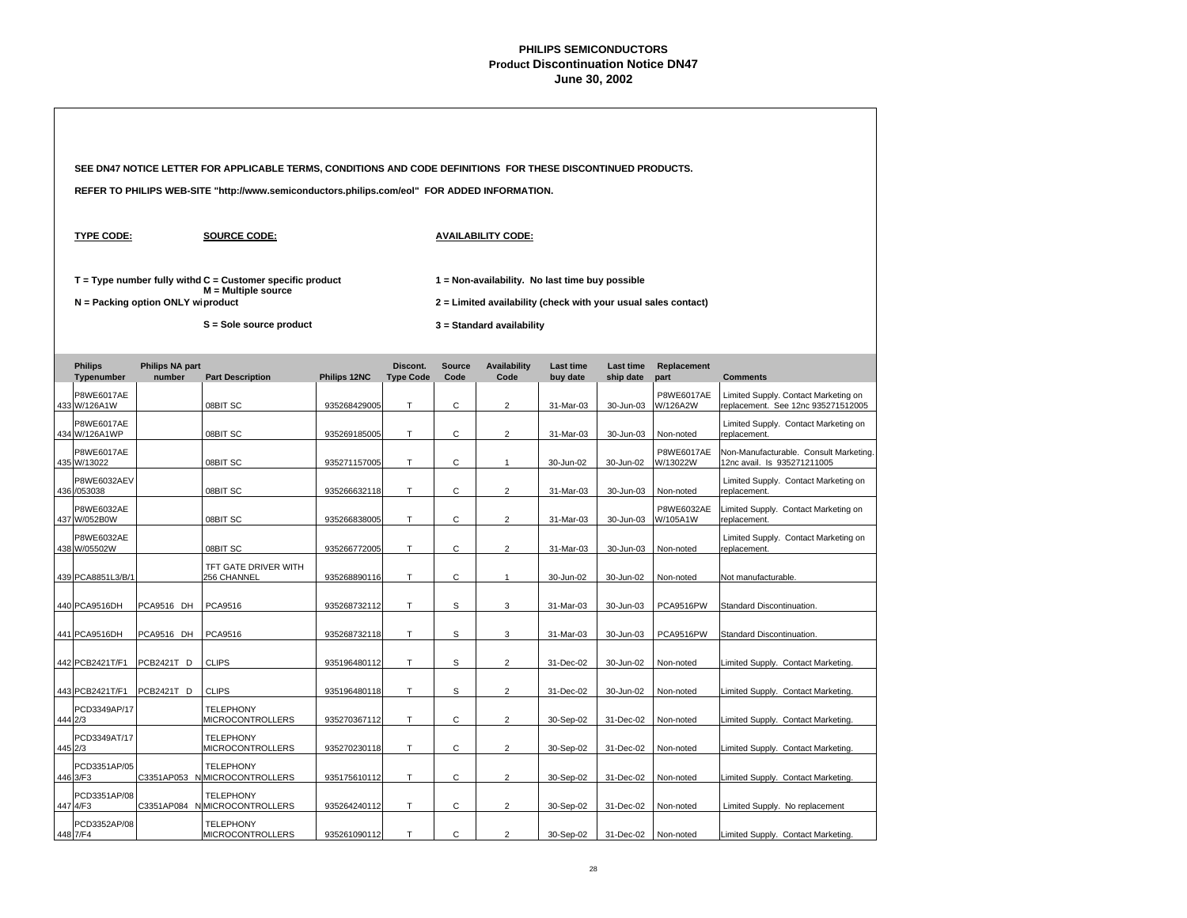|                                    |                                     | SEE DN47 NOTICE LETTER FOR APPLICABLE TERMS, CONDITIONS AND CODE DEFINITIONS FOR THESE DISCONTINUED PRODUCTS.     |              |                              |                       |                                                                                                                                                |                       |                        |                               |                                                                            |
|------------------------------------|-------------------------------------|-------------------------------------------------------------------------------------------------------------------|--------------|------------------------------|-----------------------|------------------------------------------------------------------------------------------------------------------------------------------------|-----------------------|------------------------|-------------------------------|----------------------------------------------------------------------------|
|                                    |                                     | REFER TO PHILIPS WEB-SITE "http://www.semiconductors.philips.com/eol" FOR ADDED INFORMATION.                      |              |                              |                       |                                                                                                                                                |                       |                        |                               |                                                                            |
| <b>TYPE CODE:</b>                  |                                     | <b>SOURCE CODE:</b>                                                                                               |              |                              |                       | <b>AVAILABILITY CODE:</b>                                                                                                                      |                       |                        |                               |                                                                            |
|                                    | $N =$ Packing option ONLY wiproduct | $T = Type$ number fully withd $C =$ Customer specific product<br>$M =$ Multiple source<br>S = Sole source product |              |                              |                       | 1 = Non-availability. No last time buy possible<br>2 = Limited availability (check with your usual sales contact)<br>3 = Standard availability |                       |                        |                               |                                                                            |
| <b>Philips</b><br>Typenumber       | <b>Philips NA part</b><br>number    | <b>Part Description</b>                                                                                           | Philips 12NC | Discont.<br><b>Type Code</b> | <b>Source</b><br>Code | <b>Availability</b><br>Code                                                                                                                    | Last time<br>buy date | Last time<br>ship date | Replacement<br>part           | <b>Comments</b>                                                            |
| P8WE6017AE<br>433 W/126A1W         |                                     | 08BIT SC                                                                                                          | 935268429005 | Τ                            | С                     | $\overline{2}$                                                                                                                                 | 31-Mar-03             | 30-Jun-03              | P8WE6017AE<br>W/126A2W        | Limited Supply. Contact Marketing on<br>replacement. See 12nc 935271512005 |
| <b>P8WE6017AE</b><br>434 W/126A1WP |                                     | 08BIT SC                                                                                                          | 935269185005 | T.                           | С                     | $\overline{2}$                                                                                                                                 | 31-Mar-03             | 30-Jun-03              | Non-noted                     | Limited Supply. Contact Marketing on<br>replacement.                       |
| <b>P8WE6017AE</b><br>435 W/13022   |                                     | 08BIT SC                                                                                                          | 935271157005 | T.                           | С                     | $\mathbf{1}$                                                                                                                                   | 30-Jun-02             | 30-Jun-02              | <b>P8WE6017AE</b><br>W/13022W | Non-Manufacturable. Consult Marketing.<br>12nc avail. Is 935271211005      |
| P8WE6032AEV<br>436 /053038         |                                     | 08BIT SC                                                                                                          | 935266632118 | T.                           | С                     | $\overline{2}$                                                                                                                                 | 31-Mar-03             | 30-Jun-03              | Non-noted                     | Limited Supply. Contact Marketing on<br>replacement.                       |
| P8WE6032AE<br>437 W/052B0W         |                                     | 08BIT SC                                                                                                          | 935266838005 | T.                           | C                     | $\overline{2}$                                                                                                                                 | 31-Mar-03             | 30-Jun-03              | P8WE6032AE<br>W/105A1W        | Limited Supply. Contact Marketing on<br>replacement.                       |
| P8WE6032AE<br>438 W/05502W         |                                     | 08BIT SC                                                                                                          | 935266772005 | T.                           | $\mathsf{C}$          | $\overline{2}$                                                                                                                                 | 31-Mar-03             | 30-Jun-03              | Non-noted                     | Limited Supply. Contact Marketing on<br>replacement.                       |
| 439 PCA8851L3/B/1                  |                                     | TFT GATE DRIVER WITH<br>256 CHANNEL                                                                               | 935268890116 | T                            | С                     | $\mathbf{1}$                                                                                                                                   | 30-Jun-02             | 30-Jun-02              | Non-noted                     | Not manufacturable.                                                        |
| 440 PCA9516DH                      | PCA9516 DH                          | PCA9516                                                                                                           | 935268732112 | T                            | s                     | 3                                                                                                                                              | 31-Mar-03             | 30-Jun-03              | PCA9516PW                     | Standard Discontinuation.                                                  |
| 441 PCA9516DH                      | PCA9516 DH                          | PCA9516                                                                                                           | 935268732118 | T                            | s                     | 3                                                                                                                                              | 31-Mar-03             | 30-Jun-03              | PCA9516PW                     | Standard Discontinuation.                                                  |
| 442 PCB2421T/F1                    | PCB2421T D                          | <b>CLIPS</b>                                                                                                      | 935196480112 | T                            | s                     | $\overline{2}$                                                                                                                                 | 31-Dec-02             | 30-Jun-02              | Non-noted                     | Limited Supply. Contact Marketing.                                         |
| 443 PCB2421T/F1                    | PCB2421T D                          | <b>CLIPS</b>                                                                                                      | 935196480118 | T.                           | s                     | 2                                                                                                                                              | 31-Dec-02             | 30-Jun-02              | Non-noted                     | Limited Supply. Contact Marketing.                                         |
| PCD3349AP/17<br>444 2/3            |                                     | <b>TELEPHONY</b><br>MICROCONTROLLERS                                                                              | 935270367112 | Τ                            | С                     | $\overline{2}$                                                                                                                                 | 30-Sep-02             | 31-Dec-02              | Non-noted                     | Limited Supply. Contact Marketing.                                         |
| PCD3349AT/17<br>445 2/3            |                                     | <b>TELEPHONY</b><br><b>MICROCONTROLLERS</b>                                                                       | 935270230118 | Τ                            | С                     | $\overline{2}$                                                                                                                                 | 30-Sep-02             | 31-Dec-02              | Non-noted                     | Limited Supply. Contact Marketing.                                         |
| PCD3351AP/05<br>446 3/F3           |                                     | <b>TELEPHONY</b><br>C3351AP053 N MICROCONTROLLERS                                                                 | 935175610112 | T.                           | C                     | $\overline{2}$                                                                                                                                 | 30-Sep-02             | 31-Dec-02              | Non-noted                     | Limited Supply. Contact Marketing.                                         |
| PCD3351AP/08<br>447 4/F3           |                                     | <b>TELEPHONY</b><br>C3351AP084 N MICROCONTROLLERS                                                                 | 935264240112 | Τ                            | С                     | $\overline{c}$                                                                                                                                 | 30-Sep-02             | 31-Dec-02              | Non-noted                     | Limited Supply. No replacement                                             |
| PCD3352AP/08<br>448 7/F4           |                                     | <b>TELEPHONY</b><br><b>MICROCONTROLLERS</b>                                                                       | 935261090112 | T                            | $\mathsf{C}$          | $\overline{2}$                                                                                                                                 | 30-Sep-02             | 31-Dec-02              | Non-noted                     | Limited Supply. Contact Marketing.                                         |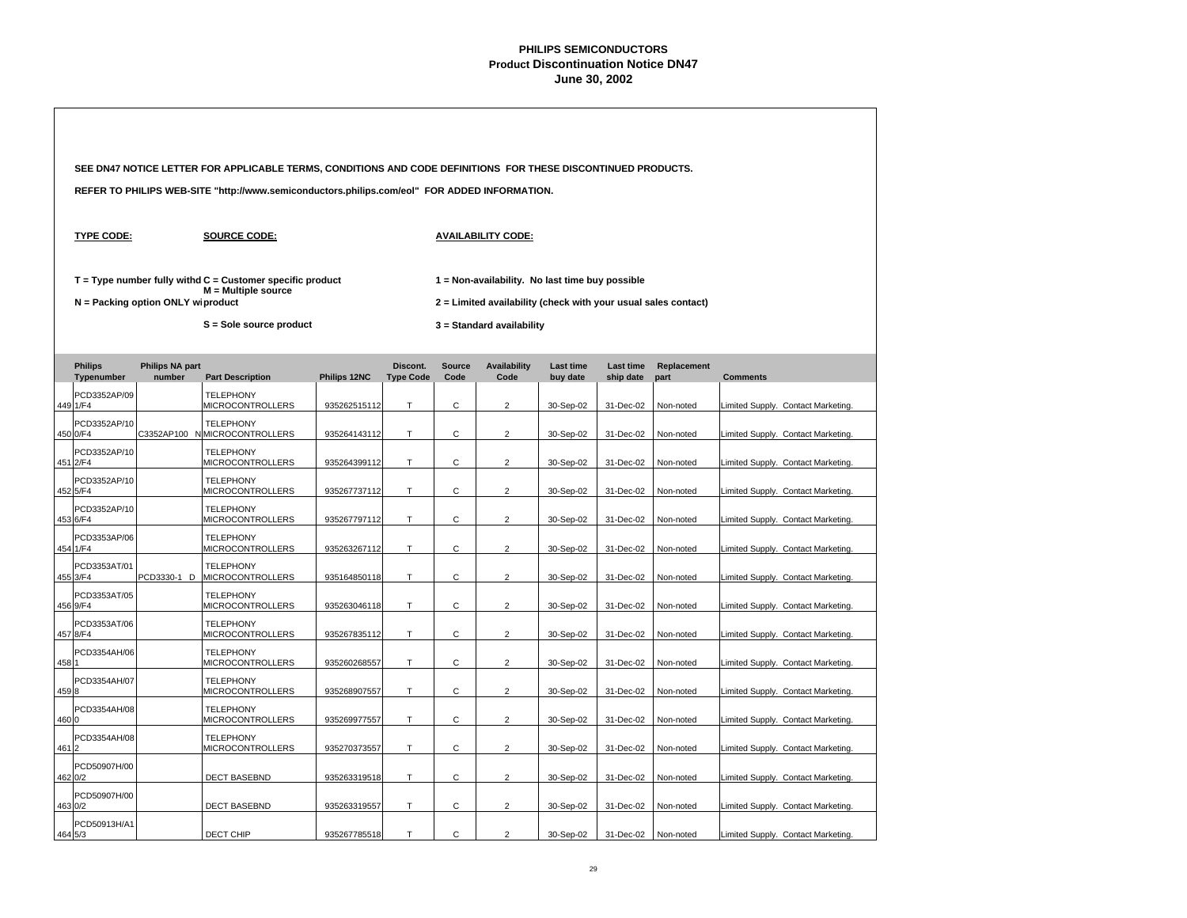|       |                              |                                   | SEE DN47 NOTICE LETTER FOR APPLICABLE TERMS, CONDITIONS AND CODE DEFINITIONS FOR THESE DISCONTINUED PRODUCTS. |              |                              |                       |                                                                                                                   |                              |                               |                     |                                    |  |
|-------|------------------------------|-----------------------------------|---------------------------------------------------------------------------------------------------------------|--------------|------------------------------|-----------------------|-------------------------------------------------------------------------------------------------------------------|------------------------------|-------------------------------|---------------------|------------------------------------|--|
|       |                              |                                   | REFER TO PHILIPS WEB-SITE "http://www.semiconductors.philips.com/eol" FOR ADDED INFORMATION.                  |              |                              |                       |                                                                                                                   |                              |                               |                     |                                    |  |
|       | <b>TYPE CODE:</b>            |                                   | <b>SOURCE CODE:</b>                                                                                           |              |                              |                       | <b>AVAILABILITY CODE:</b>                                                                                         |                              |                               |                     |                                    |  |
|       |                              | N = Packing option ONLY wiproduct | $T = Type$ number fully withd $C =$ Customer specific product<br>$M =$ Multiple source                        |              |                              |                       | 1 = Non-availability. No last time buy possible<br>2 = Limited availability (check with your usual sales contact) |                              |                               |                     |                                    |  |
|       |                              |                                   | S = Sole source product                                                                                       |              |                              |                       | 3 = Standard availability                                                                                         |                              |                               |                     |                                    |  |
|       | <b>Philips</b><br>Typenumber | <b>Philips NA part</b><br>number  | <b>Part Description</b>                                                                                       | Philips 12NC | Discont.<br><b>Type Code</b> | <b>Source</b><br>Code | <b>Availability</b><br>Code                                                                                       | <b>Last time</b><br>buy date | <b>Last time</b><br>ship date | Replacement<br>part | <b>Comments</b>                    |  |
|       | PCD3352AP/09<br>449 1/F4     |                                   | <b>TELEPHONY</b><br><b>MICROCONTROLLERS</b>                                                                   | 935262515112 | T                            | C                     | $\overline{2}$                                                                                                    | 30-Sep-02                    | 31-Dec-02                     | Non-noted           | Limited Supply. Contact Marketing. |  |
|       | PCD3352AP/10<br>450 0/F4     |                                   | <b>TELEPHONY</b><br>C3352AP100 N MICROCONTROLLERS                                                             | 935264143112 | Т                            | С                     | $\overline{2}$                                                                                                    | 30-Sep-02                    | 31-Dec-02                     | Non-noted           | Limited Supply. Contact Marketing. |  |
|       | PCD3352AP/10<br>451 2/F4     |                                   | <b>TELEPHONY</b><br><b>MICROCONTROLLERS</b>                                                                   | 935264399112 | T                            | C                     | $\overline{2}$                                                                                                    | 30-Sep-02                    | 31-Dec-02                     | Non-noted           | Limited Supply. Contact Marketing. |  |
|       | PCD3352AP/10<br>452 5/F4     |                                   | <b>TELEPHONY</b><br><b>MICROCONTROLLERS</b>                                                                   | 935267737112 | T.                           | C                     | $\overline{2}$                                                                                                    | 30-Sep-02                    | 31-Dec-02                     | Non-noted           | Limited Supply. Contact Marketing. |  |
|       | PCD3352AP/10<br>453 6/F4     |                                   | <b>TELEPHONY</b><br><b>MICROCONTROLLERS</b>                                                                   | 935267797112 | T                            | $\mathsf{C}$          | $\overline{2}$                                                                                                    | 30-Sep-02                    | 31-Dec-02                     | Non-noted           | Limited Supply. Contact Marketing. |  |
|       | PCD3353AP/06<br>454 1/F4     |                                   | <b>TELEPHONY</b><br><b>MICROCONTROLLERS</b>                                                                   | 935263267112 | T                            | C                     | $\overline{2}$                                                                                                    | 30-Sep-02                    | 31-Dec-02                     | Non-noted           | Limited Supply. Contact Marketing. |  |
|       | PCD3353AT/01<br>455 3/F4     | PCD3330-1 D                       | <b>TELEPHONY</b><br><b>MICROCONTROLLERS</b>                                                                   | 935164850118 | T.                           | C                     | $\overline{2}$                                                                                                    | 30-Sep-02                    | 31-Dec-02                     | Non-noted           | Limited Supply. Contact Marketing. |  |
|       | PCD3353AT/05<br>456 9/F4     |                                   | <b>TELEPHONY</b><br><b>MICROCONTROLLERS</b>                                                                   | 935263046118 | T.                           | С                     | $\overline{2}$                                                                                                    | 30-Sep-02                    | 31-Dec-02                     | Non-noted           | Limited Supply. Contact Marketing. |  |
|       | PCD3353AT/06<br>457 8/F4     |                                   | <b>TELEPHONY</b><br>MICROCONTROLLERS                                                                          | 935267835112 | Τ                            | C                     | $\overline{2}$                                                                                                    | 30-Sep-02                    | 31-Dec-02                     | Non-noted           | Limited Supply. Contact Marketing. |  |
| 458 1 | PCD3354AH/06                 |                                   | <b>TELEPHONY</b><br><b>MICROCONTROLLERS</b>                                                                   | 935260268557 | T                            | C                     | $\overline{2}$                                                                                                    | 30-Sep-02                    | 31-Dec-02                     | Non-noted           | Limited Supply. Contact Marketing. |  |
| 4598  | PCD3354AH/07                 |                                   | <b>TELEPHONY</b><br><b>MICROCONTROLLERS</b>                                                                   | 935268907557 | T                            | C                     | $\overline{2}$                                                                                                    | 30-Sep-02                    | 31-Dec-02                     | Non-noted           | Limited Supply. Contact Marketing. |  |
| 4600  | PCD3354AH/08                 |                                   | <b>TELEPHONY</b><br><b>MICROCONTROLLERS</b>                                                                   | 935269977557 | T                            | $\mathsf{C}$          | $\overline{2}$                                                                                                    | 30-Sep-02                    | 31-Dec-02                     | Non-noted           | Limited Supply. Contact Marketing. |  |
| 4612  | PCD3354AH/08                 |                                   | <b>TELEPHONY</b><br><b>MICROCONTROLLERS</b>                                                                   | 935270373557 | T                            | С                     | $\overline{2}$                                                                                                    | 30-Sep-02                    | 31-Dec-02                     | Non-noted           | Limited Supply. Contact Marketing. |  |
|       | PCD50907H/00<br>462 0/2      |                                   | <b>DECT BASEBND</b>                                                                                           | 935263319518 | T                            | $\mathsf{C}$          | $\overline{2}$                                                                                                    | 30-Sep-02                    | 31-Dec-02                     | Non-noted           | Limited Supply. Contact Marketing. |  |
|       | PCD50907H/00<br>463 0/2      |                                   | <b>DECT BASEBND</b>                                                                                           | 935263319557 | T                            | $\mathsf{C}$          | $\overline{2}$                                                                                                    | 30-Sep-02                    | 31-Dec-02                     | Non-noted           | Limited Supply. Contact Marketing. |  |
|       | PCD50913H/A1<br>464 5/3      |                                   | DECT CHIP                                                                                                     | 935267785518 | T                            | C.                    | $\overline{2}$                                                                                                    | 30-Sep-02                    | 31-Dec-02                     | Non-noted           | Limited Supply. Contact Marketing. |  |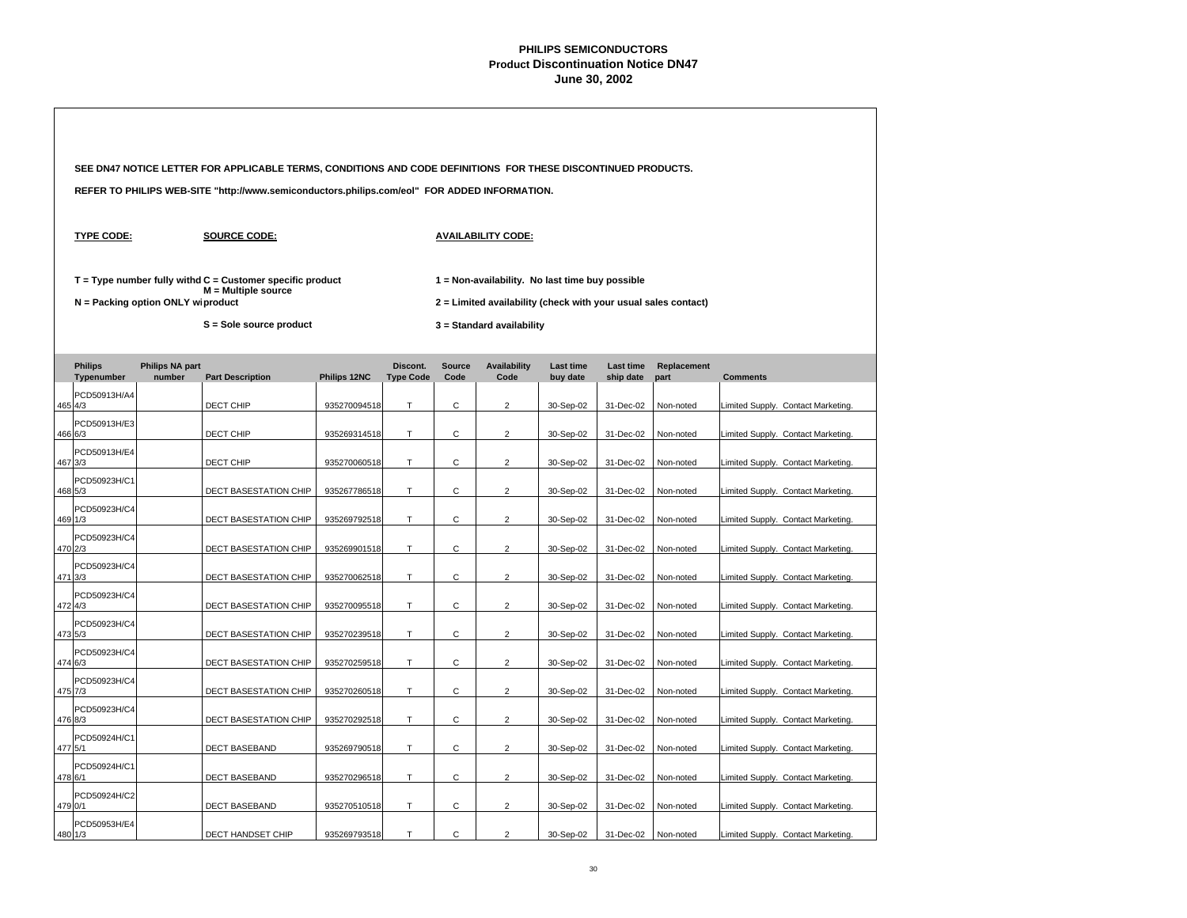|                                   |                                  | SEE DN47 NOTICE LETTER FOR APPLICABLE TERMS, CONDITIONS AND CODE DEFINITIONS FOR THESE DISCONTINUED PRODUCTS. |              |                              |                       |                                                                                             |                              |                        |                     |                                    |  |  |
|-----------------------------------|----------------------------------|---------------------------------------------------------------------------------------------------------------|--------------|------------------------------|-----------------------|---------------------------------------------------------------------------------------------|------------------------------|------------------------|---------------------|------------------------------------|--|--|
|                                   |                                  | REFER TO PHILIPS WEB-SITE "http://www.semiconductors.philips.com/eol" FOR ADDED INFORMATION.                  |              |                              |                       |                                                                                             |                              |                        |                     |                                    |  |  |
| <b>TYPE CODE:</b>                 |                                  | <b>SOURCE CODE:</b>                                                                                           |              |                              |                       | <b>AVAILABILITY CODE:</b>                                                                   |                              |                        |                     |                                    |  |  |
|                                   |                                  | $T = Type$ number fully withd $C =$ Customer specific product<br>M = Multiple source                          |              |                              |                       | 1 = Non-availability. No last time buy possible                                             |                              |                        |                     |                                    |  |  |
| N = Packing option ONLY wiproduct |                                  | S = Sole source product                                                                                       |              |                              |                       | 2 = Limited availability (check with your usual sales contact)<br>3 = Standard availability |                              |                        |                     |                                    |  |  |
| <b>Philips</b><br>Typenumber      | <b>Philips NA part</b><br>number | <b>Part Description</b>                                                                                       | Philips 12NC | Discont.<br><b>Type Code</b> | <b>Source</b><br>Code | <b>Availability</b><br>Code                                                                 | <b>Last time</b><br>buy date | Last time<br>ship date | Replacement<br>part | <b>Comments</b>                    |  |  |
| PCD50913H/A4<br>465 4/3           |                                  | DECT CHIP                                                                                                     | 935270094518 | т                            | С                     | 2                                                                                           | 30-Sep-02                    | 31-Dec-02              | Non-noted           | Limited Supply. Contact Marketing. |  |  |
| PCD50913H/E3<br>466 6/3           |                                  | DECT CHIP                                                                                                     | 935269314518 | T.                           | $\mathsf{C}$          | $\overline{2}$                                                                              | 30-Sep-02                    | 31-Dec-02              | Non-noted           | Limited Supply. Contact Marketing. |  |  |
| PCD50913H/E4<br>467 3/3           |                                  | DECT CHIP                                                                                                     | 935270060518 | T.                           | $\mathsf{C}$          | $\overline{2}$                                                                              | 30-Sep-02                    | 31-Dec-02              | Non-noted           | Limited Supply. Contact Marketing. |  |  |
| PCD50923H/C1<br>468 5/3           |                                  | <b>DECT BASESTATION CHIP</b>                                                                                  | 935267786518 | T.                           | $\mathsf{C}$          | $\overline{2}$                                                                              | 30-Sep-02                    | 31-Dec-02              | Non-noted           | Limited Supply. Contact Marketing. |  |  |
| PCD50923H/C4<br>469 1/3           |                                  | DECT BASESTATION CHIP                                                                                         | 935269792518 | $\mathsf T$                  | $\mathsf{C}$          | $\overline{2}$                                                                              | 30-Sep-02                    | 31-Dec-02              | Non-noted           | Limited Supply. Contact Marketing. |  |  |
| PCD50923H/C4<br>470 2/3           |                                  | DECT BASESTATION CHIP                                                                                         | 935269901518 | T                            | $\mathsf{C}$          | $\overline{\mathbf{c}}$                                                                     | 30-Sep-02                    | 31-Dec-02              | Non-noted           | Limited Supply. Contact Marketing. |  |  |
| PCD50923H/C4<br>471 3/3           |                                  | DECT BASESTATION CHIP                                                                                         | 935270062518 | $\mathsf T$                  | $\mathsf{C}$          | $\overline{2}$                                                                              | 30-Sep-02                    | 31-Dec-02              | Non-noted           | Limited Supply. Contact Marketing. |  |  |
| PCD50923H/C4<br>472 4/3           |                                  | DECT BASESTATION CHIP                                                                                         | 935270095518 | T.                           | С                     | $\overline{2}$                                                                              | 30-Sep-02                    | 31-Dec-02              | Non-noted           | Limited Supply. Contact Marketing. |  |  |
| PCD50923H/C4<br>473 5/3           |                                  | DECT BASESTATION CHIP                                                                                         | 935270239518 | T.                           | C                     | $\overline{2}$                                                                              | 30-Sep-02                    | 31-Dec-02              | Non-noted           | Limited Supply. Contact Marketing. |  |  |
| PCD50923H/C4<br>474 6/3           |                                  | DECT BASESTATION CHIP                                                                                         | 935270259518 | Т                            | $\mathbf C$           | $\overline{2}$                                                                              | 30-Sep-02                    | 31-Dec-02              | Non-noted           | Limited Supply. Contact Marketing. |  |  |
| PCD50923H/C4<br>475 7/3           |                                  | <b>DECT BASESTATION CHIP</b>                                                                                  | 935270260518 | T                            | C                     | $\overline{2}$                                                                              | 30-Sep-02                    | 31-Dec-02              | Non-noted           | Limited Supply. Contact Marketing. |  |  |
| PCD50923H/C4<br>476 8/3           |                                  | <b>DECT BASESTATION CHIP</b>                                                                                  | 935270292518 | T                            | C                     | $\overline{2}$                                                                              | 30-Sep-02                    | 31-Dec-02              | Non-noted           | Limited Supply. Contact Marketing. |  |  |
| PCD50924H/C1<br>477 5/1           |                                  | <b>DECT BASEBAND</b>                                                                                          | 935269790518 | T                            | $\mathsf{C}$          | $\overline{2}$                                                                              | 30-Sep-02                    | 31-Dec-02              | Non-noted           | Limited Supply. Contact Marketing. |  |  |
| PCD50924H/C1<br>478 6/1           |                                  | DECT BASEBAND                                                                                                 | 935270296518 | T.                           | $\mathsf C$           | $\overline{c}$                                                                              | 30-Sep-02                    | 31-Dec-02              | Non-noted           | Limited Supply. Contact Marketing. |  |  |
| PCD50924H/C2<br>479 0/1           |                                  | <b>DECT BASEBAND</b>                                                                                          | 935270510518 | T.                           | $\mathsf{C}$          | $\overline{2}$                                                                              | 30-Sep-02                    | 31-Dec-02              | Non-noted           | Limited Supply. Contact Marketing. |  |  |
| PCD50953H/E4<br>480 1/3           |                                  | DECT HANDSET CHIP                                                                                             | 935269793518 | T                            | C                     | $\overline{2}$                                                                              | 30-Sep-02                    | 31-Dec-02              | Non-noted           | Limited Supply. Contact Marketing. |  |  |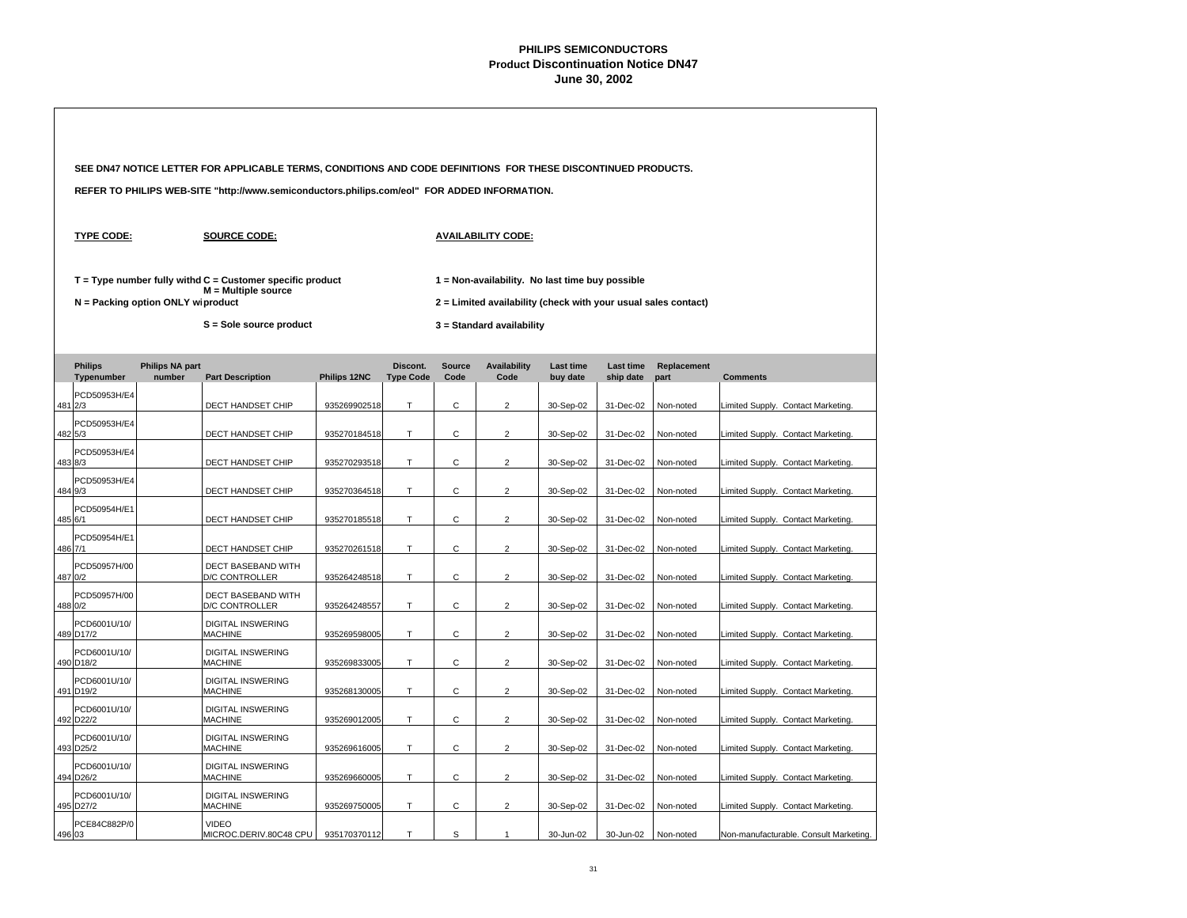|                                     |                                  | SEE DN47 NOTICE LETTER FOR APPLICABLE TERMS, CONDITIONS AND CODE DEFINITIONS FOR THESE DISCONTINUED PRODUCTS.   |              |                              |                       |                                                                                                                                                |                              |                               |                     |                 |                                        |
|-------------------------------------|----------------------------------|-----------------------------------------------------------------------------------------------------------------|--------------|------------------------------|-----------------------|------------------------------------------------------------------------------------------------------------------------------------------------|------------------------------|-------------------------------|---------------------|-----------------|----------------------------------------|
|                                     |                                  | REFER TO PHILIPS WEB-SITE "http://www.semiconductors.philips.com/eol" FOR ADDED INFORMATION.                    |              |                              |                       |                                                                                                                                                |                              |                               |                     |                 |                                        |
| <b>TYPE CODE:</b>                   |                                  | <b>SOURCE CODE:</b>                                                                                             |              |                              |                       | <b>AVAILABILITY CODE:</b>                                                                                                                      |                              |                               |                     |                 |                                        |
| $N =$ Packing option ONLY wiproduct |                                  | $T = Type$ number fully withd $C =$ Customer specific product<br>M = Multiple source<br>S = Sole source product |              |                              |                       | 1 = Non-availability. No last time buy possible<br>2 = Limited availability (check with your usual sales contact)<br>3 = Standard availability |                              |                               |                     |                 |                                        |
| <b>Philips</b><br>Typenumber        | <b>Philips NA part</b><br>number | <b>Part Description</b>                                                                                         | Philips 12NC | Discont.<br><b>Type Code</b> | <b>Source</b><br>Code | <b>Availability</b><br>Code                                                                                                                    | <b>Last time</b><br>buy date | <b>Last time</b><br>ship date | Replacement<br>part | <b>Comments</b> |                                        |
| PCD50953H/E4<br>481 2/3             |                                  | DECT HANDSET CHIP                                                                                               | 935269902518 | T.                           | C                     | $\overline{2}$                                                                                                                                 | 30-Sep-02                    | 31-Dec-02                     | Non-noted           |                 | Limited Supply. Contact Marketing.     |
| PCD50953H/E4<br>482 5/3             |                                  | DECT HANDSET CHIP                                                                                               | 935270184518 | Т                            | С                     | $\overline{2}$                                                                                                                                 | 30-Sep-02                    | 31-Dec-02                     | Non-noted           |                 | Limited Supply. Contact Marketing.     |
| PCD50953H/E4<br>483 8/3             |                                  | DECT HANDSET CHIP                                                                                               | 935270293518 | T.                           | C                     | $\overline{2}$                                                                                                                                 | 30-Sep-02                    | 31-Dec-02                     | Non-noted           |                 | Limited Supply. Contact Marketing.     |
| PCD50953H/E4<br>484 9/3             |                                  | DECT HANDSET CHIP                                                                                               | 935270364518 | Т                            | С                     | $\overline{2}$                                                                                                                                 | 30-Sep-02                    | 31-Dec-02                     | Non-noted           |                 | Limited Supply. Contact Marketing.     |
| PCD50954H/E1<br>485 6/1             |                                  | DECT HANDSET CHIP                                                                                               | 935270185518 | T                            | С                     | $\overline{2}$                                                                                                                                 | 30-Sep-02                    | 31-Dec-02                     | Non-noted           |                 | Limited Supply. Contact Marketing.     |
| PCD50954H/E1<br>486 7/1             |                                  | DECT HANDSET CHIP                                                                                               | 935270261518 | T.                           | C                     | $\overline{2}$                                                                                                                                 | 30-Sep-02                    | 31-Dec-02                     | Non-noted           |                 | Limited Supply. Contact Marketing.     |
| PCD50957H/00<br>487 0/2             |                                  | DECT BASEBAND WITH<br><b>D/C CONTROLLER</b>                                                                     | 935264248518 | T                            | С                     | $\overline{2}$                                                                                                                                 | 30-Sep-02                    | 31-Dec-02                     | Non-noted           |                 | Limited Supply. Contact Marketing      |
| PCD50957H/00<br>488 0/2             |                                  | DECT BASEBAND WITH<br>D/C CONTROLLER                                                                            | 935264248557 | T                            | С                     | $\overline{2}$                                                                                                                                 | 30-Sep-02                    | 31-Dec-02                     | Non-noted           |                 | Limited Supply. Contact Marketing      |
| PCD6001U/10/<br>489 D17/2           |                                  | <b>DIGITAL INSWERING</b><br>MACHINE                                                                             | 935269598005 | T                            | $\mathsf{C}$          | 2                                                                                                                                              | 30-Sep-02                    | 31-Dec-02                     | Non-noted           |                 | Limited Supply. Contact Marketing.     |
| PCD6001U/10/<br>490 D18/2           |                                  | <b>DIGITAL INSWERING</b><br><b>MACHINE</b>                                                                      | 935269833005 | T                            | С                     | $\overline{2}$                                                                                                                                 | 30-Sep-02                    | 31-Dec-02                     | Non-noted           |                 | Limited Supply. Contact Marketing.     |
| PCD6001U/10/<br>491 D19/2           |                                  | <b>DIGITAL INSWERING</b><br><b>MACHINE</b>                                                                      | 935268130005 | T                            | С                     | $\overline{2}$                                                                                                                                 | 30-Sep-02                    | 31-Dec-02                     | Non-noted           |                 | Limited Supply. Contact Marketing.     |
| PCD6001U/10/<br>492 D22/2           |                                  | <b>DIGITAL INSWERING</b><br><b>MACHINE</b>                                                                      | 935269012005 | Т                            | С                     | $\overline{2}$                                                                                                                                 | 30-Sep-02                    | 31-Dec-02                     | Non-noted           |                 | Limited Supply. Contact Marketing.     |
| PCD6001U/10/<br>493 D25/2           |                                  | <b>DIGITAL INSWERING</b><br><b>MACHINE</b>                                                                      | 935269616005 | Τ                            | С                     | $\overline{2}$                                                                                                                                 | 30-Sep-02                    | 31-Dec-02                     | Non-noted           |                 | Limited Supply. Contact Marketing.     |
| PCD6001U/10/<br>494 D26/2           |                                  | <b>DIGITAL INSWERING</b><br><b>MACHINE</b>                                                                      | 935269660005 | T                            | С                     | $\overline{\mathbf{c}}$                                                                                                                        | 30-Sep-02                    | 31-Dec-02                     | Non-noted           |                 | Limited Supply. Contact Marketing.     |
| PCD6001U/10/<br>495 D27/2           |                                  | <b>DIGITAL INSWERING</b><br><b>MACHINE</b>                                                                      | 935269750005 | Т                            | С                     | $\overline{c}$                                                                                                                                 | 30-Sep-02                    | 31-Dec-02                     | Non-noted           |                 | Limited Supply. Contact Marketing.     |
| PCE84C882P/0<br>496 03              |                                  | <b>VIDEO</b><br>MICROC.DERIV.80C48 CPU                                                                          | 935170370112 | T                            | S                     | $\mathbf{1}$                                                                                                                                   | 30-Jun-02                    | 30-Jun-02                     | Non-noted           |                 | Non-manufacturable. Consult Marketing. |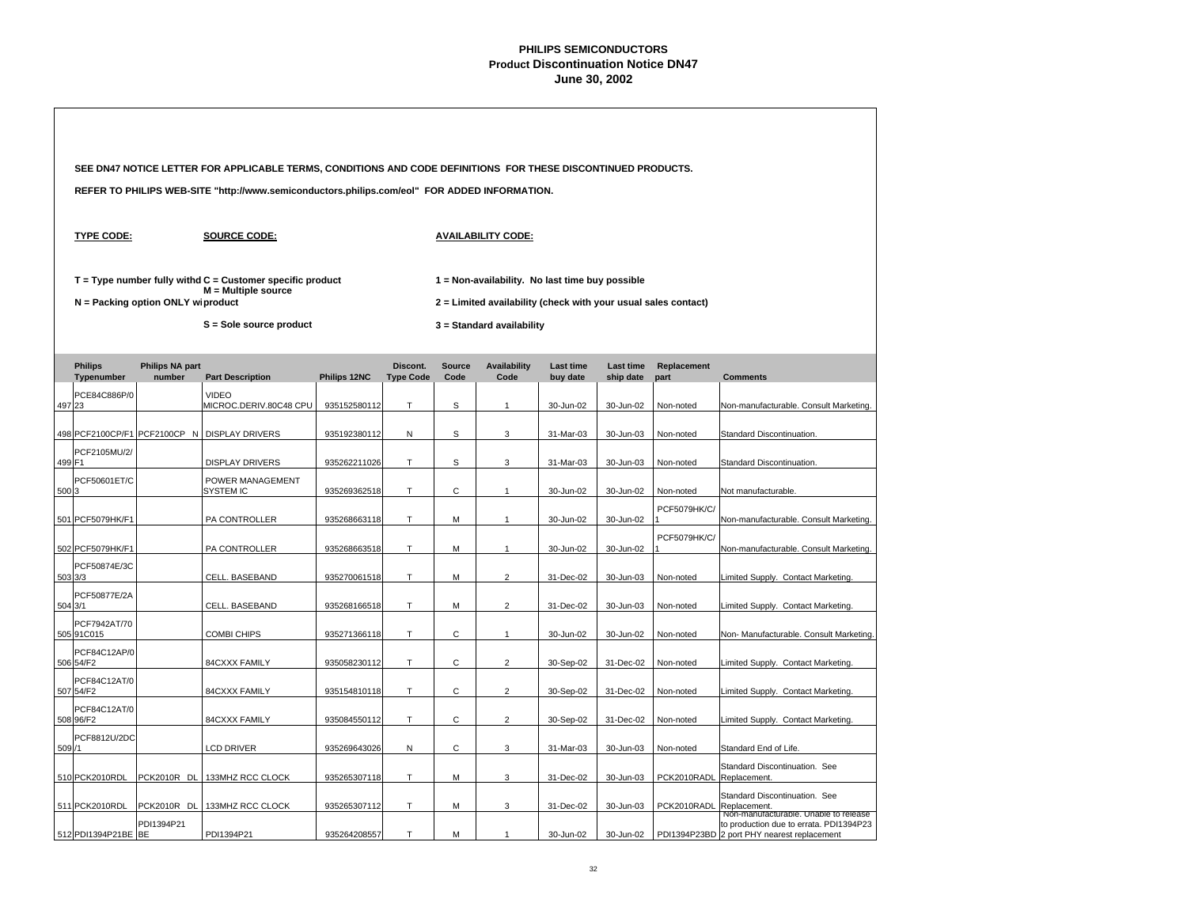|         |                              |                                     | SEE DN47 NOTICE LETTER FOR APPLICABLE TERMS, CONDITIONS AND CODE DEFINITIONS FOR THESE DISCONTINUED PRODUCTS. |              |                              |                       |                                                                                                                   |                              |                        |                     |                                                                                                                                 |
|---------|------------------------------|-------------------------------------|---------------------------------------------------------------------------------------------------------------|--------------|------------------------------|-----------------------|-------------------------------------------------------------------------------------------------------------------|------------------------------|------------------------|---------------------|---------------------------------------------------------------------------------------------------------------------------------|
|         |                              |                                     | REFER TO PHILIPS WEB-SITE "http://www.semiconductors.philips.com/eol" FOR ADDED INFORMATION.                  |              |                              |                       |                                                                                                                   |                              |                        |                     |                                                                                                                                 |
|         | <b>TYPE CODE:</b>            |                                     | <b>SOURCE CODE:</b>                                                                                           |              |                              |                       | <b>AVAILABILITY CODE:</b>                                                                                         |                              |                        |                     |                                                                                                                                 |
|         |                              | $N =$ Packing option ONLY wiproduct | $T = Type$ number fully withd $C =$ Customer specific product<br>$M =$ Multiple source                        |              |                              |                       | 1 = Non-availability. No last time buy possible<br>2 = Limited availability (check with your usual sales contact) |                              |                        |                     |                                                                                                                                 |
|         |                              |                                     | S = Sole source product                                                                                       |              |                              |                       | 3 = Standard availability                                                                                         |                              |                        |                     |                                                                                                                                 |
|         | <b>Philips</b><br>Typenumber | <b>Philips NA part</b><br>number    | <b>Part Description</b>                                                                                       | Philips 12NC | Discont.<br><b>Type Code</b> | <b>Source</b><br>Code | <b>Availability</b><br>Code                                                                                       | <b>Last time</b><br>buy date | Last time<br>ship date | Replacement<br>part | <b>Comments</b>                                                                                                                 |
| 497 23  | PCE84C886P/0                 |                                     | <b>VIDEO</b><br>MICROC.DERIV.80C48 CPU                                                                        | 935152580112 | T.                           | S                     | $\mathbf{1}$                                                                                                      | 30-Jun-02                    | 30-Jun-02              | Non-noted           | Non-manufacturable. Consult Marketing.                                                                                          |
|         |                              | 498 PCF2100CP/F1 PCF2100CP N        | <b>DISPLAY DRIVERS</b>                                                                                        | 935192380112 | Ν                            | S                     | 3                                                                                                                 | 31-Mar-03                    | 30-Jun-03              | Non-noted           | Standard Discontinuation.                                                                                                       |
| 499 F1  | PCF2105MU/2/                 |                                     | <b>DISPLAY DRIVERS</b>                                                                                        | 935262211026 | T.                           | S                     | 3                                                                                                                 | 31-Mar-03                    | 30-Jun-03              | Non-noted           | Standard Discontinuation.                                                                                                       |
| 500 3   | PCF50601ET/C                 |                                     | POWER MANAGEMENT<br>SYSTEM IC                                                                                 | 935269362518 | T                            | C                     | $\overline{1}$                                                                                                    | 30-Jun-02                    | 30-Jun-02              | Non-noted           | Not manufacturable.                                                                                                             |
|         | 501 PCF5079HK/F1             |                                     | PA CONTROLLER                                                                                                 | 935268663118 | T                            | M                     | $\overline{1}$                                                                                                    | 30-Jun-02                    | 30-Jun-02              | <b>PCF5079HK/C/</b> | Non-manufacturable. Consult Marketing.                                                                                          |
|         | 502 PCF5079HK/F1             |                                     | PA CONTROLLER                                                                                                 | 935268663518 | T.                           | M                     | $\mathbf{1}$                                                                                                      | 30-Jun-02                    | 30-Jun-02              | PCF5079HK/C/        | Non-manufacturable. Consult Marketing.                                                                                          |
| 503 3/3 | PCF50874E/3C                 |                                     | CELL. BASEBAND                                                                                                | 935270061518 | T                            | M                     | $\overline{2}$                                                                                                    | 31-Dec-02                    | 30-Jun-03              | Non-noted           | Limited Supply. Contact Marketing                                                                                               |
| 504 3/1 | PCF50877E/2A                 |                                     | CELL. BASEBAND                                                                                                | 935268166518 | T                            | M                     | $\overline{2}$                                                                                                    | 31-Dec-02                    | 30-Jun-03              | Non-noted           | Limited Supply. Contact Marketing                                                                                               |
|         | PCF7942AT/70<br>505 91 C015  |                                     | <b>COMBI CHIPS</b>                                                                                            | 935271366118 | $\top$                       | $\mathsf C$           | $\overline{1}$                                                                                                    | 30-Jun-02                    | 30-Jun-02              | Non-noted           | Non- Manufacturable. Consult Marketing                                                                                          |
|         | PCF84C12AP/0<br>506 54/F2    |                                     | 84CXXX FAMILY                                                                                                 | 935058230112 | $\mathsf T$                  | $\mathsf{C}$          | $\overline{2}$                                                                                                    | 30-Sep-02                    | 31-Dec-02              | Non-noted           | Limited Supply. Contact Marketing.                                                                                              |
|         | PCF84C12AT/0<br>507 54/F2    |                                     | 84CXXX FAMILY                                                                                                 | 935154810118 | T                            | C                     | $\overline{2}$                                                                                                    | 30-Sep-02                    | 31-Dec-02              | Non-noted           | Limited Supply. Contact Marketing.                                                                                              |
|         | PCF84C12AT/0<br>508 96/F2    |                                     | 84CXXX FAMILY                                                                                                 | 935084550112 | Т                            | С                     | $\overline{2}$                                                                                                    | 30-Sep-02                    | 31-Dec-02              | Non-noted           | Limited Supply. Contact Marketing.                                                                                              |
| 509/1   | PCF8812U/2DC                 |                                     | <b>LCD DRIVER</b>                                                                                             | 935269643026 | Ν                            | $\mathsf{C}$          | 3                                                                                                                 | 31-Mar-03                    | 30-Jun-03              | Non-noted           | Standard End of Life.                                                                                                           |
|         | 510 PCK2010RDL               | PCK2010R DL                         | 133MHZ RCC CLOCK                                                                                              | 935265307118 | T                            | M                     | 3                                                                                                                 | 31-Dec-02                    | 30-Jun-03              | PCK2010RADL         | Standard Discontinuation. See<br>Replacement.                                                                                   |
|         | 511 PCK2010RDL               | PCK2010R DL                         | 133MHZ RCC CLOCK                                                                                              | 935265307112 | Т                            | M                     | 3                                                                                                                 | 31-Dec-02                    | 30-Jun-03              | PCK2010RADL         | Standard Discontinuation. See<br>Replacement.                                                                                   |
|         | 512 PDI1394P21BE BE          | PDI1394P21                          | PDI1394P21                                                                                                    | 935264208557 | T                            | M                     | $\overline{1}$                                                                                                    | 30-Jun-02                    | 30-Jun-02              |                     | Non-manufacturable. Unable to release<br>to production due to errata. PDI1394P23<br>PDI1394P23BD 2 port PHY nearest replacement |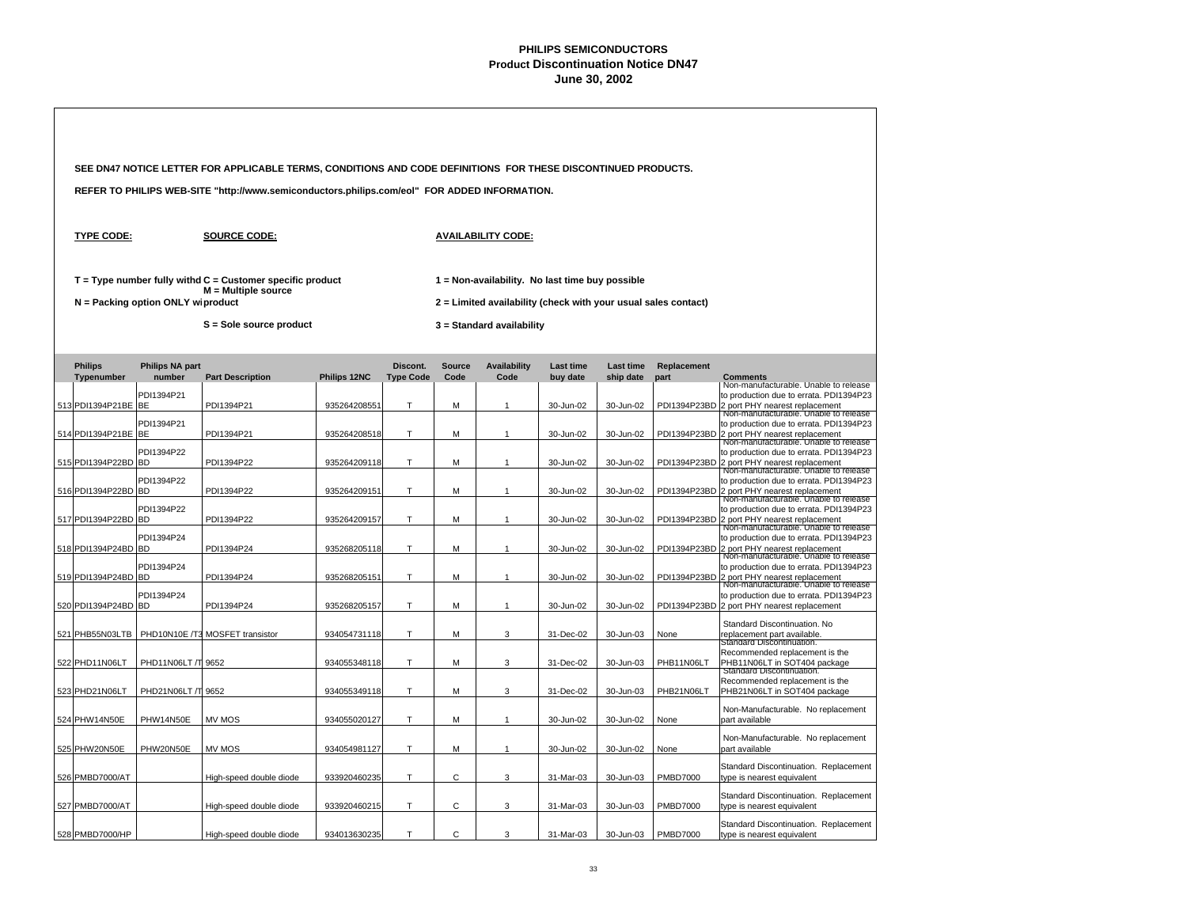|                     |                                   | SEE DN47 NOTICE LETTER FOR APPLICABLE TERMS, CONDITIONS AND CODE DEFINITIONS FOR THESE DISCONTINUED PRODUCTS. |                     |                  |               |                                                                                                                   |           |           |                 |                                                                                                                                                                          |  |  |
|---------------------|-----------------------------------|---------------------------------------------------------------------------------------------------------------|---------------------|------------------|---------------|-------------------------------------------------------------------------------------------------------------------|-----------|-----------|-----------------|--------------------------------------------------------------------------------------------------------------------------------------------------------------------------|--|--|
|                     |                                   | REFER TO PHILIPS WEB-SITE "http://www.semiconductors.philips.com/eol" FOR ADDED INFORMATION.                  |                     |                  |               |                                                                                                                   |           |           |                 |                                                                                                                                                                          |  |  |
| <b>TYPE CODE:</b>   |                                   | <b>SOURCE CODE:</b>                                                                                           |                     |                  |               | <b>AVAILABILITY CODE:</b>                                                                                         |           |           |                 |                                                                                                                                                                          |  |  |
|                     | N = Packing option ONLY wiproduct | $T = Type$ number fully withd $C =$ Customer specific product<br>$M =$ Multiple source                        |                     |                  |               | 1 = Non-availability. No last time buy possible<br>2 = Limited availability (check with your usual sales contact) |           |           |                 |                                                                                                                                                                          |  |  |
|                     |                                   | S = Sole source product                                                                                       |                     |                  |               | 3 = Standard availability                                                                                         |           |           |                 |                                                                                                                                                                          |  |  |
| <b>Philips</b>      | <b>Philips NA part</b>            |                                                                                                               |                     | Discont.         | <b>Source</b> | <b>Availability</b>                                                                                               | Last time | Last time | Replacement     |                                                                                                                                                                          |  |  |
| Typenumber          | number                            | <b>Part Description</b>                                                                                       | <b>Philips 12NC</b> | <b>Type Code</b> | Code          | Code                                                                                                              | buy date  | ship date | part            | <b>Comments</b><br>Non-manufacturable. Unable to release                                                                                                                 |  |  |
| 513 PDI1394P21BE BE | PDI1394P21                        | PDI1394P21                                                                                                    | 935264208551        | T                | M             | $\mathbf{1}$                                                                                                      | 30-Jun-02 | 30-Jun-02 |                 | to production due to errata. PDI1394P23<br>PDI1394P23BD 2 port PHY nearest replacement                                                                                   |  |  |
| 514 PDI1394P21BE BE | PDI1394P21                        | PDI1394P21                                                                                                    | 935264208518        | T.               | M             | $\overline{1}$                                                                                                    | 30-Jun-02 | 30-Jun-02 |                 | Non-manufacturable. Unable to release<br>to production due to errata. PDI1394P23<br>PDI1394P23BD 2 port PHY nearest replacement<br>Non-manufacturable. Unable to release |  |  |
| 515 PDI1394P22BD BD | PDI1394P22                        | PDI1394P22                                                                                                    | 935264209118        | T                | M             | $\overline{1}$                                                                                                    | 30-Jun-02 | 30-Jun-02 |                 | to production due to errata. PDI1394P23<br>PDI1394P23BD 2 port PHY nearest replacement                                                                                   |  |  |
| 516 PDI1394P22BD    | PDI1394P22<br><b>BD</b>           | PDI1394P22                                                                                                    | 935264209151        | T                | M             | $\mathbf{1}$                                                                                                      | 30-Jun-02 | 30-Jun-02 |                 | Non-manufacturable. Unable to release<br>to production due to errata. PDI1394P23<br>PDI1394P23BD 2 port PHY nearest replacement<br>Non-manufacturable. Unable to release |  |  |
| 517 PDI1394P22BD    | PDI1394P22<br><b>BD</b>           | PDI1394P22                                                                                                    | 935264209157        | T                | M             | $\mathbf{1}$                                                                                                      | 30-Jun-02 | 30-Jun-02 |                 | to production due to errata. PDI1394P23<br>PDI1394P23BD 2 port PHY nearest replacement<br>Non-manufacturable. Unable to release                                          |  |  |
| 518 PDI1394P24BD    | PDI1394P24<br><b>BD</b>           | PDI1394P24                                                                                                    | 935268205118        | T                | M             | $\mathbf{1}$                                                                                                      | 30-Jun-02 | 30-Jun-02 |                 | to production due to errata. PDI1394P23<br>PDI1394P23BD 2 port PHY nearest replacement<br>Non-manufacturable. Unable to release                                          |  |  |
| 519 PDI1394P24BD    | PDI1394P24<br><b>IBD</b>          | PDI1394P24                                                                                                    | 935268205151        | T                | M             | $\mathbf{1}$                                                                                                      | 30-Jun-02 | 30-Jun-02 | PDI1394P23BD    | to production due to errata. PDI1394P23<br>2 port PHY nearest replacement                                                                                                |  |  |
| 520 PDI1394P24BD BD | PDI1394P24                        | PDI1394P24                                                                                                    | 935268205157        | т                | M             | $\overline{1}$                                                                                                    | 30-Jun-02 | 30-Jun-02 |                 | Non-manufacturable. Unable to release<br>to production due to errata. PDI1394P23<br>PDI1394P23BD 2 port PHY nearest replacement                                          |  |  |
|                     |                                   |                                                                                                               |                     |                  |               |                                                                                                                   |           |           |                 | Standard Discontinuation. No                                                                                                                                             |  |  |
| 521 PHB55N03LTB     |                                   | PHD10N10E /T3 MOSFET transistor                                                                               | 934054731118        | T                | M             | 3                                                                                                                 | 31-Dec-02 | 30-Jun-03 | None            | replacement part available.<br>Standard Discontinuation.                                                                                                                 |  |  |
| 522 PHD11N06LT      | PHD11N06LT /T 9652                |                                                                                                               | 934055348118        | T                | M             | 3                                                                                                                 | 31-Dec-02 | 30-Jun-03 | PHB11N06LT      | Recommended replacement is the<br>PHB11N06LT in SOT404 package                                                                                                           |  |  |
| 523 PHD21N06LT      | PHD21N06LT /T 9652                |                                                                                                               | 934055349118        | T                | M             | 3                                                                                                                 | 31-Dec-02 | 30-Jun-03 | PHB21N06LT      | Standard Discontinuation.<br>Recommended replacement is the<br>PHB21N06LT in SOT404 package                                                                              |  |  |
| 524 PHW14N50E       | PHW14N50E                         | MV MOS                                                                                                        | 934055020127        | T                | M             | $\overline{1}$                                                                                                    | 30-Jun-02 | 30-Jun-02 | None            | Non-Manufacturable. No replacement<br>part available                                                                                                                     |  |  |
| 525 PHW20N50E       | PHW20N50E                         | MV MOS                                                                                                        | 934054981127        | T                | M             | $\mathbf{1}$                                                                                                      | 30-Jun-02 | 30-Jun-02 | None            | Non-Manufacturable. No replacement<br>part available                                                                                                                     |  |  |
| 526 PMBD7000/AT     |                                   | High-speed double diode                                                                                       | 933920460235        | T                | C             | 3                                                                                                                 | 31-Mar-03 | 30-Jun-03 | <b>PMBD7000</b> | Standard Discontinuation. Replacement<br>type is nearest equivalent                                                                                                      |  |  |
| 527 PMBD7000/AT     |                                   | High-speed double diode                                                                                       | 933920460215        | T                | C             | 3                                                                                                                 | 31-Mar-03 | 30-Jun-03 | <b>PMBD7000</b> | Standard Discontinuation. Replacement<br>type is nearest equivalent                                                                                                      |  |  |
| 528 PMBD7000/HP     |                                   | High-speed double diode                                                                                       | 934013630235        | T                | C             | 3                                                                                                                 | 31-Mar-03 | 30-Jun-03 | <b>PMBD7000</b> | Standard Discontinuation. Replacement<br>type is nearest equivalent                                                                                                      |  |  |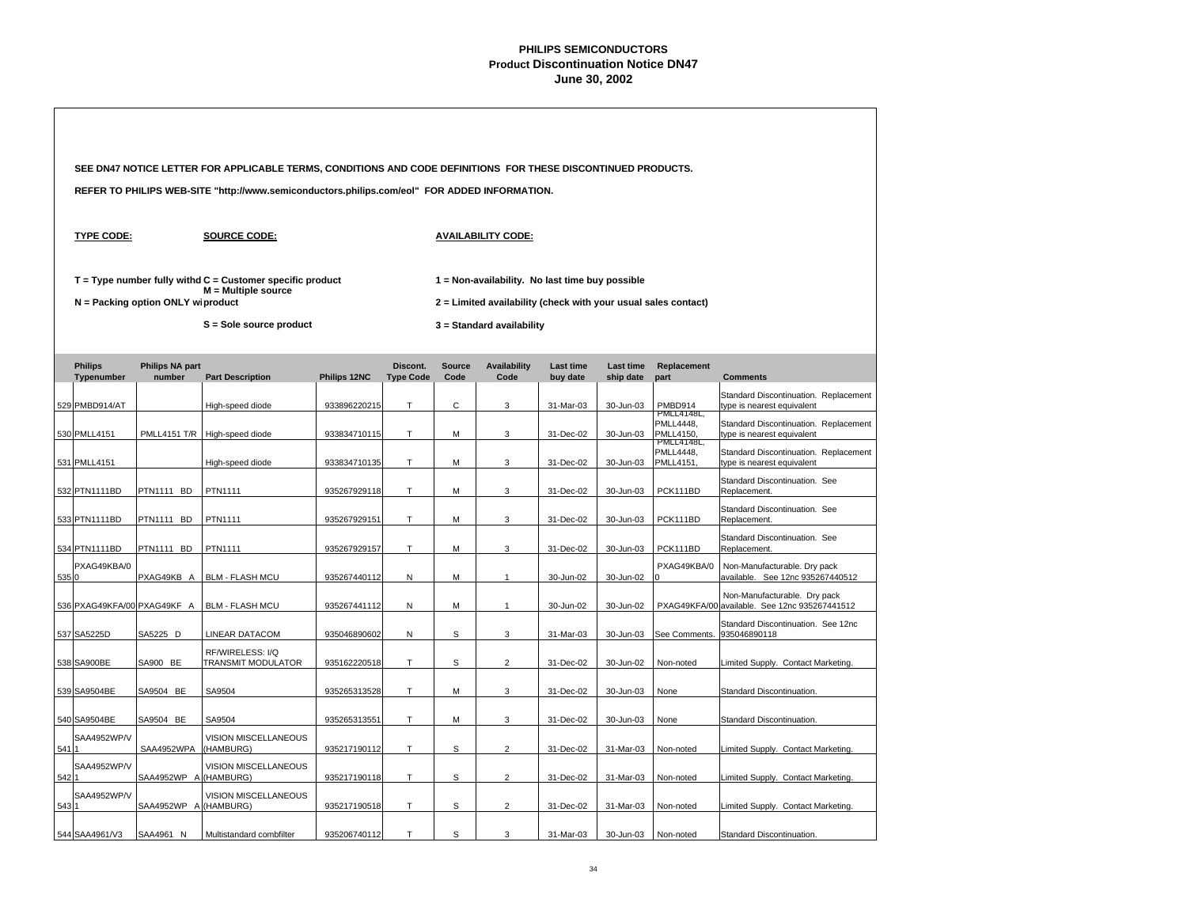|       |                              |                                     | SEE DN47 NOTICE LETTER FOR APPLICABLE TERMS, CONDITIONS AND CODE DEFINITIONS FOR THESE DISCONTINUED PRODUCTS.   |              |                              |                       |                                                                                                                                                |                              |                               |                                                   |                                                                               |  |  |
|-------|------------------------------|-------------------------------------|-----------------------------------------------------------------------------------------------------------------|--------------|------------------------------|-----------------------|------------------------------------------------------------------------------------------------------------------------------------------------|------------------------------|-------------------------------|---------------------------------------------------|-------------------------------------------------------------------------------|--|--|
|       |                              |                                     | REFER TO PHILIPS WEB-SITE "http://www.semiconductors.philips.com/eol" FOR ADDED INFORMATION.                    |              |                              |                       |                                                                                                                                                |                              |                               |                                                   |                                                                               |  |  |
|       | <b>TYPE CODE:</b>            |                                     | <b>SOURCE CODE:</b>                                                                                             |              |                              |                       | <b>AVAILABILITY CODE:</b>                                                                                                                      |                              |                               |                                                   |                                                                               |  |  |
|       |                              | $N =$ Packing option ONLY wiproduct | $T = Type$ number fully withd $C =$ Customer specific product<br>M = Multiple source<br>S = Sole source product |              |                              |                       | 1 = Non-availability. No last time buy possible<br>2 = Limited availability (check with your usual sales contact)<br>3 = Standard availability |                              |                               |                                                   |                                                                               |  |  |
|       | <b>Philips</b><br>Typenumber | <b>Philips NA part</b><br>number    | <b>Part Description</b>                                                                                         | Philips 12NC | Discont.<br><b>Type Code</b> | <b>Source</b><br>Code | <b>Availability</b><br>Code                                                                                                                    | <b>Last time</b><br>buy date | <b>Last time</b><br>ship date | Replacement<br>part                               | <b>Comments</b>                                                               |  |  |
|       | 529 PMBD914/AT               |                                     | High-speed diode                                                                                                | 933896220215 | Т                            | C                     | 3                                                                                                                                              | 31-Mar-03                    | 30-Jun-03                     | PMBD914<br>PMLL4148L,                             | Standard Discontinuation. Replacement<br>type is nearest equivalent           |  |  |
|       | 530 PMLL4151                 | PMLL4151 T/R                        | High-speed diode                                                                                                | 933834710115 | T                            | M                     | 3                                                                                                                                              | 31-Dec-02                    | 30-Jun-03                     | PMLL4448,<br><b>PMLL4150</b><br><b>PMLL4148L,</b> | Standard Discontinuation. Replacement<br>type is nearest equivalent           |  |  |
|       | 531 PMLL4151                 |                                     | High-speed diode                                                                                                | 933834710135 | T                            | M                     | 3                                                                                                                                              | 31-Dec-02                    | 30-Jun-03                     | <b>PMLL4448.</b><br>PMLL4151,                     | Standard Discontinuation. Replacement<br>type is nearest equivalent           |  |  |
|       | 532 PTN1111BD                | PTN1111 BD                          | PTN1111                                                                                                         | 935267929118 | T                            | M                     | 3                                                                                                                                              | 31-Dec-02                    | 30-Jun-03                     | PCK111BD                                          | Standard Discontinuation. See<br>Replacement.                                 |  |  |
|       | 533 PTN1111BD                | PTN1111 BD                          | PTN1111                                                                                                         | 935267929151 | T.                           | M                     | 3                                                                                                                                              | 31-Dec-02                    | 30-Jun-03                     | PCK111BD                                          | Standard Discontinuation. See<br>Replacement.                                 |  |  |
|       | 534 PTN1111BD                | PTN1111 BD                          | PTN1111                                                                                                         | 935267929157 | T                            | M                     | 3                                                                                                                                              | 31-Dec-02                    | 30-Jun-03                     | PCK111BD                                          | Standard Discontinuation. See<br>Replacement.                                 |  |  |
| 5350  | PXAG49KBA/0                  | PXAG49KB A                          | <b>BLM - FLASH MCU</b>                                                                                          | 935267440112 | N                            | М                     | $\mathbf{1}$                                                                                                                                   | 30-Jun-02                    | 30-Jun-02                     | PXAG49KBA/0<br>$\Omega$                           | Non-Manufacturable. Dry pack<br>available. See 12nc 935267440512              |  |  |
|       | 536 PXAG49KFA/00 PXAG49KF A  |                                     | <b>BLM - FLASH MCU</b>                                                                                          | 935267441112 | N                            | М                     | $\mathbf{1}$                                                                                                                                   | 30-Jun-02                    | 30-Jun-02                     |                                                   | Non-Manufacturable. Dry pack<br>PXAG49KFA/00 available. See 12nc 935267441512 |  |  |
|       | 537 SA5225D                  | SA5225 D                            | LINEAR DATACOM                                                                                                  | 935046890602 | N                            | s                     | 3                                                                                                                                              | 31-Mar-03                    | 30-Jun-03                     | See Comments.                                     | Standard Discontinuation. See 12nc<br>935046890118                            |  |  |
|       | 538 SA900BE                  | SA900 BE                            | RF/WIRELESS: I/Q<br>TRANSMIT MODULATOR                                                                          | 935162220518 | Τ                            | s                     | $\overline{2}$                                                                                                                                 | 31-Dec-02                    | 30-Jun-02                     | Non-noted                                         | Limited Supply. Contact Marketing.                                            |  |  |
|       | 539 SA9504BE                 | SA9504 BE                           | SA9504                                                                                                          | 935265313528 | T                            | M                     | 3                                                                                                                                              | 31-Dec-02                    | 30-Jun-03                     | None                                              | Standard Discontinuation.                                                     |  |  |
|       | 540 SA9504BE                 | SA9504 BE                           | SA9504                                                                                                          | 935265313551 | T                            | М                     | 3                                                                                                                                              | 31-Dec-02                    | 30-Jun-03                     | None                                              | Standard Discontinuation.                                                     |  |  |
| 541 1 | SAA4952WP/V                  | SAA4952WPA                          | VISION MISCELLANEOUS<br>(HAMBURG)                                                                               | 935217190112 | T                            | s                     | $\overline{c}$                                                                                                                                 | 31-Dec-02                    | 31-Mar-03                     | Non-noted                                         | Limited Supply. Contact Marketing.                                            |  |  |
| 542 1 | SAA4952WP/V                  | SAA4952WP A                         | VISION MISCELLANEOUS<br>(HAMBURG)                                                                               | 935217190118 | T                            | s                     | $\overline{2}$                                                                                                                                 | 31-Dec-02                    | 31-Mar-03                     | Non-noted                                         | Limited Supply. Contact Marketing.                                            |  |  |
| 543 1 | SAA4952WP/V                  | SAA4952WP A                         | VISION MISCELLANEOUS<br>(HAMBURG)                                                                               | 935217190518 | Т                            | S                     | $\overline{2}$                                                                                                                                 | 31-Dec-02                    | 31-Mar-03                     | Non-noted                                         | Limited Supply. Contact Marketing.                                            |  |  |
|       | 544 SAA4961/V3               | SAA4961 N                           | Multistandard combfilter                                                                                        | 935206740112 | T                            | S                     | 3                                                                                                                                              | 31-Mar-03                    | 30-Jun-03                     | Non-noted                                         | Standard Discontinuation.                                                     |  |  |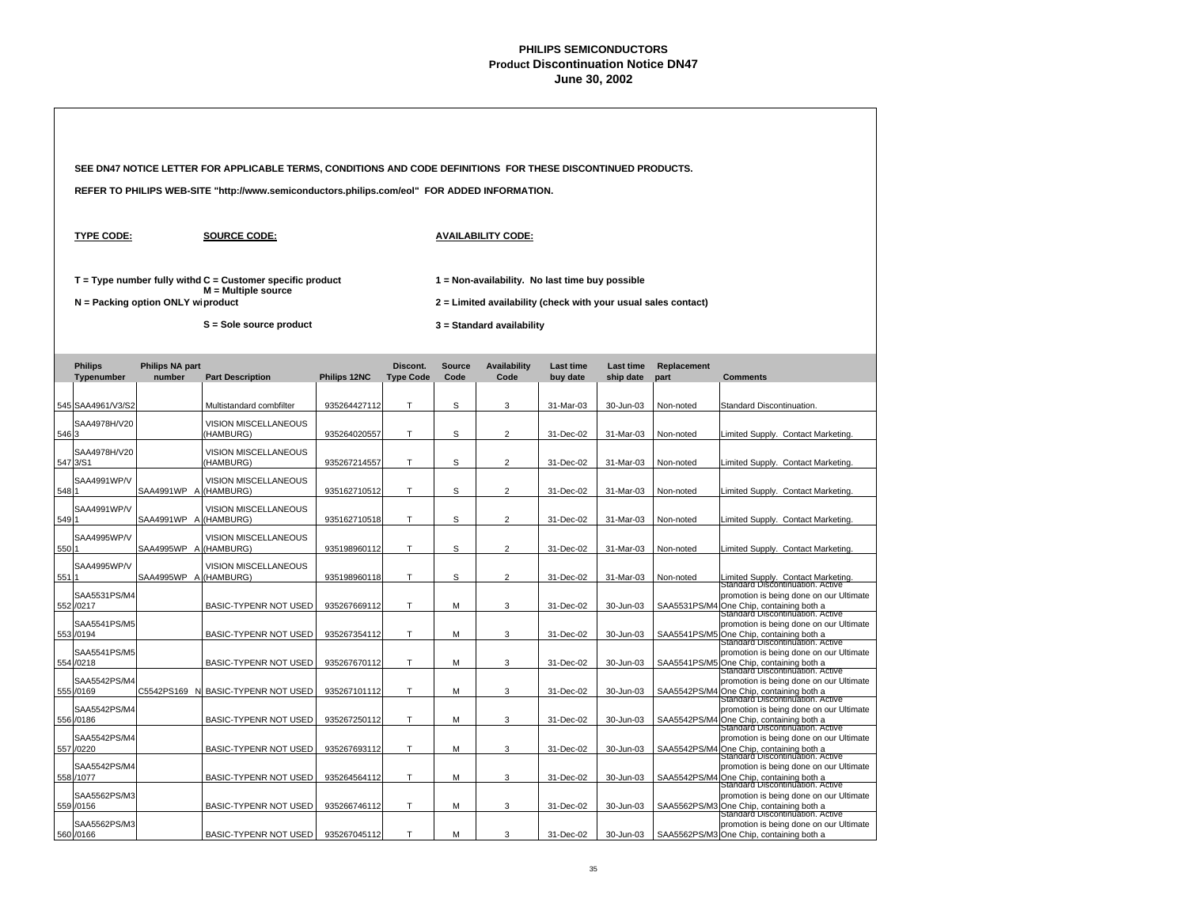|       |                              |                                     | SEE DN47 NOTICE LETTER FOR APPLICABLE TERMS, CONDITIONS AND CODE DEFINITIONS FOR THESE DISCONTINUED PRODUCTS. |              |                              |                       |                                                                                                                   |                              |                               |                     |                                                                                                                                                                     |
|-------|------------------------------|-------------------------------------|---------------------------------------------------------------------------------------------------------------|--------------|------------------------------|-----------------------|-------------------------------------------------------------------------------------------------------------------|------------------------------|-------------------------------|---------------------|---------------------------------------------------------------------------------------------------------------------------------------------------------------------|
|       |                              |                                     | REFER TO PHILIPS WEB-SITE "http://www.semiconductors.philips.com/eol" FOR ADDED INFORMATION.                  |              |                              |                       |                                                                                                                   |                              |                               |                     |                                                                                                                                                                     |
|       | <b>TYPE CODE:</b>            |                                     | <b>SOURCE CODE:</b>                                                                                           |              |                              |                       | <b>AVAILABILITY CODE:</b>                                                                                         |                              |                               |                     |                                                                                                                                                                     |
|       |                              | $N =$ Packing option ONLY wiproduct | $T = Type$ number fully withd $C =$ Customer specific product<br>$M =$ Multiple source                        |              |                              |                       | 1 = Non-availability. No last time buy possible<br>2 = Limited availability (check with your usual sales contact) |                              |                               |                     |                                                                                                                                                                     |
|       |                              |                                     | S = Sole source product                                                                                       |              |                              |                       | 3 = Standard availability                                                                                         |                              |                               |                     |                                                                                                                                                                     |
|       | <b>Philips</b><br>Typenumber | <b>Philips NA part</b><br>number    | <b>Part Description</b>                                                                                       | Philips 12NC | Discont.<br><b>Type Code</b> | <b>Source</b><br>Code | <b>Availability</b><br>Code                                                                                       | <b>Last time</b><br>buy date | <b>Last time</b><br>ship date | Replacement<br>part | <b>Comments</b>                                                                                                                                                     |
|       | 545 SAA4961/V3/S2            |                                     | Multistandard combfilter                                                                                      | 935264427112 | T                            | S                     | 3                                                                                                                 | 31-Mar-03                    | 30-Jun-03                     | Non-noted           | Standard Discontinuation                                                                                                                                            |
| 546 3 | SAA4978H/V20                 |                                     | VISION MISCELLANEOUS<br>(HAMBURG)                                                                             | 935264020557 | T                            | S                     | $\overline{2}$                                                                                                    | 31-Dec-02                    | 31-Mar-03                     | Non-noted           | Limited Supply. Contact Marketing                                                                                                                                   |
|       | SAA4978H/V20<br>547 3/S1     |                                     | VISION MISCELLANEOUS<br>(HAMBURG)                                                                             | 935267214557 | T.                           | s                     | 2                                                                                                                 | 31-Dec-02                    | 31-Mar-03                     | Non-noted           | Limited Supply. Contact Marketing                                                                                                                                   |
| 548 1 | SAA4991WP/V                  | SAA4991WP A (HAMBURG)               | <b>VISION MISCELLANEOUS</b>                                                                                   | 935162710512 | т                            | s                     | $\overline{2}$                                                                                                    | 31-Dec-02                    | 31-Mar-03                     | Non-noted           | Limited Supply. Contact Marketing                                                                                                                                   |
| 5491  | SAA4991WP/V                  | SAA4991WP A (HAMBURG)               | VISION MISCELLANEOUS                                                                                          | 935162710518 | T                            | S                     | $\overline{2}$                                                                                                    | 31-Dec-02                    | 31-Mar-03                     | Non-noted           | Limited Supply. Contact Marketing                                                                                                                                   |
| 550 1 | SAA4995WP/V                  | SAA4995WP A (HAMBURG)               | VISION MISCELLANEOUS                                                                                          | 935198960112 | T                            | s                     | $\overline{2}$                                                                                                    | 31-Dec-02                    | 31-Mar-03                     | Non-noted           | Limited Supply. Contact Marketing                                                                                                                                   |
| 551 1 | SAA4995WP/V                  | SAA4995WP A                         | VISION MISCELLANEOUS<br>(HAMBURG)                                                                             | 935198960118 | Т                            | s                     | $\overline{2}$                                                                                                    | 31-Dec-02                    | 31-Mar-03                     | Non-noted           | imited Supply. Contact Marketing                                                                                                                                    |
|       | SAA5531PS/M4<br>552 /0217    |                                     | BASIC-TYPENR NOT USED                                                                                         | 935267669112 | T.                           | М                     | 3                                                                                                                 | 31-Dec-02                    | 30-Jun-03                     | SAA5531PS/M4        | Standard Discontinuation. Active<br>promotion is being done on our Ultimate<br>4 One Chip, containing both a                                                        |
|       | SAA5541PS/M5<br>553 /0194    |                                     | <b>BASIC-TYPENR NOT USED</b>                                                                                  | 935267354112 | T                            | М                     | 3                                                                                                                 | 31-Dec-02                    | 30-Jun-03                     |                     | Standard Discontinuation. Active<br>promotion is being done on our Ultimate<br>SAA5541PS/M5 One Chip, containing both a                                             |
|       | SAA5541PS/M5<br>554 /0218    |                                     | BASIC-TYPENR NOT USED                                                                                         | 935267670112 | T                            | М                     | 3                                                                                                                 | 31-Dec-02                    | 30-Jun-03                     |                     | Standard Discontinuation. Active<br>promotion is being done on our Ultimate<br>SAA5541PS/M5 One Chip, containing both a                                             |
|       | SAA5542PS/M4<br>555 /0169    | C5542PS169 N                        | BASIC-TYPENR NOT USED                                                                                         | 935267101112 | T                            | М                     | 3                                                                                                                 | 31-Dec-02                    | 30-Jun-03                     |                     | Standard Discontinuation. Active<br>promotion is being done on our Ultimate<br>SAA5542PS/M4 One Chip, containing both a                                             |
|       | SAA5542PS/M4<br>556 /0186    |                                     | BASIC-TYPENR NOT USED                                                                                         | 935267250112 | T                            | M                     | 3                                                                                                                 | 31-Dec-02                    | 30-Jun-03                     |                     | Standard Discontinuation. Active<br>promotion is being done on our Ultimate                                                                                         |
|       | SAA5542PS/M4<br>557 /0220    |                                     | <b>BASIC-TYPENR NOT USED</b>                                                                                  | 935267693112 | T.                           | М                     | 3                                                                                                                 | 31-Dec-02                    | 30-Jun-03                     |                     | SAA5542PS/M4 One Chip, containing both a<br>Standard Discontinuation. Active<br>promotion is being done on our Ultimate                                             |
|       | SAA5542PS/M4<br>558 /1077    |                                     | <b>BASIC-TYPENR NOT USED</b>                                                                                  | 935264564112 | Т                            | М                     | 3                                                                                                                 | 31-Dec-02                    | 30-Jun-03                     |                     | SAA5542PS/M4 One Chip, containing both a<br>Standard Discontinuation. Active<br>promotion is being done on our Ultimate<br>SAA5542PS/M4 One Chip, containing both a |
|       | SAA5562PS/M3<br>559 /0156    |                                     | BASIC-TYPENR NOT USED                                                                                         | 935266746112 | т                            | М                     | 3                                                                                                                 | 31-Dec-02                    | 30-Jun-03                     |                     | Standard Discontinuation. Active<br>promotion is being done on our Ultimate<br>SAA5562PS/M3 One Chip, containing both a                                             |
|       | SAA5562PS/M3<br>560 /0166    |                                     | <b>BASIC-TYPENR NOT USED</b>                                                                                  | 935267045112 | T                            | M                     | 3                                                                                                                 | 31-Dec-02                    | 30-Jun-03                     |                     | Standard Discontinuation. Active<br>promotion is being done on our Ultimate<br>SAA5562PS/M3 One Chip, containing both a                                             |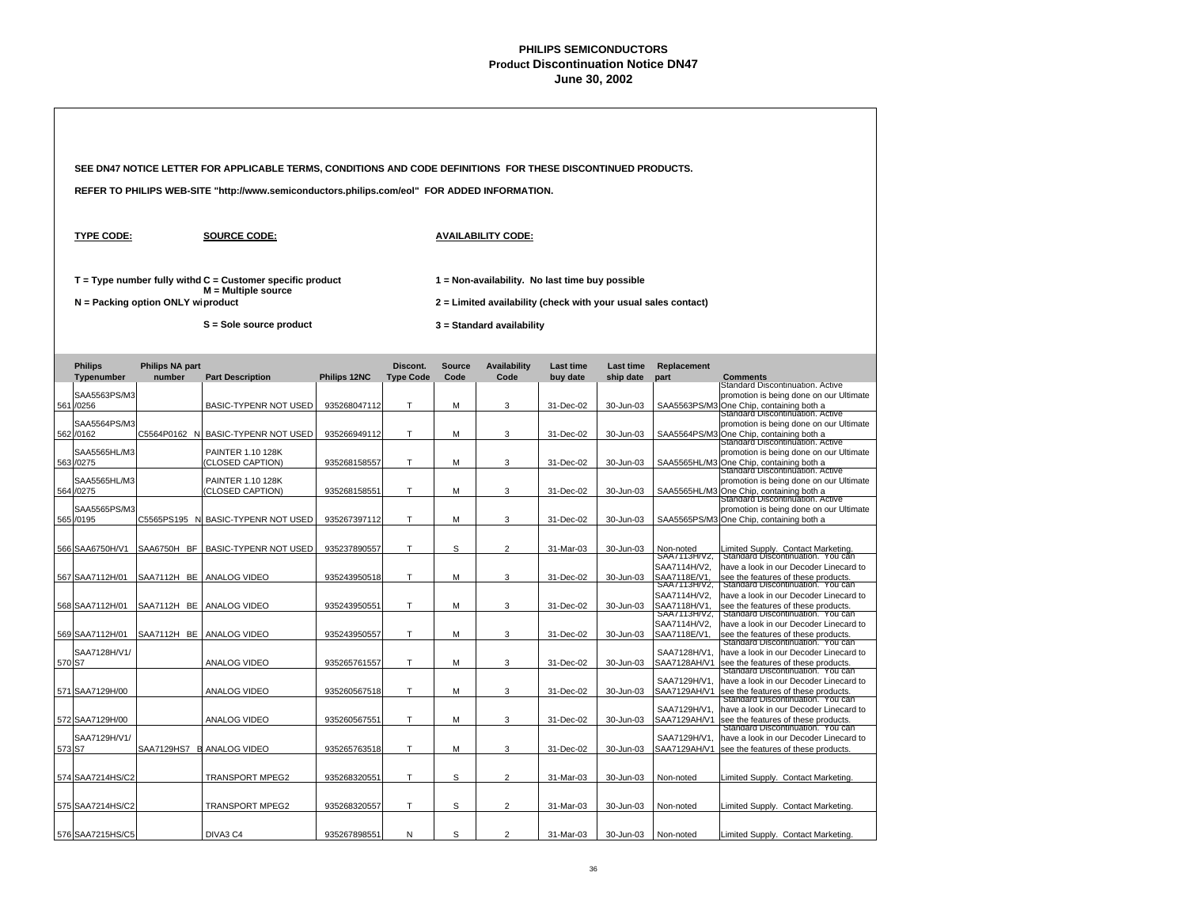|  |                              |                                     | SEE DN47 NOTICE LETTER FOR APPLICABLE TERMS, CONDITIONS AND CODE DEFINITIONS FOR THESE DISCONTINUED PRODUCTS. |              |                              |                       |                                                                                                                   |                              |                               |                              |                                                                                                                                                |
|--|------------------------------|-------------------------------------|---------------------------------------------------------------------------------------------------------------|--------------|------------------------------|-----------------------|-------------------------------------------------------------------------------------------------------------------|------------------------------|-------------------------------|------------------------------|------------------------------------------------------------------------------------------------------------------------------------------------|
|  |                              |                                     | REFER TO PHILIPS WEB-SITE "http://www.semiconductors.philips.com/eol" FOR ADDED INFORMATION.                  |              |                              |                       |                                                                                                                   |                              |                               |                              |                                                                                                                                                |
|  | <b>TYPE CODE:</b>            |                                     | <b>SOURCE CODE:</b>                                                                                           |              |                              |                       | <b>AVAILABILITY CODE:</b>                                                                                         |                              |                               |                              |                                                                                                                                                |
|  |                              | $N =$ Packing option ONLY wiproduct | $T = Type$ number fully withd $C =$ Customer specific product<br>$M = Multiple source$                        |              |                              |                       | 1 = Non-availability. No last time buy possible<br>2 = Limited availability (check with your usual sales contact) |                              |                               |                              |                                                                                                                                                |
|  |                              |                                     | S = Sole source product                                                                                       |              |                              |                       | 3 = Standard availability                                                                                         |                              |                               |                              |                                                                                                                                                |
|  | <b>Philips</b><br>Typenumber | <b>Philips NA part</b><br>number    | <b>Part Description</b>                                                                                       | Philips 12NC | Discont.<br><b>Type Code</b> | <b>Source</b><br>Code | <b>Availability</b><br>Code                                                                                       | <b>Last time</b><br>buy date | <b>Last time</b><br>ship date | Replacement<br>part          | <b>Comments</b>                                                                                                                                |
|  | SAA5563PS/M3<br>561 /0256    |                                     | BASIC-TYPENR NOT USED                                                                                         | 935268047112 | т                            | М                     | 3                                                                                                                 | 31-Dec-02                    | 30-Jun-03                     |                              | Standard Discontinuation. Active<br>promotion is being done on our Ultimate<br>SAA5563PS/M3 One Chip, containing both a                        |
|  | SAA5564PS/M3<br>562 /0162    | C5564P0162 N                        | <b>BASIC-TYPENR NOT USED</b>                                                                                  | 935266949112 | т                            | М                     | 3                                                                                                                 | 31-Dec-02                    | 30-Jun-03                     |                              | Standard Discontinuation. Active<br>promotion is being done on our Ultimate<br>SAA5564PS/M3 One Chip, containing both a                        |
|  | SAA5565HL/M3<br>563 /0275    |                                     | PAINTER 1.10 128K<br>CLOSED CAPTION)                                                                          | 935268158557 | т                            | М                     | 3                                                                                                                 | 31-Dec-02                    | 30-Jun-03                     |                              | Standard Discontinuation. Active<br>promotion is being done on our Ultimate<br>SAA5565HL/M3 One Chip, containing both a                        |
|  | SAA5565HL/M3<br>564 /0275    |                                     | PAINTER 1.10 128K<br>CLOSED CAPTION)                                                                          | 935268158551 | T                            | М                     | 3                                                                                                                 | 31-Dec-02                    | 30-Jun-03                     | SAA5565HL/M                  | Standard Discontinuation. Active<br>promotion is being done on our Ultimate<br>One Chip, containing both a<br>Standard Discontinuation. Active |
|  | SAA5565PS/M3<br>565 /0195    |                                     | C5565PS195 N BASIC-TYPENR NOT USED                                                                            | 935267397112 | т                            | М                     | 3                                                                                                                 | 31-Dec-02                    | 30-Jun-03                     |                              | promotion is being done on our Ultimate<br>SAA5565PS/M3 One Chip, containing both a                                                            |
|  | 566 SAA6750H/V1              | SAA6750H BF                         | <b>BASIC-TYPENR NOT USED</b>                                                                                  | 935237890557 | Т                            | s                     | $\overline{2}$                                                                                                    | 31-Mar-03                    | 30-Jun-03                     | Non-noted<br>SAA7113H/V2,    | Limited Supply. Contact Marketing<br>Standard Discontinuation. You can                                                                         |
|  | 567 SAA7112H/01              | SAA7112H BE                         | ANALOG VIDEO                                                                                                  | 935243950518 | T                            | М                     | 3                                                                                                                 | 31-Dec-02                    | 30-Jun-03                     | SAA7114H/V2,<br>SAA7118E/V1. | have a look in our Decoder Linecard to<br>see the features of these products.                                                                  |
|  |                              |                                     |                                                                                                               |              |                              |                       |                                                                                                                   |                              |                               | SAA7113H/V2,<br>SAA7114H/V2, | Standard Discontinuation. You can<br>have a look in our Decoder Linecard to                                                                    |
|  | 568 SAA7112H/01              | SAA7112H BE                         | ANALOG VIDEO                                                                                                  | 935243950551 | Т                            | М                     | 3                                                                                                                 | 31-Dec-02                    | 30-Jun-03                     | SAA7118H/V1,<br>SAA7113H/V2, | see the features of these products.<br>Standard Discontinuation. You can                                                                       |
|  | 569 SAA7112H/01              | SAA7112H BE                         | ANALOG VIDEO                                                                                                  | 935243950557 | т                            | М                     | 3                                                                                                                 | 31-Dec-02                    | 30-Jun-03                     | SAA7114H/V2,<br>SAA7118E/V1, | have a look in our Decoder Linecard to<br>see the features of these products.                                                                  |
|  | SAA7128H/V1/                 |                                     |                                                                                                               |              |                              |                       |                                                                                                                   |                              |                               | SAA7128H/V1.                 | Standard Discontinuation. You can<br>have a look in our Decoder Linecard to                                                                    |
|  | 570 S7                       |                                     | ANALOG VIDEO                                                                                                  | 935265761557 | т                            | М                     | 3                                                                                                                 | 31-Dec-02                    | 30-Jun-03                     | SAA7128AH/V1                 | see the features of these products.<br>Standard Discontinuation. You can                                                                       |
|  | 571 SAA7129H/00              |                                     | ANALOG VIDEO                                                                                                  | 935260567518 | Т                            | М                     | 3                                                                                                                 | 31-Dec-02                    | 30-Jun-03                     | SAA7129H/V1.<br>SAA7129AH/V1 | have a look in our Decoder Linecard to<br>see the features of these products.<br>Standard Discontinuation. You can                             |
|  | 572 SAA7129H/00              |                                     | ANALOG VIDEO                                                                                                  | 935260567551 | т                            | м                     | 3                                                                                                                 | 31-Dec-02                    | 30-Jun-03                     | SAA7129H/V1<br>SAA7129AH/V1  | have a look in our Decoder Linecard to<br>see the features of these products.<br>Standard Discontinuation. You can                             |
|  | SAA7129H/V1/<br>573 S7       | SAA7129HS7                          | <b>E ANALOG VIDEO</b>                                                                                         | 935265763518 | т                            | М                     | 3                                                                                                                 | 31-Dec-02                    | 30-Jun-03                     | SAA7129H/V1<br>SAA7129AH/V1  | have a look in our Decoder Linecard to<br>see the features of these products.                                                                  |
|  | 574 SAA7214HS/C2             |                                     | TRANSPORT MPEG2                                                                                               | 935268320551 | T                            | S                     | $\overline{2}$                                                                                                    | 31-Mar-03                    | 30-Jun-03                     | Non-noted                    | Limited Supply. Contact Marketing                                                                                                              |
|  | 575 SAA7214HS/C2             |                                     | TRANSPORT MPEG2                                                                                               | 935268320557 | т                            | S                     | $\overline{2}$                                                                                                    | 31-Mar-03                    | 30-Jun-03                     | Non-noted                    | Limited Supply. Contact Marketing                                                                                                              |
|  | 576 SAA7215HS/C5             |                                     | DIVA3 C4                                                                                                      | 935267898551 | N                            | S                     | $\mathfrak{p}$                                                                                                    | 31-Mar-03                    | 30-Jun-03                     | Non-noted                    | Limited Supply. Contact Marketing                                                                                                              |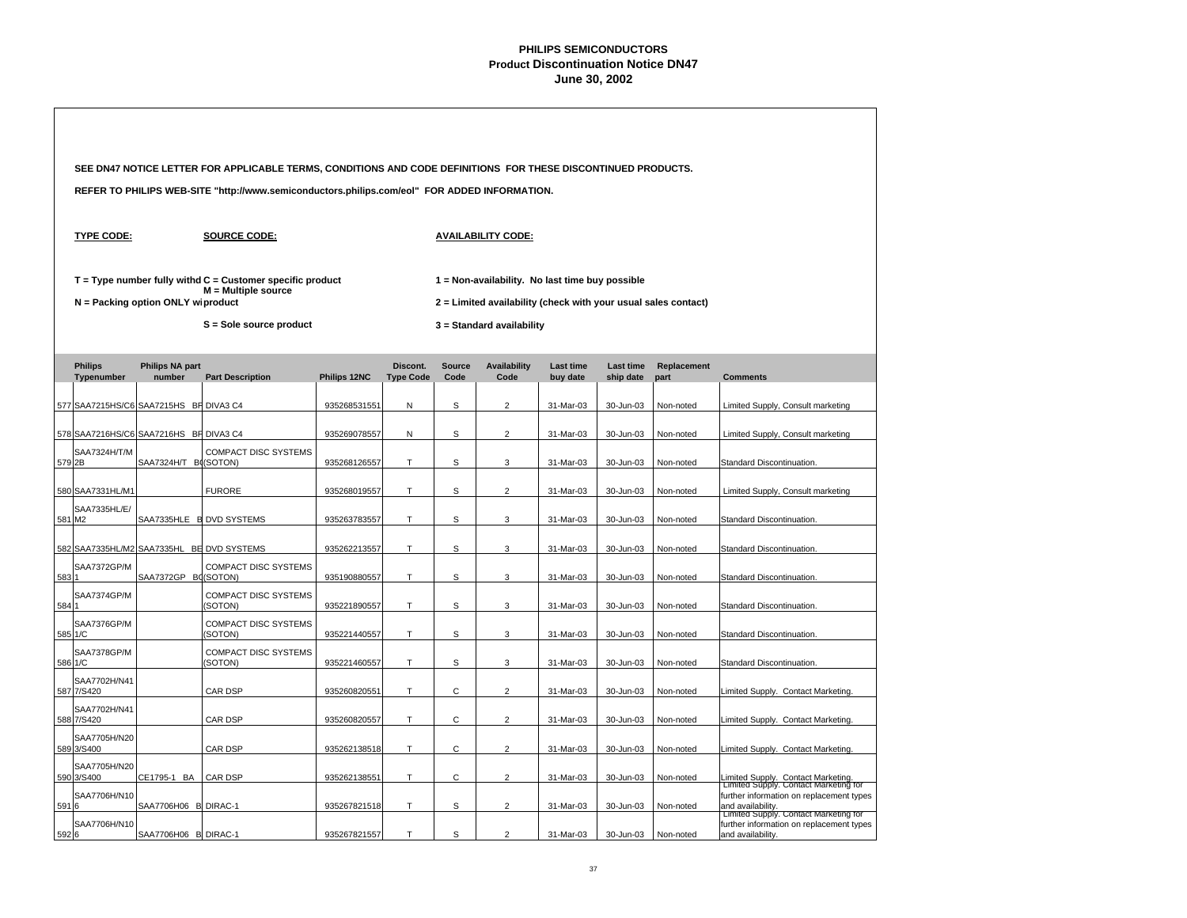|       |                                        |                                     | SEE DN47 NOTICE LETTER FOR APPLICABLE TERMS, CONDITIONS AND CODE DEFINITIONS FOR THESE DISCONTINUED PRODUCTS. |                              |                              |                       |                                                                                                                   |                        |                        |                        |                                                                                                                                              |  |
|-------|----------------------------------------|-------------------------------------|---------------------------------------------------------------------------------------------------------------|------------------------------|------------------------------|-----------------------|-------------------------------------------------------------------------------------------------------------------|------------------------|------------------------|------------------------|----------------------------------------------------------------------------------------------------------------------------------------------|--|
|       |                                        |                                     | REFER TO PHILIPS WEB-SITE "http://www.semiconductors.philips.com/eol" FOR ADDED INFORMATION.                  |                              |                              |                       |                                                                                                                   |                        |                        |                        |                                                                                                                                              |  |
|       | <b>TYPE CODE:</b>                      |                                     | <b>SOURCE CODE:</b>                                                                                           |                              |                              |                       | <b>AVAILABILITY CODE:</b>                                                                                         |                        |                        |                        |                                                                                                                                              |  |
|       |                                        | N = Packing option ONLY wiproduct   | $T = Type$ number fully withd $C =$ Customer specific product<br>M = Multiple source                          |                              |                              |                       | 1 = Non-availability. No last time buy possible<br>2 = Limited availability (check with your usual sales contact) |                        |                        |                        |                                                                                                                                              |  |
|       |                                        |                                     | S = Sole source product                                                                                       |                              |                              |                       | 3 = Standard availability                                                                                         |                        |                        |                        |                                                                                                                                              |  |
|       | <b>Philips</b><br>Typenumber           | <b>Philips NA part</b><br>number    | <b>Part Description</b>                                                                                       | Philips 12NC                 | Discont.<br><b>Type Code</b> | <b>Source</b><br>Code | <b>Availability</b><br>Code                                                                                       | Last time<br>buy date  | Last time<br>ship date | Replacement<br>part    | <b>Comments</b>                                                                                                                              |  |
|       | 577 SAA7215HS/C6 SAA7215HS BF DIVA3 C4 |                                     |                                                                                                               | 935268531551                 | N                            | S                     | $\overline{2}$                                                                                                    | 31-Mar-03              | 30-Jun-03              | Non-noted              | Limited Supply, Consult marketing                                                                                                            |  |
|       | 578 SAA7216HS/C6 SAA7216HS BF DIVA3 C4 |                                     |                                                                                                               | 935269078557                 | N                            | S                     | $\overline{2}$                                                                                                    | 31-Mar-03              | 30-Jun-03              | Non-noted              | Limited Supply, Consult marketing                                                                                                            |  |
|       | SAA7324H/T/M<br>579 2B                 | SAA7324H/T B((SOTON)                | <b>COMPACT DISC SYSTEMS</b>                                                                                   | 935268126557                 | T.                           | S                     | 3                                                                                                                 | 31-Mar-03              | 30-Jun-03              | Non-noted              | Standard Discontinuation.                                                                                                                    |  |
|       | 580 SAA7331HL/M1                       |                                     | <b>FURORE</b>                                                                                                 | 935268019557                 | T.                           | S                     | $\overline{2}$                                                                                                    | 31-Mar-03              | 30-Jun-03              | Non-noted              | Limited Supply, Consult marketing                                                                                                            |  |
|       | SAA7335HL/E/<br>581 M2                 |                                     | SAA7335HLE B DVD SYSTEMS                                                                                      | 935263783557                 | $\mathsf{T}$                 | s                     | 3                                                                                                                 | 31-Mar-03              | 30-Jun-03              | Non-noted              | Standard Discontinuation.                                                                                                                    |  |
|       |                                        |                                     | 582 SAA7335HL/M2 SAA7335HL BE DVD SYSTEMS                                                                     | 935262213557                 | T                            | S                     | 3                                                                                                                 | 31-Mar-03              | 30-Jun-03              | Non-noted              | Standard Discontinuation.                                                                                                                    |  |
| 583 1 | <b>SAA7372GP/M</b>                     | SAA7372GP BO(SOTON)                 | <b>COMPACT DISC SYSTEMS</b>                                                                                   | 935190880557                 | T                            | s                     | 3                                                                                                                 | 31-Mar-03              | 30-Jun-03              | Non-noted              | Standard Discontinuation.                                                                                                                    |  |
| 584 1 | SAA7374GP/M                            |                                     | <b>COMPACT DISC SYSTEMS</b><br>(SOTON)                                                                        | 935221890557                 | $\mathsf{T}$                 | S                     | 3                                                                                                                 | 31-Mar-03              | 30-Jun-03              | Non-noted              | Standard Discontinuation.                                                                                                                    |  |
|       | SAA7376GP/M<br>585 1/C                 |                                     | COMPACT DISC SYSTEMS<br>(SOTON)                                                                               | 935221440557                 | T                            | S                     | 3                                                                                                                 | 31-Mar-03              | 30-Jun-03              | Non-noted              | Standard Discontinuation.                                                                                                                    |  |
|       | <b>SAA7378GP/M</b><br>586 1/C          |                                     | <b>COMPACT DISC SYSTEMS</b><br>(SOTON)                                                                        | 935221460557                 | T                            | S                     | 3                                                                                                                 | 31-Mar-03              | 30-Jun-03              | Non-noted              | Standard Discontinuation.                                                                                                                    |  |
|       | SAA7702H/N41<br>587 7/S420             |                                     | CAR DSP                                                                                                       | 935260820551                 | T.                           | C                     | $\overline{2}$                                                                                                    | 31-Mar-03              | 30-Jun-03              | Non-noted              | Limited Supply. Contact Marketing.                                                                                                           |  |
|       | SAA7702H/N41<br>588 7/S420             |                                     | CAR DSP                                                                                                       | 935260820557                 | T.                           | C                     | $\overline{2}$                                                                                                    | 31-Mar-03              | 30-Jun-03              | Non-noted              | Limited Supply. Contact Marketing.                                                                                                           |  |
|       | SAA7705H/N20                           |                                     | CAR DSP                                                                                                       |                              | T.                           | C                     | $\overline{2}$                                                                                                    | 31-Mar-03              |                        |                        |                                                                                                                                              |  |
|       | 589 3/S400<br>SAA7705H/N20             |                                     |                                                                                                               | 935262138518                 | $\top$                       | C                     |                                                                                                                   |                        | 30-Jun-03              | Non-noted              | Limited Supply. Contact Marketing.                                                                                                           |  |
| 591 6 | 590 3/S400<br>SAA7706H/N10             | CE1795-1 BA<br>SAA7706H06 B DIRAC-1 | CAR DSP                                                                                                       | 935262138551<br>935267821518 | T                            | S                     | $\overline{2}$<br>$\overline{2}$                                                                                  | 31-Mar-03<br>31-Mar-03 | 30-Jun-03<br>30-Jun-03 | Non-noted<br>Non-noted | Limited Supply. Contact Marketing.<br>Limited Supply. Contact Marketing for<br>further information on replacement types<br>and availability. |  |
| 5926  | SAA7706H/N10                           | SAA7706H06 B DIRAC-1                |                                                                                                               | 935267821557                 | T.                           | S                     | $\overline{2}$                                                                                                    | 31-Mar-03              | 30-Jun-03              | Non-noted              | Limited Supply. Contact Marketing for<br>further information on replacement types<br>and availability.                                       |  |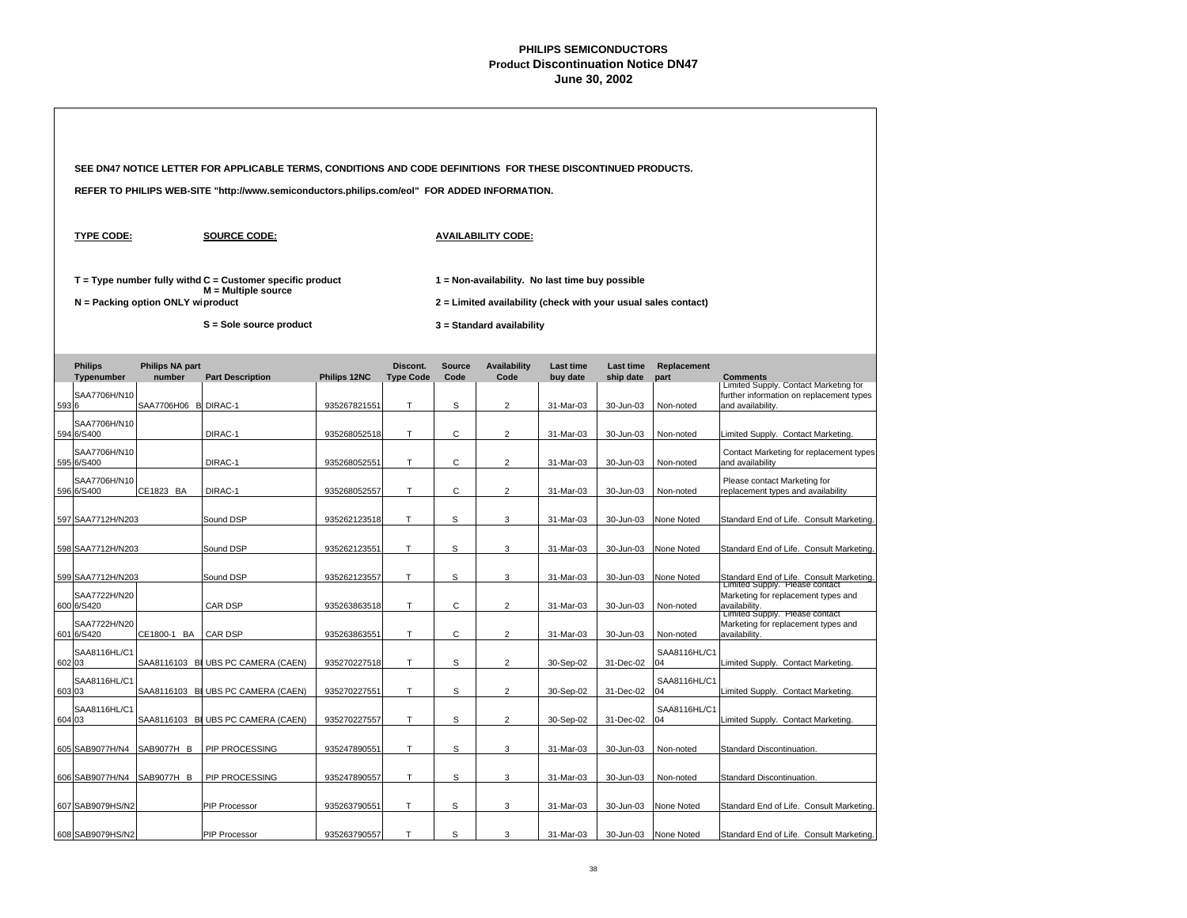|        |                              |                                   | SEE DN47 NOTICE LETTER FOR APPLICABLE TERMS, CONDITIONS AND CODE DEFINITIONS FOR THESE DISCONTINUED PRODUCTS. |              |                              |                       |                                                                |                       |                        |                           |                                                                                                        |  |  |
|--------|------------------------------|-----------------------------------|---------------------------------------------------------------------------------------------------------------|--------------|------------------------------|-----------------------|----------------------------------------------------------------|-----------------------|------------------------|---------------------------|--------------------------------------------------------------------------------------------------------|--|--|
|        |                              |                                   | REFER TO PHILIPS WEB-SITE "http://www.semiconductors.philips.com/eol" FOR ADDED INFORMATION.                  |              |                              |                       |                                                                |                       |                        |                           |                                                                                                        |  |  |
|        | <b>TYPE CODE:</b>            |                                   | <b>SOURCE CODE:</b>                                                                                           |              |                              |                       | <b>AVAILABILITY CODE:</b>                                      |                       |                        |                           |                                                                                                        |  |  |
|        |                              |                                   | $T = Type$ number fully withd $C =$ Customer specific product<br>M = Multiple source                          |              |                              |                       | 1 = Non-availability. No last time buy possible                |                       |                        |                           |                                                                                                        |  |  |
|        |                              | N = Packing option ONLY wiproduct |                                                                                                               |              |                              |                       | 2 = Limited availability (check with your usual sales contact) |                       |                        |                           |                                                                                                        |  |  |
|        |                              |                                   | S = Sole source product                                                                                       |              |                              |                       | 3 = Standard availability                                      |                       |                        |                           |                                                                                                        |  |  |
|        | <b>Philips</b><br>Typenumber | <b>Philips NA part</b><br>number  | <b>Part Description</b>                                                                                       | Philips 12NC | Discont.<br><b>Type Code</b> | <b>Source</b><br>Code | <b>Availability</b><br>Code                                    | Last time<br>buy date | Last time<br>ship date | Replacement<br>part       | <b>Comments</b>                                                                                        |  |  |
| 5936   | SAA7706H/N10                 | SAA7706H06 B DIRAC-1              |                                                                                                               | 935267821551 | т                            | s                     | $\overline{c}$                                                 | 31-Mar-03             | 30-Jun-03              | Non-noted                 | Limited Supply. Contact Marketing for<br>further information on replacement types<br>and availability. |  |  |
|        | SAA7706H/N10<br>594 6/S400   |                                   | DIRAC-1                                                                                                       | 935268052518 | T.                           | C                     | $\overline{2}$                                                 | 31-Mar-03             | 30-Jun-03              | Non-noted                 | Limited Supply. Contact Marketing.                                                                     |  |  |
|        | SAA7706H/N10<br>595 6/S400   |                                   | DIRAC-1                                                                                                       | 935268052551 | T.                           | C                     | $\overline{c}$                                                 | 31-Mar-03             | 30-Jun-03              | Non-noted                 | Contact Marketing for replacement types<br>and availability                                            |  |  |
|        | SAA7706H/N10<br>596 6/S400   | CE1823 BA                         | DIRAC-1                                                                                                       | 935268052557 | T.                           | C                     | $\overline{2}$                                                 | 31-Mar-03             | 30-Jun-03              | Non-noted                 | Please contact Marketing for<br>replacement types and availability                                     |  |  |
|        | 597 SAA7712H/N203            |                                   | Sound DSP                                                                                                     | 935262123518 | $\mathsf T$                  | S                     | 3                                                              | 31-Mar-03             | 30-Jun-03              | None Noted                | Standard End of Life. Consult Marketing.                                                               |  |  |
|        | 598 SAA7712H/N203            |                                   | Sound DSP                                                                                                     | 935262123551 | T                            | S                     | 3                                                              | 31-Mar-03             | 30-Jun-03              | None Noted                | Standard End of Life. Consult Marketing.                                                               |  |  |
|        | 599 SAA7712H/N203            |                                   | Sound DSP                                                                                                     | 935262123557 | T                            | S                     | 3                                                              | 31-Mar-03             | 30-Jun-03              | None Noted                | Standard End of Life. Consult Marketing.                                                               |  |  |
|        | SAA7722H/N20                 |                                   |                                                                                                               |              |                              |                       |                                                                |                       |                        |                           | Limited Supply. Please contact<br>Marketing for replacement types and                                  |  |  |
|        | 600 6/S420<br>SAA7722H/N20   |                                   | CAR DSP                                                                                                       | 935263863518 | T                            | С                     | $\overline{2}$                                                 | 31-Mar-03             | 30-Jun-03              | Non-noted                 | availability.<br>Limited Supply. Please contact<br>Marketing for replacement types and                 |  |  |
|        | 601 6/S420<br>SAA8116HL/C1   | CE1800-1 BA                       | <b>CAR DSP</b>                                                                                                | 935263863551 | Τ                            | С                     | 2                                                              | 31-Mar-03             | 30-Jun-03              | Non-noted<br>SAA8116HL/C1 | availability.                                                                                          |  |  |
| 602 03 |                              |                                   | SAA8116103 B UBS PC CAMERA (CAEN)                                                                             | 935270227518 | T                            | S                     | $\overline{c}$                                                 | 30-Sep-02             | 31-Dec-02              | 04                        | Limited Supply. Contact Marketing.                                                                     |  |  |
| 603 03 | SAA8116HL/C1                 |                                   | SAA8116103 B UBS PC CAMERA (CAEN)                                                                             | 935270227551 | T                            | S                     | $\overline{2}$                                                 | 30-Sep-02             | 31-Dec-02              | SAA8116HL/C1<br>04        | Limited Supply. Contact Marketing.                                                                     |  |  |
| 604 03 | SAA8116HL/C1                 |                                   | SAA8116103 B UBS PC CAMERA (CAEN)                                                                             | 935270227557 | T                            | S                     | $\overline{c}$                                                 | 30-Sep-02             | 31-Dec-02              | SAA8116HL/C1<br>04        | Limited Supply. Contact Marketing.                                                                     |  |  |
|        | 605 SAB9077H/N4              | SAB9077H B                        | PIP PROCESSING                                                                                                | 935247890551 | T.                           | S                     | 3                                                              | 31-Mar-03             | 30-Jun-03              | Non-noted                 | Standard Discontinuation.                                                                              |  |  |
|        | 606 SAB9077H/N4              | SAB9077H B                        | PIP PROCESSING                                                                                                | 935247890557 | $\top$                       | S                     | 3                                                              | 31-Mar-03             | 30-Jun-03              | Non-noted                 | Standard Discontinuation.                                                                              |  |  |
|        | 607 SAB9079HS/N2             |                                   | <b>PIP Processor</b>                                                                                          | 935263790551 | T                            | S                     | 3                                                              | 31-Mar-03             | 30-Jun-03              | None Noted                | Standard End of Life. Consult Marketing.                                                               |  |  |
|        | 608 SAB9079HS/N2             |                                   | PIP Processor                                                                                                 | 935263790557 | T                            | S                     | 3                                                              | 31-Mar-03             | 30-Jun-03              | None Noted                | Standard End of Life. Consult Marketing.                                                               |  |  |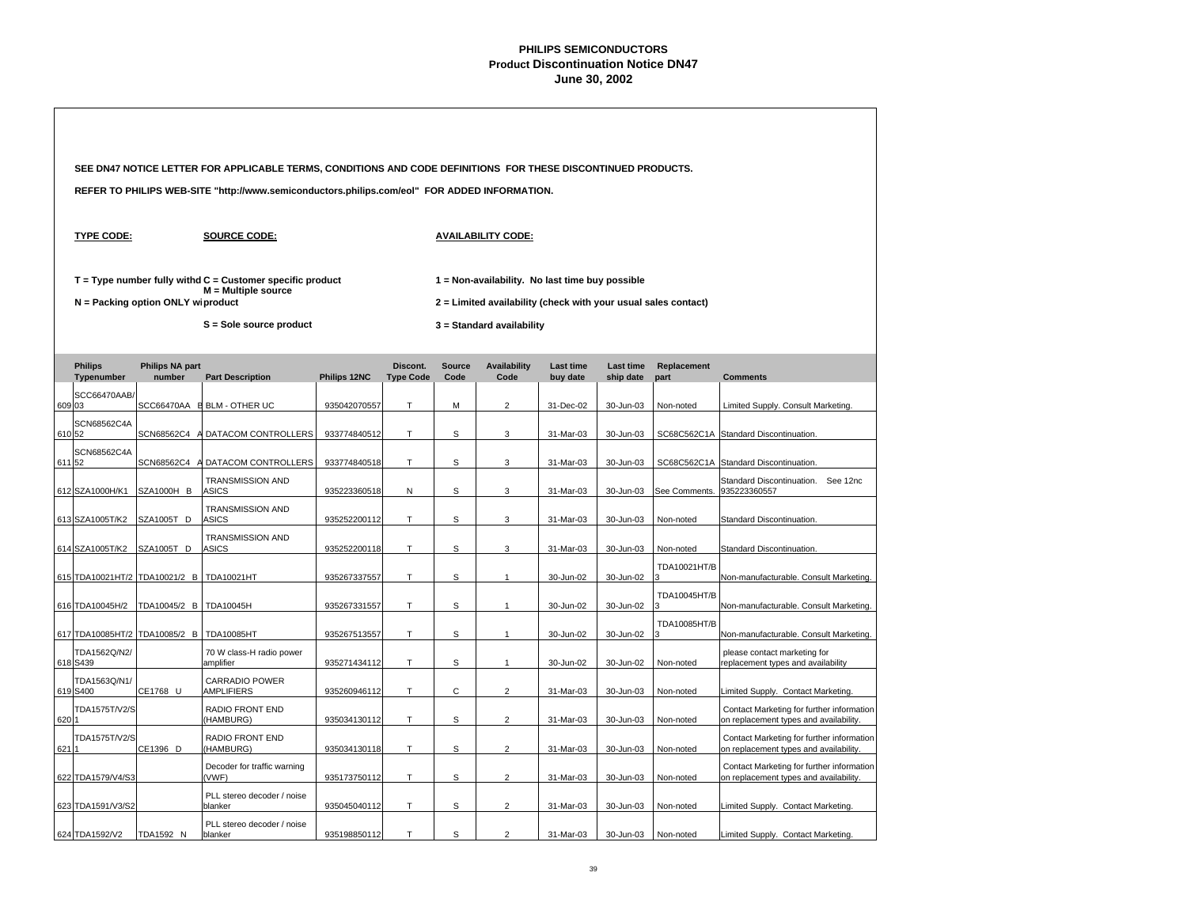|        |                                          |                                     | SEE DN47 NOTICE LETTER FOR APPLICABLE TERMS, CONDITIONS AND CODE DEFINITIONS FOR THESE DISCONTINUED PRODUCTS. |              |                  |                                                                |                                                 |                  |                  |                            |                                                                                     |  |  |  |  |
|--------|------------------------------------------|-------------------------------------|---------------------------------------------------------------------------------------------------------------|--------------|------------------|----------------------------------------------------------------|-------------------------------------------------|------------------|------------------|----------------------------|-------------------------------------------------------------------------------------|--|--|--|--|
|        |                                          |                                     | REFER TO PHILIPS WEB-SITE "http://www.semiconductors.philips.com/eol" FOR ADDED INFORMATION.                  |              |                  |                                                                |                                                 |                  |                  |                            |                                                                                     |  |  |  |  |
|        | <b>TYPE CODE:</b>                        |                                     | <b>SOURCE CODE:</b>                                                                                           |              |                  |                                                                | <b>AVAILABILITY CODE:</b>                       |                  |                  |                            |                                                                                     |  |  |  |  |
|        |                                          |                                     | $T = Type$ number fully withd $C =$ Customer specific product<br>$M =$ Multiple source                        |              |                  |                                                                | 1 = Non-availability. No last time buy possible |                  |                  |                            |                                                                                     |  |  |  |  |
|        |                                          | $N =$ Packing option ONLY wiproduct |                                                                                                               |              |                  | 2 = Limited availability (check with your usual sales contact) |                                                 |                  |                  |                            |                                                                                     |  |  |  |  |
|        |                                          |                                     | S = Sole source product                                                                                       |              |                  |                                                                | 3 = Standard availability                       |                  |                  |                            |                                                                                     |  |  |  |  |
|        | <b>Philips</b>                           | <b>Philips NA part</b>              |                                                                                                               |              | Discont.         | <b>Source</b>                                                  | <b>Availability</b>                             | <b>Last time</b> | <b>Last time</b> | Replacement                |                                                                                     |  |  |  |  |
|        | Typenumber                               | number                              | <b>Part Description</b>                                                                                       | Philips 12NC | <b>Type Code</b> | Code                                                           | Code                                            | buy date         | ship date        | part                       | <b>Comments</b>                                                                     |  |  |  |  |
| 609 03 | SCC66470AAB/                             |                                     | SCC66470AA E BLM - OTHER UC                                                                                   | 935042070557 | T.               | M                                                              | $\overline{2}$                                  | 31-Dec-02        | 30-Jun-03        | Non-noted                  | Limited Supply. Consult Marketing.                                                  |  |  |  |  |
| 610 52 | <b>SCN68562C4A</b>                       |                                     |                                                                                                               |              | T.               | S                                                              | 3                                               |                  |                  |                            |                                                                                     |  |  |  |  |
|        | <b>SCN68562C4A</b>                       |                                     | SCN68562C4 A DATACOM CONTROLLERS                                                                              | 933774840512 |                  |                                                                |                                                 | 31-Mar-03        | 30-Jun-03        |                            | SC68C562C1A Standard Discontinuation.                                               |  |  |  |  |
| 611 52 |                                          | SCN68562C4 A                        | DATACOM CONTROLLERS                                                                                           | 933774840518 | T                | s                                                              | 3                                               | 31-Mar-03        | 30-Jun-03        |                            | SC68C562C1A Standard Discontinuation.                                               |  |  |  |  |
|        | 612 SZA1000H/K1                          | SZA1000H B                          | TRANSMISSION AND<br><b>ASICS</b>                                                                              | 935223360518 | N                | S                                                              | 3                                               | 31-Mar-03        | 30-Jun-03        | See Comments. 935223360557 | Standard Discontinuation. See 12nc                                                  |  |  |  |  |
|        | 613 SZA1005T/K2                          | SZA1005T D                          | <b>TRANSMISSION AND</b><br><b>ASICS</b>                                                                       | 935252200112 | T.               | S                                                              | 3                                               | 31-Mar-03        | 30-Jun-03        | Non-noted                  | Standard Discontinuation.                                                           |  |  |  |  |
|        | 614 SZA1005T/K2                          | SZA1005T D                          | <b>TRANSMISSION AND</b><br><b>ASICS</b>                                                                       | 935252200118 | T.               | s                                                              | 3                                               | 31-Mar-03        | 30-Jun-03        | Non-noted                  | Standard Discontinuation.                                                           |  |  |  |  |
|        | 615 TDA10021HT/2 TDA10021/2 B TDA10021HT |                                     |                                                                                                               | 935267337557 | T                | s                                                              | $\mathbf{1}$                                    | 30-Jun-02        | 30-Jun-02        | TDA10021HT/B               | Non-manufacturable. Consult Marketing.                                              |  |  |  |  |
|        |                                          |                                     |                                                                                                               |              |                  |                                                                |                                                 |                  |                  | TDA10045HT/B               |                                                                                     |  |  |  |  |
|        | 616 TDA10045H/2                          | TDA10045/2 B TDA10045H              |                                                                                                               | 935267331557 | T.               | S                                                              | $\mathbf{1}$                                    | 30-Jun-02        | 30-Jun-02        |                            | Non-manufacturable. Consult Marketing.                                              |  |  |  |  |
|        | 617 TDA10085HT/2                         | TDA10085/2 B                        | <b>TDA10085HT</b>                                                                                             | 935267513557 | T                | s                                                              | $\mathbf{1}$                                    | 30-Jun-02        | 30-Jun-02        | TDA10085HT/B               | Non-manufacturable. Consult Marketing.                                              |  |  |  |  |
|        | TDA1562Q/N2/<br>618 S439                 |                                     | 70 W class-H radio power<br>amplifier                                                                         | 935271434112 | T.               | s                                                              | $\mathbf{1}$                                    | 30-Jun-02        | 30-Jun-02        | Non-noted                  | please contact marketing for<br>replacement types and availability                  |  |  |  |  |
|        | TDA1563Q/N1/<br>619 S400                 | CE1768 U                            | CARRADIO POWER<br>AMPLIFIERS                                                                                  | 935260946112 | T                | С                                                              | $\overline{c}$                                  | 31-Mar-03        | 30-Jun-03        | Non-noted                  | Limited Supply. Contact Marketing.                                                  |  |  |  |  |
| 620 1  | TDA1575T/V2/S                            |                                     | RADIO FRONT END<br>(HAMBURG)                                                                                  | 935034130112 | T.               | S                                                              | $\overline{2}$                                  | 31-Mar-03        | 30-Jun-03        | Non-noted                  | Contact Marketing for further information<br>on replacement types and availability. |  |  |  |  |
| 621 1  | TDA1575T/V2/S                            | CE1396 D                            | RADIO FRONT END<br>(HAMBURG)                                                                                  | 935034130118 | T                | s                                                              | $\overline{2}$                                  | 31-Mar-03        | 30-Jun-03        | Non-noted                  | Contact Marketing for further information<br>on replacement types and availability. |  |  |  |  |
|        | 622 TDA1579/V4/S3                        |                                     | Decoder for traffic warning<br>(VWF)                                                                          | 935173750112 | T                | s                                                              | $\overline{c}$                                  | 31-Mar-03        | 30-Jun-03        | Non-noted                  | Contact Marketing for further information<br>on replacement types and availability. |  |  |  |  |
|        | 623 TDA1591/V3/S2                        |                                     | PLL stereo decoder / noise<br>blanker                                                                         | 935045040112 | T                | s                                                              | 2                                               | 31-Mar-03        | 30-Jun-03        | Non-noted                  | Limited Supply. Contact Marketing.                                                  |  |  |  |  |
|        | 624 TDA1592/V2                           | TDA1592 N                           | PLL stereo decoder / noise<br>blanker                                                                         | 935198850112 | T                | S                                                              | $\overline{2}$                                  | 31-Mar-03        | 30-Jun-03        | Non-noted                  | Limited Supply. Contact Marketing.                                                  |  |  |  |  |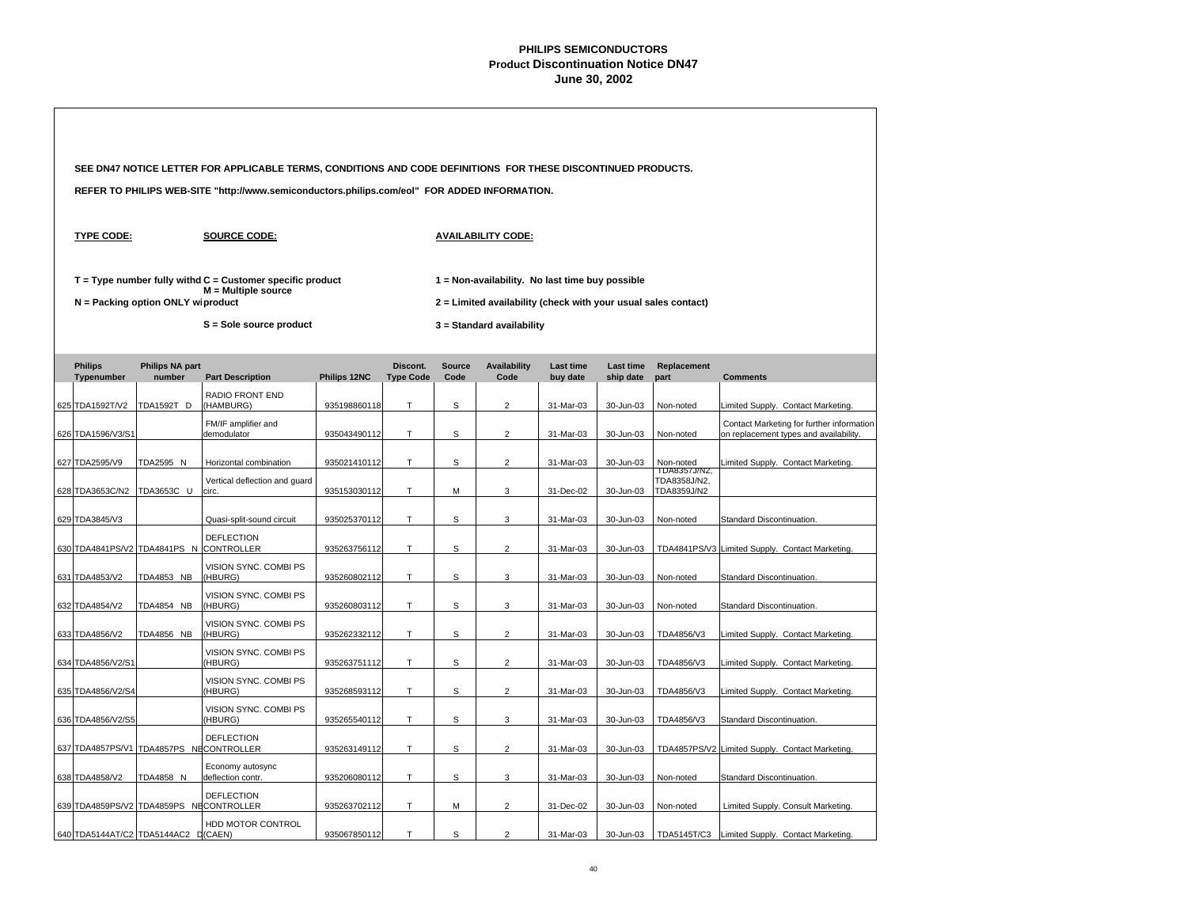|                                         |                                     | SEE DN47 NOTICE LETTER FOR APPLICABLE TERMS, CONDITIONS AND CODE DEFINITIONS FOR THESE DISCONTINUED PRODUCTS. |              |                              |                       |                                                                                             |                              |                               |                             |                                                                                     |  |
|-----------------------------------------|-------------------------------------|---------------------------------------------------------------------------------------------------------------|--------------|------------------------------|-----------------------|---------------------------------------------------------------------------------------------|------------------------------|-------------------------------|-----------------------------|-------------------------------------------------------------------------------------|--|
|                                         |                                     | REFER TO PHILIPS WEB-SITE "http://www.semiconductors.philips.com/eol" FOR ADDED INFORMATION.                  |              |                              |                       |                                                                                             |                              |                               |                             |                                                                                     |  |
| <b>TYPE CODE:</b>                       |                                     | <b>SOURCE CODE:</b>                                                                                           |              |                              |                       | <b>AVAILABILITY CODE:</b>                                                                   |                              |                               |                             |                                                                                     |  |
|                                         |                                     | $T = Type$ number fully withd $C =$ Customer specific product<br>$M =$ Multiple source                        |              |                              |                       | 1 = Non-availability. No last time buy possible                                             |                              |                               |                             |                                                                                     |  |
|                                         | $N =$ Packing option ONLY wiproduct | S = Sole source product                                                                                       |              |                              |                       | 2 = Limited availability (check with your usual sales contact)<br>3 = Standard availability |                              |                               |                             |                                                                                     |  |
| <b>Philips</b><br>Typenumber            | <b>Philips NA part</b><br>number    | <b>Part Description</b>                                                                                       | Philips 12NC | Discont.<br><b>Type Code</b> | <b>Source</b><br>Code | <b>Availability</b><br>Code                                                                 | <b>Last time</b><br>buy date | <b>Last time</b><br>ship date | Replacement<br>part         | <b>Comments</b>                                                                     |  |
| 625 TDA1592T/V2                         | TDA1592T D                          | <b>RADIO FRONT END</b><br>(HAMBURG)                                                                           | 935198860118 | T.                           | S                     | $\overline{2}$                                                                              | 31-Mar-03                    | 30-Jun-03                     | Non-noted                   | Limited Supply. Contact Marketing.                                                  |  |
| 626 TDA1596/V3/S1                       |                                     | FM/IF amplifier and<br>demodulator                                                                            | 935043490112 | Т                            | s                     | $\overline{c}$                                                                              | 31-Mar-03                    | 30-Jun-03                     | Non-noted                   | Contact Marketing for further information<br>on replacement types and availability. |  |
| 627 TDA2595/V9                          | TDA2595 N                           | Horizontal combination                                                                                        | 935021410112 | T.                           | S                     | $\overline{2}$                                                                              | 31-Mar-03                    | 30-Jun-03                     | Non-noted<br>TDA8357J/N2,   | Limited Supply. Contact Marketing.                                                  |  |
| 628 TDA3653C/N2                         | TDA3653C U                          | Vertical deflection and guard<br>circ.                                                                        | 935153030112 | T                            | M                     | 3                                                                                           | 31-Dec-02                    | 30-Jun-03                     | TDA8358J/N2,<br>TDA8359J/N2 |                                                                                     |  |
| 629 TDA3845/V3                          |                                     | Quasi-split-sound circuit                                                                                     | 935025370112 | T                            | s                     | 3                                                                                           | 31-Mar-03                    | 30-Jun-03                     | Non-noted                   | Standard Discontinuation.                                                           |  |
| 630 TDA4841PS/V2 TDA4841PS N            |                                     | <b>DEFLECTION</b><br><b>CONTROLLER</b>                                                                        | 935263756112 | T.                           | S                     | $\overline{2}$                                                                              | 31-Mar-03                    | 30-Jun-03                     |                             | TDA4841PS/V3 Limited Supply. Contact Marketing.                                     |  |
| 631 TDA4853/V2                          | <b>TDA4853 NB</b>                   | VISION SYNC. COMBI PS<br>(HBURG)                                                                              | 935260802112 | T.                           | s                     | 3                                                                                           | 31-Mar-03                    | 30-Jun-03                     | Non-noted                   | Standard Discontinuation.                                                           |  |
| 632 TDA4854/V2                          | <b>TDA4854 NB</b>                   | VISION SYNC. COMBI PS<br>(HBURG)                                                                              | 935260803112 | T                            | s                     | 3                                                                                           | 31-Mar-03                    | 30-Jun-03                     | Non-noted                   | Standard Discontinuation.                                                           |  |
| 633 TDA4856/V2                          | <b>TDA4856 NB</b>                   | VISION SYNC. COMBI PS<br>(HBURG)                                                                              | 935262332112 | T.                           | S                     | $\overline{2}$                                                                              | 31-Mar-03                    | 30-Jun-03                     | TDA4856/V3                  | Limited Supply. Contact Marketing.                                                  |  |
| 634 TDA4856/V2/S1                       |                                     | VISION SYNC. COMBI PS<br>(HBURG)                                                                              | 935263751112 | T.                           | s                     | $\overline{2}$                                                                              | 31-Mar-03                    | 30-Jun-03                     | TDA4856/V3                  | Limited Supply. Contact Marketing.                                                  |  |
| 635 TDA4856/V2/S4                       |                                     | VISION SYNC. COMBI PS<br>(HBURG)                                                                              | 935268593112 | T                            | s                     | $\overline{2}$                                                                              | 31-Mar-03                    | 30-Jun-03                     | TDA4856/V3                  | Limited Supply. Contact Marketing.                                                  |  |
| 636 TDA4856/V2/S5                       |                                     | VISION SYNC. COMBI PS<br>(HBURG)                                                                              | 935265540112 | T                            | s                     | 3                                                                                           | 31-Mar-03                    | 30-Jun-03                     | TDA4856/V3                  | Standard Discontinuation.                                                           |  |
| 637 TDA4857PS/V1 TDA4857PS NECONTROLLER |                                     | <b>DEFLECTION</b>                                                                                             | 935263149112 | T.                           | S                     | $\overline{2}$                                                                              | 31-Mar-03                    | 30-Jun-03                     |                             | TDA4857PS/V2 Limited Supply. Contact Marketing.                                     |  |
| 638 TDA4858/V2                          | TDA4858 N                           | Economy autosync<br>deflection contr.                                                                         | 935206080112 | T                            | S                     | 3                                                                                           | 31-Mar-03                    | 30-Jun-03                     | Non-noted                   | Standard Discontinuation.                                                           |  |
| 639 TDA4859PS/V2 TDA4859PS NECONTROLLER |                                     | <b>DEFLECTION</b>                                                                                             | 935263702112 | T                            | M                     | 2                                                                                           | 31-Dec-02                    | 30-Jun-03                     | Non-noted                   | Limited Supply. Consult Marketing.                                                  |  |
| 640 TDA5144AT/C2 TDA5144AC2 D(CAEN)     |                                     | HDD MOTOR CONTROL                                                                                             | 935067850112 | T                            | S                     | $\overline{2}$                                                                              | 31-Mar-03                    | 30-Jun-03                     |                             | TDA5145T/C3 Limited Supply. Contact Marketing.                                      |  |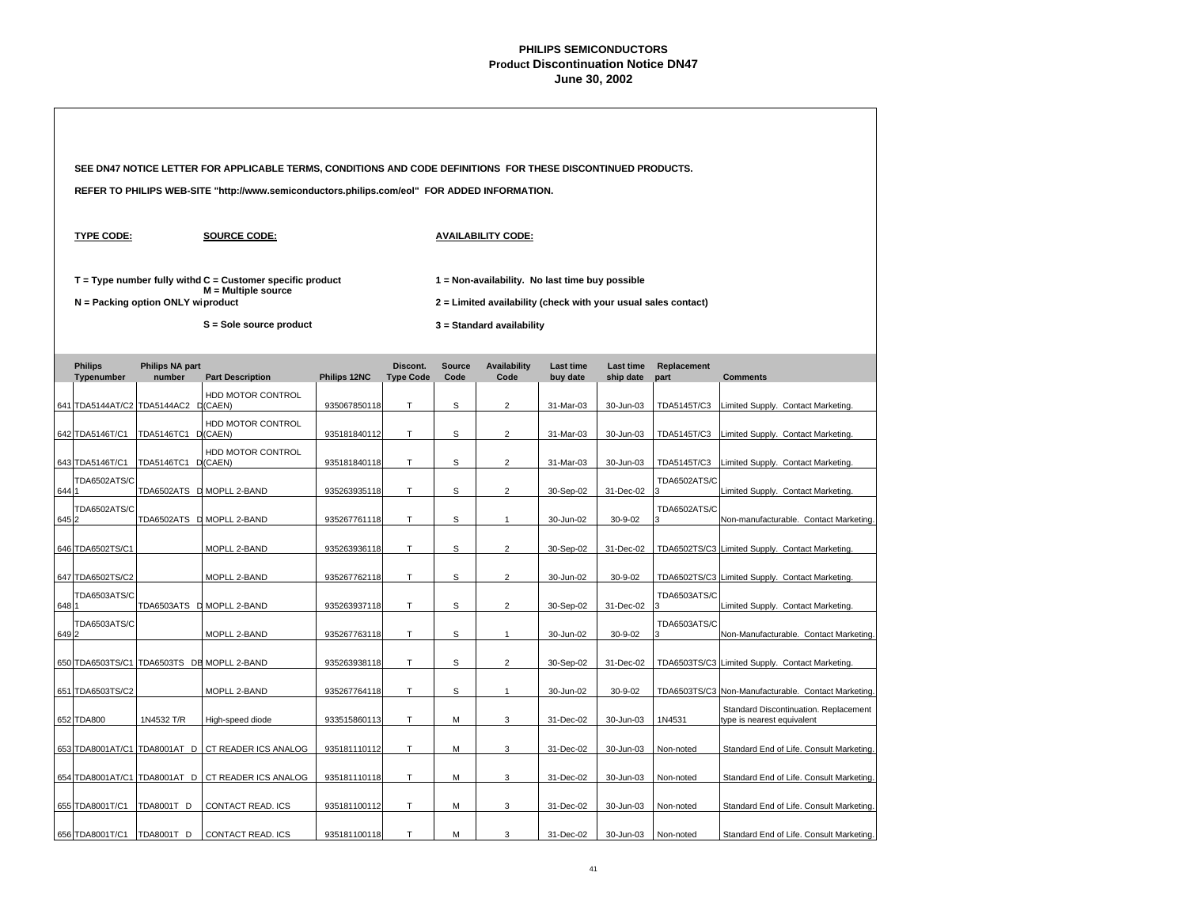|       |                                     |                                     | SEE DN47 NOTICE LETTER FOR APPLICABLE TERMS, CONDITIONS AND CODE DEFINITIONS FOR THESE DISCONTINUED PRODUCTS. |              |                              |                       |                                                                                                                   |                              |                               |                     |                                                                     |  |  |
|-------|-------------------------------------|-------------------------------------|---------------------------------------------------------------------------------------------------------------|--------------|------------------------------|-----------------------|-------------------------------------------------------------------------------------------------------------------|------------------------------|-------------------------------|---------------------|---------------------------------------------------------------------|--|--|
|       |                                     |                                     | REFER TO PHILIPS WEB-SITE "http://www.semiconductors.philips.com/eol" FOR ADDED INFORMATION.                  |              |                              |                       |                                                                                                                   |                              |                               |                     |                                                                     |  |  |
|       | <b>TYPE CODE:</b>                   |                                     | <b>SOURCE CODE:</b>                                                                                           |              |                              |                       | <b>AVAILABILITY CODE:</b>                                                                                         |                              |                               |                     |                                                                     |  |  |
|       |                                     | $N =$ Packing option ONLY wiproduct | $T = Type$ number fully withd $C =$ Customer specific product<br>$M =$ Multiple source                        |              |                              |                       | 1 = Non-availability. No last time buy possible<br>2 = Limited availability (check with your usual sales contact) |                              |                               |                     |                                                                     |  |  |
|       |                                     |                                     | S = Sole source product                                                                                       |              |                              |                       | 3 = Standard availability                                                                                         |                              |                               |                     |                                                                     |  |  |
|       | <b>Philips</b><br>Typenumber        | <b>Philips NA part</b><br>number    | <b>Part Description</b>                                                                                       | Philips 12NC | Discont.<br><b>Type Code</b> | <b>Source</b><br>Code | <b>Availability</b><br>Code                                                                                       | <b>Last time</b><br>buy date | <b>Last time</b><br>ship date | Replacement<br>part | <b>Comments</b>                                                     |  |  |
|       | 641 TDA5144AT/C2 TDA5144AC2 D(CAEN) |                                     | HDD MOTOR CONTROL                                                                                             | 935067850118 | T.                           | s                     | $\overline{c}$                                                                                                    | 31-Mar-03                    | 30-Jun-03                     | TDA5145T/C3         | Limited Supply. Contact Marketing.                                  |  |  |
|       | 642 TDA5146T/C1                     | TDA5146TC1 D(CAEN)                  | HDD MOTOR CONTROL                                                                                             | 935181840112 | T                            | S                     | $\overline{2}$                                                                                                    | 31-Mar-03                    | 30-Jun-03                     | TDA5145T/C3         | Limited Supply. Contact Marketing.                                  |  |  |
|       | 643 TDA5146T/C1                     | TDA5146TC1 D(CAEN)                  | HDD MOTOR CONTROL                                                                                             | 935181840118 | T.                           | S                     | $\overline{2}$                                                                                                    | 31-Mar-03                    | 30-Jun-03                     | TDA5145T/C3         | Limited Supply. Contact Marketing.                                  |  |  |
| 644 1 | TDA6502ATS/C                        |                                     | TDA6502ATS D MOPLL 2-BAND                                                                                     | 935263935118 | T.                           | S                     | $\overline{2}$                                                                                                    | 30-Sep-02                    | 31-Dec-02                     | TDA6502ATS/C        | Limited Supply. Contact Marketing.                                  |  |  |
| 6452  | <b>TDA6502ATS/C</b>                 |                                     | TDA6502ATS D MOPLL 2-BAND                                                                                     | 935267761118 | T                            | s                     | $\mathbf{1}$                                                                                                      | 30-Jun-02                    | 30-9-02                       | TDA6502ATS/C        | Non-manufacturable. Contact Marketing.                              |  |  |
|       | 646 TDA6502TS/C1                    |                                     | MOPLL 2-BAND                                                                                                  | 935263936118 | $\mathsf T$                  | s                     | $\overline{c}$                                                                                                    | 30-Sep-02                    | 31-Dec-02                     |                     | TDA6502TS/C3 Limited Supply. Contact Marketing.                     |  |  |
|       | 647 TDA6502TS/C2                    |                                     | MOPLL 2-BAND                                                                                                  | 935267762118 | $\mathsf T$                  | S                     | $\overline{2}$                                                                                                    | 30-Jun-02                    | 30-9-02                       |                     | TDA6502TS/C3 Limited Supply. Contact Marketing.                     |  |  |
| 648 1 | TDA6503ATS/C                        |                                     | TDA6503ATS D MOPLL 2-BAND                                                                                     | 935263937118 | T.                           | S                     | $\overline{2}$                                                                                                    | 30-Sep-02                    | 31-Dec-02                     | TDA6503ATS/C        | Limited Supply. Contact Marketing.                                  |  |  |
| 649 2 | TDA6503ATS/C                        |                                     | MOPLL 2-BAND                                                                                                  | 935267763118 | T.                           | S                     | $\mathbf{1}$                                                                                                      | 30-Jun-02                    | 30-9-02                       | TDA6503ATS/C        | Non-Manufacturable. Contact Marketing.                              |  |  |
|       |                                     |                                     | 650 TDA6503TS/C1 TDA6503TS DE MOPLL 2-BAND                                                                    | 935263938118 | T                            | s                     | $\overline{2}$                                                                                                    | 30-Sep-02                    | 31-Dec-02                     |                     | TDA6503TS/C3 Limited Supply. Contact Marketing.                     |  |  |
|       | 651 TDA6503TS/C2                    |                                     | MOPLL 2-BAND                                                                                                  | 935267764118 | T                            | s                     | $\mathbf{1}$                                                                                                      | 30-Jun-02                    | 30-9-02                       |                     | TDA6503TS/C3 Non-Manufacturable. Contact Marketing.                 |  |  |
|       | 652 TDA800                          | 1N4532 T/R                          | High-speed diode                                                                                              | 933515860113 | T                            | М                     | 3                                                                                                                 | 31-Dec-02                    | 30-Jun-03                     | 1N4531              | Standard Discontinuation. Replacement<br>type is nearest equivalent |  |  |
|       |                                     |                                     | 653 TDA8001AT/C1 TDA8001AT D CT READER ICS ANALOG                                                             | 935181110112 | T                            | M                     | 3                                                                                                                 | 31-Dec-02                    | 30-Jun-03                     | Non-noted           | Standard End of Life. Consult Marketing.                            |  |  |
|       | 654 TDA8001AT/C1                    | TDA8001AT D                         | CT READER ICS ANALOG                                                                                          | 935181110118 | T                            | M                     | 3                                                                                                                 | 31-Dec-02                    | 30-Jun-03                     | Non-noted           | Standard End of Life. Consult Marketing.                            |  |  |
|       | 655 TDA8001T/C1                     | TDA8001T D                          | CONTACT READ. ICS                                                                                             | 935181100112 | T.                           | M                     | 3                                                                                                                 | 31-Dec-02                    | 30-Jun-03                     | Non-noted           | Standard End of Life. Consult Marketing.                            |  |  |
|       | 656 TDA8001T/C1                     | TDA8001T D                          | CONTACT READ. ICS                                                                                             | 935181100118 | T.                           | M                     | 3                                                                                                                 | 31-Dec-02                    | 30-Jun-03                     | Non-noted           | Standard End of Life. Consult Marketing.                            |  |  |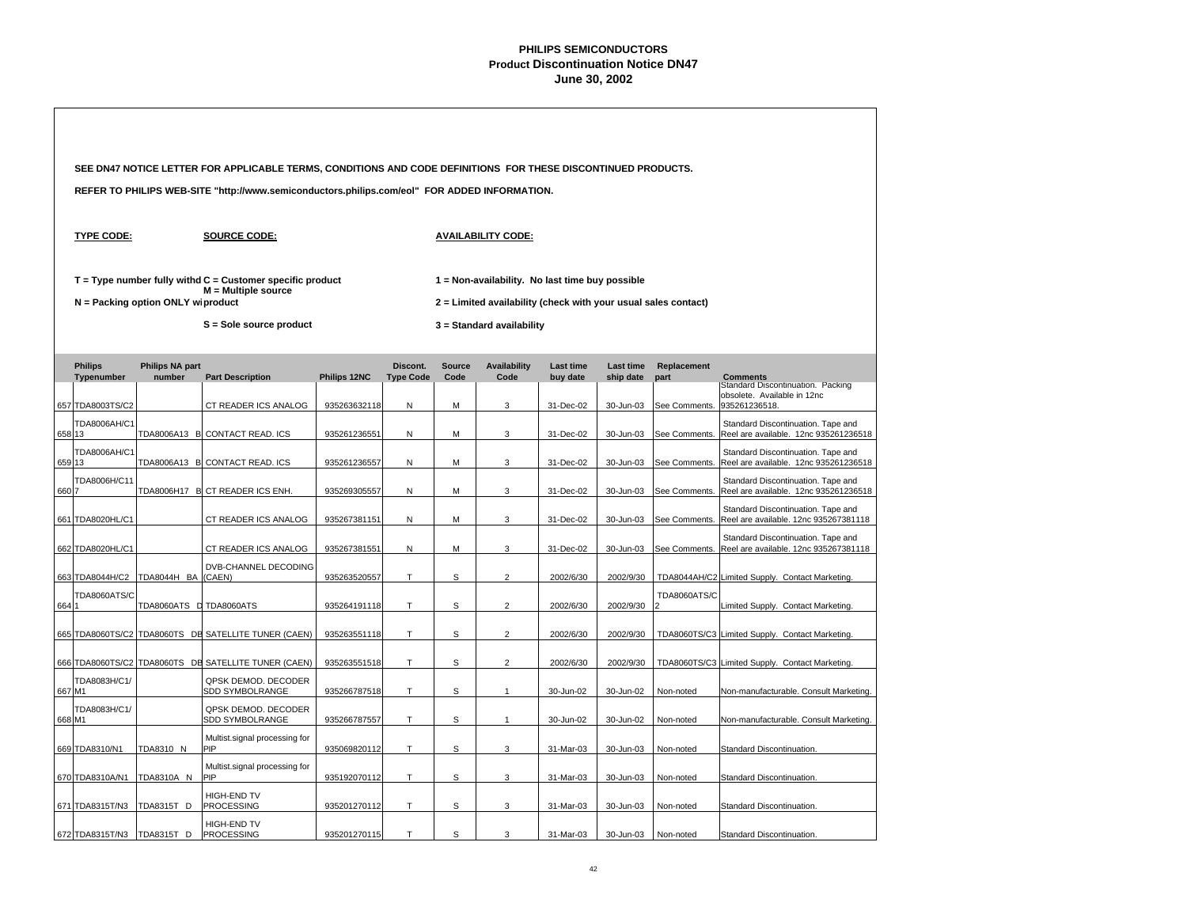|        |                                  |                                     | SEE DN47 NOTICE LETTER FOR APPLICABLE TERMS, CONDITIONS AND CODE DEFINITIONS FOR THESE DISCONTINUED PRODUCTS.   |                              |                  |        |                                                                                                                                                |                        |                        |                                |                                                                                              |  |  |
|--------|----------------------------------|-------------------------------------|-----------------------------------------------------------------------------------------------------------------|------------------------------|------------------|--------|------------------------------------------------------------------------------------------------------------------------------------------------|------------------------|------------------------|--------------------------------|----------------------------------------------------------------------------------------------|--|--|
|        |                                  |                                     | REFER TO PHILIPS WEB-SITE "http://www.semiconductors.philips.com/eol" FOR ADDED INFORMATION.                    |                              |                  |        |                                                                                                                                                |                        |                        |                                |                                                                                              |  |  |
|        | <b>TYPE CODE:</b>                |                                     | <b>SOURCE CODE:</b>                                                                                             |                              |                  |        | <b>AVAILABILITY CODE:</b>                                                                                                                      |                        |                        |                                |                                                                                              |  |  |
|        |                                  | $N =$ Packing option ONLY wiproduct | $T = Type$ number fully withd $C =$ Customer specific product<br>M = Multiple source<br>S = Sole source product |                              |                  |        | 1 = Non-availability. No last time buy possible<br>2 = Limited availability (check with your usual sales contact)<br>3 = Standard availability |                        |                        |                                |                                                                                              |  |  |
|        | <b>Philips</b>                   | <b>Philips NA part</b>              |                                                                                                                 |                              | Discont.         | Source | <b>Availability</b>                                                                                                                            | <b>Last time</b>       | <b>Last time</b>       | Replacement                    |                                                                                              |  |  |
|        | Typenumber                       | number                              | <b>Part Description</b>                                                                                         | Philips 12NC                 | <b>Type Code</b> | Code   | Code                                                                                                                                           | buy date               | ship date              | part                           | <b>Comments</b><br>Standard Discontinuation. Packing<br>obsolete. Available in 12nc          |  |  |
| 658 13 | 657 TDA8003TS/C2<br>TDA8006AH/C1 |                                     | CT READER ICS ANALOG<br>TDA8006A13 B CONTACT READ. ICS                                                          | 935263632118<br>935261236551 | Ν<br>N           | M<br>M | 3<br>3                                                                                                                                         | 31-Dec-02<br>31-Dec-02 | 30-Jun-03<br>30-Jun-03 | See Comments.<br>See Comments. | 935261236518.<br>Standard Discontinuation. Tape and<br>Reel are available. 12nc 935261236518 |  |  |
| 659 13 | TDA8006AH/C1                     |                                     | TDA8006A13 B CONTACT READ. ICS                                                                                  | 935261236557                 | ${\sf N}$        | M      | 3                                                                                                                                              | 31-Dec-02              | 30-Jun-03              | See Comments.                  | Standard Discontinuation. Tape and<br>Reel are available. 12nc 935261236518                  |  |  |
| 6607   | TDA8006H/C11                     |                                     | TDA8006H17 B CT READER ICS ENH.                                                                                 | 935269305557                 | N                | M      | 3                                                                                                                                              | 31-Dec-02              | 30-Jun-03              | See Comments.                  | Standard Discontinuation. Tape and<br>Reel are available. 12nc 935261236518                  |  |  |
|        | 661 TDA8020HL/C1                 |                                     | CT READER ICS ANALOG                                                                                            | 935267381151                 | N                | M      | 3                                                                                                                                              | 31-Dec-02              | 30-Jun-03              | See Comments.                  | Standard Discontinuation. Tape and<br>Reel are available. 12nc 935267381118                  |  |  |
|        | 662 TDA8020HL/C1                 |                                     | CT READER ICS ANALOG                                                                                            | 935267381551                 | N                | M      | 3                                                                                                                                              | 31-Dec-02              | 30-Jun-03              | See Comments.                  | Standard Discontinuation. Tape and<br>Reel are available. 12nc 935267381118                  |  |  |
|        | 663 TDA8044H/C2                  | TDA8044H BA                         | <b>DVB-CHANNEL DECODING</b><br>(CAEN)                                                                           | 935263520557                 | T                | S      | $\overline{2}$                                                                                                                                 | 2002/6/30              | 2002/9/30              |                                | TDA8044AH/C2 Limited Supply. Contact Marketing.                                              |  |  |
| 664    | <b>TDA8060ATS/C</b>              | TDA8060ATS L TDA8060ATS             |                                                                                                                 | 935264191118                 | T                | S      | $\overline{2}$                                                                                                                                 | 2002/6/30              | 2002/9/30              | <b>TDA8060ATS/C</b>            | Limited Supply. Contact Marketing.                                                           |  |  |
|        |                                  |                                     | 665 TDA8060TS/C2 TDA8060TS DE SATELLITE TUNER (CAEN)                                                            | 935263551118                 | T                | S      | $\overline{2}$                                                                                                                                 | 2002/6/30              | 2002/9/30              |                                | TDA8060TS/C3 Limited Supply. Contact Marketing.                                              |  |  |
|        |                                  |                                     | 666 TDA8060TS/C2 TDA8060TS DE SATELLITE TUNER (CAEN)                                                            | 935263551518                 | Т                | S      | $\overline{2}$                                                                                                                                 | 2002/6/30              | 2002/9/30              |                                | TDA8060TS/C3 Limited Supply. Contact Marketing.                                              |  |  |
| 667 M1 | TDA8083H/C1/                     |                                     | QPSK DEMOD. DECODER<br>SDD SYMBOLRANGE                                                                          | 935266787518                 | T                | S      | $\mathbf{1}$                                                                                                                                   | 30-Jun-02              | 30-Jun-02              | Non-noted                      | Non-manufacturable. Consult Marketing.                                                       |  |  |
| 668 M1 | TDA8083H/C1/                     |                                     | QPSK DEMOD, DECODER<br>SDD SYMBOLRANGE                                                                          | 935266787557                 | T                | S      | 1                                                                                                                                              | 30-Jun-02              | 30-Jun-02              | Non-noted                      | Non-manufacturable. Consult Marketing.                                                       |  |  |
|        | 669 TDA8310/N1                   | TDA8310 N                           | Multist.signal processing for<br>PIP                                                                            | 935069820112                 | T.               | S      | 3                                                                                                                                              | 31-Mar-03              | 30-Jun-03              | Non-noted                      | Standard Discontinuation.                                                                    |  |  |
|        | 670 TDA8310A/N1                  | TDA8310A N                          | Multist.signal processing for<br>PIP                                                                            | 935192070112                 | T                | S      | 3                                                                                                                                              | 31-Mar-03              | 30-Jun-03              | Non-noted                      | Standard Discontinuation.                                                                    |  |  |
|        | 671 TDA8315T/N3                  | TDA8315T D                          | HIGH-END TV<br>PROCESSING                                                                                       | 935201270112                 | т                | S      | 3                                                                                                                                              | 31-Mar-03              | 30-Jun-03              | Non-noted                      | Standard Discontinuation.                                                                    |  |  |
|        | 672 TDA8315T/N3                  | TDA8315T D                          | HIGH-END TV<br><b>PROCESSING</b>                                                                                | 935201270115                 | T                | S      | 3                                                                                                                                              | 31-Mar-03              | 30-Jun-03              | Non-noted                      | Standard Discontinuation.                                                                    |  |  |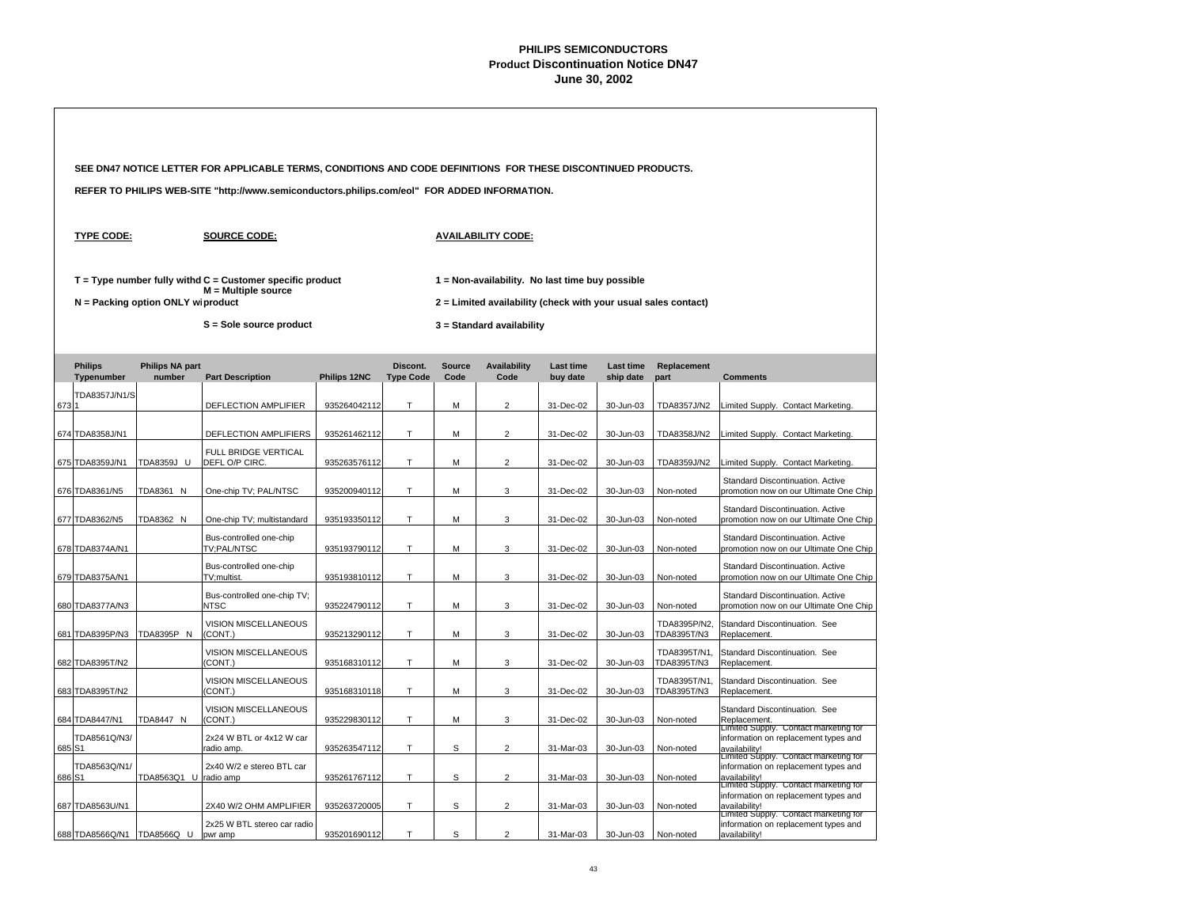|        |                              |                                   | SEE DN47 NOTICE LETTER FOR APPLICABLE TERMS, CONDITIONS AND CODE DEFINITIONS FOR THESE DISCONTINUED PRODUCTS. |              |                              |                       |                                                                |                              |                               |                             |                                                                                                                                         |  |
|--------|------------------------------|-----------------------------------|---------------------------------------------------------------------------------------------------------------|--------------|------------------------------|-----------------------|----------------------------------------------------------------|------------------------------|-------------------------------|-----------------------------|-----------------------------------------------------------------------------------------------------------------------------------------|--|
|        |                              |                                   | REFER TO PHILIPS WEB-SITE "http://www.semiconductors.philips.com/eol" FOR ADDED INFORMATION.                  |              |                              |                       |                                                                |                              |                               |                             |                                                                                                                                         |  |
|        | <b>TYPE CODE:</b>            |                                   | <b>SOURCE CODE:</b>                                                                                           |              |                              |                       | <b>AVAILABILITY CODE:</b>                                      |                              |                               |                             |                                                                                                                                         |  |
|        |                              |                                   | $T = Type$ number fully withd $C =$ Customer specific product<br>$M =$ Multiple source                        |              |                              |                       | 1 = Non-availability. No last time buy possible                |                              |                               |                             |                                                                                                                                         |  |
|        |                              | N = Packing option ONLY wiproduct |                                                                                                               |              |                              |                       | 2 = Limited availability (check with your usual sales contact) |                              |                               |                             |                                                                                                                                         |  |
|        |                              |                                   | S = Sole source product                                                                                       |              |                              |                       | 3 = Standard availability                                      |                              |                               |                             |                                                                                                                                         |  |
|        | <b>Philips</b><br>Typenumber | <b>Philips NA part</b><br>number  | <b>Part Description</b>                                                                                       | Philips 12NC | Discont.<br><b>Type Code</b> | <b>Source</b><br>Code | <b>Availability</b><br>Code                                    | <b>Last time</b><br>buv date | <b>Last time</b><br>ship date | Replacement<br>part         | <b>Comments</b>                                                                                                                         |  |
| 673 1  | TDA8357J/N1/S                |                                   | DEFLECTION AMPLIFIER                                                                                          | 935264042112 | T.                           | M                     | $\overline{2}$                                                 | 31-Dec-02                    | 30-Jun-03                     | TDA8357J/N2                 | Limited Supply. Contact Marketing.                                                                                                      |  |
|        | 674 TDA8358J/N1              |                                   | DEFLECTION AMPLIFIERS                                                                                         | 935261462112 | Т                            | M                     | $\overline{2}$                                                 | 31-Dec-02                    | 30-Jun-03                     | TDA8358J/N2                 | Limited Supply. Contact Marketing.                                                                                                      |  |
|        | 675 TDA8359J/N1              | TDA8359J U                        | FULL BRIDGE VERTICAL<br>DEFL O/P CIRC.                                                                        | 935263576112 | T.                           | M                     | $\overline{2}$                                                 | 31-Dec-02                    | 30-Jun-03                     | TDA8359J/N2                 | Limited Supply. Contact Marketing.                                                                                                      |  |
|        | 676 TDA8361/N5               | TDA8361 N                         | One-chip TV; PAL/NTSC                                                                                         | 935200940112 | T.                           | M                     | 3                                                              | 31-Dec-02                    | 30-Jun-03                     | Non-noted                   | Standard Discontinuation. Active<br>promotion now on our Ultimate One Chip                                                              |  |
|        | 677 TDA8362/N5               | TDA8362 N                         | One-chip TV; multistandard                                                                                    | 935193350112 | T.                           | M                     | 3                                                              | 31-Dec-02                    | 30-Jun-03                     | Non-noted                   | Standard Discontinuation. Active<br>promotion now on our Ultimate One Chip                                                              |  |
|        | 678 TDA8374A/N1              |                                   | Bus-controlled one-chip<br>TV;PAL/NTSC                                                                        | 935193790112 | T                            | M                     | 3                                                              | 31-Dec-02                    | 30-Jun-03                     | Non-noted                   | Standard Discontinuation. Active<br>promotion now on our Ultimate One Chip                                                              |  |
|        | 679 TDA8375A/N1              |                                   | Bus-controlled one-chip<br>TV;multist.                                                                        | 935193810112 | $\top$                       | M                     | 3                                                              | 31-Dec-02                    | 30-Jun-03                     | Non-noted                   | Standard Discontinuation. Active<br>promotion now on our Ultimate One Chip                                                              |  |
|        | 680 TDA8377A/N3              |                                   | Bus-controlled one-chip TV;<br><b>NTSC</b>                                                                    | 935224790112 | $\top$                       | M                     | 3                                                              | 31-Dec-02                    | 30-Jun-03                     | Non-noted                   | Standard Discontinuation, Active<br>promotion now on our Ultimate One Chip                                                              |  |
|        | 681 TDA8395P/N3              | TDA8395P N                        | <b>VISION MISCELLANEOUS</b><br>(CONT.)                                                                        | 935213290112 | T                            | M                     | 3                                                              | 31-Dec-02                    | 30-Jun-03                     | TDA8395P/N2.<br>TDA8395T/N3 | Standard Discontinuation. See<br>Replacement.                                                                                           |  |
|        | 682 TDA8395T/N2              |                                   | VISION MISCELLANEOUS<br>(CONT.)                                                                               | 935168310112 | T                            | M                     | 3                                                              | 31-Dec-02                    | 30-Jun-03                     | TDA8395T/N1,<br>TDA8395T/N3 | Standard Discontinuation. See<br>Replacement.                                                                                           |  |
|        | 683 TDA8395T/N2              |                                   | VISION MISCELLANEOUS<br>(CONT.)                                                                               | 935168310118 | T                            | M                     | 3                                                              | 31-Dec-02                    | 30-Jun-03                     | TDA8395T/N1,<br>TDA8395T/N3 | Standard Discontinuation. See<br>Replacement.                                                                                           |  |
|        | 684 TDA8447/N1               | TDA8447 N                         | VISION MISCELLANEOUS<br>(CONT.)                                                                               | 935229830112 | Τ                            | M                     | 3                                                              | 31-Dec-02                    | 30-Jun-03                     | Non-noted                   | Standard Discontinuation. See<br>Replacement.<br>Limited Supply. Contact marketing for                                                  |  |
| 685 S1 | TDA8561Q/N3/                 |                                   | 2x24 W BTL or 4x12 W car<br>radio amp                                                                         | 935263547112 | T.                           | S                     | $\overline{2}$                                                 | 31-Mar-03                    | 30-Jun-03                     | Non-noted                   | information on replacement types and<br>availability!                                                                                   |  |
|        | TDA8563Q/N1/<br>686 S1       | TDA8563Q1 U                       | 2x40 W/2 e stereo BTL car<br>radio amp                                                                        | 935261767112 | T                            | S                     | $\overline{2}$                                                 | 31-Mar-03                    | 30-Jun-03                     | Non-noted                   | Limited Supply. Contact marketing for<br>information on replacement types and<br>availability!                                          |  |
|        | 687 TDA8563U/N1              |                                   | 2X40 W/2 OHM AMPLIFIER                                                                                        | 935263720005 | Т                            | S                     | $\overline{2}$                                                 | 31-Mar-03                    | 30-Jun-03                     | Non-noted                   | Limited Supply. Contact marketing for<br>information on replacement types and<br>availability!<br>Limited Supply. Contact marketing for |  |
|        | 688 TDA8566Q/N1 TDA8566Q U   |                                   | 2x25 W BTL stereo car radio<br>pwr amp                                                                        | 935201690112 | T                            | S                     | $\overline{2}$                                                 | 31-Mar-03                    | 30-Jun-03                     | Non-noted                   | information on replacement types and<br>availability!                                                                                   |  |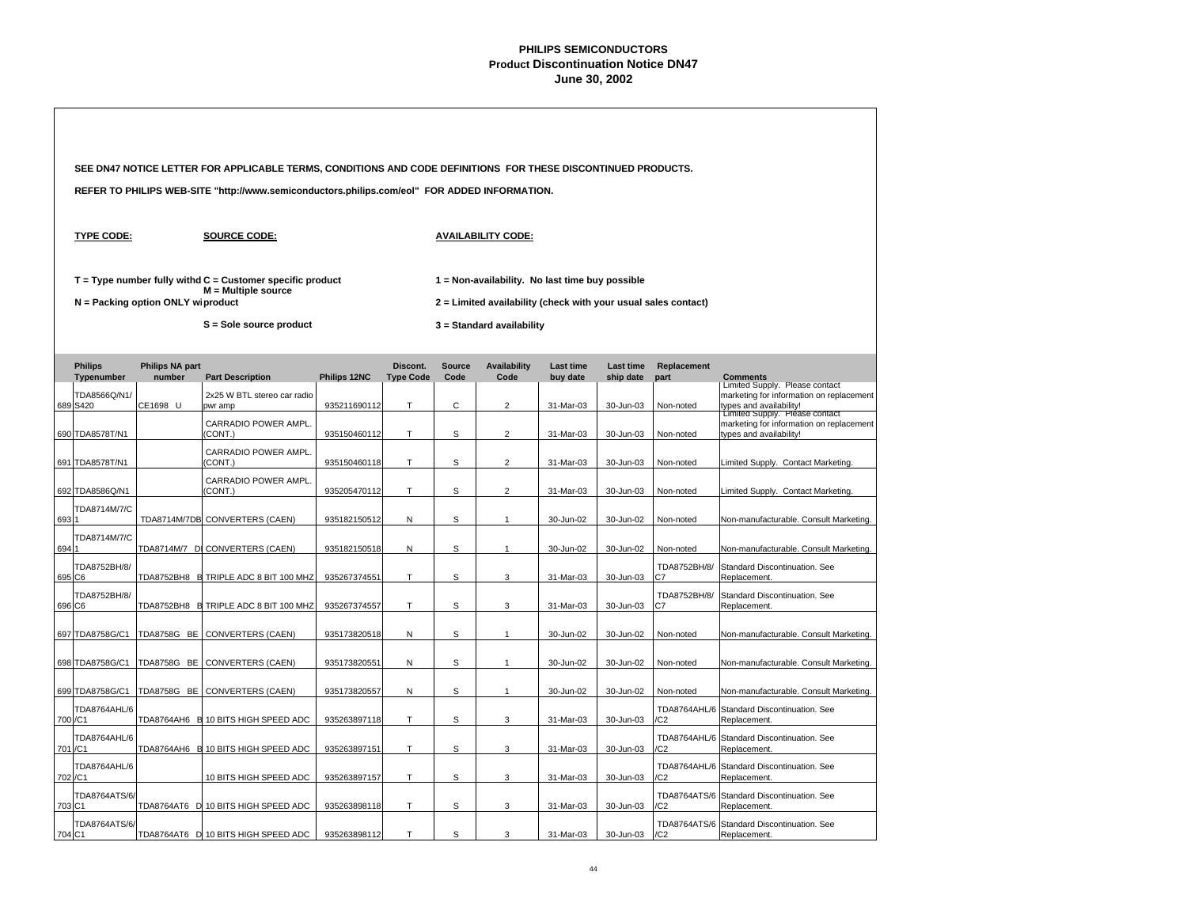|        |                                     |                                     | SEE DN47 NOTICE LETTER FOR APPLICABLE TERMS, CONDITIONS AND CODE DEFINITIONS FOR THESE DISCONTINUED PRODUCTS. |              |                              |                       |                                                                                                                   |                              |                               |                                  |                                                                                                       |  |
|--------|-------------------------------------|-------------------------------------|---------------------------------------------------------------------------------------------------------------|--------------|------------------------------|-----------------------|-------------------------------------------------------------------------------------------------------------------|------------------------------|-------------------------------|----------------------------------|-------------------------------------------------------------------------------------------------------|--|
|        |                                     |                                     | REFER TO PHILIPS WEB-SITE "http://www.semiconductors.philips.com/eol" FOR ADDED INFORMATION.                  |              |                              |                       |                                                                                                                   |                              |                               |                                  |                                                                                                       |  |
|        | <b>TYPE CODE:</b>                   |                                     | <b>SOURCE CODE:</b>                                                                                           |              |                              |                       | <b>AVAILABILITY CODE:</b>                                                                                         |                              |                               |                                  |                                                                                                       |  |
|        |                                     | $N =$ Packing option ONLY wiproduct | $T = Type$ number fully withd $C =$ Customer specific product<br>$M =$ Multiple source                        |              |                              |                       | 1 = Non-availability. No last time buy possible<br>2 = Limited availability (check with your usual sales contact) |                              |                               |                                  |                                                                                                       |  |
|        |                                     |                                     | S = Sole source product                                                                                       |              |                              |                       | 3 = Standard availability                                                                                         |                              |                               |                                  |                                                                                                       |  |
|        | <b>Philips</b><br><b>Typenumber</b> | <b>Philips NA part</b><br>number    | <b>Part Description</b>                                                                                       | Philips 12NC | Discont.<br><b>Type Code</b> | <b>Source</b><br>Code | <b>Availability</b><br>Code                                                                                       | <b>Last time</b><br>buy date | <b>Last time</b><br>ship date | Replacement<br>part              | <b>Comments</b>                                                                                       |  |
|        | TDA8566Q/N1/<br>689 S420            | CE1698 U                            | 2x25 W BTL stereo car radio<br>pwr amp                                                                        | 935211690112 | T.                           | $\mathsf{C}$          | $\overline{2}$                                                                                                    | 31-Mar-03                    | 30-Jun-03                     | Non-noted                        | Limited Supply. Please contact<br>marketing for information on replacement<br>types and availability! |  |
|        | 690 TDA8578T/N1                     |                                     | CARRADIO POWER AMPL.<br>(CONT.)                                                                               | 935150460112 | T                            | S                     | $\overline{2}$                                                                                                    | 31-Mar-03                    | 30-Jun-03                     | Non-noted                        | Limited Supply. Please contact<br>marketing for information on replacement<br>types and availability! |  |
|        | 691 TDA8578T/N1                     |                                     | CARRADIO POWER AMPL.<br>(CONT.)                                                                               | 935150460118 | T.                           | S                     | $\overline{2}$                                                                                                    | 31-Mar-03                    | 30-Jun-03                     | Non-noted                        | Limited Supply. Contact Marketing.                                                                    |  |
|        | 692 TDA8586Q/N1                     |                                     | CARRADIO POWER AMPL.<br>(CONT.)                                                                               | 935205470112 | T                            | S                     | $\overline{2}$                                                                                                    | 31-Mar-03                    | 30-Jun-03                     | Non-noted                        | Limited Supply. Contact Marketing.                                                                    |  |
| 693    | TDA8714M/7/C                        |                                     | TDA8714M/7DB CONVERTERS (CAEN)                                                                                | 935182150512 | ${\sf N}$                    | S                     | $\mathbf{1}$                                                                                                      | 30-Jun-02                    | 30-Jun-02                     | Non-noted                        | Non-manufacturable. Consult Marketing.                                                                |  |
| 694    | TDA8714M/7/C                        |                                     | TDA8714M/7 D CONVERTERS (CAEN)                                                                                | 935182150518 | ${\sf N}$                    | s                     | $\mathbf{1}$                                                                                                      | 30-Jun-02                    | 30-Jun-02                     | Non-noted                        | Non-manufacturable. Consult Marketing.                                                                |  |
|        | TDA8752BH/8/<br>695 C6              |                                     | TDA8752BH8 B TRIPLE ADC 8 BIT 100 MHZ                                                                         | 935267374551 | T                            | s                     | 3                                                                                                                 | 31-Mar-03                    | 30-Jun-03                     | TDA8752BH/8/<br>C7               | Standard Discontinuation, See<br>Replacement.                                                         |  |
|        | TDA8752BH/8/<br>696 C6              |                                     | TDA8752BH8 B TRIPLE ADC 8 BIT 100 MHZ                                                                         | 935267374557 | T                            | S                     | 3                                                                                                                 | 31-Mar-03                    | 30-Jun-03                     | TDA8752BH/8/<br>C7               | Standard Discontinuation. See<br>Replacement.                                                         |  |
|        |                                     |                                     |                                                                                                               |              |                              |                       |                                                                                                                   |                              |                               |                                  |                                                                                                       |  |
|        | 697 TDA8758G/C1                     | <b>TDA8758G BE</b>                  | <b>CONVERTERS (CAEN)</b>                                                                                      | 935173820518 | N                            | S                     | $\mathbf{1}$                                                                                                      | 30-Jun-02                    | 30-Jun-02                     | Non-noted                        | Non-manufacturable. Consult Marketing.                                                                |  |
|        | 698 TDA8758G/C1                     | TDA8758G BE                         | CONVERTERS (CAEN)                                                                                             | 935173820551 | ${\sf N}$                    | S                     | $\mathbf{1}$                                                                                                      | 30-Jun-02                    | 30-Jun-02                     | Non-noted                        | Non-manufacturable. Consult Marketing.                                                                |  |
|        | TDA8764AHL/6                        |                                     | 699 TDA8758G/C1 TDA8758G BE CONVERTERS (CAEN)                                                                 | 935173820557 | N                            | $\mathsf S$           | $\mathbf{1}$                                                                                                      | 30-Jun-02                    | 30-Jun-02                     | Non-noted<br><b>TDA8764AHL/6</b> | Non-manufacturable. Consult Marketing.<br>Standard Discontinuation. See                               |  |
|        | 700 / C1<br>TDA8764AHL/6            |                                     | TDA8764AH6 B 10 BITS HIGH SPEED ADC                                                                           | 935263897118 | T                            | S                     | 3                                                                                                                 | 31-Mar-03                    | 30-Jun-03                     | /C2<br><b>TDA8764AHL/6</b>       | Replacement.<br>Standard Discontinuation. See                                                         |  |
|        | 701 / C1<br>TDA8764AHL/6            |                                     | TDA8764AH6 B 10 BITS HIGH SPEED ADC                                                                           | 935263897151 | T                            | S                     | 3                                                                                                                 | 31-Mar-03                    | 30-Jun-03                     | /C2                              | Replacement.                                                                                          |  |
|        | 702 / C1                            |                                     | 10 BITS HIGH SPEED ADC                                                                                        | 935263897157 | $\top$                       | S                     | 3                                                                                                                 | 31-Mar-03                    | 30-Jun-03                     | /C2                              | TDA8764AHL/6 Standard Discontinuation. See<br>Replacement.                                            |  |
| 703 C1 | TDA8764ATS/6/                       |                                     | TDA8764AT6 D 10 BITS HIGH SPEED ADC                                                                           | 935263898118 | T                            | S                     | 3                                                                                                                 | 31-Mar-03                    | 30-Jun-03                     | /C <sub>2</sub>                  | TDA8764ATS/6 Standard Discontinuation. See<br>Replacement.                                            |  |
|        | TDA8764ATS/6/<br>704 C1             |                                     | TDA8764AT6 D 10 BITS HIGH SPEED ADC                                                                           | 935263898112 | T.                           | S                     | 3                                                                                                                 | 31-Mar-03                    | 30-Jun-03                     | /C2                              | TDA8764ATS/6 Standard Discontinuation. See<br>Replacement.                                            |  |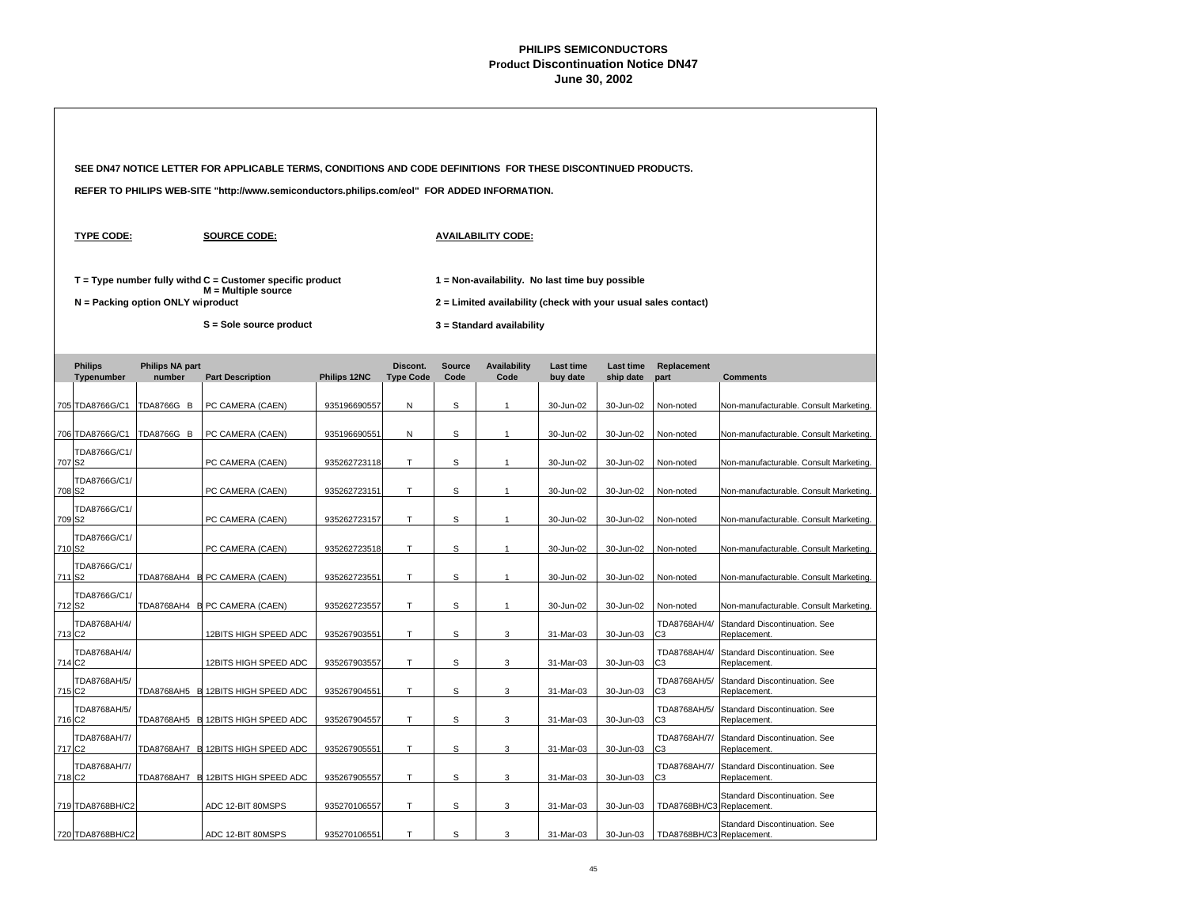|                    |                                    |                                   | SEE DN47 NOTICE LETTER FOR APPLICABLE TERMS, CONDITIONS AND CODE DEFINITIONS FOR THESE DISCONTINUED PRODUCTS. |              |                              |                       |                                                                |                              |                               |                                |                                               |  |  |
|--------------------|------------------------------------|-----------------------------------|---------------------------------------------------------------------------------------------------------------|--------------|------------------------------|-----------------------|----------------------------------------------------------------|------------------------------|-------------------------------|--------------------------------|-----------------------------------------------|--|--|
|                    |                                    |                                   | REFER TO PHILIPS WEB-SITE "http://www.semiconductors.philips.com/eol" FOR ADDED INFORMATION.                  |              |                              |                       |                                                                |                              |                               |                                |                                               |  |  |
|                    | <b>TYPE CODE:</b>                  |                                   | <b>SOURCE CODE:</b>                                                                                           |              |                              |                       | <b>AVAILABILITY CODE:</b>                                      |                              |                               |                                |                                               |  |  |
|                    |                                    |                                   | $T = Type$ number fully withd $C =$ Customer specific product<br>$M =$ Multiple source                        |              |                              |                       | 1 = Non-availability. No last time buy possible                |                              |                               |                                |                                               |  |  |
|                    |                                    | N = Packing option ONLY wiproduct |                                                                                                               |              |                              |                       | 2 = Limited availability (check with your usual sales contact) |                              |                               |                                |                                               |  |  |
|                    |                                    |                                   | S = Sole source product                                                                                       |              |                              |                       | 3 = Standard availability                                      |                              |                               |                                |                                               |  |  |
|                    | <b>Philips</b><br>Typenumber       | <b>Philips NA part</b><br>number  | <b>Part Description</b>                                                                                       | Philips 12NC | Discont.<br><b>Type Code</b> | <b>Source</b><br>Code | <b>Availability</b><br>Code                                    | <b>Last time</b><br>buy date | <b>Last time</b><br>ship date | Replacement<br>part            | <b>Comments</b>                               |  |  |
|                    | 705 TDA8766G/C1                    | <b>TDA8766G B</b>                 | PC CAMERA (CAEN)                                                                                              | 935196690557 | N                            | S                     | $\overline{1}$                                                 | 30-Jun-02                    | 30-Jun-02                     | Non-noted                      | Non-manufacturable. Consult Marketing.        |  |  |
|                    | 706 TDA8766G/C1                    | <b>TDA8766G B</b>                 | PC CAMERA (CAEN)                                                                                              | 935196690551 | N                            | S                     | $\overline{1}$                                                 | 30-Jun-02                    | 30-Jun-02                     | Non-noted                      | Non-manufacturable. Consult Marketing.        |  |  |
|                    | TDA8766G/C1/<br>707 S <sub>2</sub> |                                   | PC CAMERA (CAEN)                                                                                              | 935262723118 | T                            | S                     | $\mathbf{1}$                                                   | 30-Jun-02                    | 30-Jun-02                     | Non-noted                      | Non-manufacturable. Consult Marketing.        |  |  |
| 708 S <sub>2</sub> | TDA8766G/C1/                       |                                   | PC CAMERA (CAEN)                                                                                              | 935262723151 | Т                            | S                     | $\mathbf{1}$                                                   | 30-Jun-02                    | 30-Jun-02                     | Non-noted                      | Non-manufacturable. Consult Marketing.        |  |  |
|                    | TDA8766G/C1/<br>709 <sub>S2</sub>  |                                   | PC CAMERA (CAEN)                                                                                              | 935262723157 | T.                           | S                     | $\mathbf{1}$                                                   | 30-Jun-02                    | 30-Jun-02                     | Non-noted                      | Non-manufacturable. Consult Marketing.        |  |  |
|                    | TDA8766G/C1/<br>710 S <sub>2</sub> |                                   | PC CAMERA (CAEN)                                                                                              | 935262723518 | T.                           | S                     | $\mathbf{1}$                                                   | 30-Jun-02                    | 30-Jun-02                     | Non-noted                      | Non-manufacturable. Consult Marketing.        |  |  |
| 711 S2             | TDA8766G/C1/                       |                                   | TDA8768AH4 E PC CAMERA (CAEN)                                                                                 | 935262723551 | T                            | S                     | $\mathbf{1}$                                                   | 30-Jun-02                    | 30-Jun-02                     | Non-noted                      | Non-manufacturable. Consult Marketing.        |  |  |
| 712 S <sub>2</sub> | TDA8766G/C1/                       |                                   | TDA8768AH4 E PC CAMERA (CAEN)                                                                                 | 935262723557 | T.                           | S                     | $\mathbf{1}$                                                   | 30-Jun-02                    | 30-Jun-02                     | Non-noted                      | Non-manufacturable. Consult Marketing.        |  |  |
| 713 C <sub>2</sub> | TDA8768AH/4/                       |                                   | 12BITS HIGH SPEED ADC                                                                                         | 935267903551 | T                            | S                     | 3                                                              | 31-Mar-03                    | 30-Jun-03                     | TDA8768AH/4/<br>CЗ             | Standard Discontinuation. See<br>Replacement. |  |  |
| 714 C <sub>2</sub> | TDA8768AH/4/                       |                                   | 12BITS HIGH SPEED ADC                                                                                         | 935267903557 | T                            | s                     | 3                                                              | 31-Mar-03                    | 30-Jun-03                     | TDA8768AH/4/<br>C3             | Standard Discontinuation. See<br>Replacement. |  |  |
| 715 C <sub>2</sub> | TDA8768AH/5/                       |                                   | TDA8768AH5 E 12BITS HIGH SPEED ADC                                                                            | 935267904551 | T                            | s                     | 3                                                              | 31-Mar-03                    | 30-Jun-03                     | TDA8768AH/5/<br>C3             | Standard Discontinuation. See<br>Replacement. |  |  |
|                    | TDA8768AH/5/<br>716 C <sub>2</sub> |                                   | TDA8768AH5 E 12BITS HIGH SPEED ADC                                                                            | 935267904557 | T.                           | S                     | 3                                                              | 31-Mar-03                    | 30-Jun-03                     | TDA8768AH/5/<br>C <sub>3</sub> | Standard Discontinuation. See<br>Replacement. |  |  |
|                    | TDA8768AH/7/<br>717 C <sub>2</sub> |                                   | TDA8768AH7 E 12BITS HIGH SPEED ADC                                                                            | 935267905551 | T                            | S                     | 3                                                              | 31-Mar-03                    | 30-Jun-03                     | TDA8768AH/7/<br>CЗ             | Standard Discontinuation. See<br>Replacement. |  |  |
|                    | TDA8768AH/7/<br>718 C <sub>2</sub> |                                   | TDA8768AH7 E 12BITS HIGH SPEED ADC                                                                            | 935267905557 | T                            | s                     | 3                                                              | 31-Mar-03                    | 30-Jun-03                     | TDA8768AH/7/<br>C3             | Standard Discontinuation. See<br>Replacement. |  |  |
|                    | 719 TDA8768BH/C2                   |                                   | ADC 12-BIT 80MSPS                                                                                             | 935270106557 | Т                            | S                     | 3                                                              | 31-Mar-03                    | 30-Jun-03                     | TDA8768BH/C3 Replacement.      | Standard Discontinuation. See                 |  |  |
|                    | 720 TDA8768BH/C2                   |                                   | ADC 12-BIT 80MSPS                                                                                             | 935270106551 | T                            | S                     | 3                                                              | 31-Mar-03                    | 30-Jun-03                     | TDA8768BH/C3 Replacement.      | Standard Discontinuation. See                 |  |  |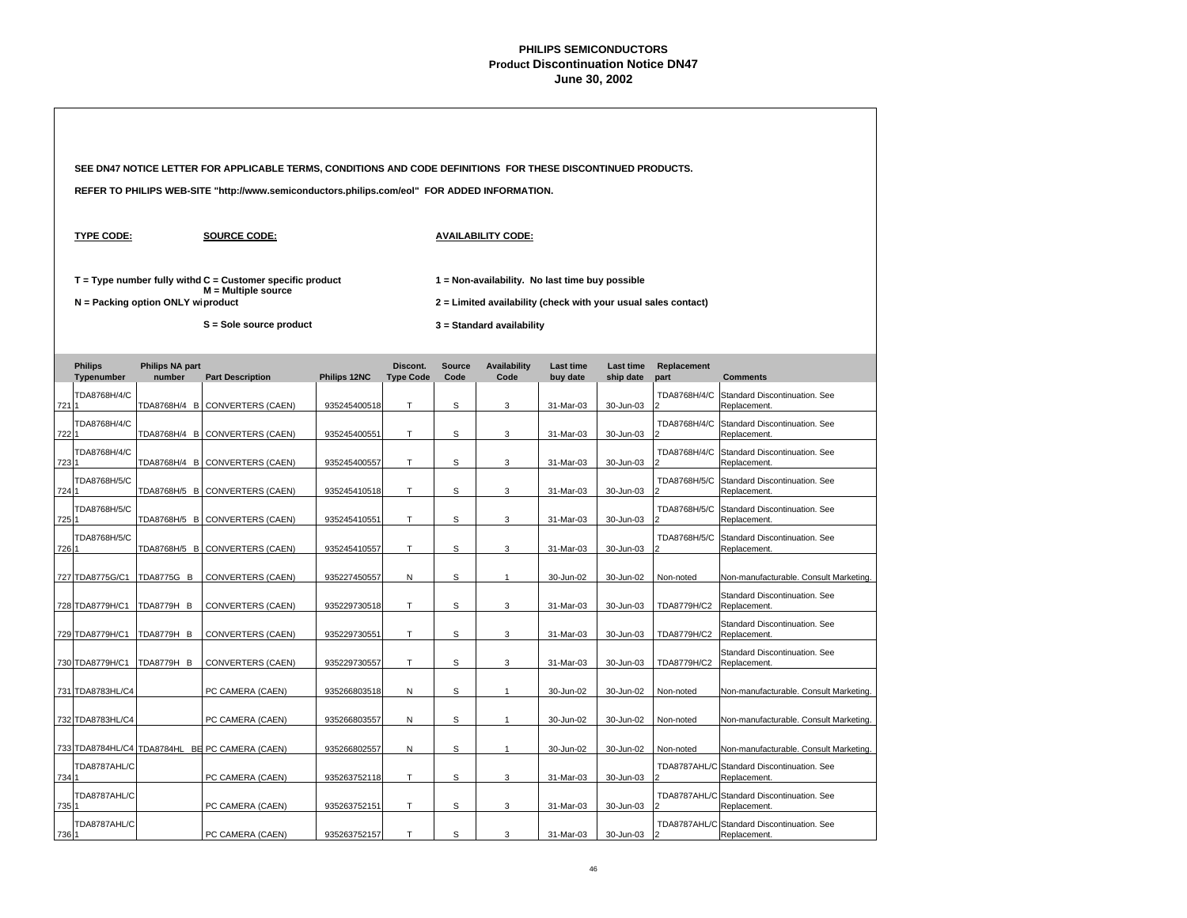|       |                              |                                   | SEE DN47 NOTICE LETTER FOR APPLICABLE TERMS, CONDITIONS AND CODE DEFINITIONS FOR THESE DISCONTINUED PRODUCTS. |              |                              |                       |                                                                                                                   |                              |                        |                     |                                                            |  |
|-------|------------------------------|-----------------------------------|---------------------------------------------------------------------------------------------------------------|--------------|------------------------------|-----------------------|-------------------------------------------------------------------------------------------------------------------|------------------------------|------------------------|---------------------|------------------------------------------------------------|--|
|       |                              |                                   | REFER TO PHILIPS WEB-SITE "http://www.semiconductors.philips.com/eol" FOR ADDED INFORMATION.                  |              |                              |                       |                                                                                                                   |                              |                        |                     |                                                            |  |
|       | <b>TYPE CODE:</b>            |                                   | <b>SOURCE CODE:</b>                                                                                           |              |                              |                       | <b>AVAILABILITY CODE:</b>                                                                                         |                              |                        |                     |                                                            |  |
|       |                              | N = Packing option ONLY wiproduct | $T = Type$ number fully withd $C =$ Customer specific product<br>$M =$ Multiple source                        |              |                              |                       | 1 = Non-availability. No last time buy possible<br>2 = Limited availability (check with your usual sales contact) |                              |                        |                     |                                                            |  |
|       |                              |                                   | S = Sole source product                                                                                       |              |                              |                       | 3 = Standard availability                                                                                         |                              |                        |                     |                                                            |  |
|       | <b>Philips</b><br>Typenumber | <b>Philips NA part</b><br>number  | <b>Part Description</b>                                                                                       | Philips 12NC | Discont.<br><b>Type Code</b> | <b>Source</b><br>Code | <b>Availability</b><br>Code                                                                                       | <b>Last time</b><br>buy date | Last time<br>ship date | Replacement<br>part | <b>Comments</b>                                            |  |
| 7211  | TDA8768H/4/C                 |                                   | TDA8768H/4 B CONVERTERS (CAEN)                                                                                | 935245400518 | T.                           | S                     | 3                                                                                                                 | 31-Mar-03                    | 30-Jun-03              | TDA8768H/4/C<br>2   | Standard Discontinuation. See<br>Replacement.              |  |
| 7221  | TDA8768H/4/C                 |                                   | TDA8768H/4 B CONVERTERS (CAEN)                                                                                | 935245400551 | T.                           | s                     | 3                                                                                                                 | 31-Mar-03                    | 30-Jun-03              | TDA8768H/4/C<br>2   | Standard Discontinuation. See<br>Replacement.              |  |
| 723 1 | TDA8768H/4/C                 |                                   | TDA8768H/4 B CONVERTERS (CAEN)                                                                                | 935245400557 | T.                           | S                     | 3                                                                                                                 | 31-Mar-03                    | 30-Jun-03              | TDA8768H/4/C        | Standard Discontinuation. See<br>Replacement.              |  |
| 724 1 | TDA8768H/5/C                 |                                   | TDA8768H/5 B CONVERTERS (CAEN)                                                                                | 935245410518 | T.                           | S                     | 3                                                                                                                 | 31-Mar-03                    | 30-Jun-03              | TDA8768H/5/C        | Standard Discontinuation. See<br>Replacement.              |  |
| 725 1 | TDA8768H/5/C                 |                                   | TDA8768H/5 B CONVERTERS (CAEN)                                                                                | 935245410551 | T.                           | S                     | 3                                                                                                                 | 31-Mar-03                    | 30-Jun-03              | TDA8768H/5/C        | Standard Discontinuation. See<br>Replacement.              |  |
| 726 1 | TDA8768H/5/C                 |                                   | TDA8768H/5 B CONVERTERS (CAEN)                                                                                | 935245410557 | T                            | s                     | 3                                                                                                                 | 31-Mar-03                    | 30-Jun-03              | TDA8768H/5/C        | Standard Discontinuation. See<br>Replacement.              |  |
|       | 727 TDA8775G/C1              | <b>TDA8775G B</b>                 | CONVERTERS (CAEN)                                                                                             | 935227450557 | N                            | S                     | $\mathbf{1}$                                                                                                      | 30-Jun-02                    | 30-Jun-02              | Non-noted           | Non-manufacturable. Consult Marketing.                     |  |
|       | 728 TDA8779H/C1              | <b>TDA8779H B</b>                 | CONVERTERS (CAEN)                                                                                             | 935229730518 | T                            | s                     | 3                                                                                                                 | 31-Mar-03                    | 30-Jun-03              | TDA8779H/C2         | Standard Discontinuation. See<br>Replacement.              |  |
|       | 729 TDA8779H/C1              | TDA8779H B                        | CONVERTERS (CAEN)                                                                                             | 935229730551 | T                            | s                     | 3                                                                                                                 | 31-Mar-03                    | 30-Jun-03              | TDA8779H/C2         | Standard Discontinuation, See<br>Replacement.              |  |
|       | 730 TDA8779H/C1              | <b>TDA8779H B</b>                 | CONVERTERS (CAEN)                                                                                             | 935229730557 | T.                           | S                     | 3                                                                                                                 | 31-Mar-03                    | 30-Jun-03              | TDA8779H/C2         | Standard Discontinuation. See<br>Replacement.              |  |
|       | 731 TDA8783HL/C4             |                                   | PC CAMERA (CAEN)                                                                                              | 935266803518 | N                            | s                     | $\mathbf{1}$                                                                                                      | 30-Jun-02                    | 30-Jun-02              | Non-noted           | Non-manufacturable. Consult Marketing.                     |  |
|       | 732 TDA8783HL/C4             |                                   | PC CAMERA (CAEN)                                                                                              | 935266803557 | N                            | s                     | $\mathbf{1}$                                                                                                      | 30-Jun-02                    | 30-Jun-02              | Non-noted           | Non-manufacturable. Consult Marketing.                     |  |
|       |                              |                                   | 733 TDA8784HL/C4 TDA8784HL BE PC CAMERA (CAEN)                                                                | 935266802557 | N                            | S                     | $\mathbf{1}$                                                                                                      | 30-Jun-02                    | 30-Jun-02              | Non-noted           | Non-manufacturable. Consult Marketing.                     |  |
| 734 1 | TDA8787AHL/C                 |                                   | PC CAMERA (CAEN)                                                                                              | 935263752118 | т                            | s                     | 3                                                                                                                 | 31-Mar-03                    | 30-Jun-03              | TDA8787AHL/C        | Standard Discontinuation. See<br>Replacement.              |  |
| 735 1 | TDA8787AHL/C                 |                                   | PC CAMERA (CAEN)                                                                                              | 935263752151 | т                            | s                     | 3                                                                                                                 | 31-Mar-03                    | 30-Jun-03              |                     | TDA8787AHL/C Standard Discontinuation. See<br>Replacement. |  |
| 736 1 | TDA8787AHL/C                 |                                   | PC CAMERA (CAEN)                                                                                              | 935263752157 | T                            | S                     | 3                                                                                                                 | 31-Mar-03                    | 30-Jun-03              |                     | TDA8787AHL/C Standard Discontinuation. See<br>Replacement. |  |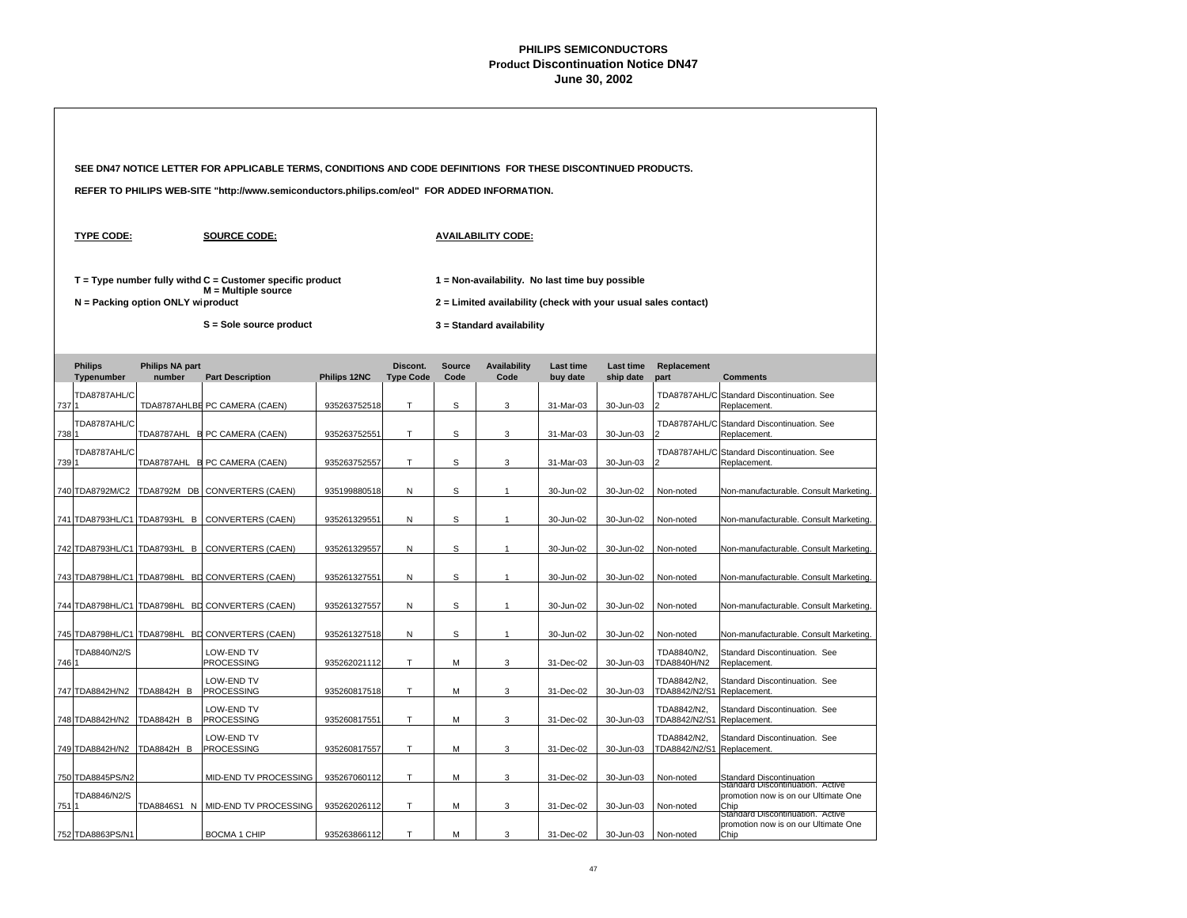|       |                              |                                     | SEE DN47 NOTICE LETTER FOR APPLICABLE TERMS, CONDITIONS AND CODE DEFINITIONS FOR THESE DISCONTINUED PRODUCTS. |              |                              |                       |                                                                                                                   |                              |                               |                              |                                                                                                                      |  |
|-------|------------------------------|-------------------------------------|---------------------------------------------------------------------------------------------------------------|--------------|------------------------------|-----------------------|-------------------------------------------------------------------------------------------------------------------|------------------------------|-------------------------------|------------------------------|----------------------------------------------------------------------------------------------------------------------|--|
|       |                              |                                     | REFER TO PHILIPS WEB-SITE "http://www.semiconductors.philips.com/eol" FOR ADDED INFORMATION.                  |              |                              |                       |                                                                                                                   |                              |                               |                              |                                                                                                                      |  |
|       | <b>TYPE CODE:</b>            |                                     | <b>SOURCE CODE:</b>                                                                                           |              |                              |                       | <b>AVAILABILITY CODE:</b>                                                                                         |                              |                               |                              |                                                                                                                      |  |
|       |                              | $N =$ Packing option ONLY wiproduct | $T = Type$ number fully withd $C =$ Customer specific product<br>$M =$ Multiple source                        |              |                              |                       | 1 = Non-availability. No last time buy possible<br>2 = Limited availability (check with your usual sales contact) |                              |                               |                              |                                                                                                                      |  |
|       |                              |                                     | S = Sole source product                                                                                       |              |                              |                       | 3 = Standard availability                                                                                         |                              |                               |                              |                                                                                                                      |  |
|       | <b>Philips</b><br>Typenumber | <b>Philips NA part</b><br>number    | <b>Part Description</b>                                                                                       | Philips 12NC | Discont.<br><b>Type Code</b> | <b>Source</b><br>Code | <b>Availability</b><br>Code                                                                                       | <b>Last time</b><br>buy date | <b>Last time</b><br>ship date | Replacement<br>part          | <b>Comments</b>                                                                                                      |  |
| 7371  | TDA8787AHL/C                 |                                     | TDA8787AHLBE PC CAMERA (CAEN)                                                                                 | 935263752518 | T.                           | S                     | 3                                                                                                                 | 31-Mar-03                    | 30-Jun-03                     | TDA8787AHL/C                 | Standard Discontinuation. See<br>Replacement.                                                                        |  |
| 738 1 | TDA8787AHL/C                 |                                     | TDA8787AHL B PC CAMERA (CAEN)                                                                                 | 935263752551 | T.                           | S                     | 3                                                                                                                 | 31-Mar-03                    | 30-Jun-03                     |                              | TDA8787AHL/C Standard Discontinuation. See<br>Replacement.                                                           |  |
| 739 1 | TDA8787AHL/C                 |                                     | TDA8787AHL B PC CAMERA (CAEN)                                                                                 | 935263752557 | T                            | S                     | 3                                                                                                                 | 31-Mar-03                    | 30-Jun-03                     |                              | TDA8787AHL/C Standard Discontinuation. See<br>Replacement.                                                           |  |
|       | 740 TDA8792M/C2              |                                     | TDA8792M DB CONVERTERS (CAEN)                                                                                 | 935199880518 | N                            | S                     | $\mathbf{1}$                                                                                                      | 30-Jun-02                    | 30-Jun-02                     | Non-noted                    | Non-manufacturable. Consult Marketing.                                                                               |  |
|       |                              |                                     | 741 TDA8793HL/C1 TDA8793HL B CONVERTERS (CAEN)                                                                | 935261329551 | Ν                            | S                     | $\mathbf{1}$                                                                                                      | 30-Jun-02                    | 30-Jun-02                     | Non-noted                    | Non-manufacturable. Consult Marketing.                                                                               |  |
|       |                              |                                     | 742 TDA8793HL/C1 TDA8793HL B CONVERTERS (CAEN)                                                                | 935261329557 | N                            | s                     | $\mathbf{1}$                                                                                                      | 30-Jun-02                    | 30-Jun-02                     | Non-noted                    | Non-manufacturable. Consult Marketing.                                                                               |  |
|       |                              |                                     | 743 TDA8798HL/C1 TDA8798HL BD CONVERTERS (CAEN)                                                               | 935261327551 | N                            | S                     | $\mathbf{1}$                                                                                                      | 30-Jun-02                    | 30-Jun-02                     | Non-noted                    | Non-manufacturable. Consult Marketing.                                                                               |  |
|       |                              |                                     | 744 TDA8798HL/C1 TDA8798HL BD CONVERTERS (CAEN)                                                               | 935261327557 | N                            | S                     | $\mathbf{1}$                                                                                                      | 30-Jun-02                    | 30-Jun-02                     | Non-noted                    | Non-manufacturable. Consult Marketing.                                                                               |  |
|       |                              |                                     | 745 TDA8798HL/C1 TDA8798HL BD CONVERTERS (CAEN)                                                               | 935261327518 | N                            | S                     | $\mathbf{1}$                                                                                                      | 30-Jun-02                    | 30-Jun-02                     | Non-noted                    | Non-manufacturable. Consult Marketing.                                                                               |  |
| 746 1 | TDA8840/N2/S                 |                                     | LOW-END TV<br>PROCESSING                                                                                      | 935262021112 | T.                           | М                     | 3                                                                                                                 | 31-Dec-02                    | 30-Jun-03                     | TDA8840/N2,<br>TDA8840H/N2   | Standard Discontinuation. See<br>Replacement.                                                                        |  |
|       | 747 TDA8842H/N2              | <b>TDA8842H B</b>                   | LOW-END TV<br><b>PROCESSING</b>                                                                               | 935260817518 | T                            | М                     | 3                                                                                                                 | 31-Dec-02                    | 30-Jun-03                     | TDA8842/N2,<br>TDA8842/N2/S1 | Standard Discontinuation. See<br>Replacement.                                                                        |  |
|       | 748 TDA8842H/N2              | TDA8842H B                          | LOW-END TV<br><b>PROCESSING</b>                                                                               | 935260817551 | T                            | М                     | 3                                                                                                                 | 31-Dec-02                    | 30-Jun-03                     | TDA8842/N2,<br>TDA8842/N2/S1 | Standard Discontinuation. See<br>Replacement.                                                                        |  |
|       | 749 TDA8842H/N2              | TDA8842H B                          | LOW-END TV<br><b>PROCESSING</b>                                                                               | 935260817557 | T.                           | M                     | 3                                                                                                                 | 31-Dec-02                    | 30-Jun-03                     | TDA8842/N2,<br>TDA8842/N2/S1 | Standard Discontinuation. See<br>Replacement.                                                                        |  |
|       | 750 TDA8845PS/N2             |                                     | MID-END TV PROCESSING                                                                                         | 935267060112 | T                            | М                     | 3                                                                                                                 | 31-Dec-02                    | 30-Jun-03                     | Non-noted                    | Standard Discontinuation                                                                                             |  |
| 751   | TDA8846/N2/S                 |                                     | TDA8846S1 N   MID-END TV PROCESSING                                                                           | 935262026112 | T.                           | М                     | 3                                                                                                                 | 31-Dec-02                    | 30-Jun-03                     | Non-noted                    | Standard Discontinuation. Active<br>promotion now is on our Ultimate One<br>Chip<br>Standard Discontinuation. Active |  |
|       | 752 TDA8863PS/N1             |                                     | <b>BOCMA 1 CHIP</b>                                                                                           | 935263866112 | T.                           | М                     | 3                                                                                                                 | 31-Dec-02                    | 30-Jun-03                     | Non-noted                    | promotion now is on our Ultimate One<br>Chip                                                                         |  |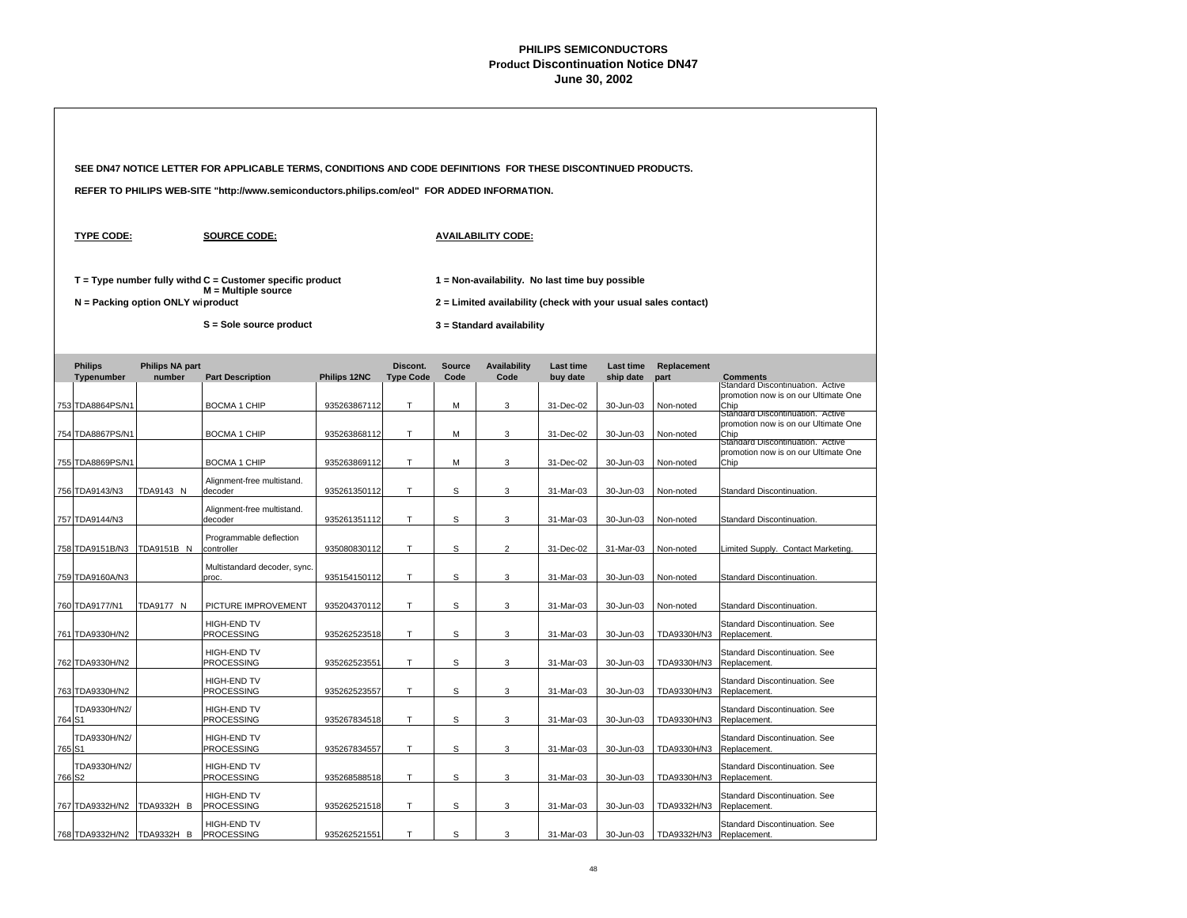|                              |                                   | SEE DN47 NOTICE LETTER FOR APPLICABLE TERMS, CONDITIONS AND CODE DEFINITIONS FOR THESE DISCONTINUED PRODUCTS. |              |                              |                       |                                                                                                                   |                              |                               |                     |                                                                                  |  |
|------------------------------|-----------------------------------|---------------------------------------------------------------------------------------------------------------|--------------|------------------------------|-----------------------|-------------------------------------------------------------------------------------------------------------------|------------------------------|-------------------------------|---------------------|----------------------------------------------------------------------------------|--|
|                              |                                   | REFER TO PHILIPS WEB-SITE "http://www.semiconductors.philips.com/eol" FOR ADDED INFORMATION.                  |              |                              |                       |                                                                                                                   |                              |                               |                     |                                                                                  |  |
| <b>TYPE CODE:</b>            |                                   | <b>SOURCE CODE:</b>                                                                                           |              |                              |                       | <b>AVAILABILITY CODE:</b>                                                                                         |                              |                               |                     |                                                                                  |  |
|                              | N = Packing option ONLY wiproduct | $T = Type$ number fully withd $C =$ Customer specific product<br>$M =$ Multiple source                        |              |                              |                       | 1 = Non-availability. No last time buy possible<br>2 = Limited availability (check with your usual sales contact) |                              |                               |                     |                                                                                  |  |
|                              |                                   | S = Sole source product                                                                                       |              |                              |                       | $3 =$ Standard availability                                                                                       |                              |                               |                     |                                                                                  |  |
| <b>Philips</b><br>Typenumber | <b>Philips NA part</b><br>number  | <b>Part Description</b>                                                                                       | Philips 12NC | Discont.<br><b>Type Code</b> | <b>Source</b><br>Code | <b>Availability</b><br>Code                                                                                       | <b>Last time</b><br>buy date | <b>Last time</b><br>ship date | Replacement<br>part | <b>Comments</b>                                                                  |  |
| 753 TDA8864PS/N1             |                                   | BOCMA 1 CHIP                                                                                                  | 935263867112 | T                            | M                     | 3                                                                                                                 | 31-Dec-02                    | 30-Jun-03                     | Non-noted           | Standard Discontinuation. Active<br>promotion now is on our Ultimate One<br>Chip |  |
| 754 TDA8867PS/N1             |                                   | <b>BOCMA 1 CHIP</b>                                                                                           | 935263868112 | T                            | M                     | 3                                                                                                                 | 31-Dec-02                    | 30-Jun-03                     | Non-noted           | Standard Discontinuation. Active<br>promotion now is on our Ultimate One<br>Chip |  |
| 755 TDA8869PS/N1             |                                   | <b>BOCMA 1 CHIP</b>                                                                                           | 935263869112 | T                            | M                     | 3                                                                                                                 | 31-Dec-02                    | 30-Jun-03                     | Non-noted           | Standard Discontinuation. Active<br>promotion now is on our Ultimate One<br>Chip |  |
| 756 TDA9143/N3               | TDA9143 N                         | Alignment-free multistand.<br>decoder                                                                         | 935261350112 | T                            | S                     | 3                                                                                                                 | 31-Mar-03                    | 30-Jun-03                     | Non-noted           | Standard Discontinuation.                                                        |  |
| 757 TDA9144/N3               |                                   | Alignment-free multistand.<br>decoder                                                                         | 935261351112 | T                            | S                     | 3                                                                                                                 | 31-Mar-03                    | 30-Jun-03                     | Non-noted           | Standard Discontinuation.                                                        |  |
| 758 TDA9151B/N3              | TDA9151B N                        | Programmable deflection<br>controller                                                                         | 935080830112 | T                            | S                     | $\overline{2}$                                                                                                    | 31-Dec-02                    | 31-Mar-03                     | Non-noted           | Limited Supply. Contact Marketing.                                               |  |
| 759 TDA9160A/N3              |                                   | Multistandard decoder, sync.<br>proc.                                                                         | 935154150112 | T                            | S                     | 3                                                                                                                 | 31-Mar-03                    | 30-Jun-03                     | Non-noted           | Standard Discontinuation.                                                        |  |
| 760 TDA9177/N1               | TDA9177 N                         | PICTURE IMPROVEMENT                                                                                           | 935204370112 | T                            | S                     | 3                                                                                                                 | 31-Mar-03                    | 30-Jun-03                     | Non-noted           | Standard Discontinuation.                                                        |  |
| 761 TDA9330H/N2              |                                   | HIGH-END TV<br>PROCESSING                                                                                     | 935262523518 | T                            | s                     | 3                                                                                                                 | 31-Mar-03                    | 30-Jun-03                     | TDA9330H/N3         | Standard Discontinuation. See<br>Replacement.                                    |  |
| 762 TDA9330H/N2              |                                   | HIGH-END TV<br><b>PROCESSING</b>                                                                              | 935262523551 | $\mathsf{T}$                 | s                     | 3                                                                                                                 | 31-Mar-03                    | 30-Jun-03                     | TDA9330H/N3         | Standard Discontinuation. See<br>Replacement.                                    |  |
| 763 TDA9330H/N2              |                                   | HIGH-END TV<br>PROCESSING                                                                                     | 935262523557 | T                            | S                     | 3                                                                                                                 | 31-Mar-03                    | 30-Jun-03                     | TDA9330H/N3         | Standard Discontinuation. See<br>Replacement.                                    |  |
| TDA9330H/N2/<br>764 S1       |                                   | HIGH-END TV<br>PROCESSING                                                                                     | 935267834518 | $\top$                       | S                     | 3                                                                                                                 | 31-Mar-03                    | 30-Jun-03                     | TDA9330H/N3         | Standard Discontinuation. See<br>Replacement.                                    |  |
| TDA9330H/N2/<br>765 S1       |                                   | <b>HIGH-END TV</b><br>PROCESSING                                                                              | 935267834557 | T                            | S                     | 3                                                                                                                 | 31-Mar-03                    | 30-Jun-03                     | TDA9330H/N3         | Standard Discontinuation, See<br>Replacement.                                    |  |
| TDA9330H/N2/<br>766 S2       |                                   | HIGH-END TV<br><b>PROCESSING</b>                                                                              | 935268588518 | T                            | S                     | 3                                                                                                                 | 31-Mar-03                    | 30-Jun-03                     | TDA9330H/N3         | Standard Discontinuation. See<br>Replacement.                                    |  |
| 767 TDA9332H/N2              | TDA9332H B                        | HIGH-END TV<br><b>PROCESSING</b>                                                                              | 935262521518 | Т                            | S                     | 3                                                                                                                 | 31-Mar-03                    | 30-Jun-03                     | TDA9332H/N3         | Standard Discontinuation. See<br>Replacement.                                    |  |
| 768 TDA9332H/N2 TDA9332H B   |                                   | HIGH-END TV<br><b>PROCESSING</b>                                                                              | 935262521551 | T                            | S                     | 3                                                                                                                 | 31-Mar-03                    | 30-Jun-03                     | TDA9332H/N3         | Standard Discontinuation. See<br>Replacement.                                    |  |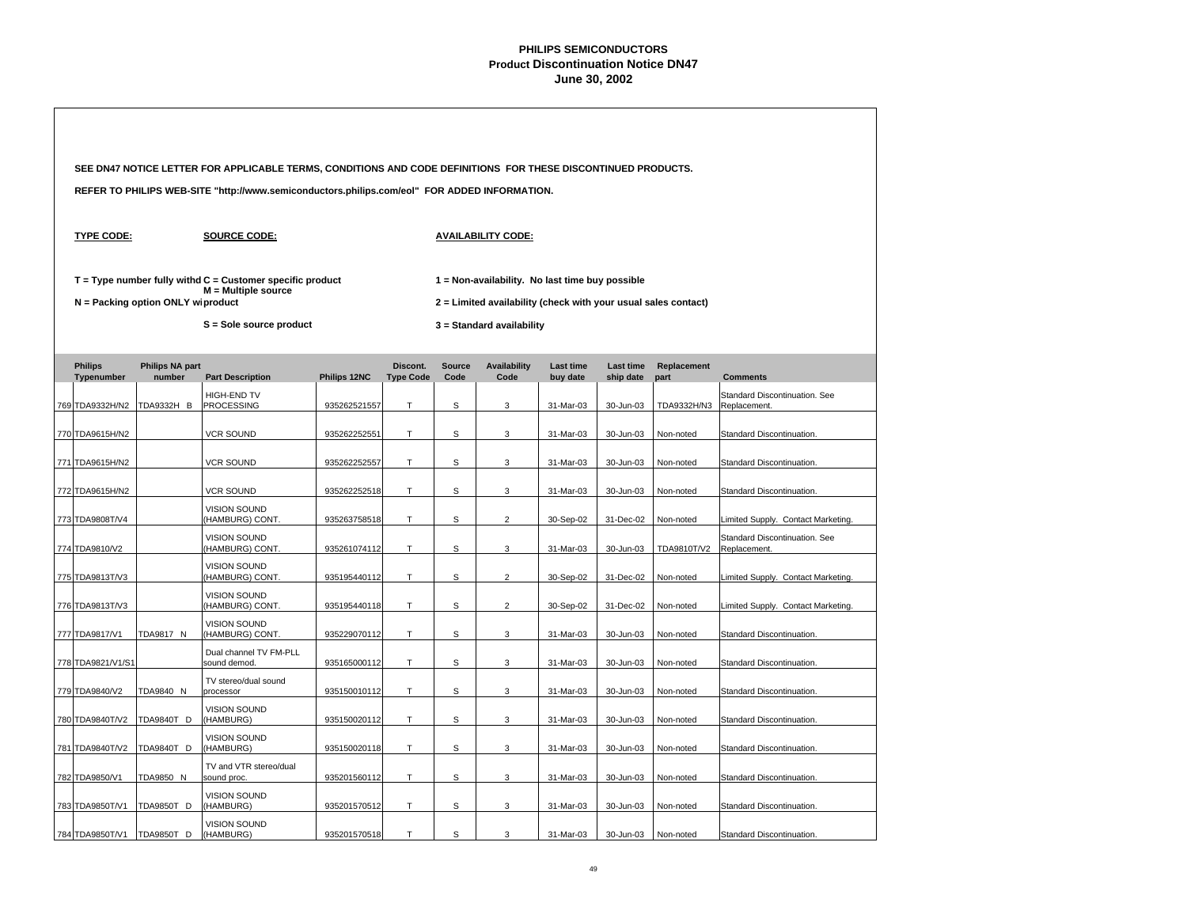|                              |                                   | SEE DN47 NOTICE LETTER FOR APPLICABLE TERMS, CONDITIONS AND CODE DEFINITIONS FOR THESE DISCONTINUED PRODUCTS. |                                                                                                                   |                              |                           |                           |                       |                        |                     |                                               |  |
|------------------------------|-----------------------------------|---------------------------------------------------------------------------------------------------------------|-------------------------------------------------------------------------------------------------------------------|------------------------------|---------------------------|---------------------------|-----------------------|------------------------|---------------------|-----------------------------------------------|--|
|                              |                                   | REFER TO PHILIPS WEB-SITE "http://www.semiconductors.philips.com/eol" FOR ADDED INFORMATION.                  |                                                                                                                   |                              |                           |                           |                       |                        |                     |                                               |  |
| <b>TYPE CODE:</b>            |                                   | <b>SOURCE CODE:</b>                                                                                           |                                                                                                                   |                              | <b>AVAILABILITY CODE:</b> |                           |                       |                        |                     |                                               |  |
|                              | N = Packing option ONLY wiproduct | $T = Type$ number fully withd $C =$ Customer specific product<br>$M =$ Multiple source                        | 1 = Non-availability. No last time buy possible<br>2 = Limited availability (check with your usual sales contact) |                              |                           |                           |                       |                        |                     |                                               |  |
|                              |                                   | S = Sole source product                                                                                       |                                                                                                                   |                              |                           | 3 = Standard availability |                       |                        |                     |                                               |  |
| <b>Philips</b><br>Typenumber | <b>Philips NA part</b><br>number  | <b>Part Description</b>                                                                                       | Philips 12NC                                                                                                      | Discont.<br><b>Type Code</b> | <b>Source</b><br>Code     | Availability<br>Code      | Last time<br>buy date | Last time<br>ship date | Replacement<br>part | <b>Comments</b>                               |  |
| 769 TDA9332H/N2              | TDA9332H B                        | HIGH-END TV<br><b>PROCESSING</b>                                                                              | 935262521557                                                                                                      | т                            | S                         | 3                         | 31-Mar-03             | 30-Jun-03              | TDA9332H/N3         | Standard Discontinuation. See<br>Replacement. |  |
| 770 TDA9615H/N2              |                                   | <b>VCR SOUND</b>                                                                                              | 935262252551                                                                                                      | Т                            | S                         | 3                         | 31-Mar-03             | 30-Jun-03              | Non-noted           | Standard Discontinuation.                     |  |
| 771 TDA9615H/N2              |                                   | <b>VCR SOUND</b>                                                                                              | 935262252557                                                                                                      | T                            | S                         | 3                         | 31-Mar-03             | 30-Jun-03              | Non-noted           | Standard Discontinuation.                     |  |
| 772 TDA9615H/N2              |                                   | <b>VCR SOUND</b>                                                                                              | 935262252518                                                                                                      | T.                           | S                         | 3                         | 31-Mar-03             | 30-Jun-03              | Non-noted           | Standard Discontinuation.                     |  |
| 773 TDA9808T/V4              |                                   | <b>VISION SOUND</b><br>(HAMBURG) CONT.                                                                        | 935263758518                                                                                                      | T.                           | S                         | $\overline{2}$            | 30-Sep-02             | 31-Dec-02              | Non-noted           | Limited Supply. Contact Marketing.            |  |
| 774 TDA9810/V2               |                                   | <b>VISION SOUND</b><br>(HAMBURG) CONT.                                                                        | 935261074112                                                                                                      | T                            | S                         | 3                         | 31-Mar-03             | 30-Jun-03              | TDA9810T/V2         | Standard Discontinuation. See<br>Replacement. |  |
| 775 TDA9813T/V3              |                                   | <b>VISION SOUND</b><br>(HAMBURG) CONT.                                                                        | 935195440112                                                                                                      | T                            | S                         | $\overline{2}$            | 30-Sep-02             | 31-Dec-02              | Non-noted           | Limited Supply. Contact Marketing.            |  |
| 776 TDA9813T/V3              |                                   | <b>VISION SOUND</b><br>(HAMBURG) CONT.                                                                        | 935195440118                                                                                                      | T                            | S                         | $\overline{2}$            | 30-Sep-02             | 31-Dec-02              | Non-noted           | Limited Supply. Contact Marketing.            |  |
| 777 TDA9817/V1               | <b>TDA9817 N</b>                  | <b>VISION SOUND</b><br>(HAMBURG) CONT.                                                                        | 935229070112                                                                                                      | Τ                            | S                         | 3                         | 31-Mar-03             | 30-Jun-03              | Non-noted           | Standard Discontinuation.                     |  |
| 778 TDA9821/V1/S1            |                                   | Dual channel TV FM-PLL<br>sound demod.                                                                        | 935165000112                                                                                                      | T.                           | S                         | 3                         | 31-Mar-03             | 30-Jun-03              | Non-noted           | Standard Discontinuation.                     |  |
| 779 TDA9840/V2               | TDA9840 N                         | TV stereo/dual sound<br>processor                                                                             | 935150010112                                                                                                      | Τ                            | s                         | 3                         | 31-Mar-03             | 30-Jun-03              | Non-noted           | Standard Discontinuation.                     |  |
| 780 TDA9840T/V2              | <b>TDA9840T D</b>                 | VISION SOUND<br>(HAMBURG)                                                                                     | 935150020112                                                                                                      | Τ                            | S                         | 3                         | 31-Mar-03             | 30-Jun-03              | Non-noted           | Standard Discontinuation.                     |  |
| 781 TDA9840T/V2              | <b>TDA9840T D</b>                 | <b>VISION SOUND</b><br>(HAMBURG)                                                                              | 935150020118                                                                                                      | T                            | S                         | 3                         | 31-Mar-03             | 30-Jun-03              | Non-noted           | Standard Discontinuation.                     |  |
| 782 TDA9850/V1               | TDA9850 N                         | TV and VTR stereo/dual<br>sound proc.                                                                         | 935201560112                                                                                                      | T                            | S                         | $\ensuremath{\mathsf{3}}$ | 31-Mar-03             | 30-Jun-03              | Non-noted           | Standard Discontinuation.                     |  |
| 783 TDA9850T/V1              | TDA9850T D                        | <b>VISION SOUND</b><br>(HAMBURG)                                                                              | 935201570512                                                                                                      | Т                            | S                         | 3                         | 31-Mar-03             | 30-Jun-03              | Non-noted           | Standard Discontinuation.                     |  |
| 784 TDA9850T/V1              | <b>TDA9850T D</b>                 | <b>VISION SOUND</b><br>(HAMBURG)                                                                              | 935201570518                                                                                                      | T                            | S                         | 3                         | 31-Mar-03             | 30-Jun-03              | Non-noted           | Standard Discontinuation.                     |  |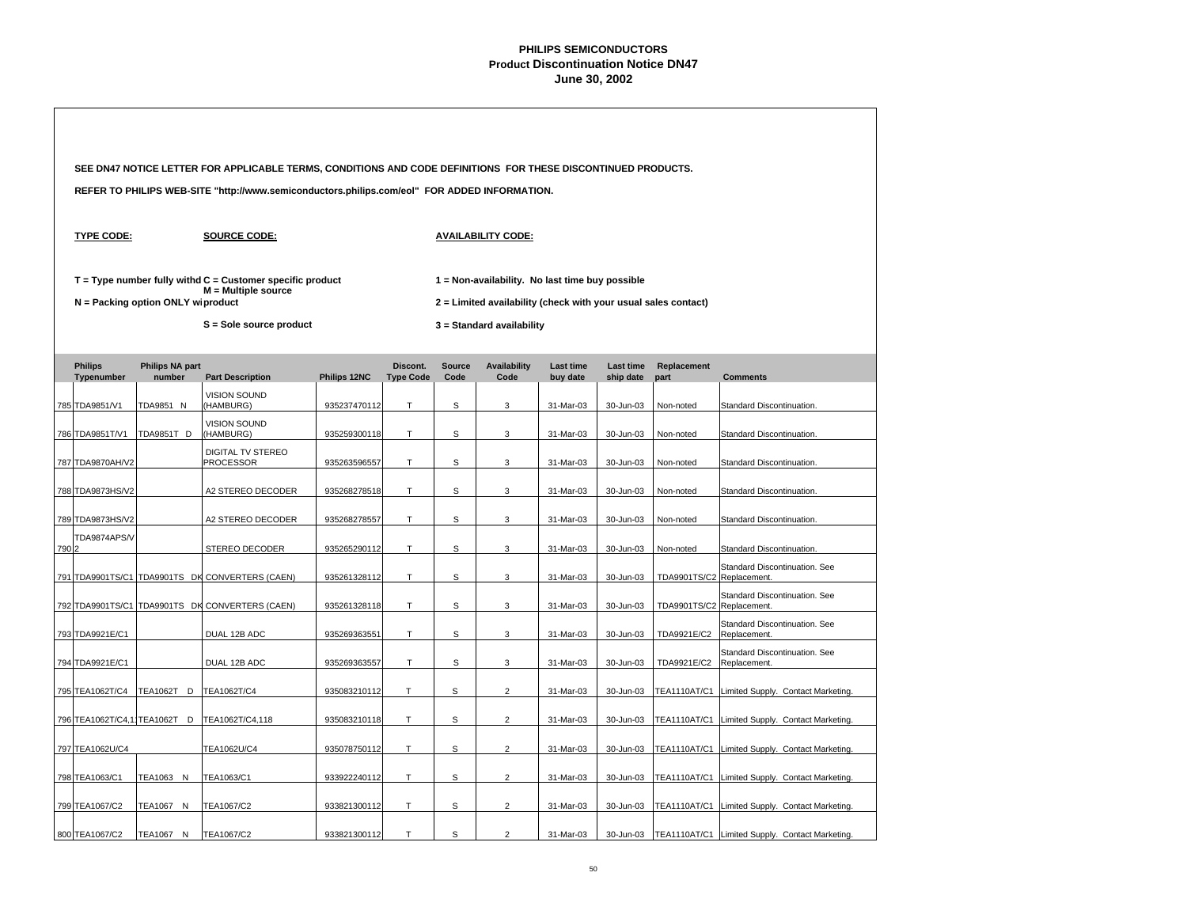|       |                              |                                     | SEE DN47 NOTICE LETTER FOR APPLICABLE TERMS, CONDITIONS AND CODE DEFINITIONS FOR THESE DISCONTINUED PRODUCTS. |                                                                                                                   |                              |                       |                             |                              |                        |                           |                                                 |  |  |  |  |
|-------|------------------------------|-------------------------------------|---------------------------------------------------------------------------------------------------------------|-------------------------------------------------------------------------------------------------------------------|------------------------------|-----------------------|-----------------------------|------------------------------|------------------------|---------------------------|-------------------------------------------------|--|--|--|--|
|       |                              |                                     | REFER TO PHILIPS WEB-SITE "http://www.semiconductors.philips.com/eol" FOR ADDED INFORMATION.                  |                                                                                                                   |                              |                       |                             |                              |                        |                           |                                                 |  |  |  |  |
|       | <b>TYPE CODE:</b>            |                                     | <b>SOURCE CODE:</b>                                                                                           |                                                                                                                   | <b>AVAILABILITY CODE:</b>    |                       |                             |                              |                        |                           |                                                 |  |  |  |  |
|       |                              | $N =$ Packing option ONLY wiproduct | $T = Type$ number fully withd $C =$ Customer specific product<br>$M =$ Multiple source                        | 1 = Non-availability. No last time buy possible<br>2 = Limited availability (check with your usual sales contact) |                              |                       |                             |                              |                        |                           |                                                 |  |  |  |  |
|       |                              |                                     | S = Sole source product                                                                                       |                                                                                                                   | 3 = Standard availability    |                       |                             |                              |                        |                           |                                                 |  |  |  |  |
|       | <b>Philips</b><br>Typenumber | <b>Philips NA part</b><br>number    | <b>Part Description</b>                                                                                       | Philips 12NC                                                                                                      | Discont.<br><b>Type Code</b> | <b>Source</b><br>Code | <b>Availability</b><br>Code | <b>Last time</b><br>buy date | Last time<br>ship date | Replacement<br>part       | <b>Comments</b>                                 |  |  |  |  |
|       | 785 TDA9851/V1               | TDA9851 N                           | VISION SOUND<br>(HAMBURG)                                                                                     | 935237470112                                                                                                      | T.                           | s                     | 3                           | 31-Mar-03                    | 30-Jun-03              | Non-noted                 | Standard Discontinuation.                       |  |  |  |  |
|       | 786 TDA9851T/V1              | TDA9851T D                          | <b>VISION SOUND</b><br>(HAMBURG)                                                                              | 935259300118                                                                                                      | T.                           | s                     | 3                           | 31-Mar-03                    | 30-Jun-03              | Non-noted                 | Standard Discontinuation.                       |  |  |  |  |
|       | 787 TDA9870AH/V2             |                                     | DIGITAL TV STEREO<br>PROCESSOR                                                                                | 935263596557                                                                                                      | T                            | s                     | 3                           | 31-Mar-03                    | 30-Jun-03              | Non-noted                 | Standard Discontinuation.                       |  |  |  |  |
|       | 788 TDA9873HS/V2             |                                     | A2 STEREO DECODER                                                                                             | 935268278518                                                                                                      | T.                           | S                     | 3                           | 31-Mar-03                    | 30-Jun-03              | Non-noted                 | Standard Discontinuation.                       |  |  |  |  |
|       | 789 TDA9873HS/V2             |                                     | A2 STEREO DECODER                                                                                             | 935268278557                                                                                                      | T                            | S                     | 3                           | 31-Mar-03                    | 30-Jun-03              | Non-noted                 | Standard Discontinuation.                       |  |  |  |  |
| 790 2 | TDA9874APS/V                 |                                     | STEREO DECODER                                                                                                | 935265290112                                                                                                      | т                            | S                     | 3                           | 31-Mar-03                    | 30-Jun-03              | Non-noted                 | Standard Discontinuation.                       |  |  |  |  |
|       |                              |                                     | 791 TDA9901TS/C1 TDA9901TS DK CONVERTERS (CAEN)                                                               | 935261328112                                                                                                      | T                            | S                     | 3                           | 31-Mar-03                    | 30-Jun-03              | <b>TDA9901TS/C2</b>       | Standard Discontinuation. See<br>Replacement.   |  |  |  |  |
|       |                              |                                     | 792 TDA9901TS/C1 TDA9901TS DK CONVERTERS (CAEN)                                                               | 935261328118                                                                                                      | T                            | s                     | 3                           | 31-Mar-03                    | 30-Jun-03              | TDA9901TS/C2 Replacement. | Standard Discontinuation. See                   |  |  |  |  |
|       | 793 TDA9921E/C1              |                                     | DUAL 12B ADC                                                                                                  | 935269363551                                                                                                      | $\mathsf T$                  | S                     | 3                           | 31-Mar-03                    | 30-Jun-03              | TDA9921E/C2               | Standard Discontinuation. See<br>Replacement.   |  |  |  |  |
|       | 794 TDA9921E/C1              |                                     | DUAL 12B ADC                                                                                                  | 935269363557                                                                                                      | $\mathsf T$                  | s                     | 3                           | 31-Mar-03                    | 30-Jun-03              | TDA9921E/C2               | Standard Discontinuation. See<br>Replacement.   |  |  |  |  |
|       | 795 TEA1062T/C4              | TEA1062T D                          | TEA1062T/C4                                                                                                   | 935083210112                                                                                                      | T                            | s                     | $\overline{2}$              | 31-Mar-03                    | 30-Jun-03              | <b>TEA1110AT/C1</b>       | Limited Supply. Contact Marketing.              |  |  |  |  |
|       | 796 TEA1062T/C4,1 TEA1062T D |                                     | TEA1062T/C4,118                                                                                               | 935083210118                                                                                                      | T                            | s                     | $\overline{2}$              | 31-Mar-03                    | 30-Jun-03              | <b>TEA1110AT/C1</b>       | Limited Supply. Contact Marketing.              |  |  |  |  |
|       | 797 TEA1062U/C4              |                                     | TEA1062U/C4                                                                                                   | 935078750112                                                                                                      | Т                            | s                     | $\overline{2}$              | 31-Mar-03                    | 30-Jun-03              | <b>TEA1110AT/C1</b>       | Limited Supply. Contact Marketing.              |  |  |  |  |
|       | 798 TEA1063/C1               | TEA1063 N                           | TEA1063/C1                                                                                                    | 933922240112                                                                                                      | T                            | S                     | $\overline{2}$              | 31-Mar-03                    | 30-Jun-03              | <b>TEA1110AT/C1</b>       | Limited Supply. Contact Marketing.              |  |  |  |  |
|       | 799 TEA1067/C2               | TEA1067 N                           | TEA1067/C2                                                                                                    | 933821300112                                                                                                      | т                            | s                     | $\overline{c}$              | 31-Mar-03                    | 30-Jun-03              | TEA1110AT/C1              | Limited Supply. Contact Marketing.              |  |  |  |  |
|       | 800 TEA1067/C2               | <b>TEA1067 N</b>                    | TEA1067/C2                                                                                                    | 933821300112                                                                                                      | т                            | S                     | $\overline{2}$              | 31-Mar-03                    | 30-Jun-03              |                           | TEA1110AT/C1 Limited Supply, Contact Marketing. |  |  |  |  |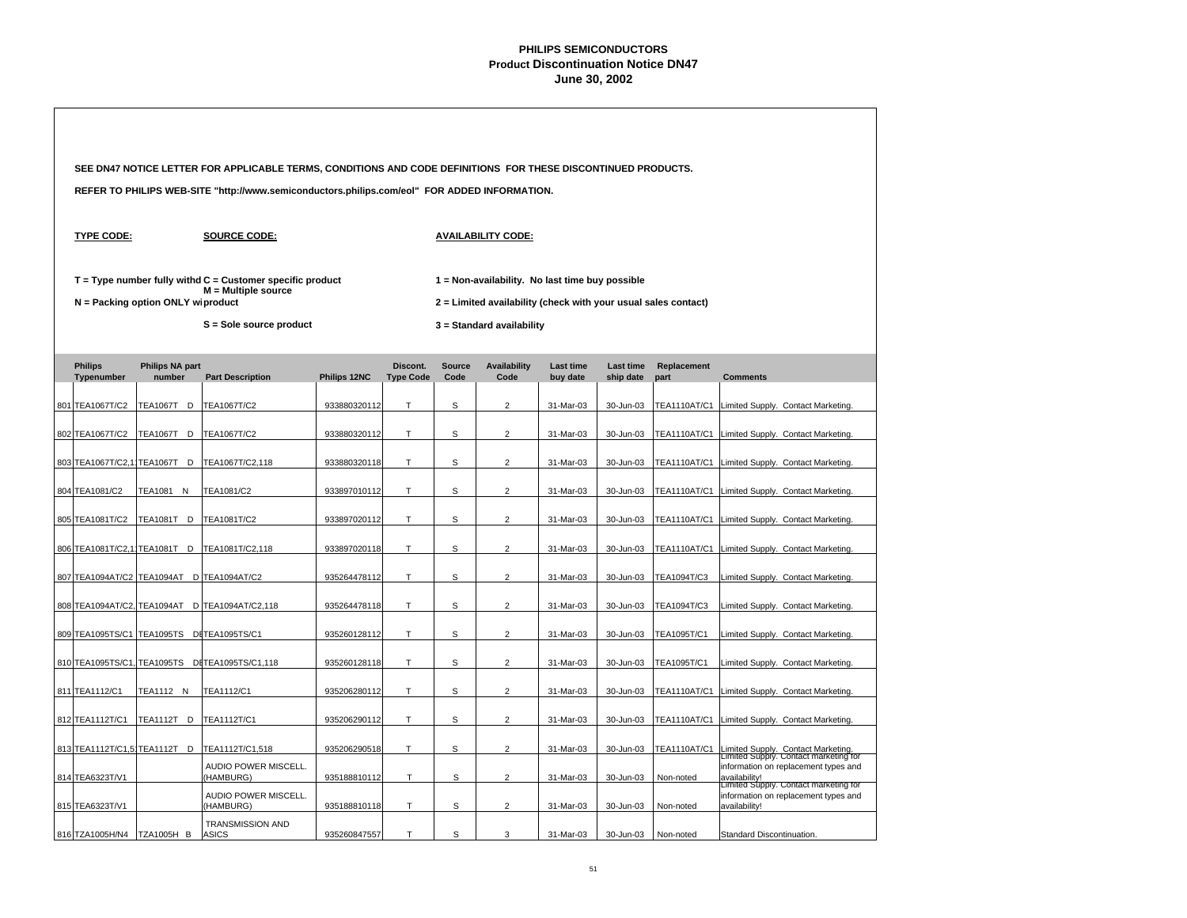|                                           |                                   | SEE DN47 NOTICE LETTER FOR APPLICABLE TERMS, CONDITIONS AND CODE DEFINITIONS FOR THESE DISCONTINUED PRODUCTS. |                                                                                             |                              |                       |                             |                              |                        |                     |                                                                                                |  |  |
|-------------------------------------------|-----------------------------------|---------------------------------------------------------------------------------------------------------------|---------------------------------------------------------------------------------------------|------------------------------|-----------------------|-----------------------------|------------------------------|------------------------|---------------------|------------------------------------------------------------------------------------------------|--|--|
|                                           |                                   | REFER TO PHILIPS WEB-SITE "http://www.semiconductors.philips.com/eol" FOR ADDED INFORMATION.                  |                                                                                             |                              |                       |                             |                              |                        |                     |                                                                                                |  |  |
| <b>TYPE CODE:</b>                         |                                   | <b>SOURCE CODE:</b>                                                                                           |                                                                                             |                              |                       |                             |                              |                        |                     |                                                                                                |  |  |
|                                           | N = Packing option ONLY wiproduct | $T = Type$ number fully withd $C =$ Customer specific product<br>$M =$ Multiple source                        | 1 = Non-availability. No last time buy possible                                             |                              |                       |                             |                              |                        |                     |                                                                                                |  |  |
|                                           |                                   | S = Sole source product                                                                                       | 2 = Limited availability (check with your usual sales contact)<br>3 = Standard availability |                              |                       |                             |                              |                        |                     |                                                                                                |  |  |
| <b>Philips</b><br>Typenumber              | <b>Philips NA part</b><br>number  | <b>Part Description</b>                                                                                       | Philips 12NC                                                                                | Discont.<br><b>Type Code</b> | <b>Source</b><br>Code | <b>Availability</b><br>Code | <b>Last time</b><br>buy date | Last time<br>ship date | Replacement<br>part | <b>Comments</b>                                                                                |  |  |
| 801 TEA1067T/C2                           | TEA1067T D                        | TEA1067T/C2                                                                                                   | 933880320112                                                                                | T                            | S                     | $\overline{2}$              | 31-Mar-03                    | 30-Jun-03              | <b>TEA1110AT/C1</b> | Limited Supply. Contact Marketing.                                                             |  |  |
| 802 TEA1067T/C2                           | TEA1067T D                        | TEA1067T/C2                                                                                                   | 933880320112                                                                                | Т                            | s                     | $\overline{\mathbf{c}}$     | 31-Mar-03                    | 30-Jun-03              | <b>TEA1110AT/C1</b> | Limited Supply. Contact Marketing.                                                             |  |  |
| 803 TEA1067T/C2,1 TEA1067T D              |                                   | TEA1067T/C2,118                                                                                               | 933880320118                                                                                | T                            | S                     | $\overline{2}$              | 31-Mar-03                    | 30-Jun-03              |                     | TEA1110AT/C1 Limited Supply. Contact Marketing.                                                |  |  |
| 804 TEA1081/C2                            | TEA1081 N                         | TEA1081/C2                                                                                                    | 933897010112                                                                                | T                            | S                     | $\overline{2}$              | 31-Mar-03                    | 30-Jun-03              |                     | TEA1110AT/C1 Limited Supply. Contact Marketing.                                                |  |  |
| 805 TEA1081T/C2                           | TEA1081T D TEA1081T/C2            |                                                                                                               | 933897020112                                                                                | T                            | s                     | $\overline{2}$              | 31-Mar-03                    | 30-Jun-03              |                     | TEA1110AT/C1 Limited Supply. Contact Marketing.                                                |  |  |
| 806 TEA1081T/C2,1 TEA1081T D              |                                   | TEA1081T/C2,118                                                                                               | 933897020118                                                                                | $\mathsf{T}$                 | S                     | $\overline{2}$              | 31-Mar-03                    | 30-Jun-03              |                     | TEA1110AT/C1 Limited Supply. Contact Marketing.                                                |  |  |
| 807 TEA1094AT/C2 TEA1094AT D TEA1094AT/C2 |                                   |                                                                                                               | 935264478112                                                                                | $\mathsf T$                  | S                     | $\overline{2}$              | 31-Mar-03                    | 30-Jun-03              | TEA1094T/C3         | Limited Supply. Contact Marketing.                                                             |  |  |
|                                           |                                   | 808 TEA1094AT/C2, TEA1094AT D TEA1094AT/C2,118                                                                | 935264478118                                                                                | T                            | S                     | $\overline{2}$              | 31-Mar-03                    | 30-Jun-03              | TEA1094T/C3         | Limited Supply. Contact Marketing.                                                             |  |  |
| 809 TEA1095TS/C1 TEA1095TS DITEA1095TS/C1 |                                   |                                                                                                               | 935260128112                                                                                | T                            | S                     | $\overline{2}$              | 31-Mar-03                    | 30-Jun-03              | TEA1095T/C1         | Limited Supply. Contact Marketing.                                                             |  |  |
|                                           |                                   | 810 TEA1095TS/C1, TEA1095TS DITEA1095TS/C1,118                                                                | 935260128118                                                                                | T                            | S                     | $\overline{2}$              | 31-Mar-03                    | 30-Jun-03              | TEA1095T/C1         | Limited Supply. Contact Marketing.                                                             |  |  |
| 811 TEA1112/C1                            | TEA1112 N                         | TEA1112/C1                                                                                                    | 935206280112                                                                                | т                            | s                     | $\overline{2}$              | 31-Mar-03                    | 30-Jun-03              | <b>TEA1110AT/C1</b> | Limited Supply. Contact Marketing.                                                             |  |  |
| 812 TEA1112T/C1                           | TEA1112T D                        | TEA1112T/C1                                                                                                   | 935206290112                                                                                | Т                            | s                     | $\overline{\mathbf{c}}$     | 31-Mar-03                    | 30-Jun-03              | TEA1110AT/C1        | Limited Supply. Contact Marketing.                                                             |  |  |
| 813 TEA1112T/C1,5 TEA1112T D              |                                   | TEA1112T/C1,518                                                                                               | 935206290518                                                                                | T                            | S                     | $\overline{2}$              | 31-Mar-03                    | 30-Jun-03              | <b>TEA1110AT/C1</b> | Limited Supply. Contact Marketing.<br>Limited Supply. Contact marketing for                    |  |  |
| 814 TEA6323T/V1                           |                                   | AUDIO POWER MISCELL.<br>(HAMBURG)                                                                             | 935188810112                                                                                | T                            | S                     | $\overline{2}$              | 31-Mar-03                    | 30-Jun-03              | Non-noted           | information on replacement types and<br>availability!<br>Limited Supply. Contact marketing for |  |  |
| 815 TEA6323T/V1                           |                                   | AUDIO POWER MISCELL.<br>(HAMBURG)                                                                             | 935188810118                                                                                | т                            | S                     | $\overline{2}$              | 31-Mar-03                    | 30-Jun-03              | Non-noted           | information on replacement types and<br>availability!                                          |  |  |
| 816 TZA1005H/N4                           | <b>TZA1005H B</b>                 | <b>TRANSMISSION AND</b><br><b>ASICS</b>                                                                       | 935260847557                                                                                | T                            | S                     | 3                           | 31-Mar-03                    | 30-Jun-03              | Non-noted           | Standard Discontinuation.                                                                      |  |  |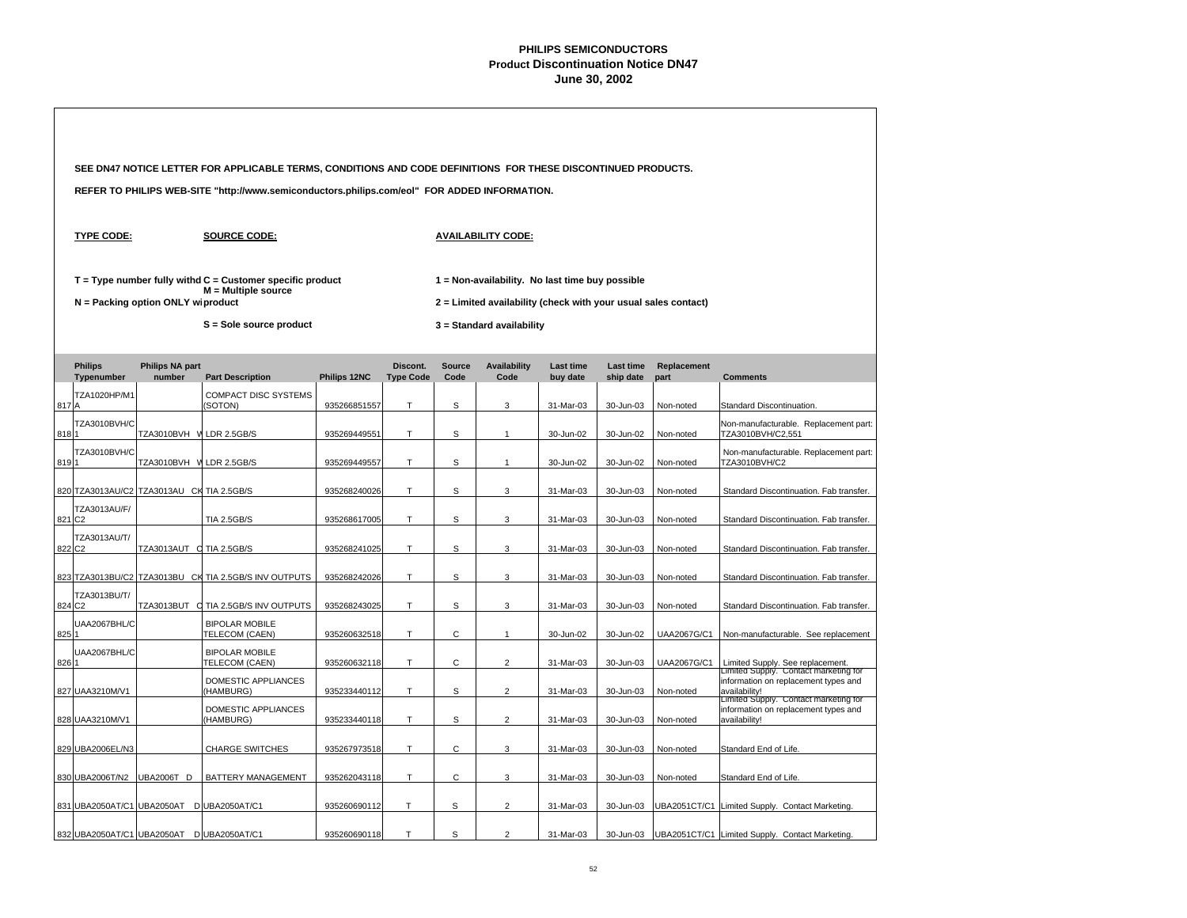|       |                                           |                                   | SEE DN47 NOTICE LETTER FOR APPLICABLE TERMS, CONDITIONS AND CODE DEFINITIONS FOR THESE DISCONTINUED PRODUCTS. |              |                              |                                                                                                                   |                             |                       |                        |                     |                                                                                                |  |  |  |
|-------|-------------------------------------------|-----------------------------------|---------------------------------------------------------------------------------------------------------------|--------------|------------------------------|-------------------------------------------------------------------------------------------------------------------|-----------------------------|-----------------------|------------------------|---------------------|------------------------------------------------------------------------------------------------|--|--|--|
|       |                                           |                                   | REFER TO PHILIPS WEB-SITE "http://www.semiconductors.philips.com/eol" FOR ADDED INFORMATION.                  |              |                              |                                                                                                                   |                             |                       |                        |                     |                                                                                                |  |  |  |
|       | <b>TYPE CODE:</b>                         |                                   | <b>SOURCE CODE:</b>                                                                                           |              |                              |                                                                                                                   | <b>AVAILABILITY CODE:</b>   |                       |                        |                     |                                                                                                |  |  |  |
|       |                                           | N = Packing option ONLY wiproduct | $T = Type$ number fully withd $C =$ Customer specific product<br>M = Multiple source                          |              |                              | 1 = Non-availability. No last time buy possible<br>2 = Limited availability (check with your usual sales contact) |                             |                       |                        |                     |                                                                                                |  |  |  |
|       |                                           |                                   | S = Sole source product                                                                                       |              |                              |                                                                                                                   | 3 = Standard availability   |                       |                        |                     |                                                                                                |  |  |  |
|       | <b>Philips</b><br>Typenumber              | <b>Philips NA part</b><br>number  | <b>Part Description</b>                                                                                       | Philips 12NC | Discont.<br><b>Type Code</b> | <b>Source</b><br>Code                                                                                             | <b>Availability</b><br>Code | Last time<br>buy date | Last time<br>ship date | Replacement<br>part | <b>Comments</b>                                                                                |  |  |  |
| 817 A | TZA1020HP/M1                              |                                   | <b>COMPACT DISC SYSTEMS</b><br>(SOTON)                                                                        | 935266851557 | Т                            | S                                                                                                                 | 3                           | 31-Mar-03             | 30-Jun-03              | Non-noted           | Standard Discontinuation.                                                                      |  |  |  |
| 8181  | <b>TZA3010BVH/C</b>                       | TZA3010BVH V LDR 2.5GB/S          |                                                                                                               | 935269449551 | T                            | S                                                                                                                 | $\overline{1}$              | 30-Jun-02             | 30-Jun-02              | Non-noted           | Non-manufacturable. Replacement part:<br>TZA3010BVH/C2,551                                     |  |  |  |
| 8191  | <b>TZA3010BVH/C</b>                       | TZA3010BVH V LDR 2.5GB/S          |                                                                                                               | 935269449557 | T                            | S                                                                                                                 | $\mathbf{1}$                | 30-Jun-02             | 30-Jun-02              | Non-noted           | Non-manufacturable. Replacement part:<br>TZA3010BVH/C2                                         |  |  |  |
|       | 820 TZA3013AU/C2 TZA3013AU CK TIA 2.5GB/S |                                   |                                                                                                               | 935268240026 | T                            | S                                                                                                                 | 3                           | 31-Mar-03             | 30-Jun-03              | Non-noted           | Standard Discontinuation. Fab transfer.                                                        |  |  |  |
|       | TZA3013AU/F/<br>821 C <sub>2</sub>        |                                   | <b>TIA 2.5GB/S</b>                                                                                            | 935268617005 | T                            | S                                                                                                                 | 3                           | 31-Mar-03             | 30-Jun-03              | Non-noted           | Standard Discontinuation. Fab transfer.                                                        |  |  |  |
|       | <b>TZA3013AU/T/</b><br>822 C <sub>2</sub> | TZA3013AUT C TIA 2.5GB/S          |                                                                                                               | 935268241025 | $\top$                       | s                                                                                                                 | $\ensuremath{\mathsf{3}}$   | 31-Mar-03             | 30-Jun-03              | Non-noted           | Standard Discontinuation. Fab transfer.                                                        |  |  |  |
|       |                                           |                                   | 823 TZA3013BU/C2 TZA3013BU CK TIA 2.5GB/S INV OUTPUTS                                                         | 935268242026 | $\top$                       | S                                                                                                                 | 3                           | 31-Mar-03             | 30-Jun-03              | Non-noted           | Standard Discontinuation. Fab transfer.                                                        |  |  |  |
|       | TZA3013BU/T/<br>824 C2                    |                                   | TZA3013BUT C TIA 2.5GB/S INV OUTPUTS                                                                          | 935268243025 | T                            | s                                                                                                                 | 3                           | 31-Mar-03             | 30-Jun-03              | Non-noted           | Standard Discontinuation. Fab transfer.                                                        |  |  |  |
| 825 1 | UAA2067BHL/C                              |                                   | <b>BIPOLAR MOBILE</b><br>TELECOM (CAEN)                                                                       | 935260632518 | Τ                            | C                                                                                                                 | $\mathbf{1}$                | 30-Jun-02             | 30-Jun-02              | UAA2067G/C1         | Non-manufacturable. See replacement                                                            |  |  |  |
| 826 1 | UAA2067BHL/C                              |                                   | <b>BIPOLAR MOBILE</b><br>TELECOM (CAEN)                                                                       | 935260632118 | Т                            | C                                                                                                                 | $\overline{c}$              | 31-Mar-03             | 30-Jun-03              | UAA2067G/C1         | Limited Supply. See replacement.<br>Limited Supply. Contact marketing for                      |  |  |  |
|       | 827 UAA3210M/V1                           |                                   | DOMESTIC APPLIANCES<br>(HAMBURG)                                                                              | 935233440112 | T                            | S                                                                                                                 | $\overline{2}$              | 31-Mar-03             | 30-Jun-03              | Non-noted           | information on replacement types and<br>availability!                                          |  |  |  |
|       | 828 UAA3210M/V1                           |                                   | DOMESTIC APPLIANCES<br>(HAMBURG)                                                                              | 935233440118 | T                            | S                                                                                                                 | $\overline{2}$              | 31-Mar-03             | 30-Jun-03              | Non-noted           | Limited Supply. Contact marketing for<br>information on replacement types and<br>availability! |  |  |  |
|       | 829 UBA2006EL/N3                          |                                   | <b>CHARGE SWITCHES</b>                                                                                        | 935267973518 | T                            | C                                                                                                                 | 3                           | 31-Mar-03             | 30-Jun-03              | Non-noted           | Standard End of Life.                                                                          |  |  |  |
|       | 830 UBA2006T/N2                           | UBA2006T D                        | BATTERY MANAGEMENT                                                                                            | 935262043118 | T                            | $\mathsf{C}$                                                                                                      | 3                           | 31-Mar-03             | 30-Jun-03              | Non-noted           | Standard End of Life.                                                                          |  |  |  |
|       | 831 UBA2050AT/C1 UBA2050AT DUBA2050AT/C1  |                                   |                                                                                                               | 935260690112 | T.                           | S                                                                                                                 | $\overline{2}$              | 31-Mar-03             | 30-Jun-03              | UBA2051CT/C1        | Limited Supply. Contact Marketing.                                                             |  |  |  |
|       | 832 UBA2050AT/C1 UBA2050AT D UBA2050AT/C1 |                                   |                                                                                                               | 935260690118 | T                            | S                                                                                                                 | $\overline{2}$              | 31-Mar-03             | 30-Jun-03              |                     | UBA2051CT/C1 Limited Supply. Contact Marketing.                                                |  |  |  |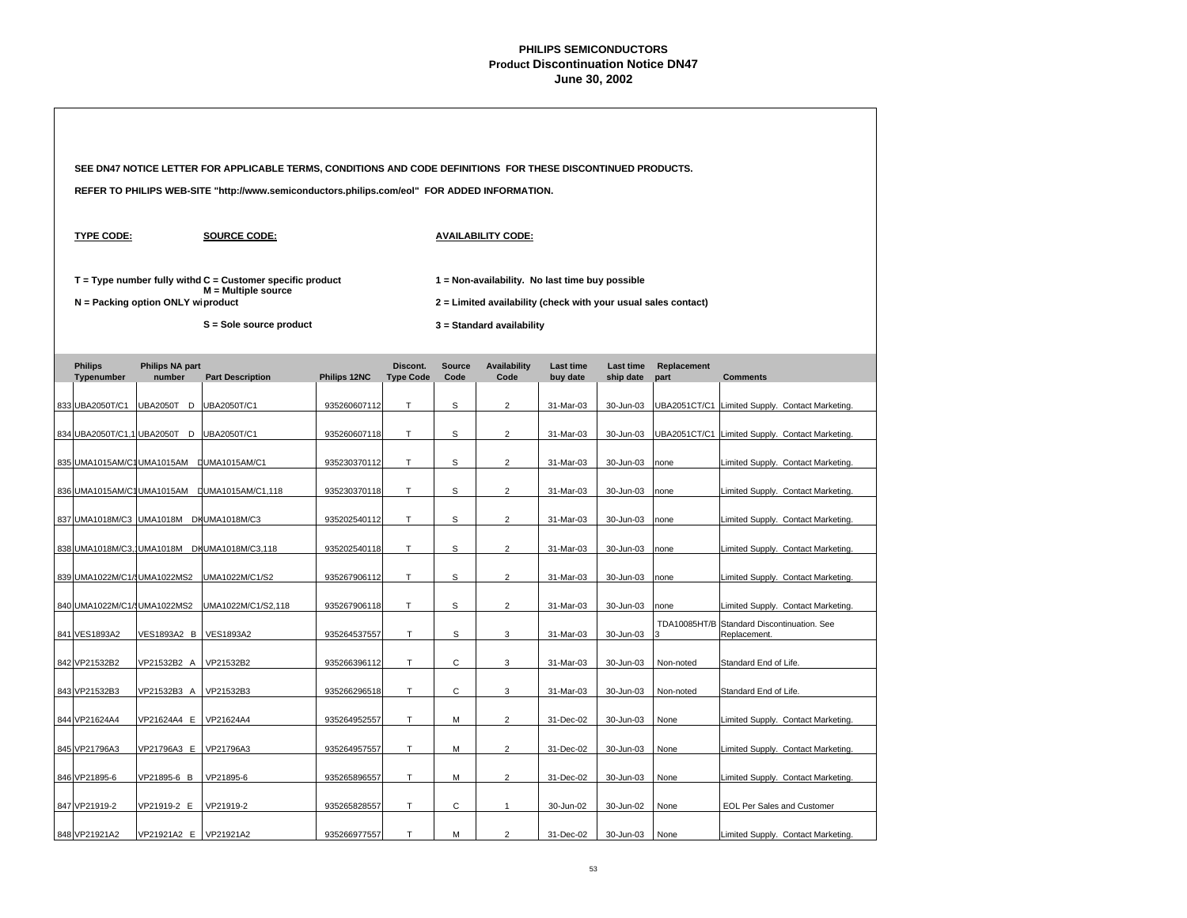|                              |                                          | SEE DN47 NOTICE LETTER FOR APPLICABLE TERMS, CONDITIONS AND CODE DEFINITIONS FOR THESE DISCONTINUED PRODUCTS. |              |                              |                                                                                             |                                                 |                              |                               |                     |                                                            |  |  |  |
|------------------------------|------------------------------------------|---------------------------------------------------------------------------------------------------------------|--------------|------------------------------|---------------------------------------------------------------------------------------------|-------------------------------------------------|------------------------------|-------------------------------|---------------------|------------------------------------------------------------|--|--|--|
|                              |                                          | REFER TO PHILIPS WEB-SITE "http://www.semiconductors.philips.com/eol" FOR ADDED INFORMATION.                  |              |                              |                                                                                             |                                                 |                              |                               |                     |                                                            |  |  |  |
| <b>TYPE CODE:</b>            |                                          | <b>SOURCE CODE:</b>                                                                                           |              |                              | <b>AVAILABILITY CODE:</b>                                                                   |                                                 |                              |                               |                     |                                                            |  |  |  |
|                              | N = Packing option ONLY wiproduct        | $T = Type$ number fully withd $C =$ Customer specific product<br>$M =$ Multiple source                        |              |                              |                                                                                             | 1 = Non-availability. No last time buy possible |                              |                               |                     |                                                            |  |  |  |
|                              |                                          | S = Sole source product                                                                                       |              |                              | 2 = Limited availability (check with your usual sales contact)<br>3 = Standard availability |                                                 |                              |                               |                     |                                                            |  |  |  |
| <b>Philips</b><br>Typenumber | <b>Philips NA part</b><br>number         | <b>Part Description</b>                                                                                       | Philips 12NC | Discont.<br><b>Type Code</b> | <b>Source</b><br>Code                                                                       | <b>Availability</b><br>Code                     | <b>Last time</b><br>buy date | <b>Last time</b><br>ship date | Replacement<br>part | <b>Comments</b>                                            |  |  |  |
| 833 UBA2050T/C1              | UBA2050T D                               | UBA2050T/C1                                                                                                   | 935260607112 | T                            | S                                                                                           | $\overline{2}$                                  | 31-Mar-03                    | 30-Jun-03                     |                     | UBA2051CT/C1 Limited Supply. Contact Marketing             |  |  |  |
|                              | 834 UBA2050T/C1,1 UBA2050T D             | UBA2050T/C1                                                                                                   | 935260607118 | T                            | S                                                                                           | $\overline{2}$                                  | 31-Mar-03                    | 30-Jun-03                     |                     | UBA2051CT/C1 Limited Supply. Contact Marketing.            |  |  |  |
|                              | 835 UMA1015AM/C1 UMA1015AM LUMA1015AM/C1 |                                                                                                               | 935230370112 | T                            | S                                                                                           | $\overline{2}$                                  | 31-Mar-03                    | 30-Jun-03                     | none                | Limited Supply. Contact Marketing                          |  |  |  |
|                              |                                          | 836 UMA1015AM/C1 UMA1015AM LUMA1015AM/C1,118                                                                  | 935230370118 | T                            | S                                                                                           | $\overline{2}$                                  | 31-Mar-03                    | 30-Jun-03                     | none                | Limited Supply. Contact Marketing.                         |  |  |  |
|                              | 837 UMA1018M/C3 UMA1018M DK UMA1018M/C3  |                                                                                                               | 935202540112 | T.                           | S                                                                                           | $\overline{2}$                                  | 31-Mar-03                    | 30-Jun-03                     | none                | Limited Supply. Contact Marketing.                         |  |  |  |
|                              |                                          | 838 UMA1018M/C3, UMA1018M DK UMA1018M/C3, 118                                                                 | 935202540118 | T                            | S                                                                                           | $\overline{2}$                                  | 31-Mar-03                    | 30-Jun-03                     | none                | Limited Supply. Contact Marketing.                         |  |  |  |
| 839 UMA1022M/C1/SUMA1022MS2  |                                          | UMA1022M/C1/S2                                                                                                | 935267906112 | T.                           | S                                                                                           | $\overline{2}$                                  | 31-Mar-03                    | 30-Jun-03                     | none                | Limited Supply. Contact Marketing                          |  |  |  |
| 840 UMA1022M/C1/SUMA1022MS2  |                                          | UMA1022M/C1/S2,118                                                                                            | 935267906118 | T.                           | S                                                                                           | $\overline{2}$                                  | 31-Mar-03                    | 30-Jun-03                     | none                | Limited Supply. Contact Marketing.                         |  |  |  |
| 841 VES1893A2                | VES1893A2 B                              | <b>VES1893A2</b>                                                                                              | 935264537557 | T                            | s                                                                                           | 3                                               | 31-Mar-03                    | 30-Jun-03                     |                     | TDA10085HT/B Standard Discontinuation. See<br>Replacement. |  |  |  |
| 842 VP21532B2                | VP21532B2 A                              | VP21532B2                                                                                                     | 935266396112 | T.                           | $\mathsf{C}$                                                                                | 3                                               | 31-Mar-03                    | 30-Jun-03                     | Non-noted           | Standard End of Life.                                      |  |  |  |
| 843 VP21532B3                | VP21532B3 A                              | VP21532B3                                                                                                     | 935266296518 | T                            | C                                                                                           | 3                                               | 31-Mar-03                    | 30-Jun-03                     | Non-noted           | Standard End of Life.                                      |  |  |  |
| 844 VP21624A4                | VP21624A4 E                              | VP21624A4                                                                                                     | 935264952557 | T.                           | M                                                                                           | $\overline{2}$                                  | 31-Dec-02                    | 30-Jun-03                     | None                | Limited Supply. Contact Marketing.                         |  |  |  |
| 845 VP21796A3                | VP21796A3 E                              | VP21796A3                                                                                                     | 935264957557 | T                            | M                                                                                           | $\overline{2}$                                  | 31-Dec-02                    | 30-Jun-03                     | None                | Limited Supply. Contact Marketing.                         |  |  |  |
| 846 VP21895-6                | VP21895-6 B                              | VP21895-6                                                                                                     | 935265896557 | T                            | M                                                                                           | $\overline{2}$                                  | 31-Dec-02                    | 30-Jun-03                     | None                | Limited Supply. Contact Marketing.                         |  |  |  |
| 847 VP21919-2                | VP21919-2 E                              | VP21919-2                                                                                                     | 935265828557 | T                            | C                                                                                           | 1                                               | 30-Jun-02                    | 30-Jun-02                     | None                | EOL Per Sales and Customer                                 |  |  |  |
| 848 VP21921A2                | VP21921A2 E                              | VP21921A2                                                                                                     | 935266977557 | т                            | м                                                                                           | $\overline{2}$                                  | 31-Dec-02                    | 30-Jun-03                     | None                | Limited Supply, Contact Marketing,                         |  |  |  |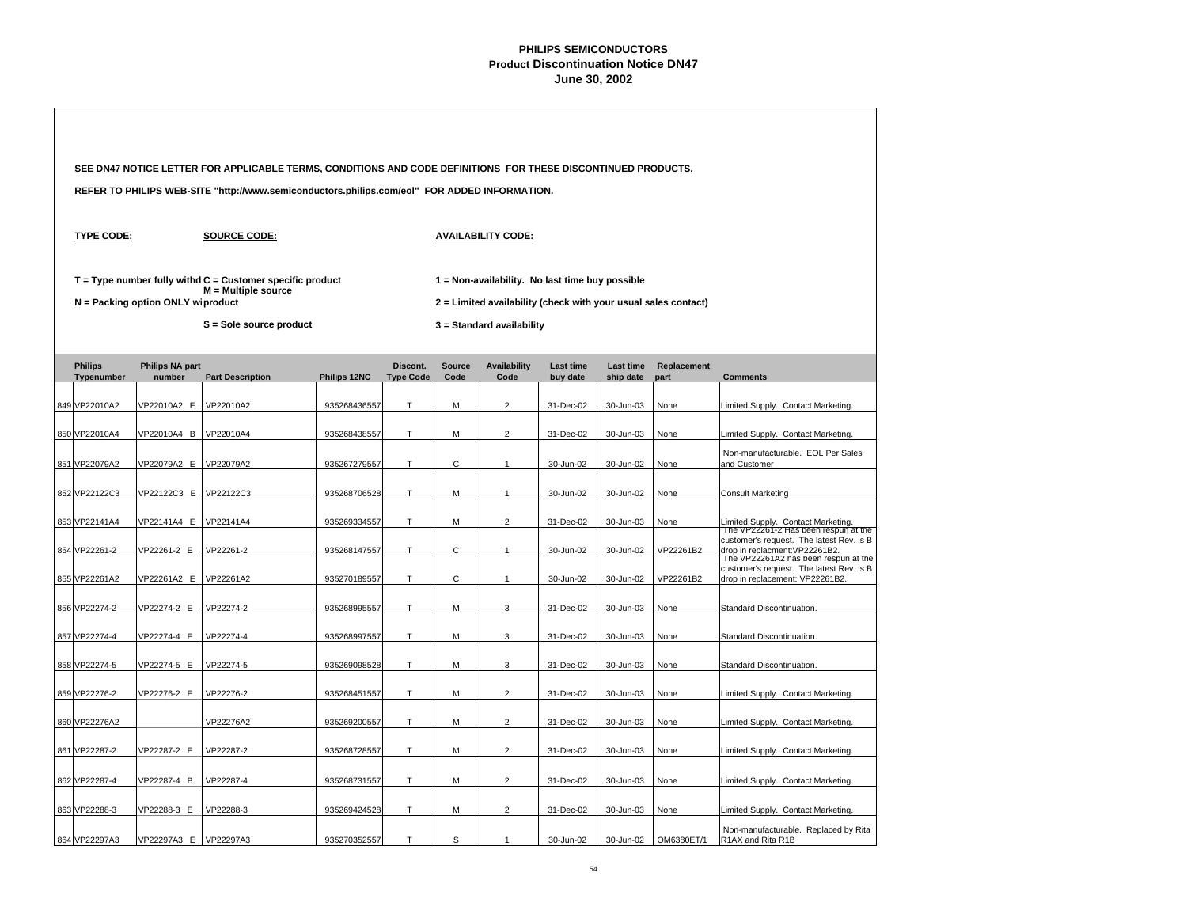| SEE DN47 NOTICE LETTER FOR APPLICABLE TERMS, CONDITIONS AND CODE DEFINITIONS FOR THESE DISCONTINUED PRODUCTS. |                                   |                                                                                                                   |              |                              |                                                                                                                                                |                             |                              |                               |                     |                                                                                                                    |
|---------------------------------------------------------------------------------------------------------------|-----------------------------------|-------------------------------------------------------------------------------------------------------------------|--------------|------------------------------|------------------------------------------------------------------------------------------------------------------------------------------------|-----------------------------|------------------------------|-------------------------------|---------------------|--------------------------------------------------------------------------------------------------------------------|
|                                                                                                               |                                   | REFER TO PHILIPS WEB-SITE "http://www.semiconductors.philips.com/eol" FOR ADDED INFORMATION.                      |              |                              |                                                                                                                                                |                             |                              |                               |                     |                                                                                                                    |
| <b>TYPE CODE:</b>                                                                                             |                                   | <b>SOURCE CODE:</b>                                                                                               |              |                              |                                                                                                                                                | <b>AVAILABILITY CODE:</b>   |                              |                               |                     |                                                                                                                    |
|                                                                                                               | N = Packing option ONLY wiproduct | $T = Type$ number fully withd $C =$ Customer specific product<br>$M =$ Multiple source<br>S = Sole source product |              |                              | 1 = Non-availability. No last time buy possible<br>2 = Limited availability (check with your usual sales contact)<br>3 = Standard availability |                             |                              |                               |                     |                                                                                                                    |
| <b>Philips</b><br>Typenumber                                                                                  | <b>Philips NA part</b><br>number  | <b>Part Description</b>                                                                                           | Philips 12NC | Discont.<br><b>Type Code</b> | <b>Source</b><br>Code                                                                                                                          | <b>Availability</b><br>Code | <b>Last time</b><br>buy date | <b>Last time</b><br>ship date | Replacement<br>part | <b>Comments</b>                                                                                                    |
| 849 VP22010A2                                                                                                 | /P22010A2 E                       | VP22010A2                                                                                                         | 935268436557 | T                            | М                                                                                                                                              | $\overline{2}$              | 31-Dec-02                    | 30-Jun-03                     | None                | Limited Supply. Contact Marketing                                                                                  |
| 850 VP22010A4                                                                                                 | VP22010A4 B                       | VP22010A4                                                                                                         | 935268438557 | T                            | M                                                                                                                                              | $\overline{2}$              | 31-Dec-02                    | 30-Jun-03                     | None                | Limited Supply. Contact Marketing                                                                                  |
| 851 VP22079A2                                                                                                 | VP22079A2 E                       | VP22079A2                                                                                                         | 935267279557 | T                            | C                                                                                                                                              | $\mathbf{1}$                | 30-Jun-02                    | 30-Jun-02                     | None                | Non-manufacturable. EOL Per Sales<br>and Customer                                                                  |
| 852 VP22122C3                                                                                                 | VP22122C3 E                       | VP22122C3                                                                                                         | 935268706528 | T.                           | М                                                                                                                                              | 1                           | 30-Jun-02                    | 30-Jun-02                     | None                | <b>Consult Marketing</b>                                                                                           |
| 853 VP22141A4                                                                                                 | VP22141A4 E                       | VP22141A4                                                                                                         | 935269334557 | T.                           | М                                                                                                                                              | $\overline{2}$              | 31-Dec-02                    | 30-Jun-03                     | None                | Limited Supply. Contact Marketing.<br>The VP22261-2 Has been respun at the                                         |
| 854 VP22261-2                                                                                                 | VP22261-2 E                       | VP22261-2                                                                                                         | 935268147557 | T.                           | С                                                                                                                                              | $\mathbf{1}$                | 30-Jun-02                    | 30-Jun-02                     | VP22261B2           | customer's request. The latest Rev. is B<br>drop in replacment: VP22261B2.<br>The VP22261A2 has been respun at the |
| 855 VP22261A2                                                                                                 | VP22261A2 E                       | VP22261A2                                                                                                         | 935270189557 | T.                           | С                                                                                                                                              | $\mathbf{1}$                | 30-Jun-02                    | 30-Jun-02                     | VP22261B2           | customer's request. The latest Rev. is B<br>drop in replacement: VP22261B2.                                        |
| 856 VP22274-2                                                                                                 | VP22274-2 E                       | VP22274-2                                                                                                         | 935268995557 | T.                           | M                                                                                                                                              | 3                           | 31-Dec-02                    | 30-Jun-03                     | None                | Standard Discontinuation.                                                                                          |
| 857 VP22274-4                                                                                                 | VP22274-4 E                       | VP22274-4                                                                                                         | 935268997557 | T.                           | М                                                                                                                                              | 3                           | 31-Dec-02                    | 30-Jun-03                     | None                | Standard Discontinuation.                                                                                          |
| 858 VP22274-5                                                                                                 | VP22274-5 E                       | VP22274-5                                                                                                         | 935269098528 | T.                           | М                                                                                                                                              | 3                           | 31-Dec-02                    | 30-Jun-03                     | None                | Standard Discontinuation.                                                                                          |
| 859 VP22276-2                                                                                                 | VP22276-2 E                       | VP22276-2                                                                                                         | 935268451557 | T                            | M                                                                                                                                              | $\overline{c}$              | 31-Dec-02                    | 30-Jun-03                     | None                | Limited Supply. Contact Marketing.                                                                                 |
| 860 VP22276A2                                                                                                 |                                   | VP22276A2                                                                                                         | 935269200557 | T.                           | М                                                                                                                                              | $\overline{2}$              | 31-Dec-02                    | 30-Jun-03                     | None                | Limited Supply. Contact Marketing                                                                                  |
| 861 VP22287-2                                                                                                 | VP22287-2 E                       | VP22287-2                                                                                                         | 935268728557 | т                            | М                                                                                                                                              | $\overline{c}$              | 31-Dec-02                    | 30-Jun-03                     | None                | Limited Supply. Contact Marketing.                                                                                 |
| 862 VP22287-4                                                                                                 | VP22287-4 B                       | VP22287-4                                                                                                         | 935268731557 | T.                           | М                                                                                                                                              | $\overline{2}$              | 31-Dec-02                    | 30-Jun-03                     | None                | Limited Supply. Contact Marketing.                                                                                 |
| 863 VP22288-3                                                                                                 | VP22288-3 E                       | VP22288-3                                                                                                         | 935269424528 | т                            | М                                                                                                                                              | $\overline{2}$              | 31-Dec-02                    | 30-Jun-03                     | None                | Limited Supply. Contact Marketing                                                                                  |
| 864 VP22297A3                                                                                                 | VP22297A3 E                       | VP22297A3                                                                                                         | 935270352557 | Т                            | S                                                                                                                                              | $\mathbf{1}$                | 30-Jun-02                    | 30-Jun-02                     | OM6380ET/1          | Non-manufacturable. Replaced by Rita<br>R1AX and Rita R1B                                                          |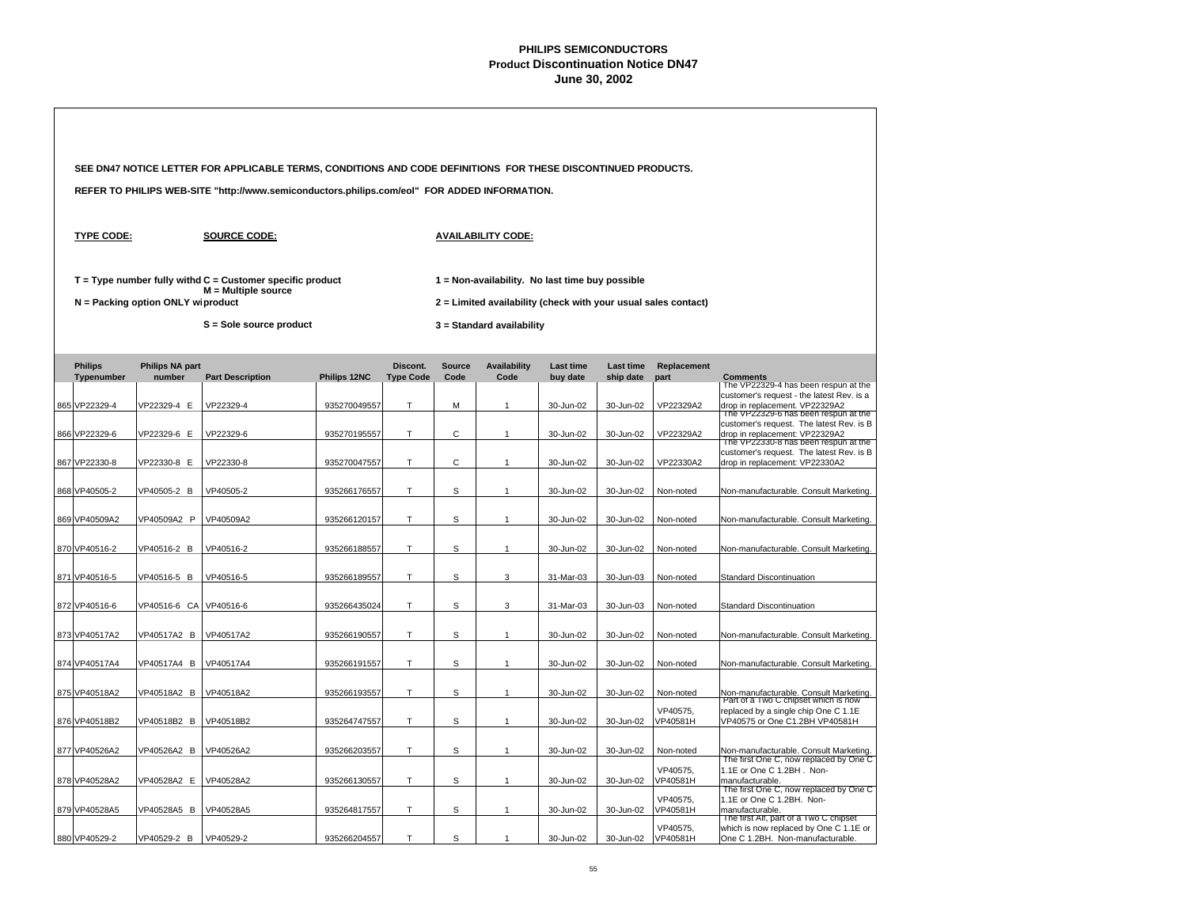| SEE DN47 NOTICE LETTER FOR APPLICABLE TERMS, CONDITIONS AND CODE DEFINITIONS FOR THESE DISCONTINUED PRODUCTS. |                                     |                                                                                              |              |                              |                       |                                                                                                                   |                              |                               |                       |                                                                                                                                 |
|---------------------------------------------------------------------------------------------------------------|-------------------------------------|----------------------------------------------------------------------------------------------|--------------|------------------------------|-----------------------|-------------------------------------------------------------------------------------------------------------------|------------------------------|-------------------------------|-----------------------|---------------------------------------------------------------------------------------------------------------------------------|
|                                                                                                               |                                     | REFER TO PHILIPS WEB-SITE "http://www.semiconductors.philips.com/eol" FOR ADDED INFORMATION. |              |                              |                       |                                                                                                                   |                              |                               |                       |                                                                                                                                 |
| <b>TYPE CODE:</b>                                                                                             |                                     | <b>SOURCE CODE:</b>                                                                          |              |                              |                       | <b>AVAILABILITY CODE:</b>                                                                                         |                              |                               |                       |                                                                                                                                 |
|                                                                                                               | $N =$ Packing option ONLY wiproduct | $T = Type$ number fully withd $C =$ Customer specific product<br>$M =$ Multiple source       |              |                              |                       | 1 = Non-availability. No last time buy possible<br>2 = Limited availability (check with your usual sales contact) |                              |                               |                       |                                                                                                                                 |
|                                                                                                               |                                     | S = Sole source product                                                                      |              |                              |                       | 3 = Standard availability                                                                                         |                              |                               |                       |                                                                                                                                 |
|                                                                                                               |                                     |                                                                                              |              |                              |                       |                                                                                                                   |                              |                               |                       |                                                                                                                                 |
| <b>Philips</b><br>Typenumber                                                                                  | <b>Philips NA part</b><br>number    | <b>Part Description</b>                                                                      | Philips 12NC | Discont.<br><b>Type Code</b> | <b>Source</b><br>Code | <b>Availability</b><br>Code                                                                                       | <b>Last time</b><br>buy date | <b>Last time</b><br>ship date | Replacement<br>part   | <b>Comments</b><br>The VP22329-4 has been respun at the                                                                         |
| 865 VP22329-4                                                                                                 | VP22329-4 E                         | VP22329-4                                                                                    | 935270049557 | т                            | M                     | $\mathbf{1}$                                                                                                      | 30-Jun-02                    | 30-Jun-02                     | VP22329A2             | customer's request - the latest Rev. is a<br>drop in replacement. VP22329A2<br>The VP22329-6 has been respun at the             |
| 866 VP22329-6                                                                                                 | VP22329-6 E                         | VP22329-6                                                                                    | 935270195557 | T                            | C                     | $\overline{1}$                                                                                                    | 30-Jun-02                    | 30-Jun-02                     | VP22329A2             | customer's request. The latest Rev. is B<br>drop in replacement: VP22329A2                                                      |
|                                                                                                               |                                     |                                                                                              |              |                              |                       |                                                                                                                   |                              |                               |                       | The VP22330-8 has been respun at the<br>customer's request. The latest Rev. is B                                                |
| 867 VP22330-8                                                                                                 | VP22330-8 E                         | VP22330-8                                                                                    | 935270047557 | T                            | C                     | $\overline{1}$                                                                                                    | 30-Jun-02                    | 30-Jun-02                     | VP22330A2             | drop in replacement: VP22330A2                                                                                                  |
| 868 VP40505-2                                                                                                 | VP40505-2 B                         | VP40505-2                                                                                    | 935266176557 | T                            | S                     | $\overline{1}$                                                                                                    | 30-Jun-02                    | 30-Jun-02                     | Non-noted             | Non-manufacturable. Consult Marketing.                                                                                          |
| 869 VP40509A2                                                                                                 | VP40509A2 P                         | VP40509A2                                                                                    | 935266120157 | Т                            | S                     | $\mathbf{1}$                                                                                                      | 30-Jun-02                    | 30-Jun-02                     | Non-noted             | Non-manufacturable. Consult Marketing.                                                                                          |
|                                                                                                               |                                     |                                                                                              |              |                              |                       |                                                                                                                   |                              |                               |                       |                                                                                                                                 |
| 870 VP40516-2                                                                                                 | VP40516-2 B                         | VP40516-2                                                                                    | 935266188557 | T                            | S                     | $\mathbf{1}$                                                                                                      | 30-Jun-02                    | 30-Jun-02                     | Non-noted             | Non-manufacturable. Consult Marketing.                                                                                          |
| 871 VP40516-5                                                                                                 | VP40516-5 B                         | VP40516-5                                                                                    | 935266189557 | $\top$                       | s                     | 3                                                                                                                 | 31-Mar-03                    | 30-Jun-03                     | Non-noted             | <b>Standard Discontinuation</b>                                                                                                 |
| 872 VP40516-6                                                                                                 | VP40516-6 CA                        | VP40516-6                                                                                    | 935266435024 | $\mathsf{T}$                 | S                     | 3                                                                                                                 | 31-Mar-03                    | 30-Jun-03                     | Non-noted             | <b>Standard Discontinuation</b>                                                                                                 |
|                                                                                                               |                                     |                                                                                              |              |                              |                       |                                                                                                                   |                              |                               |                       |                                                                                                                                 |
| 873 VP40517A2                                                                                                 | VP40517A2 B                         | VP40517A2                                                                                    | 935266190557 | T                            | S                     | $\mathbf{1}$                                                                                                      | 30-Jun-02                    | 30-Jun-02                     | Non-noted             | Non-manufacturable. Consult Marketing.                                                                                          |
| 874 VP40517A4                                                                                                 | VP40517A4 B                         | VP40517A4                                                                                    | 935266191557 | T                            | S                     | $\mathbf{1}$                                                                                                      | 30-Jun-02                    | 30-Jun-02                     | Non-noted             | Non-manufacturable. Consult Marketing.                                                                                          |
|                                                                                                               |                                     |                                                                                              |              |                              |                       |                                                                                                                   |                              |                               |                       |                                                                                                                                 |
| 875 VP40518A2                                                                                                 | VP40518A2 B                         | VP40518A2                                                                                    | 935266193557 | T                            | S                     | $\mathbf{1}$                                                                                                      | 30-Jun-02                    | 30-Jun-02                     | Non-noted<br>VP40575. | Non-manufacturable. Consult Marketing.<br>Part of a Two C chipset which is now                                                  |
| 876 VP40518B2                                                                                                 | VP40518B2 B                         | VP40518B2                                                                                    | 935264747557 | T                            | S                     | $\mathbf{1}$                                                                                                      | 30-Jun-02                    | 30-Jun-02                     | VP40581H              | replaced by a single chip One C 1.1E<br>VP40575 or One C1.2BH VP40581H                                                          |
| 877 VP40526A2                                                                                                 | VP40526A2 B                         | VP40526A2                                                                                    | 935266203557 | T                            | S                     | $\mathbf{1}$                                                                                                      | 30-Jun-02                    | 30-Jun-02                     | Non-noted             | Non-manufacturable. Consult Marketing.                                                                                          |
| 878 VP40528A2                                                                                                 | VP40528A2 E                         | VP40528A2                                                                                    | 935266130557 | T                            | S                     | $\overline{1}$                                                                                                    | 30-Jun-02                    | 30-Jun-02                     | VP40575.<br>VP40581H  | The first One C, now replaced by One C<br>1.1E or One C 1.2BH. Non-<br>manufacturable.                                          |
| 879 VP40528A5                                                                                                 | VP40528A5 B                         | VP40528A5                                                                                    | 935264817557 | T                            | S                     | $\mathbf{1}$                                                                                                      | 30-Jun-02                    | 30-Jun-02                     | VP40575,<br>VP40581H  | The first One C, now replaced by One C<br>1.1E or One C 1.2BH. Non-<br>manufacturable<br>The first Alf, part of a Two C chipset |
| 880 VP40529-2                                                                                                 | VP40529-2 B                         | VP40529-2                                                                                    | 935266204557 | T                            | S                     | $\overline{1}$                                                                                                    | 30-Jun-02                    | 30-Jun-02                     | VP40575,<br>VP40581H  | which is now replaced by One C 1.1E or<br>One C 1.2BH. Non-manufacturable.                                                      |